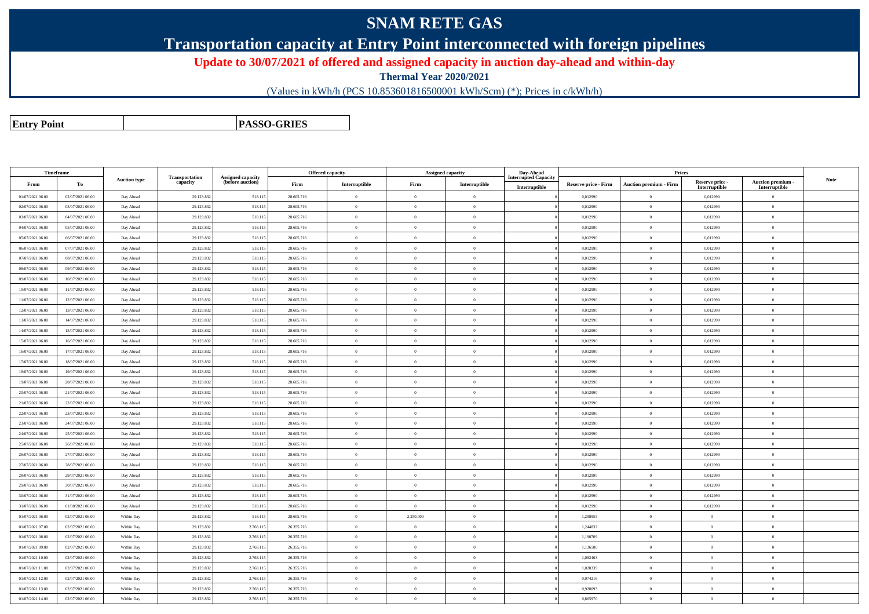## **SNAM RETE GAS**

**Transportation capacity at Entry Point interconnected with foreign pipelines**

**Update to 30/07/2021 of offered and assigned capacity in auction day-ahead and within-day**

**Thermal Year 2020/2021**

(Values in kWh/h (PCS 10.853601816500001 kWh/Scm) (\*); Prices in c/kWh/h)

**Entry Point**

**PASSO-GRIES**

| Timeframe        |                  |                     |                            |                                              |            | <b>Offered capacity</b> |                | Assigned capacity | Day-Ahead                   |                      | Prices                        |                           |                                 |             |
|------------------|------------------|---------------------|----------------------------|----------------------------------------------|------------|-------------------------|----------------|-------------------|-----------------------------|----------------------|-------------------------------|---------------------------|---------------------------------|-------------|
| From             | To               | <b>Auction type</b> | Transportation<br>capacity | <b>Assigned capacity</b><br>(before auction) | Firm       | Interruptible           | Firm           | Interruptible     | <b>Interrupted Capacity</b> | Reserve price - Firm | <b>Auction premium - Firm</b> | Reserve price -           | Auction premium -               | <b>Note</b> |
| 01/07/2021 06:00 | 02/07/2021 06:00 | Day Ahead           | 29.123.83                  | 518.11:                                      | 28.605.716 | $\theta$                | $\overline{0}$ | $\overline{0}$    | Interruptible               | 0,012990             | $\overline{0}$                | Interruptible<br>0,012990 | Interruptible<br>$\overline{0}$ |             |
| 02/07/2021 06:00 | 03/07/2021 06:00 | Day Ahead           | 29.123.832                 | 518.11:                                      | 28.605.716 | $\bf{0}$                | $\overline{0}$ | $\theta$          |                             | 0,012990             | $\overline{0}$                | 0,012990                  | $\overline{0}$                  |             |
| 03/07/2021 06:00 | 04/07/2021 06:00 | Day Ahead           | 29.123.83                  | 518.11:                                      | 28.605.716 | $\theta$                | $\bf{0}$       | $\overline{0}$    |                             | 0,012990             | $\mathbf{0}$                  | 0,012990                  | $\overline{0}$                  |             |
| 04/07/2021 06:00 | 05/07/2021 06:00 | Day Ahead           | 29.123.832                 | 518.115                                      | 28.605.716 | $\overline{0}$          | $\overline{0}$ | $\bf{0}$          |                             | 0,012990             | $\overline{0}$                | 0,012990                  | $\bf{0}$                        |             |
| 05/07/2021 06:00 | 06/07/2021 06:00 | Day Ahead           | 29.123.83                  | 518.11                                       | 28.605.716 | $\theta$                | $\overline{0}$ | $\Omega$          |                             | 0,012990             | $\Omega$                      | 0,012990                  | $\theta$                        |             |
| 06/07/2021 06:00 | 07/07/2021 06:00 | Day Ahead           | 29.123.832                 | 518.115                                      | 28.605.716 | $\mathbf{0}$            | $\overline{0}$ | $\overline{0}$    |                             | 0,012990             | $\overline{0}$                | 0,012990                  | $\overline{0}$                  |             |
| 07/07/2021 06:00 | 08/07/2021 06:00 | Day Ahead           | 29.123.83                  | 518.11:                                      | 28.605.716 | $\theta$                | $\bf{0}$       | $\,$ 0 $\,$       |                             | 0,012990             | $\overline{0}$                | 0,012990                  | $\theta$                        |             |
| 08/07/2021 06:00 | 09/07/2021 06:00 | Day Ahead           | 29.123.832                 | 518.115                                      | 28.605.716 | $\theta$                | $\Omega$       | $\theta$          |                             | 0,012990             | $\Omega$                      | 0,012990                  | $\overline{0}$                  |             |
| 09/07/2021 06:00 | 10/07/2021 06:00 | Day Ahead           | 29.123.83                  | 518.11:                                      | 28.605.716 | $\overline{0}$          | $\overline{0}$ | $\theta$          |                             | 0,012990             | $\overline{0}$                | 0,012990                  | $\theta$                        |             |
| 10/07/2021 06:00 | 11/07/2021 06:00 | Day Ahead           | 29.123.832                 | 518.115                                      | 28.605.716 | $\mathbf{0}$            | $\overline{0}$ | $\overline{0}$    |                             | 0.012990             | $\Omega$                      | 0,012990                  | $\theta$                        |             |
| 11/07/2021 06:00 | 12/07/2021 06:00 | Day Ahead           | 29.123.83                  | 518.11                                       | 28.605.716 | $\theta$                | $\overline{0}$ | $\overline{0}$    |                             | 0,012990             | $\mathbf{0}$                  | 0,012990                  | $\theta$                        |             |
| 12/07/2021 06:00 | 13/07/2021 06:00 | Day Ahead           | 29.123.832                 | 518.115                                      | 28.605.716 | $\theta$                | $\Omega$       | $\theta$          |                             | 0,012990             | $\Omega$                      | 0,012990                  | $\theta$                        |             |
| 13/07/2021 06:00 | 14/07/2021 06:00 | Day Ahead           | 29.123.832                 | 518.11                                       | 28.605.716 | $\overline{0}$          | $\bf{0}$       | $\theta$          |                             | 0,012990             | $\overline{0}$                | 0,012990                  | $\overline{0}$                  |             |
| 14/07/2021 06:00 | 15/07/2021 06:00 | Day Ahead           | 29.123.832                 | 518.115                                      | 28.605.716 | $\overline{0}$          | $\Omega$       | $\overline{0}$    |                             | 0,012990             | $\Omega$                      | 0,012990                  | $\theta$                        |             |
| 15/07/2021 06:00 | 16/07/2021 06:00 | Day Ahead           | 29.123.832                 | 518.115                                      | 28.605.716 | $\theta$                | $\overline{0}$ | $\theta$          |                             | 0,012990             | $\mathbf{0}$                  | 0,012990                  | $\overline{0}$                  |             |
| 16/07/2021 06:00 | 17/07/2021 06:00 | Day Ahead           | 29.123.832                 | 518.115                                      | 28,605,716 | $\overline{0}$          | $\Omega$       | $\overline{0}$    |                             | 0.012990             | $\theta$                      | 0.012990                  | $\theta$                        |             |
| 17/07/2021 06:00 | 18/07/2021 06:00 | Day Ahead           | 29.123.832                 | 518.115                                      | 28.605.716 | $\overline{0}$          | $\overline{0}$ | $\mathbf{0}$      |                             | 0,012990             | $\theta$                      | 0,012990                  | $\overline{0}$                  |             |
| 18/07/2021 06:00 | 19/07/2021 06:00 | Day Ahead           | 29.123.832                 | 518.115                                      | 28.605.716 | $\overline{0}$          | $\overline{0}$ | $\overline{0}$    |                             | 0,012990             | $\mathbf{0}$                  | 0,012990                  | $\theta$                        |             |
| 19/07/2021 06:00 | 20/07/2021 06:00 | Day Ahead           | 29.123.833                 | 518.11                                       | 28,605,716 | $\theta$                | $\overline{0}$ | $\Omega$          |                             | 0.012990             | $\theta$                      | 0.012990                  | $\theta$                        |             |
| 20/07/2021 06:00 | 21/07/2021 06:00 | Day Ahead           | 29.123.832                 | 518.115                                      | 28,605,716 | $\theta$                | $\overline{0}$ | $\Omega$          |                             | 0.012990             | $\Omega$                      | 0.012990                  | $\theta$                        |             |
| 21/07/2021 06:00 | 22/07/2021 06:00 | Day Ahead           | 29.123.832                 | 518.115                                      | 28,605,716 | $\overline{0}$          | $\overline{0}$ | $\Omega$          |                             | 0,012990             | $\theta$                      | 0.012990                  | $\theta$                        |             |
| 22/07/2021 06:00 | 23/07/2021 06:00 | Day Ahead           | 29.123.832                 | 518.115                                      | 28.605.716 | $\overline{0}$          | $\overline{0}$ | $\mathbf{0}$      |                             | 0,012990             | $\mathbf{0}$                  | 0,012990                  | $\theta$                        |             |
| 23/07/2021 06:00 | 24/07/2021 06:00 | Day Ahead           | 29.123.832                 | 518.115                                      | 28.605.716 | $\theta$                | $\overline{0}$ | $\mathbf{0}$      |                             | 0,012990             | $\mathbf{0}$                  | 0,012990                  | $\theta$                        |             |
| 24/07/2021 06:00 | 25/07/2021 06:00 | Day Ahead           | 29.123.832                 | 518.11:                                      | 28,605,716 | $\Omega$                | $\Omega$       | $\Omega$          |                             | 0.012990             | $\Omega$                      | 0.012990                  | $\theta$                        |             |
| 25/07/2021 06:00 | 26/07/2021 06:00 | Day Ahead           | 29.123.83                  | 518.11                                       | 28.605.716 | $\theta$                | $\overline{0}$ | $\theta$          |                             | 0,012990             | $\overline{0}$                | 0,012990                  | $\theta$                        |             |
| 26/07/2021 06:00 | 27/07/2021 06:00 | Day Ahead           | 29.123.83                  | 518.11:                                      | 28.605.716 | $\theta$                | $\overline{0}$ | $\mathbf{0}$      |                             | 0,012990             | $\mathbf{0}$                  | 0,012990                  | $\theta$                        |             |
| 27/07/2021 06:00 | 28/07/2021 06:00 | Day Ahead           | 29.123.832                 | 518.115                                      | 28.605.716 | $\theta$                | $\overline{0}$ | $\mathbf{0}$      |                             | 0,012990             | $\theta$                      | 0,012990                  | $\theta$                        |             |
| 28/07/2021 06:00 | 29/07/2021 06:00 | Day Ahead           | 29.123.832                 | 518.11                                       | 28.605.716 | $\overline{0}$          | $\overline{0}$ | $\overline{0}$    |                             | 0,012990             | $\mathbf{0}$                  | 0,012990                  | $\theta$                        |             |
| 29/07/2021 06:00 | 30/07/2021 06:00 | Day Ahead           | 29.123.832                 | 518.115                                      | 28.605.716 | $\theta$                | $\overline{0}$ | $\theta$          |                             | 0,012990             | $\theta$                      | 0,012990                  | $\theta$                        |             |
| 30/07/2021 06:00 | 31/07/2021 06:00 | Day Ahead           | 29.123.83                  | 518.11                                       | 28.605.716 | $\theta$                | $\overline{0}$ | $\overline{0}$    |                             | 0,012990             | $\mathbf{0}$                  | 0,012990                  | $\theta$                        |             |
| 31/07/2021 06:00 | 01/08/2021 06:00 | Day Ahead           | 29.123.832                 | 518.115                                      | 28.605.716 | $\overline{0}$          | $\overline{0}$ | $\theta$          |                             | 0,012990             | $\mathbf{0}$                  | 0,012990                  | $\theta$                        |             |
| 01/07/2021 06:00 | 02/07/2021 06:00 | Within Day          | 29.123.83                  | 518.11:                                      | 28.605.716 | $\theta$                | 2.250.000      | $\overline{0}$    |                             | 1,298955             | $\mathbf{0}$                  | $\overline{0}$            | $\theta$                        |             |
| 01/07/2021 07:00 | 02/07/2021 06:00 | Within Day          | 29.123.832                 | 2.768.11                                     | 26.355.716 | $\overline{0}$          | $\overline{0}$ | $\theta$          |                             | 1,244832             | $\mathbf{0}$                  | $\theta$                  | $\overline{0}$                  |             |
| 01/07/2021 08:00 | 02/07/2021 06:00 | Within Day          | 29.123.83                  | 2.768.11                                     | 26.355.716 | $\theta$                | $\overline{0}$ | $\overline{0}$    |                             | 1,190709             | $\mathbf{0}$                  | $\overline{0}$            | $\overline{0}$                  |             |
| 01/07/2021 09:00 | 02/07/2021 06:00 | Within Day          | 29.123.832                 | 2.768.11                                     | 26.355.716 | $\theta$                | $\overline{0}$ | $\theta$          |                             | 1,136586             | $\mathbf{0}$                  | $\theta$                  | $\overline{0}$                  |             |
| 01/07/2021 10:00 | 02/07/2021 06:00 | Within Day          | 29.123.83                  | 2.768.11                                     | 26.355.716 | $\theta$                | $\overline{0}$ | $\mathbf{0}$      |                             | 1,082463             | $\mathbf{0}$                  | $\theta$                  | $\theta$                        |             |
| 01/07/2021 11:00 | 02/07/2021 06:00 | Within Day          | 29.123.832                 | 2.768.11                                     | 26.355.716 | $\overline{0}$          | $\bf{0}$       | $\mathbf{0}$      |                             | 1,028339             | $\bf{0}$                      | $\overline{0}$            | $\bf{0}$                        |             |
| 01/07/2021 12:00 | 02/07/2021 06:00 | Within Day          | 29.123.83                  | 2.768.11                                     | 26.355.716 | $\theta$                | $\overline{0}$ | $\overline{0}$    |                             | 0,974216             | $\Omega$                      | $\Omega$                  | $\overline{0}$                  |             |
| 01/07/2021 13:00 | 02/07/2021 06:00 | Within Day          | 29.123.832                 | 2.768.11                                     | 26.355.716 | $\theta$                | $\overline{0}$ | $\theta$          |                             | 0,920093             | $\Omega$                      | $\Omega$                  | $\overline{0}$                  |             |
| 01/07/2021 14:00 | 02/07/2021 06:00 | Within Day          | 29.123.832                 | 2.768.11                                     | 26.355.716 | $\theta$                | $\overline{0}$ | $\mathbf{0}$      |                             | 0,865970             | $\overline{0}$                | $\theta$                  | $\overline{0}$                  |             |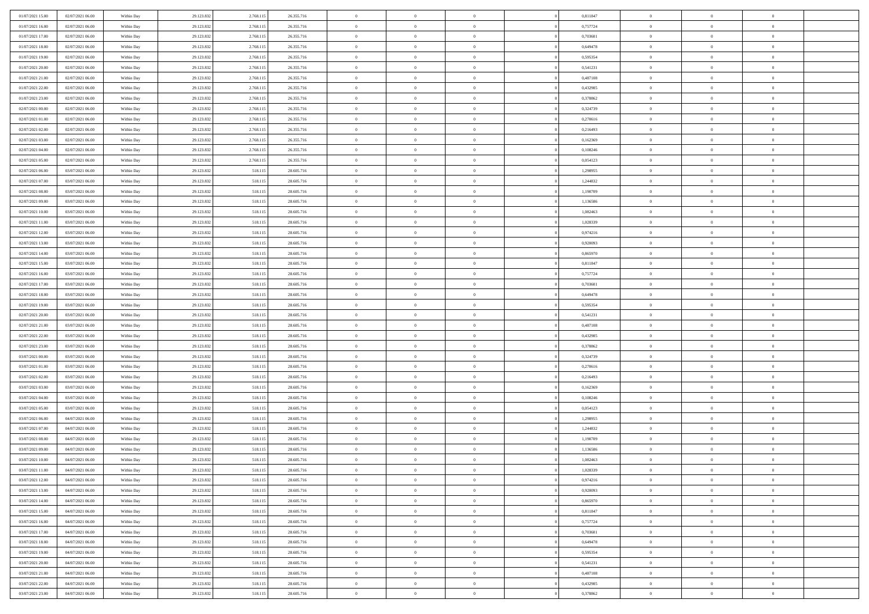| 01/07/2021 15:00 | 02/07/2021 06:00 | Within Day | 29.123.832 | 2.768.11  | 26.355.716 | $\,0\,$                | $\overline{0}$ | $\overline{0}$ |                | 0,811847 | $\,$ 0 $\,$    | $\overline{0}$ | $\bf{0}$       |  |
|------------------|------------------|------------|------------|-----------|------------|------------------------|----------------|----------------|----------------|----------|----------------|----------------|----------------|--|
| 01/07/2021 16:00 | 02/07/2021 06:00 | Within Day | 29.123.832 | 2.768.11  | 26.355.716 | $\overline{0}$         | $\overline{0}$ | $\overline{0}$ |                | 0,757724 | $\theta$       | $\overline{0}$ | $\overline{0}$ |  |
| 01/07/2021 17:00 | 02/07/2021 06:00 | Within Day | 29.123.832 | 2.768.115 | 26.355.716 | $\mathbf{0}$           | $\overline{0}$ | $\overline{0}$ |                | 0,703601 | $\theta$       | $\overline{0}$ | $\overline{0}$ |  |
| 01/07/2021 18:00 | 02/07/2021 06:00 | Within Day | 29.123.832 | 2.768.115 | 26.355.716 | $\bf{0}$               | $\overline{0}$ | $\overline{0}$ |                | 0,649478 | $\bf{0}$       | $\overline{0}$ | $\bf{0}$       |  |
| 01/07/2021 19:00 | 02/07/2021 06:00 | Within Day | 29.123.832 | 2.768.11  | 26.355.716 | $\overline{0}$         | $\overline{0}$ | $\overline{0}$ |                | 0,595354 | $\bf{0}$       | $\overline{0}$ | $\bf{0}$       |  |
| 01/07/2021 20:00 | 02/07/2021 06:00 | Within Day | 29.123.832 | 2.768.115 | 26.355.716 | $\overline{0}$         | $\overline{0}$ | $\overline{0}$ |                | 0,541231 | $\theta$       | $\overline{0}$ | $\theta$       |  |
| 01/07/2021 21:00 |                  |            |            |           |            | $\mathbf{0}$           | $\overline{0}$ | $\overline{0}$ |                |          | $\bf{0}$       | $\overline{0}$ | $\theta$       |  |
|                  | 02/07/2021 06:00 | Within Day | 29.123.832 | 2.768.11  | 26.355.716 |                        |                |                |                | 0,487108 |                |                |                |  |
| 01/07/2021 22:00 | 02/07/2021 06:00 | Within Day | 29.123.832 | 2.768.11  | 26.355.716 | $\bf{0}$               | $\mathbf{0}$   | $\overline{0}$ |                | 0,432985 | $\,$ 0 $\,$    | $\overline{0}$ | $\theta$       |  |
| 01/07/2021 23:00 | 02/07/2021 06:00 | Within Day | 29.123.832 | 2.768.115 | 26.355.716 | $\overline{0}$         | $\overline{0}$ | $\overline{0}$ |                | 0,378862 | $\theta$       | $\overline{0}$ | $\overline{0}$ |  |
| 02/07/2021 00:00 | 02/07/2021 06:00 | Within Day | 29.123.832 | 2.768.115 | 26.355.716 | $\bf{0}$               | $\overline{0}$ | $\overline{0}$ |                | 0,324739 | $\mathbf{0}$   | $\overline{0}$ | $\bf{0}$       |  |
| 02/07/2021 01:00 | 02/07/2021 06:00 | Within Day | 29.123.832 | 2.768.11  | 26.355.716 | $\bf{0}$               | $\overline{0}$ | $\overline{0}$ |                | 0,270616 | $\bf{0}$       | $\mathbf{0}$   | $\theta$       |  |
| 02/07/2021 02:00 | 02/07/2021 06:00 | Within Day | 29.123.832 | 2.768.115 | 26.355.716 | $\mathbf{0}$           | $\overline{0}$ | $\overline{0}$ |                | 0,216493 | $\theta$       | $\overline{0}$ | $\overline{0}$ |  |
| 02/07/2021 03:00 | 02/07/2021 06:00 | Within Day | 29.123.832 | 2.768.115 | 26.355.716 | $\,0\,$                | $\overline{0}$ | $\overline{0}$ |                | 0,162369 | $\bf{0}$       | $\overline{0}$ | $\bf{0}$       |  |
| 02/07/2021 04:00 | 02/07/2021 06:00 | Within Day | 29.123.832 | 2.768.11  | 26.355.716 | $\bf{0}$               | $\overline{0}$ | $\overline{0}$ |                | 0,108246 | $\,$ 0 $\,$    | $\overline{0}$ | $\theta$       |  |
| 02/07/2021 05:00 | 02/07/2021 06:00 | Within Day | 29.123.832 | 2.768.115 | 26.355.716 | $\overline{0}$         | $\overline{0}$ | $\overline{0}$ |                | 0,054123 | $\theta$       | $\overline{0}$ | $\overline{0}$ |  |
| 02/07/2021 06:00 | 03/07/2021 06:00 | Within Day | 29.123.832 | 518.115   | 28.605.716 | $\,0\,$                | $\overline{0}$ | $\overline{0}$ |                | 1,298955 | $\bf{0}$       | $\overline{0}$ | $\bf{0}$       |  |
| 02/07/2021 07:00 | 03/07/2021 06:00 | Within Day | 29.123.832 | 518.115   | 28.605.716 | $\bf{0}$               | $\overline{0}$ | $\overline{0}$ |                | 1,244832 | $\bf{0}$       | $\overline{0}$ | $\overline{0}$ |  |
| 02/07/2021 08:00 | 03/07/2021 06:00 | Within Day | 29.123.832 | 518.115   | 28.605.716 | $\mathbf{0}$           | $\overline{0}$ | $\overline{0}$ |                | 1,190709 | $\theta$       | $\overline{0}$ | $\overline{0}$ |  |
| 02/07/2021 09:00 | 03/07/2021 06:00 | Within Day | 29.123.832 | 518.115   | 28.605.716 | $\bf{0}$               | $\overline{0}$ | $\bf{0}$       |                | 1,136586 | $\bf{0}$       | $\overline{0}$ | $\bf{0}$       |  |
| 02/07/2021 10:00 | 03/07/2021 06:00 | Within Day | 29.123.832 | 518.115   | 28.605.716 | $\bf{0}$               | $\overline{0}$ | $\overline{0}$ |                | 1,082463 | $\bf{0}$       | $\overline{0}$ | $\bf{0}$       |  |
| 02/07/2021 11:00 | 03/07/2021 06:00 | Within Day | 29.123.832 | 518.115   | 28.605.716 | $\overline{0}$         | $\overline{0}$ | $\overline{0}$ |                | 1,028339 | $\theta$       | $\bf{0}$       | $\overline{0}$ |  |
| 02/07/2021 12:00 | 03/07/2021 06:00 | Within Day | 29.123.832 | 518.115   | 28.605.716 | $\,0\,$                | $\overline{0}$ | $\overline{0}$ |                | 0,974216 | $\bf{0}$       | $\overline{0}$ | $\theta$       |  |
| 02/07/2021 13:00 | 03/07/2021 06:00 | Within Day | 29.123.832 | 518.115   | 28.605.716 | $\bf{0}$               | $\overline{0}$ | $\overline{0}$ |                | 0,920093 | $\,$ 0 $\,$    | $\overline{0}$ | $\overline{0}$ |  |
| 02/07/2021 14:00 | 03/07/2021 06:00 | Within Day | 29.123.832 | 518.115   | 28.605.716 | $\mathbf{0}$           | $\overline{0}$ | $\overline{0}$ |                | 0,865970 | $\theta$       | $\overline{0}$ | $\overline{0}$ |  |
| 02/07/2021 15:00 | 03/07/2021 06:00 | Within Day | 29.123.832 | 518.115   | 28.605.716 | $\bf{0}$               | $\overline{0}$ | $\overline{0}$ |                | 0,811847 | $\bf{0}$       | $\overline{0}$ | $\bf{0}$       |  |
| 02/07/2021 16:00 | 03/07/2021 06:00 | Within Day | 29.123.832 | 518.115   | 28.605.716 | $\bf{0}$               | $\overline{0}$ | $\overline{0}$ |                | 0,757724 | $\bf{0}$       | $\overline{0}$ | $\bf{0}$       |  |
| 02/07/2021 17:00 | 03/07/2021 06:00 | Within Day | 29.123.832 | 518.115   | 28.605.716 | $\overline{0}$         | $\overline{0}$ | $\overline{0}$ |                | 0,703601 | $\theta$       | $\overline{0}$ | $\overline{0}$ |  |
| 02/07/2021 18:00 | 03/07/2021 06:00 | Within Day | 29.123.832 | 518.115   | 28.605.716 | $\bf{0}$               | $\overline{0}$ | $\bf{0}$       |                | 0,649478 | $\bf{0}$       | $\overline{0}$ | $\bf{0}$       |  |
|                  |                  |            |            |           |            |                        | $\overline{0}$ |                |                |          | $\,$ 0 $\,$    | $\overline{0}$ | $\overline{0}$ |  |
| 02/07/2021 19:00 | 03/07/2021 06:00 | Within Day | 29.123.832 | 518.115   | 28.605.716 | $\overline{0}$         |                | $\overline{0}$ |                | 0,595354 |                |                |                |  |
| 02/07/2021 20:00 | 03/07/2021 06:00 | Within Day | 29.123.832 | 518.115   | 28.605.716 | $\mathbf{0}$           | $\overline{0}$ | $\overline{0}$ |                | 0,541231 | $\theta$       | $\overline{0}$ | $\overline{0}$ |  |
| 02/07/2021 21:00 | 03/07/2021 06:00 | Within Day | 29.123.832 | 518.115   | 28.605.716 | $\mathbf{0}$           | $\overline{0}$ | $\overline{0}$ |                | 0,487108 | $\,$ 0 $\,$    | $\overline{0}$ | $\theta$       |  |
| 02/07/2021 22:00 | 03/07/2021 06:00 | Within Day | 29.123.832 | 518.115   | 28.605.716 | $\bf{0}$               | $\overline{0}$ | $\overline{0}$ |                | 0,432985 | $\bf{0}$       | $\bf{0}$       | $\bf{0}$       |  |
| 02/07/2021 23:00 | 03/07/2021 06:00 | Within Day | 29.123.832 | 518.115   | 28.605.716 | $\overline{0}$         | $\overline{0}$ | $\overline{0}$ |                | 0,378862 | $\theta$       | $\overline{0}$ | $\overline{0}$ |  |
| 03/07/2021 00:00 | 03/07/2021 06:00 | Within Day | 29.123.832 | 518.115   | 28.605.716 | $\,$ 0 $\,$            | $\overline{0}$ | $\overline{0}$ |                | 0,324739 | $\,$ 0 $\,$    | $\overline{0}$ | $\theta$       |  |
| 03/07/2021 01:00 | 03/07/2021 06:00 | Within Day | 29.123.832 | 518.115   | 28.605.716 | $\bf{0}$               | $\overline{0}$ | $\overline{0}$ |                | 0,270616 | $\,$ 0 $\,$    | $\overline{0}$ | $\bf{0}$       |  |
| 03/07/2021 02:00 | 03/07/2021 06:00 | Within Day | 29.123.832 | 518.115   | 28.605.716 | $\mathbf{0}$           | $\overline{0}$ | $\overline{0}$ |                | 0,216493 | $\theta$       | $\overline{0}$ | $\overline{0}$ |  |
| 03/07/2021 03:00 | 03/07/2021 06:00 | Within Day | 29.123.832 | 518.115   | 28.605.716 | $\mathbf{0}$           | $\overline{0}$ | $\theta$       |                | 0,162369 | $\,$ 0 $\,$    | $\overline{0}$ | $\theta$       |  |
| 03/07/2021 04:00 | 03/07/2021 06:00 | Within Day | 29.123.832 | 518.115   | 28.605.716 | $\bf{0}$               | $\overline{0}$ | $\overline{0}$ |                | 0,108246 | $\bf{0}$       | $\overline{0}$ | $\overline{0}$ |  |
| 03/07/2021 05:00 | 03/07/2021 06:00 | Within Day | 29.123.832 | 518.115   | 28.605.716 | $\mathbf{0}$           | $\overline{0}$ | $\overline{0}$ |                | 0,054123 | $\theta$       | $\overline{0}$ | $\overline{0}$ |  |
| 03/07/2021 06:00 | 04/07/2021 06:00 | Within Day | 29.123.832 | 518.115   | 28.605.716 | $\,$ 0 $\,$            | $\overline{0}$ | $\bf{0}$       |                | 1,298955 | $\,0\,$        | $\overline{0}$ | $\theta$       |  |
| 03/07/2021 07:00 | 04/07/2021 06:00 | Within Day | 29.123.832 | 518.115   | 28.605.716 | $\bf{0}$               | $\overline{0}$ | $\overline{0}$ |                | 1,244832 | $\bf{0}$       | $\overline{0}$ | $\overline{0}$ |  |
| 03/07/2021 08:00 | 04/07/2021 06:00 | Within Day | 29.123.832 | 518.115   | 28.605.716 | $\mathbf{0}$           | $\overline{0}$ | $\overline{0}$ |                | 1,190709 | $\theta$       | $\overline{0}$ | $\overline{0}$ |  |
| 03/07/2021 09:00 | 04/07/2021 06:00 | Within Day | 29.123.832 | 518.115   | 28.605.716 | $\mathbf{0}$           | $\overline{0}$ | $\overline{0}$ |                | 1,136586 | $\,$ 0 $\,$    | $\overline{0}$ | $\theta$       |  |
| 03/07/2021 10:00 | 04/07/2021 06:00 | Within Day | 29.123.832 | 518.115   | 28.605.716 | $\bf{0}$               | $\overline{0}$ | $\overline{0}$ |                | 1,082463 | $\,$ 0 $\,$    | $\overline{0}$ | $\overline{0}$ |  |
| 03/07/2021 11:00 | 04/07/2021 06:00 | Within Day | 29.123.832 | 518.115   | 28.605.716 | $\bf{0}$               | $\overline{0}$ | $\overline{0}$ |                | 1,028339 | $\overline{0}$ | $^{\circ}$     | $\theta$       |  |
| 03/07/2021 12:00 | 04/07/2021 06:00 | Within Day | 29.123.832 | 518.115   | 28.605.716 | $\,$ 0 $\,$            | $\overline{0}$ | $\bf{0}$       |                | 0,974216 | $\,$ 0 $\,$    | $\overline{0}$ | $\theta$       |  |
| 03/07/2021 13:00 | 04/07/2021 06:00 | Within Day | 29.123.832 | 518.115   | 28.605.716 | $\bf{0}$               | $\overline{0}$ | $\overline{0}$ |                | 0,920093 | $\,$ 0 $\,$    | $\overline{0}$ | $\overline{0}$ |  |
| 03/07/2021 14:00 | 04/07/2021 06:00 | Within Day | 29.123.832 | 518.115   | 28.605.716 | $\mathbf{0}$           | $\overline{0}$ | $\overline{0}$ |                | 0,865970 | $\mathbf{0}$   | $\overline{0}$ | $\mathbf{0}$   |  |
| 03/07/2021 15:00 | 04/07/2021 06:00 | Within Day | 29.123.832 | 518.115   | 28.605.716 | $\,$ 0                 | $\overline{0}$ | $\overline{0}$ | $\overline{0}$ | 0,811847 | $\,$ 0 $\,$    | $\bf{0}$       | $\,$ 0 $\,$    |  |
| 03/07/2021 16:00 | 04/07/2021 06:00 | Within Day | 29.123.832 | 518.115   | 28.605.716 | $\hspace{0.1mm}\bm{0}$ | $\overline{0}$ | $\overline{0}$ |                | 0,757724 | $\,$ 0 $\,$    | $\overline{0}$ | $\overline{0}$ |  |
| 03/07/2021 17:00 | 04/07/2021 06:00 | Within Day | 29.123.832 | 518.115   | 28.605.716 | $\mathbf{0}$           | $\overline{0}$ | $\overline{0}$ |                | 0,703601 | $\overline{0}$ | $\overline{0}$ | $\overline{0}$ |  |
| 03/07/2021 18:00 | 04/07/2021 06:00 | Within Day | 29.123.832 | 518.115   | 28.605.716 | $\,$ 0 $\,$            | $\overline{0}$ | $\overline{0}$ |                | 0,649478 | $\,$ 0 $\,$    | $\overline{0}$ | $\overline{0}$ |  |
| 03/07/2021 19:00 | 04/07/2021 06:00 | Within Day | 29.123.832 | 518.115   | 28.605.716 | $\overline{0}$         | $\overline{0}$ | $\overline{0}$ |                | 0,595354 | $\overline{0}$ | $\overline{0}$ | $\overline{0}$ |  |
| 03/07/2021 20:00 | 04/07/2021 06:00 | Within Day | 29.123.832 | 518.115   | 28.605.716 | $\mathbf{0}$           | $\overline{0}$ | $\overline{0}$ |                | 0,541231 | $\mathbf{0}$   | $\overline{0}$ | $\mathbf{0}$   |  |
| 03/07/2021 21:00 | 04/07/2021 06:00 | Within Day | 29.123.832 | 518.115   | 28.605.716 | $\,$ 0 $\,$            | $\overline{0}$ | $\overline{0}$ |                | 0,487108 | $\,$ 0 $\,$    | $\bf{0}$       | $\,$ 0 $\,$    |  |
| 03/07/2021 22.00 | 04/07/2021 06:00 | Within Day | 29.123.832 | 518.115   | 28.605.716 | $\bf{0}$               | $\overline{0}$ | $\overline{0}$ |                | 0,432985 | $\,$ 0 $\,$    | $\mathbf{0}$   | $\overline{0}$ |  |
| 03/07/2021 23:00 | 04/07/2021 06:00 | Within Day | 29.123.832 | 518.115   | 28.605.716 | $\mathbf{0}$           | $\overline{0}$ | $\overline{0}$ |                | 0,378862 | $\mathbf{0}$   | $\overline{0}$ | $\overline{0}$ |  |
|                  |                  |            |            |           |            |                        |                |                |                |          |                |                |                |  |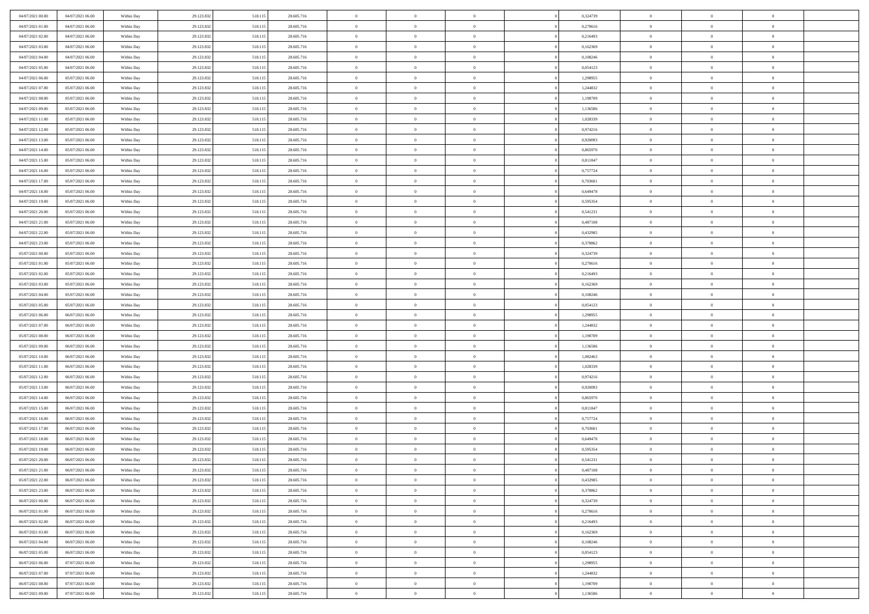| 04/07/2021 00:00                     | 04/07/2021 06:00 | Within Day               | 29.123.832 | 518.115            | 28.605.716 | $\,$ 0                   | $\bf{0}$       | $\overline{0}$ |          | 0,324739 | $\bf{0}$                 | $\overline{0}$ | $\,0\,$        |  |
|--------------------------------------|------------------|--------------------------|------------|--------------------|------------|--------------------------|----------------|----------------|----------|----------|--------------------------|----------------|----------------|--|
| 04/07/2021 01:00                     | 04/07/2021 06:00 | Within Day               | 29.123.832 | 518.115            | 28.605.716 | $\overline{0}$           | $\overline{0}$ | $\overline{0}$ |          | 0,270616 | $\overline{0}$           | $\overline{0}$ | $\theta$       |  |
| 04/07/2021 02:00                     | 04/07/2021 06:00 | Within Dav               | 29.123.832 | 518.115            | 28.605.716 | $\mathbf{0}$             | $\overline{0}$ | $\overline{0}$ |          | 0,216493 | $\mathbf{0}$             | $\overline{0}$ | $\overline{0}$ |  |
| 04/07/2021 03:00                     | 04/07/2021 06:00 | Within Day               | 29.123.832 | 518.115            | 28.605.716 | $\bf{0}$                 | $\overline{0}$ | $\overline{0}$ |          | 0,162369 | $\bf{0}$                 | $\overline{0}$ | $\bf{0}$       |  |
| 04/07/2021 04:00                     | 04/07/2021 06:00 | Within Day               | 29.123.832 | 518.115            | 28.605.716 | $\bf{0}$                 | $\bf{0}$       | $\overline{0}$ |          | 0,108246 | $\bf{0}$                 | $\bf{0}$       | $\,0\,$        |  |
| 04/07/2021 05:00                     | 04/07/2021 06:00 | Within Dav               | 29.123.832 | 518.115            | 28.605.716 | $\overline{0}$           | $\overline{0}$ | $\overline{0}$ |          | 0,054123 | $\mathbf{0}$             | $\overline{0}$ | $\overline{0}$ |  |
| 04/07/2021 06:00                     | 05/07/2021 06:00 | Within Day               | 29.123.832 | 518.115            | 28.605.716 | $\bf{0}$                 | $\bf{0}$       | $\overline{0}$ |          | 1,298955 | $\bf{0}$                 | $\overline{0}$ | $\,0\,$        |  |
| 04/07/2021 07:00                     | 05/07/2021 06:00 | Within Day               | 29.123.832 | 518.115            | 28.605.716 | $\overline{0}$           | $\overline{0}$ | $\overline{0}$ |          | 1,244832 | $\,$ 0 $\,$              | $\overline{0}$ | $\theta$       |  |
| 04/07/2021 08:00                     | 05/07/2021 06:00 | Within Day               | 29.123.832 | 518.115            | 28.605.716 | $\mathbf{0}$             | $\overline{0}$ | $\overline{0}$ |          | 1,190709 | $\mathbf{0}$             | $\overline{0}$ | $\overline{0}$ |  |
| 04/07/2021 09:00                     | 05/07/2021 06:00 |                          |            |                    | 28.605.716 | $\bf{0}$                 | $\bf{0}$       | $\overline{0}$ |          | 1,136586 | $\bf{0}$                 | $\overline{0}$ | $\,0\,$        |  |
|                                      |                  | Within Day               | 29.123.832 | 518.115            |            |                          | $\overline{0}$ |                |          |          |                          | $\overline{0}$ | $\theta$       |  |
| 04/07/2021 11:00<br>04/07/2021 12:00 | 05/07/2021 06:00 | Within Day               | 29.123.832 | 518.115            | 28.605.716 | $\bf{0}$<br>$\mathbf{0}$ |                | $\overline{0}$ |          | 1,028339 | $\bf{0}$<br>$\mathbf{0}$ |                | $\overline{0}$ |  |
|                                      | 05/07/2021 06:00 | Within Dav               | 29.123.832 | 518.115            | 28.605.716 |                          | $\overline{0}$ | $\overline{0}$ |          | 0,974216 |                          | $\overline{0}$ |                |  |
| 04/07/2021 13:00                     | 05/07/2021 06:00 | Within Day               | 29.123.832 | 518.115            | 28.605.716 | $\bf{0}$                 | $\overline{0}$ | $\bf{0}$       |          | 0,920093 | $\bf{0}$                 | $\overline{0}$ | $\bf{0}$       |  |
| 04/07/2021 14:00                     | 05/07/2021 06:00 | Within Day               | 29.123.832 | 518.115            | 28.605.716 | $\bf{0}$                 | $\overline{0}$ | $\overline{0}$ |          | 0,865970 | $\bf{0}$                 | $\mathbf{0}$   | $\,0\,$        |  |
| 04/07/2021 15:00                     | 05/07/2021 06:00 | Within Dav               | 29.123.832 | 518.115            | 28.605.716 | $\overline{0}$           | $\overline{0}$ | $\overline{0}$ |          | 0,811847 | $\mathbf{0}$             | $\overline{0}$ | $\overline{0}$ |  |
| 04/07/2021 16:00                     | 05/07/2021 06:00 | Within Day               | 29.123.832 | 518.115            | 28.605.716 | $\bf{0}$                 | $\bf{0}$       | $\overline{0}$ |          | 0,757724 | $\bf{0}$                 | $\overline{0}$ | $\bf{0}$       |  |
| 04/07/2021 17.00                     | 05/07/2021 06:00 | Within Day               | 29.123.832 | 518.115            | 28.605.716 | $\overline{0}$           | $\overline{0}$ | $\overline{0}$ |          | 0.703601 | $\,$ 0 $\,$              | $\overline{0}$ | $\theta$       |  |
| 04/07/2021 18:00                     | 05/07/2021 06:00 | Within Day               | 29.123.832 | 518.115            | 28.605.716 | $\mathbf{0}$             | $\overline{0}$ | $\overline{0}$ |          | 0,649478 | $\mathbf{0}$             | $\overline{0}$ | $\overline{0}$ |  |
| 04/07/2021 19:00                     | 05/07/2021 06:00 | Within Day               | 29.123.832 | 518.115            | 28.605.716 | $\bf{0}$                 | $\bf{0}$       | $\overline{0}$ |          | 0,595354 | $\bf{0}$                 | $\overline{0}$ | $\,0\,$        |  |
| 04/07/2021 20:00                     | 05/07/2021 06:00 | Within Day               | 29.123.832 | 518.115            | 28.605.716 | $\bf{0}$                 | $\overline{0}$ | $\overline{0}$ |          | 0,541231 | $\bf{0}$                 | $\overline{0}$ | $\overline{0}$ |  |
| 04/07/2021 21:00                     | 05/07/2021 06:00 | Within Dav               | 29.123.832 | 518.115            | 28.605.716 | $\mathbf{0}$             | $\overline{0}$ | $\overline{0}$ |          | 0,487108 | $\mathbf{0}$             | $\overline{0}$ | $\overline{0}$ |  |
| 04/07/2021 22.00                     | 05/07/2021 06:00 | Within Day               | 29.123.832 | 518.115            | 28.605.716 | $\bf{0}$                 | $\overline{0}$ | $\overline{0}$ |          | 0,432985 | $\bf{0}$                 | $\overline{0}$ | $\bf{0}$       |  |
| 04/07/2021 23:00                     | 05/07/2021 06:00 | Within Day               | 29.123.832 | 518.115            | 28.605.716 | $\bf{0}$                 | $\bf{0}$       | $\overline{0}$ |          | 0,378862 | $\bf{0}$                 | $\overline{0}$ | $\,0\,$        |  |
| 05/07/2021 00:00                     | 05/07/2021 06:00 | Within Dav               | 29.123.832 | 518.115            | 28.605.716 | $\mathbf{0}$             | $\overline{0}$ | $\overline{0}$ |          | 0,324739 | $\mathbf{0}$             | $\overline{0}$ | $\overline{0}$ |  |
| 05/07/2021 01:00                     | 05/07/2021 06:00 | Within Day               | 29.123.832 | 518.115            | 28.605.716 | $\bf{0}$                 | $\bf{0}$       | $\overline{0}$ |          | 0,270616 | $\bf{0}$                 | $\overline{0}$ | $\,0\,$        |  |
| 05/07/2021 02:00                     | 05/07/2021 06:00 | Within Day               | 29.123.832 | 518.115            | 28.605.716 | $\bf{0}$                 | $\overline{0}$ | $\overline{0}$ |          | 0,216493 | $\bf{0}$                 | $\mathbf{0}$   | $\overline{0}$ |  |
| 05/07/2021 03:00                     | 05/07/2021 06:00 | Within Day               | 29.123.832 | 518.115            | 28.605.716 | $\mathbf{0}$             | $\overline{0}$ | $\overline{0}$ |          | 0,162369 | $\mathbf{0}$             | $\overline{0}$ | $\overline{0}$ |  |
| 05/07/2021 04:00                     | 05/07/2021 06:00 | Within Day               | 29.123.832 | 518.115            | 28.605.716 | $\bf{0}$                 | $\bf{0}$       | $\overline{0}$ |          | 0,108246 | $\bf{0}$                 | $\overline{0}$ | $\,0\,$        |  |
| 05/07/2021 05:00                     | 05/07/2021 06:00 | Within Day               | 29.123.832 | 518.115            | 28.605.716 | $\bf{0}$                 | $\overline{0}$ | $\overline{0}$ |          | 0,054123 | $\bf{0}$                 | $\overline{0}$ | $\overline{0}$ |  |
| 05/07/2021 06:00                     | 06/07/2021 06:00 | Within Dav               | 29.123.832 | 518.115            | 28.605.716 | $\mathbf{0}$             | $\overline{0}$ | $\overline{0}$ |          | 1,298955 | $\mathbf{0}$             | $\overline{0}$ | $\overline{0}$ |  |
| 05/07/2021 07:00                     | 06/07/2021 06:00 | Within Day               | 29.123.832 | 518.115            | 28.605.716 | $\bf{0}$                 | $\overline{0}$ | $\theta$       |          | 1,244832 | $\,$ 0                   | $\overline{0}$ | $\theta$       |  |
| 05/07/2021 08:00                     | 06/07/2021 06:00 | Within Day               | 29.123.832 | 518.115            | 28.605.716 | $\bf{0}$                 | $\bf{0}$       | $\overline{0}$ |          | 1,190709 | $\bf{0}$                 | $\overline{0}$ | $\bf{0}$       |  |
| 05/07/2021 09:00                     | 06/07/2021 06:00 | Within Dav               | 29.123.832 | 518.115            | 28.605.716 | $\mathbf{0}$             | $\overline{0}$ | $\overline{0}$ |          | 1,136586 | $\mathbf{0}$             | $\overline{0}$ | $\overline{0}$ |  |
| 05/07/2021 10:00                     | 06/07/2021 06:00 | Within Day               | 29.123.832 | 518.115            | 28.605.716 | $\bf{0}$                 | $\overline{0}$ | $\theta$       |          | 1,082463 | $\,$ 0                   | $\overline{0}$ | $\theta$       |  |
| 05/07/2021 11:00                     | 06/07/2021 06:00 | Within Day               | 29.123.832 | 518.115            | 28.605.716 | $\bf{0}$                 | $\overline{0}$ | $\overline{0}$ |          | 1,028339 | $\bf{0}$                 | $\overline{0}$ | $\overline{0}$ |  |
| 05/07/2021 12:00                     | 06/07/2021 06:00 | Within Day               | 29.123.832 | 518.115            | 28.605.716 | $\mathbf{0}$             | $\overline{0}$ | $\overline{0}$ |          | 0,974216 | $\mathbf{0}$             | $\overline{0}$ | $\overline{0}$ |  |
| 05/07/2021 13:00                     | 06/07/2021 06:00 | Within Day               | 29.123.832 | 518.115            | 28.605.716 | $\bf{0}$                 | $\overline{0}$ | $\theta$       |          | 0,920093 | $\,$ 0                   | $\overline{0}$ | $\theta$       |  |
| 05/07/2021 14:00                     | 06/07/2021 06:00 | Within Day               | 29.123.832 | 518.115            | 28.605.716 | $\bf{0}$                 | $\overline{0}$ | $\overline{0}$ |          | 0,865970 | $\bf{0}$                 | $\overline{0}$ | $\bf{0}$       |  |
| 05/07/2021 15:00                     | 06/07/2021 06:00 | Within Dav               | 29.123.832 | 518.115            | 28.605.716 | $\mathbf{0}$             | $\overline{0}$ | $\overline{0}$ |          | 0,811847 | $\mathbf{0}$             | $\overline{0}$ | $\overline{0}$ |  |
| 05/07/2021 16:00                     | 06/07/2021 06:00 | Within Day               | 29.123.832 | 518.115            | 28.605.716 | $\,0\,$                  | $\overline{0}$ | $\theta$       |          | 0,757724 | $\,$ 0                   | $\overline{0}$ | $\theta$       |  |
| 05/07/2021 17:00                     | 06/07/2021 06:00 | Within Day               | 29.123.832 | 518.115            | 28.605.716 | $\bf{0}$                 | $\overline{0}$ | $\overline{0}$ |          | 0,703601 | $\bf{0}$                 | $\overline{0}$ | $\bf{0}$       |  |
| 05/07/2021 18:00                     | 06/07/2021 06:00 | Within Dav               | 29.123.832 | 518.115            | 28.605.716 | $\mathbf{0}$             | $\overline{0}$ | $\overline{0}$ |          | 0,649478 | $\mathbf{0}$             | $\overline{0}$ | $\overline{0}$ |  |
| 05/07/2021 19:00                     | 06/07/2021 06:00 | Within Day               | 29.123.832 | 518.115            | 28.605.716 | $\bf{0}$                 | $\overline{0}$ | $\theta$       |          | 0,595354 | $\,$ 0                   | $\overline{0}$ | $\theta$       |  |
| 05/07/2021 20:00                     | 06/07/2021 06:00 | Within Day               | 29.123.832 | 518.115            | 28.605.716 | $\bf{0}$                 | $\overline{0}$ | $\overline{0}$ |          | 0,541231 | $\bf{0}$                 | $\overline{0}$ | $\overline{0}$ |  |
| 05/07/2021 21:00                     | 06/07/2021 06:00 | Within Day               | 29.123.832 | 518.115            | 28.605.716 | $\bf{0}$                 | $\overline{0}$ |                |          | 0,487108 | $\overline{0}$           | $\theta$       | $\theta$       |  |
| 05/07/2021 22.00                     | 06/07/2021 06:00 | Within Day               | 29.123.832 | 518.115            | 28.605.716 | $\,0\,$                  | $\overline{0}$ | $\theta$       |          | 0,432985 | $\,$ 0 $\,$              | $\bf{0}$       | $\theta$       |  |
| 05/07/2021 23.00                     | 06/07/2021 06:00 | Within Day               | 29.123.832 | 518.115            | 28.605.716 | $\overline{0}$           | $\overline{0}$ | $\overline{0}$ |          | 0,378862 | $\overline{0}$           | $\overline{0}$ | $\overline{0}$ |  |
| 06/07/2021 00:00                     | 06/07/2021 06:00 | Within Day               | 29.123.832 | 518.115            | 28.605.716 | $\bf{0}$                 | $\overline{0}$ | $\overline{0}$ |          | 0,324739 | $\overline{0}$           | $\bf{0}$       | $\mathbf{0}$   |  |
| 06/07/2021 01:00                     | 06/07/2021 06:00 | Within Day               | 29.123.832 | 518.115            | 28.605.716 | $\bf{0}$                 | $\overline{0}$ | $\overline{0}$ | $\theta$ | 0,270616 | $\,$ 0 $\,$              | $\bf{0}$       | $\,$ 0 $\,$    |  |
| 06/07/2021 02:00                     | 06/07/2021 06:00 | Within Day               | 29.123.832 | 518.115            | 28.605.716 | $\bf{0}$                 | $\overline{0}$ | $\overline{0}$ |          | 0,216493 | $\,$ 0 $\,$              | $\overline{0}$ | $\overline{0}$ |  |
| 06/07/2021 03:00                     | 06/07/2021 06:00 | Within Day               | 29.123.832 | 518.115            | 28.605.716 | $\bf{0}$                 | $\overline{0}$ | $\overline{0}$ |          | 0,162369 | $\mathbf{0}$             | $\overline{0}$ | $\overline{0}$ |  |
| 06/07/2021 04:00                     | 06/07/2021 06:00 | Within Day               | 29.123.832 | 518.115            | 28.605.716 | $\,0\,$                  | $\overline{0}$ | $\overline{0}$ | $\theta$ | 0,108246 | $\,$ 0 $\,$              | $\overline{0}$ | $\,$ 0 $\,$    |  |
| 06/07/2021 05:00                     | 06/07/2021 06:00 |                          | 29.123.832 |                    | 28.605.716 | $\bf{0}$                 | $\overline{0}$ | $\overline{0}$ |          | 0.054123 | $\overline{0}$           | $\overline{0}$ | $\overline{0}$ |  |
| 06/07/2021 06:00                     | 07/07/2021 06:00 | Within Day<br>Within Day | 29.123.832 | 518.115<br>518.115 | 28.605.716 | $\bf{0}$                 | $\overline{0}$ | $\overline{0}$ |          | 1,298955 | $\mathbf{0}$             | $\overline{0}$ | $\overline{0}$ |  |
|                                      |                  |                          |            |                    |            |                          |                |                |          |          |                          |                |                |  |
| 06/07/2021 07:00                     | 07/07/2021 06:00 | Within Day               | 29.123.832 | 518.115            | 28.605.716 | $\,0\,$                  | $\overline{0}$ | $\overline{0}$ |          | 1,244832 | $\,$ 0 $\,$              | $\overline{0}$ | $\,$ 0 $\,$    |  |
| 06/07/2021 08:00                     | 07/07/2021 06:00 | Within Day               | 29.123.832 | 518.115            | 28.605.716 | $\bf{0}$                 | $\overline{0}$ | $\overline{0}$ |          | 1,190709 | $\bf{0}$                 | $\mathbf{0}$   | $\overline{0}$ |  |
| 06/07/2021 09:00                     | 07/07/2021 06:00 | Within Day               | 29.123.832 | 518.115            | 28.605.716 | $\bf{0}$                 | $\overline{0}$ | $\overline{0}$ |          | 1,136586 | $\mathbf{0}$             | $\overline{0}$ | $\overline{0}$ |  |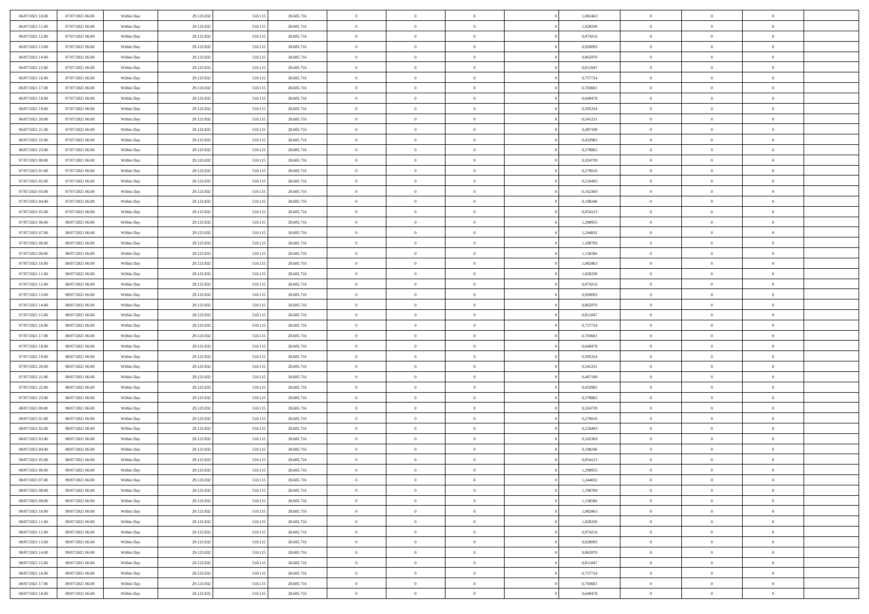| 06/07/2021 10:00                     | 07/07/2021 06:00                     | Within Day               | 29.123.832               | 518.115            | 28.605.716               | $\,$ 0                     | $\overline{0}$                   | $\theta$                         |          | 1,082463             | $\bf{0}$                 | $\overline{0}$                   | $\,0\,$                    |  |
|--------------------------------------|--------------------------------------|--------------------------|--------------------------|--------------------|--------------------------|----------------------------|----------------------------------|----------------------------------|----------|----------------------|--------------------------|----------------------------------|----------------------------|--|
| 06/07/2021 11:00                     | 07/07/2021 06:00                     | Within Day               | 29.123.832               | 518.115            | 28.605.716               | $\overline{0}$             | $\overline{0}$                   | $\overline{0}$                   |          | 1,028339             | $\overline{0}$           | $\overline{0}$                   | $\theta$                   |  |
| 06/07/2021 12:00                     | 07/07/2021 06:00                     | Within Dav               | 29.123.832               | 518.115            | 28.605.716               | $\mathbf{0}$               | $\overline{0}$                   | $\overline{0}$                   |          | 0,974216             | $\mathbf{0}$             | $\overline{0}$                   | $\overline{0}$             |  |
| 06/07/2021 13:00                     | 07/07/2021 06:00                     | Within Day               | 29.123.832               | 518.115            | 28.605.716               | $\bf{0}$                   | $\overline{0}$                   | $\overline{0}$                   |          | 0,920093             | $\bf{0}$                 | $\overline{0}$                   | $\bf{0}$                   |  |
| 06/07/2021 14:00                     | 07/07/2021 06:00                     | Within Day               | 29.123.832               | 518.115            | 28.605.716               | $\bf{0}$                   | $\bf{0}$                         | $\overline{0}$                   |          | 0,865970             | $\bf{0}$                 | $\bf{0}$                         | $\,0\,$                    |  |
| 06/07/2021 15:00                     | 07/07/2021 06:00                     | Within Dav               | 29.123.832               | 518.115            | 28.605.716               | $\overline{0}$             | $\overline{0}$                   | $\overline{0}$                   |          | 0,811847             | $\mathbf{0}$             | $\overline{0}$                   | $\overline{0}$             |  |
| 06/07/2021 16:00                     | 07/07/2021 06:00                     | Within Day               | 29.123.832               | 518.115            | 28.605.716               | $\bf{0}$                   | $\bf{0}$                         | $\overline{0}$                   |          | 0,757724             | $\bf{0}$                 | $\overline{0}$                   | $\,0\,$                    |  |
| 06/07/2021 17:00                     | 07/07/2021 06:00                     | Within Day               | 29.123.832               | 518.115            | 28.605.716               | $\overline{0}$             | $\overline{0}$                   | $\overline{0}$                   |          | 0,703601             | $\,$ 0 $\,$              | $\overline{0}$                   | $\overline{0}$             |  |
| 06/07/2021 18:00                     | 07/07/2021 06:00                     | Within Day               | 29.123.832               | 518.115            | 28.605.716               | $\mathbf{0}$               | $\overline{0}$                   | $\overline{0}$                   |          | 0,649478             | $\mathbf{0}$             | $\overline{0}$                   | $\overline{0}$             |  |
| 06/07/2021 19:00                     | 07/07/2021 06:00                     | Within Day               | 29.123.832               | 518.115            | 28.605.716               | $\bf{0}$                   | $\bf{0}$                         | $\overline{0}$                   |          | 0,595354             | $\bf{0}$                 | $\overline{0}$                   | $\,0\,$                    |  |
| 06/07/2021 20:00                     | 07/07/2021 06:00                     | Within Day               | 29.123.832               | 518.115            | 28.605.716               | $\bf{0}$                   | $\overline{0}$                   | $\overline{0}$                   |          | 0,541231             | $\bf{0}$                 | $\overline{0}$                   | $\theta$                   |  |
| 06/07/2021 21:00                     | 07/07/2021 06:00                     | Within Dav               | 29.123.832               | 518.115            | 28.605.716               | $\mathbf{0}$               | $\overline{0}$                   | $\overline{0}$                   |          | 0,487108             | $\mathbf{0}$             | $\overline{0}$                   | $\overline{0}$             |  |
| 06/07/2021 22.00                     | 07/07/2021 06:00                     | Within Day               | 29.123.832               | 518.115            | 28.605.716               | $\bf{0}$                   | $\overline{0}$                   | $\bf{0}$                         |          | 0,432985             | $\bf{0}$                 | $\overline{0}$                   | $\bf{0}$                   |  |
| 06/07/2021 23:00                     | 07/07/2021 06:00                     | Within Day               | 29.123.832               | 518.115            | 28.605.716               | $\bf{0}$                   | $\overline{0}$                   | $\overline{0}$                   |          | 0,378862             | $\bf{0}$                 | $\mathbf{0}$                     | $\,0\,$                    |  |
| 07/07/2021 00:00                     | 07/07/2021 06:00                     | Within Dav               | 29.123.832               | 518.115            | 28.605.716               | $\overline{0}$             | $\overline{0}$                   | $\overline{0}$                   |          | 0,324739             | $\mathbf{0}$             | $\overline{0}$                   | $\overline{0}$             |  |
| 07/07/2021 01:00                     | 07/07/2021 06:00                     | Within Day               | 29.123.832               | 518.115            | 28.605.716               | $\bf{0}$                   | $\bf{0}$                         | $\overline{0}$                   |          | 0,270616             | $\bf{0}$                 | $\overline{0}$                   | $\bf{0}$                   |  |
| 07/07/2021 02:00                     | 07/07/2021 06:00                     |                          | 29.123.832               | 518.115            | 28.605.716               | $\overline{0}$             | $\overline{0}$                   | $\overline{0}$                   |          | 0,216493             | $\bf{0}$                 | $\overline{0}$                   | $\theta$                   |  |
| 07/07/2021 03:00                     | 07/07/2021 06:00                     | Within Day<br>Within Day | 29.123.832               | 518.115            | 28.605.716               | $\mathbf{0}$               | $\overline{0}$                   | $\overline{0}$                   |          | 0,162369             | $\mathbf{0}$             | $\overline{0}$                   | $\overline{0}$             |  |
| 07/07/2021 04:00                     | 07/07/2021 06:00                     | Within Day               | 29.123.832               | 518.115            | 28.605.716               | $\bf{0}$                   | $\bf{0}$                         | $\overline{0}$                   |          | 0,108246             | $\bf{0}$                 | $\overline{0}$                   | $\,0\,$                    |  |
| 07/07/2021 05:00                     | 07/07/2021 06:00                     |                          | 29.123.832               | 518.115            | 28.605.716               | $\bf{0}$                   | $\overline{0}$                   | $\overline{0}$                   |          | 0,054123             | $\bf{0}$                 | $\overline{0}$                   | $\overline{0}$             |  |
| 07/07/2021 06:00                     | 08/07/2021 06:00                     | Within Day<br>Within Dav | 29.123.832               | 518.115            | 28.605.716               | $\overline{0}$             | $\overline{0}$                   | $\overline{0}$                   |          | 1,298955             | $\mathbf{0}$             | $\overline{0}$                   | $\overline{0}$             |  |
| 07/07/2021 07:00                     | 08/07/2021 06:00                     | Within Day               | 29.123.832               | 518.115            | 28.605.716               | $\bf{0}$                   | $\overline{0}$                   | $\overline{0}$                   |          | 1,244832             | $\bf{0}$                 | $\overline{0}$                   | $\bf{0}$                   |  |
| 07/07/2021 08:00                     | 08/07/2021 06:00                     |                          | 29.123.832               | 518.115            | 28.605.716               | $\bf{0}$                   | $\bf{0}$                         | $\overline{0}$                   |          | 1,190709             | $\bf{0}$                 | $\overline{0}$                   | $\,0\,$                    |  |
| 07/07/2021 09:00                     | 08/07/2021 06:00                     | Within Day<br>Within Dav | 29.123.832               |                    | 28.605.716               | $\mathbf{0}$               | $\overline{0}$                   |                                  |          | 1,136586             | $\mathbf{0}$             | $\overline{0}$                   | $\overline{0}$             |  |
| 07/07/2021 10:00                     |                                      |                          |                          | 518.115            |                          | $\bf{0}$                   |                                  | $\overline{0}$<br>$\overline{0}$ |          |                      | $\bf{0}$                 | $\overline{0}$                   | $\,0\,$                    |  |
|                                      | 08/07/2021 06:00                     | Within Day               | 29.123.832               | 518.115            | 28.605.716               | $\overline{0}$             | $\bf{0}$<br>$\overline{0}$       |                                  |          | 1,082463             |                          | $\mathbf{0}$                     | $\overline{0}$             |  |
| 07/07/2021 11:00<br>07/07/2021 12:00 | 08/07/2021 06:00<br>08/07/2021 06:00 | Within Day               | 29.123.832               | 518.115            | 28.605.716               |                            |                                  | $\overline{0}$                   |          | 1,028339             | $\bf{0}$                 |                                  |                            |  |
|                                      |                                      | Within Day               | 29.123.832               | 518.115            | 28.605.716               | $\overline{0}$             | $\overline{0}$                   | $\overline{0}$                   |          | 0,974216             | $\mathbf{0}$             | $\overline{0}$                   | $\overline{0}$             |  |
| 07/07/2021 13:00                     | 08/07/2021 06:00                     | Within Day               | 29.123.832               | 518.115            | 28.605.716               | $\bf{0}$                   | $\bf{0}$                         | $\overline{0}$                   |          | 0,920093             | $\bf{0}$                 | $\overline{0}$                   | $\,0\,$                    |  |
| 07/07/2021 14:00                     | 08/07/2021 06:00                     | Within Day               | 29.123.832               | 518.115            | 28.605.716               | $\bf{0}$                   | $\overline{0}$                   | $\overline{0}$                   |          | 0,865970             | $\bf{0}$                 | $\bf{0}$                         | $\overline{0}$             |  |
| 07/07/2021 15:00                     | 08/07/2021 06:00                     | Within Dav               | 29.123.832               | 518.115            | 28.605.716               | $\mathbf{0}$               | $\overline{0}$                   | $\overline{0}$                   |          | 0,811847             | $\mathbf{0}$             | $\overline{0}$                   | $\overline{0}$             |  |
| 07/07/2021 16:00                     | 08/07/2021 06:00                     | Within Day               | 29.123.832               | 518.115            | 28.605.716               | $\bf{0}$                   | $\overline{0}$                   | $\theta$                         |          | 0,757724             | $\,$ 0                   | $\overline{0}$<br>$\overline{0}$ | $\theta$                   |  |
| 07/07/2021 17:00<br>07/07/2021 18:00 | 08/07/2021 06:00<br>08/07/2021 06:00 | Within Day<br>Within Dav | 29.123.832<br>29.123.832 | 518.115            | 28.605.716<br>28.605.716 | $\bf{0}$<br>$\overline{0}$ | $\bf{0}$<br>$\overline{0}$       | $\overline{0}$                   |          | 0,703601<br>0,649478 | $\bf{0}$<br>$\mathbf{0}$ | $\overline{0}$                   | $\bf{0}$<br>$\overline{0}$ |  |
|                                      |                                      |                          |                          | 518.115            |                          | $\bf{0}$                   |                                  | $\overline{0}$                   |          |                      |                          |                                  | $\theta$                   |  |
| 07/07/2021 19:00                     | 08/07/2021 06:00                     | Within Day               | 29.123.832               | 518.115            | 28.605.716               |                            | $\overline{0}$<br>$\overline{0}$ | $\theta$<br>$\overline{0}$       |          | 0,595354             | $\,$ 0                   | $\overline{0}$<br>$\overline{0}$ | $\overline{0}$             |  |
| 07/07/2021 20:00<br>07/07/2021 21:00 | 08/07/2021 06:00<br>08/07/2021 06:00 | Within Day<br>Within Day | 29.123.832<br>29.123.832 | 518.115<br>518.115 | 28.605.716<br>28.605.716 | $\bf{0}$<br>$\mathbf{0}$   | $\overline{0}$                   | $\overline{0}$                   |          | 0,541231<br>0,487108 | $\bf{0}$<br>$\mathbf{0}$ | $\overline{0}$                   | $\overline{0}$             |  |
| 07/07/2021 22:00                     | 08/07/2021 06:00                     |                          | 29.123.832               | 518.115            |                          | $\bf{0}$                   | $\overline{0}$                   | $\theta$                         |          | 0,432985             | $\,$ 0                   | $\overline{0}$                   | $\theta$                   |  |
| 07/07/2021 23.00                     | 08/07/2021 06:00                     | Within Day               |                          |                    | 28.605.716<br>28.605.716 | $\bf{0}$                   | $\overline{0}$                   | $\overline{0}$                   |          | 0,378862             | $\bf{0}$                 | $\overline{0}$                   | $\overline{0}$             |  |
| 08/07/2021 00:00                     | 08/07/2021 06:00                     | Within Day<br>Within Dav | 29.123.832<br>29.123.832 | 518.115<br>518.115 | 28.605.716               | $\mathbf{0}$               | $\overline{0}$                   | $\overline{0}$                   |          | 0,324739             | $\mathbf{0}$             | $\overline{0}$                   | $\overline{0}$             |  |
|                                      |                                      |                          |                          |                    |                          | $\,0\,$                    | $\overline{0}$                   | $\overline{0}$                   |          |                      | $\,$ 0                   | $\overline{0}$                   | $\theta$                   |  |
| 08/07/2021 01:00<br>08/07/2021 02:00 | 08/07/2021 06:00<br>08/07/2021 06:00 | Within Day<br>Within Day | 29.123.832<br>29.123.832 | 518.115<br>518.115 | 28.605.716<br>28.605.716 | $\bf{0}$                   | $\overline{0}$                   | $\overline{0}$                   |          | 0,270616<br>0,216493 | $\bf{0}$                 | $\overline{0}$                   | $\overline{0}$             |  |
| 08/07/2021 03:00                     | 08/07/2021 06:00                     | Within Dav               | 29.123.832               | 518.115            | 28.605.716               | $\mathbf{0}$               | $\overline{0}$                   | $\overline{0}$                   |          | 0,162369             | $\mathbf{0}$             | $\overline{0}$                   | $\overline{0}$             |  |
| 08/07/2021 04:00                     | 08/07/2021 06:00                     | Within Day               | 29.123.832               | 518.115            | 28.605.716               | $\bf{0}$                   | $\overline{0}$                   | $\overline{0}$                   |          | 0,108246             | $\,$ 0                   | $\overline{0}$                   | $\theta$                   |  |
| 08/07/2021 05:00                     | 08/07/2021 06:00                     | Within Day               | 29.123.832               | 518.115            | 28.605.716               | $\bf{0}$                   | $\overline{0}$                   | $\overline{0}$                   |          | 0,054123             | $\,$ 0 $\,$              | $\overline{0}$                   | $\overline{0}$             |  |
| 08/07/2021 06:00                     | 09/07/2021 06:00                     | Within Day               | 29.123.832               | 518.115            | 28.605.716               | $\bf{0}$                   | $\overline{0}$                   |                                  |          | 1,298955             | $\overline{0}$           | $\theta$                         | $\theta$                   |  |
| 08/07/2021 07:00                     | 09/07/2021 06:00                     | Within Day               | 29.123.832               | 518.115            | 28.605.716               | $\,0\,$                    | $\overline{0}$                   | $\overline{0}$                   |          | 1,244832             | $\,$ 0 $\,$              | $\bf{0}$                         | $\theta$                   |  |
| 08/07/2021 08:00                     | 09/07/2021 06:00                     |                          | 29.123.832               | 518.115            | 28.605.716               | $\overline{0}$             | $\overline{0}$                   | $\overline{0}$                   |          | 1,190709             | $\overline{0}$           | $\overline{0}$                   | $\overline{0}$             |  |
| 08/07/2021 09:00                     | 09/07/2021 06:00                     | Within Day<br>Within Day | 29.123.832               | 518.115            | 28.605.716               | $\bf{0}$                   | $\overline{0}$                   | $\overline{0}$                   |          | 1,136586             | $\overline{0}$           | $\bf{0}$                         | $\mathbf{0}$               |  |
| 08/07/2021 10:00                     | 09/07/2021 06:00                     | Within Day               | 29.123.832               | 518.115            | 28.605.716               | $\bf{0}$                   | $\overline{0}$                   | $\overline{0}$                   | $\theta$ | 1,082463             | $\,$ 0 $\,$              | $\bf{0}$                         | $\,$ 0 $\,$                |  |
| 08/07/2021 11:00                     | 09/07/2021 06:00                     | Within Day               | 29.123.832               | 518.115            | 28.605.716               | $\bf{0}$                   | $\overline{0}$                   | $\overline{0}$                   |          | 1,028339             | $\,$ 0 $\,$              | $\overline{0}$                   | $\overline{0}$             |  |
| 08/07/2021 12:00                     | 09/07/2021 06:00                     | Within Day               | 29.123.832               | 518.115            | 28.605.716               | $\bf{0}$                   | $\overline{0}$                   | $\overline{0}$                   |          | 0,974216             | $\mathbf{0}$             | $\overline{0}$                   | $\overline{0}$             |  |
| 08/07/2021 13:00                     | 09/07/2021 06:00                     | Within Day               | 29.123.832               | 518.115            | 28.605.716               | $\,0\,$                    | $\overline{0}$                   | $\overline{0}$                   | $\theta$ | 0,920093             | $\,$ 0 $\,$              | $\overline{0}$                   | $\overline{0}$             |  |
| 08/07/2021 14:00                     | 09/07/2021 06:00                     |                          | 29.123.832               | 518.115            | 28.605.716               | $\bf{0}$                   | $\overline{0}$                   | $\overline{0}$                   |          | 0,865970             | $\overline{0}$           | $\overline{0}$                   | $\overline{0}$             |  |
| 08/07/2021 15:00                     | 09/07/2021 06:00                     | Within Day<br>Within Day | 29.123.832               | 518.115            | 28.605.716               | $\bf{0}$                   | $\overline{0}$                   | $\overline{0}$                   |          | 0,811847             | $\mathbf{0}$             | $\overline{0}$                   | $\overline{0}$             |  |
| 08/07/2021 16:00                     | 09/07/2021 06:00                     | Within Day               | 29.123.832               | 518.115            | 28.605.716               | $\,0\,$                    | $\overline{0}$                   | $\overline{0}$                   |          | 0,757724             | $\,$ 0 $\,$              | $\mathbf{0}$                     | $\,$ 0 $\,$                |  |
| 08/07/2021 17:00                     | 09/07/2021 06:00                     | Within Day               | 29.123.832               | 518.115            | 28.605.716               | $\overline{0}$             | $\overline{0}$                   | $\overline{0}$                   |          | 0,703601             | $\bf{0}$                 | $\mathbf{0}$                     | $\overline{0}$             |  |
|                                      |                                      |                          |                          |                    |                          | $\overline{0}$             |                                  |                                  |          |                      | $\mathbf{0}$             | $\overline{0}$                   |                            |  |
| 08/07/2021 18:00                     | 09/07/2021 06:00                     | Within Day               | 29.123.832               | 518.115            | 28.605.716               |                            | $\overline{0}$                   | $\overline{0}$                   |          | 0,649478             |                          |                                  | $\overline{0}$             |  |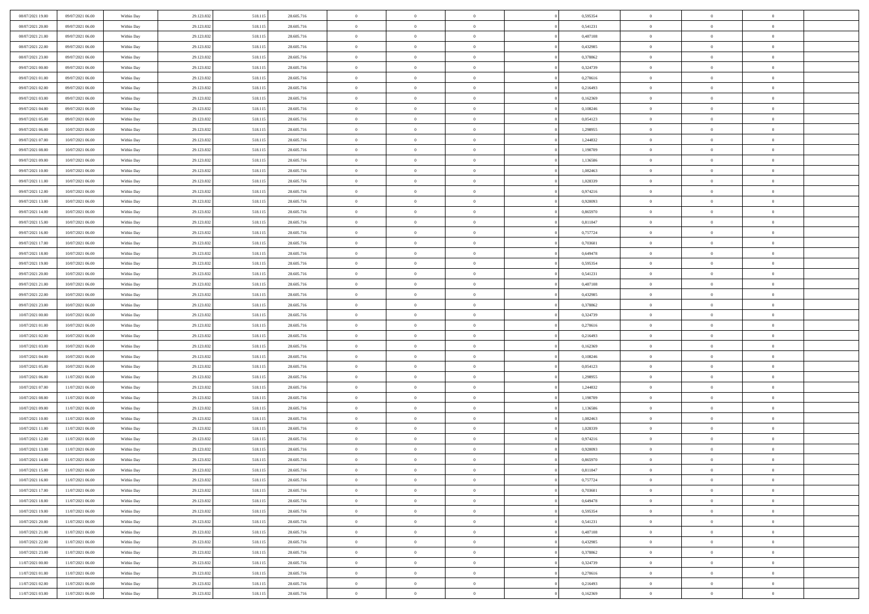| 08/07/2021 19:00                     | 09/07/2021 06:00                     | Within Day               | 29.123.832               | 518.115            | 28.605.716               | $\,$ 0                     | $\bf{0}$                         | $\overline{0}$                   |          | 0,595354             | $\bf{0}$               | $\overline{0}$                   | $\,0\,$                    |  |
|--------------------------------------|--------------------------------------|--------------------------|--------------------------|--------------------|--------------------------|----------------------------|----------------------------------|----------------------------------|----------|----------------------|------------------------|----------------------------------|----------------------------|--|
| 08/07/2021 20:00                     | 09/07/2021 06:00                     | Within Day               | 29.123.832               | 518.115            | 28.605.716               | $\overline{0}$             | $\overline{0}$                   | $\overline{0}$                   |          | 0,541231             | $\overline{0}$         | $\overline{0}$                   | $\theta$                   |  |
| 08/07/2021 21:00                     | 09/07/2021 06:00                     | Within Dav               | 29.123.832               | 518.115            | 28.605.716               | $\mathbf{0}$               | $\overline{0}$                   | $\overline{0}$                   |          | 0,487108             | $\mathbf{0}$           | $\overline{0}$                   | $\overline{0}$             |  |
| 08/07/2021 22.00                     | 09/07/2021 06:00                     | Within Day               | 29.123.832               | 518.115            | 28.605.716               | $\bf{0}$                   | $\overline{0}$                   | $\overline{0}$                   |          | 0,432985             | $\bf{0}$               | $\overline{0}$                   | $\bf{0}$                   |  |
| 08/07/2021 23:00                     | 09/07/2021 06:00                     | Within Day               | 29.123.832               | 518.115            | 28.605.716               | $\bf{0}$                   | $\bf{0}$                         | $\overline{0}$                   |          | 0,378862             | $\bf{0}$               | $\bf{0}$                         | $\,0\,$                    |  |
| 09/07/2021 00:00                     | 09/07/2021 06:00                     | Within Dav               | 29.123.832               | 518.115            | 28.605.716               | $\overline{0}$             | $\overline{0}$                   | $\overline{0}$                   |          | 0,324739             | $\mathbf{0}$           | $\overline{0}$                   | $\overline{0}$             |  |
| 09/07/2021 01:00                     | 09/07/2021 06:00                     | Within Day               | 29.123.832               | 518.115            | 28.605.716               | $\bf{0}$                   | $\bf{0}$                         | $\overline{0}$                   |          | 0,270616             | $\bf{0}$               | $\overline{0}$                   | $\,0\,$                    |  |
| 09/07/2021 02:00                     | 09/07/2021 06:00                     | Within Day               | 29.123.832               | 518.115            | 28.605.716               | $\overline{0}$             | $\overline{0}$                   | $\overline{0}$                   |          | 0,216493             | $\,$ 0 $\,$            | $\overline{0}$                   | $\theta$                   |  |
| 09/07/2021 03:00                     | 09/07/2021 06:00                     | Within Day               | 29.123.832               | 518.115            | 28.605.716               | $\mathbf{0}$               | $\overline{0}$                   | $\overline{0}$                   |          | 0,162369             | $\mathbf{0}$           | $\overline{0}$                   | $\overline{0}$             |  |
| 09/07/2021 04:00                     | 09/07/2021 06:00                     | Within Day               | 29.123.832               | 518.115            | 28.605.716               | $\bf{0}$                   | $\bf{0}$                         | $\overline{0}$                   |          | 0,108246             | $\bf{0}$               | $\overline{0}$                   | $\,0\,$                    |  |
| 09/07/2021 05:00                     | 09/07/2021 06:00                     | Within Day               | 29.123.832               | 518.115            | 28.605.716               | $\bf{0}$                   | $\overline{0}$                   | $\overline{0}$                   |          | 0,054123             | $\bf{0}$               | $\overline{0}$                   | $\theta$                   |  |
| 09/07/2021 06:00                     | 10/07/2021 06:00                     | Within Dav               | 29.123.832               | 518.115            | 28.605.716               | $\mathbf{0}$               | $\overline{0}$                   | $\overline{0}$                   |          | 1,298955             | $\mathbf{0}$           | $\overline{0}$                   | $\overline{0}$             |  |
| 09/07/2021 07:00                     | 10/07/2021 06:00                     | Within Day               | 29.123.832               | 518.115            | 28.605.716               | $\bf{0}$                   | $\overline{0}$                   | $\bf{0}$                         |          | 1,244832             | $\bf{0}$               | $\overline{0}$                   | $\bf{0}$                   |  |
| 09/07/2021 08:00                     | 10/07/2021 06:00                     | Within Day               | 29.123.832               | 518.115            | 28.605.716               | $\bf{0}$                   | $\overline{0}$                   | $\overline{0}$                   |          | 1,190709             | $\bf{0}$               | $\mathbf{0}$                     | $\,0\,$                    |  |
| 09/07/2021 09:00                     | 10/07/2021 06:00                     | Within Dav               | 29.123.832               | 518.115            | 28.605.716               | $\overline{0}$             | $\overline{0}$                   | $\overline{0}$                   |          | 1,136586             | $\mathbf{0}$           | $\overline{0}$                   | $\overline{0}$             |  |
| 09/07/2021 10:00                     | 10/07/2021 06:00                     | Within Day               | 29.123.832               | 518.115            | 28.605.716               | $\bf{0}$                   | $\overline{0}$                   | $\overline{0}$                   |          | 1,082463             | $\bf{0}$               | $\overline{0}$                   | $\bf{0}$                   |  |
| 09/07/2021 11:00                     | 10/07/2021 06:00                     | Within Day               | 29.123.832               | 518.115            | 28.605.716               | $\overline{0}$             | $\overline{0}$                   | $\overline{0}$                   |          | 1,028339             | $\,$ 0 $\,$            | $\overline{0}$                   | $\theta$                   |  |
| 09/07/2021 12:00                     | 10/07/2021 06:00                     | Within Day               | 29.123.832               | 518.115            | 28.605.716               | $\mathbf{0}$               | $\overline{0}$                   | $\overline{0}$                   |          | 0,974216             | $\mathbf{0}$           | $\overline{0}$                   | $\overline{0}$             |  |
| 09/07/2021 13:00                     | 10/07/2021 06:00                     | Within Day               | 29.123.832               | 518.115            | 28.605.716               | $\bf{0}$                   | $\overline{0}$                   | $\overline{0}$                   |          | 0,920093             | $\bf{0}$               | $\overline{0}$                   | $\,0\,$                    |  |
| 09/07/2021 14:00                     | 10/07/2021 06:00                     | Within Day               | 29.123.832               | 518.115            | 28.605.716               | $\bf{0}$                   | $\overline{0}$                   | $\overline{0}$                   |          | 0,865970             | $\bf{0}$               | $\overline{0}$                   | $\overline{0}$             |  |
| 09/07/2021 15:00                     | 10/07/2021 06:00                     | Within Dav               | 29.123.832               | 518.115            | 28.605.716               | $\overline{0}$             | $\overline{0}$                   | $\overline{0}$                   |          | 0,811847             | $\mathbf{0}$           | $\overline{0}$                   | $\overline{0}$             |  |
| 09/07/2021 16:00                     | 10/07/2021 06:00                     | Within Day               | 29.123.832               | 518.115            | 28.605.716               | $\bf{0}$                   | $\overline{0}$                   | $\overline{0}$                   |          | 0,757724             | $\bf{0}$               | $\overline{0}$                   | $\bf{0}$                   |  |
| 09/07/2021 17:00                     | 10/07/2021 06:00                     | Within Day               | 29.123.832               | 518.115            | 28.605.716               | $\bf{0}$                   | $\overline{0}$                   | $\overline{0}$                   |          | 0,703601             | $\bf{0}$               | $\overline{0}$                   | $\,0\,$                    |  |
| 09/07/2021 18:00                     | 10/07/2021 06:00                     | Within Dav               | 29.123.832               | 518.115            | 28.605.716               | $\mathbf{0}$               | $\overline{0}$                   | $\overline{0}$                   |          | 0,649478             | $\mathbf{0}$           | $\overline{0}$                   | $\overline{0}$             |  |
| 09/07/2021 19:00                     | 10/07/2021 06:00                     | Within Day               | 29.123.832               | 518.115            | 28.605.716               | $\bf{0}$                   | $\overline{0}$                   | $\overline{0}$                   |          | 0,595354             | $\bf{0}$               | $\overline{0}$                   | $\,0\,$                    |  |
| 09/07/2021 20:00                     | 10/07/2021 06:00                     | Within Day               | 29.123.832               | 518.115            | 28.605.716               | $\bf{0}$                   | $\overline{0}$                   | $\overline{0}$                   |          | 0,541231             | $\bf{0}$               | $\mathbf{0}$                     | $\overline{0}$             |  |
| 09/07/2021 21:00                     | 10/07/2021 06:00                     | Within Day               | 29.123.832               | 518.115            | 28.605.716               | $\overline{0}$             | $\overline{0}$                   | $\overline{0}$                   |          | 0,487108             | $\mathbf{0}$           | $\overline{0}$                   | $\overline{0}$             |  |
| 09/07/2021 22.00                     | 10/07/2021 06:00                     | Within Day               | 29.123.832               | 518.115            | 28.605.716               | $\bf{0}$                   | $\overline{0}$                   | $\overline{0}$                   |          | 0,432985             | $\bf{0}$               | $\overline{0}$                   | $\,0\,$                    |  |
| 09/07/2021 23.00                     | 10/07/2021 06:00                     | Within Day               | 29.123.832               | 518.115            | 28.605.716               | $\bf{0}$                   | $\overline{0}$                   | $\overline{0}$                   |          | 0,378862             | $\bf{0}$               | $\overline{0}$                   | $\overline{0}$             |  |
| 10/07/2021 00:00                     | 10/07/2021 06:00                     | Within Dav               | 29.123.832               | 518.115            | 28.605.716               | $\mathbf{0}$               | $\overline{0}$                   | $\overline{0}$                   |          | 0,324739             | $\mathbf{0}$           | $\overline{0}$                   | $\overline{0}$             |  |
| 10/07/2021 01:00                     | 10/07/2021 06:00                     | Within Day               | 29.123.832               | 518.115            | 28.605.716               | $\bf{0}$                   | $\overline{0}$                   | $\overline{0}$                   |          | 0,270616             | $\,$ 0                 | $\overline{0}$                   | $\theta$                   |  |
| 10/07/2021 02:00                     | 10/07/2021 06:00                     | Within Day               | 29.123.832               | 518.115            | 28.605.716               | $\bf{0}$                   | $\overline{0}$                   | $\overline{0}$                   |          | 0,216493             | $\bf{0}$               | $\overline{0}$                   | $\overline{0}$             |  |
| 10/07/2021 03:00                     | 10/07/2021 06:00                     | Within Dav               | 29.123.832               | 518.115            | 28.605.716               | $\overline{0}$<br>$\bf{0}$ | $\overline{0}$<br>$\overline{0}$ | $\overline{0}$<br>$\overline{0}$ |          | 0,162369             | $\mathbf{0}$<br>$\,$ 0 | $\overline{0}$<br>$\overline{0}$ | $\overline{0}$<br>$\theta$ |  |
| 10/07/2021 04:00<br>10/07/2021 05:00 | 10/07/2021 06:00<br>10/07/2021 06:00 | Within Day               | 29.123.832<br>29.123.832 | 518.115<br>518.115 | 28.605.716<br>28.605.716 | $\bf{0}$                   | $\overline{0}$                   | $\overline{0}$                   |          | 0,108246<br>0,054123 | $\bf{0}$               | $\overline{0}$                   | $\overline{0}$             |  |
| 10/07/2021 06:00                     | 11/07/2021 06:00                     | Within Day<br>Within Day | 29.123.832               | 518.115            | 28.605.716               | $\mathbf{0}$               | $\overline{0}$                   | $\overline{0}$                   |          | 1,298955             | $\mathbf{0}$           | $\overline{0}$                   | $\overline{0}$             |  |
| 10/07/2021 07:00                     | 11/07/2021 06:00                     | Within Day               | 29.123.832               | 518.115            | 28.605.716               | $\bf{0}$                   | $\overline{0}$                   | $\theta$                         |          | 1,244832             | $\,$ 0                 | $\overline{0}$                   | $\theta$                   |  |
| 10/07/2021 08:00                     | 11/07/2021 06:00                     | Within Day               | 29.123.832               | 518.115            | 28.605.716               | $\bf{0}$                   | $\overline{0}$                   | $\overline{0}$                   |          | 1,190709             | $\bf{0}$               | $\overline{0}$                   | $\overline{0}$             |  |
| 10/07/2021 09:00                     | 11/07/2021 06:00                     | Within Dav               | 29.123.832               | 518.115            | 28.605.716               | $\mathbf{0}$               | $\overline{0}$                   | $\overline{0}$                   |          | 1,136586             | $\mathbf{0}$           | $\overline{0}$                   | $\overline{0}$             |  |
| 10/07/2021 10:00                     | 11/07/2021 06:00                     | Within Day               | 29.123.832               | 518.115            | 28.605.716               | $\,0\,$                    | $\overline{0}$                   | $\theta$                         |          | 1,082463             | $\,$ 0                 | $\overline{0}$                   | $\theta$                   |  |
| 10/07/2021 11:00                     | 11/07/2021 06:00                     | Within Day               | 29.123.832               | 518.115            | 28.605.716               | $\bf{0}$                   | $\overline{0}$                   | $\overline{0}$                   |          | 1,028339             | $\bf{0}$               | $\overline{0}$                   | $\overline{0}$             |  |
| 10/07/2021 12:00                     | 11/07/2021 06:00                     | Within Dav               | 29.123.832               | 518.115            | 28.605.716               | $\mathbf{0}$               | $\overline{0}$                   | $\overline{0}$                   |          | 0,974216             | $\mathbf{0}$           | $\overline{0}$                   | $\overline{0}$             |  |
| 10/07/2021 13:00                     | 11/07/2021 06:00                     | Within Day               | 29.123.832               | 518.115            | 28.605.716               | $\bf{0}$                   | $\overline{0}$                   | $\theta$                         |          | 0,920093             | $\,$ 0                 | $\overline{0}$                   | $\theta$                   |  |
| 10/07/2021 14:00                     | 11/07/2021 06:00                     | Within Day               | 29.123.832               | 518.115            | 28.605.716               | $\bf{0}$                   | $\overline{0}$                   | $\overline{0}$                   |          | 0,865970             | $\bf{0}$               | $\overline{0}$                   | $\bf{0}$                   |  |
| 10/07/2021 15:00                     | 11/07/2021 06:00                     | Within Day               | 29.123.832               | 518.115            | 28.605.716               | $\bf{0}$                   | $\overline{0}$                   |                                  |          | 0,811847             | $\overline{0}$         | $\theta$                         | $\theta$                   |  |
| 10/07/2021 16:00                     | 11/07/2021 06:00                     | Within Day               | 29.123.832               | 518.115            | 28.605.716               | $\,0\,$                    | $\overline{0}$                   | $\theta$                         |          | 0,757724             | $\,$ 0 $\,$            | $\bf{0}$                         | $\theta$                   |  |
| 10/07/2021 17:00                     | 11/07/2021 06:00                     | Within Day               | 29.123.832               | 518.115            | 28.605.716               | $\overline{0}$             | $\overline{0}$                   | $\overline{0}$                   |          | 0,703601             | $\overline{0}$         | $\overline{0}$                   | $\overline{0}$             |  |
| 10/07/2021 18:00                     | 11/07/2021 06:00                     | Within Day               | 29.123.832               | 518.115            | 28.605.716               | $\bf{0}$                   | $\overline{0}$                   | $\overline{0}$                   |          | 0,649478             | $\overline{0}$         | $\bf{0}$                         | $\mathbf{0}$               |  |
| 10/07/2021 19:00                     | 11/07/2021 06:00                     | Within Day               | 29.123.832               | 518.115            | 28.605.716               | $\bf{0}$                   | $\overline{0}$                   | $\overline{0}$                   | $\theta$ | 0,595354             | $\mathbf{0}$           | $\bf{0}$                         | $\,$ 0 $\,$                |  |
| 10/07/2021 20:00                     | 11/07/2021 06:00                     | Within Day               | 29.123.832               | 518.115            | 28.605.716               | $\bf{0}$                   | $\overline{0}$                   | $\overline{0}$                   |          | 0,541231             | $\,$ 0 $\,$            | $\overline{0}$                   | $\overline{0}$             |  |
| 10/07/2021 21:00                     | 11/07/2021 06:00                     | Within Day               | 29.123.832               | 518.115            | 28.605.716               | $\bf{0}$                   | $\overline{0}$                   | $\overline{0}$                   |          | 0,487108             | $\mathbf{0}$           | $\overline{0}$                   | $\overline{0}$             |  |
| 10/07/2021 22:00                     | 11/07/2021 06:00                     | Within Day               | 29.123.832               | 518.115            | 28.605.716               | $\,$ 0 $\,$                | $\overline{0}$                   | $\overline{0}$                   | $\theta$ | 0,432985             | $\mathbf{0}$           | $\mathbf{0}$                     | $\,$ 0 $\,$                |  |
| 10/07/2021 23:00                     | 11/07/2021 06:00                     | Within Day               | 29.123.832               | 518.115            | 28.605.716               | $\bf{0}$                   | $\overline{0}$                   | $\overline{0}$                   |          | 0,378862             | $\overline{0}$         | $\overline{0}$                   | $\overline{0}$             |  |
| 11/07/2021 00:00                     | 11/07/2021 06:00                     | Within Day               | 29.123.832               | 518.115            | 28.605.716               | $\bf{0}$                   | $\overline{0}$                   | $\overline{0}$                   |          | 0,324739             | $\mathbf{0}$           | $\bf{0}$                         | $\overline{0}$             |  |
| 11/07/2021 01:00                     | 11/07/2021 06:00                     | Within Day               | 29.123.832               | 518.115            | 28.605.716               | $\,0\,$                    | $\overline{0}$                   | $\overline{0}$                   |          | 0,270616             | $\mathbf{0}$           | $\mathbf{0}$                     | $\,$ 0 $\,$                |  |
| 11/07/2021 02:00                     | 11/07/2021 06:00                     | Within Day               | 29.123.832               | 518.115            | 28.605.716               | $\bf{0}$                   | $\overline{0}$                   | $\overline{0}$                   |          | 0,216493             | $\mathbf{0}$           | $\mathbf{0}$                     | $\overline{0}$             |  |
| 11/07/2021 03:00                     | 11/07/2021 06:00                     | Within Day               | 29.123.832               | 518.115            | 28.605.716               | $\overline{0}$             | $\overline{0}$                   | $\overline{0}$                   |          | 0,162369             | $\mathbf{0}$           | $\overline{0}$                   | $\overline{0}$             |  |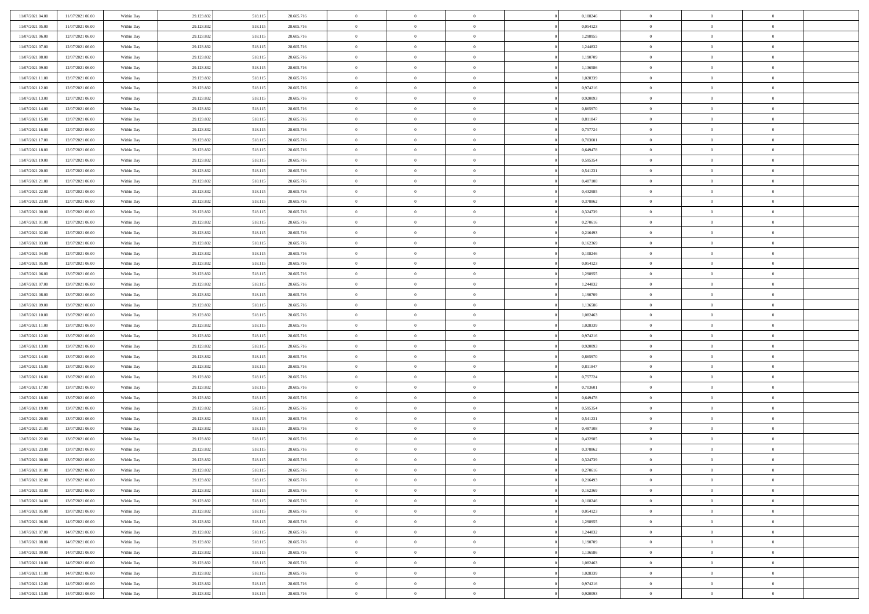| 11/07/2021 04:00                     | 11/07/2021 06:00                     | Within Day               | 29.123.832               | 518.115            | 28.605.716               | $\,$ 0                   | $\bf{0}$                   | $\theta$                         |                | 0,108246             | $\bf{0}$             | $\overline{0}$                   | $\theta$             |  |
|--------------------------------------|--------------------------------------|--------------------------|--------------------------|--------------------|--------------------------|--------------------------|----------------------------|----------------------------------|----------------|----------------------|----------------------|----------------------------------|----------------------|--|
| 11/07/2021 05:00                     | 11/07/2021 06:00                     | Within Day               | 29.123.832               | 518.115            | 28.605.716               | $\overline{0}$           | $\overline{0}$             | $\overline{0}$                   |                | 0,054123             | $\theta$             | $\overline{0}$                   | $\overline{0}$       |  |
| 11/07/2021 06:00                     | 12/07/2021 06:00                     | Within Dav               | 29.123.832               | 518.115            | 28.605.716               | $\mathbf{0}$             | $\overline{0}$             | $\overline{0}$                   |                | 1,298955             | $\theta$             | $\overline{0}$                   | $\theta$             |  |
| 11/07/2021 07:00                     | 12/07/2021 06:00                     | Within Day               | 29.123.832               | 518.115            | 28.605.716               | $\bf{0}$                 | $\overline{0}$             | $\bf{0}$                         |                | 1,244832             | $\bf{0}$             | $\overline{0}$                   | $\bf{0}$             |  |
| 11/07/2021 08:00                     | 12/07/2021 06:00                     | Within Day               | 29.123.832               | 518.115            | 28.605.716               | $\bf{0}$                 | $\bf{0}$                   | $\overline{0}$                   |                | 1,190709             | $\bf{0}$             | $\Omega$                         | $\bf{0}$             |  |
| 11/07/2021 09:00                     | 12/07/2021 06:00                     | Within Dav               | 29.123.832               | 518.115            | 28.605.716               | $\overline{0}$           | $\overline{0}$             | $\overline{0}$                   |                | 1,136586             | $\theta$             | $\overline{0}$                   | $\theta$             |  |
| 11/07/2021 11:00                     | 12/07/2021 06:00                     | Within Day               | 29.123.832               | 518.115            | 28.605.716               | $\bf{0}$                 | $\overline{0}$             | $\overline{0}$                   |                | 1,028339             | $\bf{0}$             | $\overline{0}$                   | $\theta$             |  |
| 11/07/2021 12:00                     | 12/07/2021 06:00                     | Within Day               | 29.123.832               | 518.115            | 28.605.716               | $\overline{0}$           | $\overline{0}$             | $\overline{0}$                   |                | 0,974216             | $\,$ 0 $\,$          | $\overline{0}$                   | $\overline{0}$       |  |
| 11/07/2021 13:00                     | 12/07/2021 06:00                     | Within Day               | 29.123.832               | 518.115            | 28.605.716               | $\mathbf{0}$             | $\overline{0}$             | $\overline{0}$                   |                | 0,920093             | $\theta$             | $\overline{0}$                   | $\theta$             |  |
| 11/07/2021 14:00                     | 12/07/2021 06:00                     | Within Day               | 29.123.832               | 518.115            | 28.605.716               | $\bf{0}$                 | $\overline{0}$             | $\overline{0}$                   |                | 0,865970             | $\bf{0}$             | $\overline{0}$                   | $\theta$             |  |
| 11/07/2021 15:00                     | 12/07/2021 06:00                     | Within Day               | 29.123.832               | 518.115            | 28.605.716               | $\bf{0}$                 | $\overline{0}$             | $\overline{0}$                   |                | 0,811847             | $\bf{0}$             | $\theta$                         | $\overline{0}$       |  |
| 11/07/2021 16:00                     | 12/07/2021 06:00                     | Within Dav               | 29.123.832               | 518.115            | 28.605.716               | $\mathbf{0}$             | $\overline{0}$             | $\overline{0}$                   |                | 0,757724             | $\theta$             | $\overline{0}$                   | $\theta$             |  |
| 11/07/2021 17:00                     | 12/07/2021 06:00                     | Within Day               | 29.123.832               | 518.115            | 28.605.716               | $\bf{0}$                 | $\overline{0}$             | $\bf{0}$                         |                | 0,703601             | $\bf{0}$             | $\overline{0}$                   | $\bf{0}$             |  |
| 11/07/2021 18:00                     | 12/07/2021 06:00                     | Within Day               | 29.123.832               | 518.115            | 28.605.716               | $\bf{0}$                 | $\overline{0}$             | $\overline{0}$                   |                | 0,649478             | $\bf{0}$             | $\Omega$                         | $\bf{0}$             |  |
| 11/07/2021 19:00                     | 12/07/2021 06:00                     | Within Dav               | 29.123.832               | 518.115            | 28.605.716               | $\overline{0}$           | $\overline{0}$             | $\overline{0}$                   |                | 0,595354             | $\theta$             | $\overline{0}$                   | $\theta$             |  |
| 11/07/2021 20:00                     | 12/07/2021 06:00                     | Within Day               | 29.123.832               | 518.115            | 28.605.716               | $\bf{0}$                 | $\overline{0}$             | $\overline{0}$                   |                | 0,541231             | $\bf{0}$             | $\overline{0}$                   | $\theta$             |  |
| 11/07/2021 21:00                     | 12/07/2021 06:00                     | Within Day               | 29.123.832               | 518.115            | 28.605.716               | $\bf{0}$                 | $\overline{0}$             | $\overline{0}$                   |                | 0,487108             | $\,$ 0 $\,$          | $\overline{0}$                   | $\overline{0}$       |  |
| 11/07/2021 22:00                     | 12/07/2021 06:00                     | Within Day               | 29.123.832               | 518.115            | 28.605.716               | $\mathbf{0}$             | $\overline{0}$             | $\overline{0}$                   |                | 0,432985             | $\theta$             | $\overline{0}$                   | $\theta$             |  |
| 11/07/2021 23:00                     | 12/07/2021 06:00                     | Within Day               | 29.123.832               | 518.115            | 28.605.716               | $\bf{0}$                 | $\overline{0}$             | $\overline{0}$                   |                | 0,378862             | $\bf{0}$             | $\overline{0}$                   | $\theta$             |  |
| 12/07/2021 00:00                     | 12/07/2021 06:00                     | Within Day               | 29.123.832               | 518.115            | 28.605.716               | $\bf{0}$                 | $\overline{0}$             | $\overline{0}$                   |                | 0,324739             | $\bf{0}$             | $\theta$                         | $\bf{0}$             |  |
| 12/07/2021 01:00                     | 12/07/2021 06:00                     | Within Dav               | 29.123.832               | 518.115            | 28.605.716               | $\mathbf{0}$             | $\overline{0}$             | $\overline{0}$                   |                | 0,270616             | $\theta$             | $\overline{0}$                   | $\theta$             |  |
| 12/07/2021 02:00                     | 12/07/2021 06:00                     | Within Day               | 29.123.832               | 518.115            | 28.605.716               | $\bf{0}$                 | $\overline{0}$             | $\bf{0}$                         |                | 0,216493             | $\bf{0}$             | $\overline{0}$                   | $\bf{0}$             |  |
| 12/07/2021 03:00                     | 12/07/2021 06:00                     | Within Day               | 29.123.832               | 518.115            | 28.605.716               | $\bf{0}$                 | $\overline{0}$             | $\overline{0}$                   |                | 0,162369             | $\bf{0}$             | $\overline{0}$                   | $\bf{0}$             |  |
| 12/07/2021 04:00                     | 12/07/2021 06:00                     | Within Dav               | 29.123.832               | 518.115            | 28.605.716               | $\mathbf{0}$             | $\overline{0}$             | $\overline{0}$                   |                | 0,108246             | $\theta$             | $\overline{0}$                   | $\theta$             |  |
| 12/07/2021 05:00                     | 12/07/2021 06:00                     | Within Day               | 29.123.832               | 518.115            | 28.605.716               | $\bf{0}$                 | $\overline{0}$             | $\overline{0}$                   |                | 0,054123             | $\bf{0}$             | $\overline{0}$                   | $\theta$             |  |
| 12/07/2021 06:00                     | 13/07/2021 06:00                     | Within Day               | 29.123.832               | 518.115            | 28.605.716               | $\bf{0}$                 | $\overline{0}$             | $\overline{0}$                   |                | 1,298955             | $\,$ 0 $\,$          | $\overline{0}$                   | $\bf{0}$             |  |
| 12/07/2021 07:00                     | 13/07/2021 06:00                     | Within Day               | 29.123.832               | 518.115            | 28.605.716               | $\mathbf{0}$             | $\overline{0}$             | $\overline{0}$                   |                | 1,244832             | $\theta$             | $\overline{0}$                   | $\theta$             |  |
| 12/07/2021 08:00                     | 13/07/2021 06:00                     | Within Day               | 29.123.832               | 518.115            | 28.605.716               | $\bf{0}$                 | $\overline{0}$             | $\overline{0}$                   |                | 1,190709             | $\bf{0}$             | $\overline{0}$                   | $\theta$             |  |
| 12/07/2021 09:00                     | 13/07/2021 06:00                     | Within Day               | 29.123.832               | 518.115            | 28.605.716               | $\bf{0}$                 | $\overline{0}$             | $\overline{0}$                   |                | 1,136586             | $\bf{0}$             | $\theta$                         | $\bf{0}$             |  |
| 12/07/2021 10:00                     | 13/07/2021 06:00                     | Within Day               | 29.123.832               | 518.115            | 28.605.716               | $\mathbf{0}$             | $\overline{0}$             | $\overline{0}$                   |                | 1,082463             | $\theta$             | $\overline{0}$                   | $\theta$             |  |
| 12/07/2021 11:00                     | 13/07/2021 06:00                     | Within Day               | 29.123.832               | 518.115            | 28.605.716               | $\bf{0}$                 | $\overline{0}$             | $\overline{0}$                   |                | 1,028339             | $\,0\,$              | $\overline{0}$                   | $\theta$             |  |
| 12/07/2021 12:00                     | 13/07/2021 06:00                     | Within Day               | 29.123.832               | 518.115            | 28.605.716               | $\bf{0}$                 | $\bf{0}$                   | $\overline{0}$                   |                | 0,974216             | $\bf{0}$             | $\overline{0}$                   | $\bf{0}$             |  |
| 12/07/2021 13:00                     | 13/07/2021 06:00                     | Within Day               | 29.123.832               | 518.115            | 28.605.716               | $\overline{0}$           | $\overline{0}$             | $\overline{0}$                   |                | 0,920093             | $\theta$             | $\overline{0}$                   | $\theta$             |  |
| 12/07/2021 14:00                     | 13/07/2021 06:00                     | Within Day               | 29.123.832               | 518.115            | 28.605.716               | $\bf{0}$                 | $\overline{0}$             | $\theta$                         |                | 0,865970             | $\,0\,$              | $\overline{0}$                   | $\theta$             |  |
| 12/07/2021 15:00                     | 13/07/2021 06:00                     | Within Day               | 29.123.832               | 518.115            | 28.605.716               | $\overline{0}$           | $\overline{0}$             | $\overline{0}$                   |                | 0,811847             | $\bf{0}$             | $\overline{0}$                   | $\bf{0}$             |  |
| 12/07/2021 16:00                     | 13/07/2021 06:00                     | Within Day               | 29.123.832               | 518.115            | 28.605.716               | $\mathbf{0}$<br>$\bf{0}$ | $\overline{0}$             | $\overline{0}$                   |                | 0,757724             | $\theta$             | $\overline{0}$                   | $\theta$<br>$\theta$ |  |
| 12/07/2021 17:00                     | 13/07/2021 06:00                     | Within Day               | 29.123.832               | 518.115            | 28.605.716               | $\bf{0}$                 | $\overline{0}$             | $\theta$                         |                | 0,703601             | $\,0\,$              | $\overline{0}$<br>$\theta$       | $\bf{0}$             |  |
| 12/07/2021 18:00<br>12/07/2021 19:00 | 13/07/2021 06:00<br>13/07/2021 06:00 | Within Day<br>Within Day | 29.123.832<br>29.123.832 | 518.115<br>518.115 | 28.605.716<br>28.605.716 | $\mathbf{0}$             | $\bf{0}$<br>$\overline{0}$ | $\overline{0}$<br>$\overline{0}$ |                | 0,649478<br>0,595354 | $\bf{0}$<br>$\theta$ |                                  | $\theta$             |  |
|                                      |                                      |                          |                          |                    |                          |                          |                            |                                  |                |                      |                      | $\overline{0}$                   | $\theta$             |  |
| 12/07/2021 20:00<br>12/07/2021 21:00 | 13/07/2021 06:00<br>13/07/2021 06:00 | Within Day<br>Within Day | 29.123.832<br>29.123.832 | 518.115<br>518.115 | 28.605.716<br>28.605.716 | $\,0\,$<br>$\bf{0}$      | $\overline{0}$<br>$\bf{0}$ | $\theta$<br>$\overline{0}$       |                | 0,541231<br>0,487108 | $\,0\,$<br>$\bf{0}$  | $\overline{0}$<br>$\overline{0}$ | $\bf{0}$             |  |
| 12/07/2021 22:00                     | 13/07/2021 06:00                     | Within Day               | 29.123.832               | 518.115            | 28.605.716               | $\mathbf{0}$             | $\overline{0}$             | $\overline{0}$                   |                | 0,432985             | $\theta$             | $\overline{0}$                   | $\theta$             |  |
| 12/07/2021 23:00                     | 13/07/2021 06:00                     | Within Day               | 29.123.832               | 518.115            | 28.605.716               | $\bf{0}$                 | $\overline{0}$             | $\theta$                         |                | 0,378862             | $\,0\,$              | $\overline{0}$                   | $\theta$             |  |
| 13/07/2021 00:00                     | 13/07/2021 06:00                     | Within Day               | 29.123.832               | 518.115            | 28.605.716               | $\bf{0}$                 | $\overline{0}$             | $\overline{0}$                   |                | 0,324739             | $\,$ 0 $\,$          | $\overline{0}$                   | $\bf{0}$             |  |
| 13/07/2021 01:00                     | 13/07/2021 06:00                     | Within Day               | 29.123.832               | 518.115            | 28.605.716               | $\bf{0}$                 | $\overline{0}$             |                                  |                | 0,270616             | $\bf{0}$             | $\Omega$                         | $\theta$             |  |
| 13/07/2021 02:00                     | 13/07/2021 06:00                     | Within Day               | 29.123.832               | 518.115            | 28.605.716               | $\,0\,$                  | $\overline{0}$             | $\theta$                         |                | 0,216493             | $\,$ 0 $\,$          | $\overline{0}$                   | $\theta$             |  |
| 13/07/2021 03:00                     | 13/07/2021 06:00                     | Within Day               | 29.123.832               | 518.115            | 28.605.716               | $\overline{0}$           | $\overline{0}$             | $\overline{0}$                   |                | 0,162369             | $\overline{0}$       | $\overline{0}$                   | $\overline{0}$       |  |
| 13/07/2021 04:00                     | 13/07/2021 06:00                     | Within Day               | 29.123.832               | 518.115            | 28.605.716               | $\overline{0}$           | $\overline{0}$             | $\overline{0}$                   |                | 0,108246             | $\mathbf{0}$         | $\overline{0}$                   | $\overline{0}$       |  |
| 13/07/2021 05:00                     | 13/07/2021 06:00                     | Within Day               | 29.123.832               | 518.115            | 28.605.716               | $\,$ 0 $\,$              | $\overline{0}$             | $\overline{0}$                   | $\overline{0}$ | 0,054123             | $\,$ 0 $\,$          | $\mathbf{0}$                     | $\,$ 0               |  |
| 13/07/2021 06:00                     | 14/07/2021 06:00                     | Within Day               | 29.123.832               | 518.115            | 28.605.716               | $\,$ 0 $\,$              | $\overline{0}$             | $\overline{0}$                   |                | 1,298955             | $\,$ 0 $\,$          | $\overline{0}$                   | $\overline{0}$       |  |
| 13/07/2021 07:00                     | 14/07/2021 06:00                     | Within Day               | 29.123.832               | 518.115            | 28.605.716               | $\overline{0}$           | $\overline{0}$             | $\overline{0}$                   |                | 1,244832             | $\overline{0}$       | $\overline{0}$                   | $\overline{0}$       |  |
| 13/07/2021 08:00                     | 14/07/2021 06:00                     | Within Day               | 29.123.832               | 518.115            | 28.605.716               | $\,$ 0 $\,$              | $\overline{0}$             | $\overline{0}$                   | $\theta$       | 1,190709             | $\,$ 0 $\,$          | $\overline{0}$                   | $\theta$             |  |
| 13/07/2021 09:00                     | 14/07/2021 06:00                     | Within Day               | 29.123.832               | 518.115            | 28.605.716               | $\bullet$                | $\overline{0}$             | $\overline{0}$                   |                | 1,136586             | $\,$ 0 $\,$          | $\overline{0}$                   | $\overline{0}$       |  |
| 13/07/2021 10:00                     | 14/07/2021 06:00                     | Within Day               | 29.123.832               | 518.115            | 28.605.716               | $\overline{0}$           | $\overline{0}$             | $\overline{0}$                   |                | 1,082463             | $\mathbf{0}$         | $\overline{0}$                   | $\overline{0}$       |  |
| 13/07/2021 11:00                     | 14/07/2021 06:00                     | Within Day               | 29.123.832               | 518.115            | 28.605.716               | $\,0\,$                  | $\overline{0}$             | $\overline{0}$                   |                | 1,028339             | $\,$ 0 $\,$          | $\overline{0}$                   | $\,$ 0               |  |
| 13/07/2021 12:00                     | 14/07/2021 06:00                     | Within Day               | 29.123.832               | 518.115            | 28.605.716               | $\bf{0}$                 | $\overline{0}$             | $\overline{0}$                   |                | 0,974216             | $\,$ 0 $\,$          | $\overline{0}$                   | $\overline{0}$       |  |
| 13/07/2021 13:00                     | 14/07/2021 06:00                     | Within Day               | 29.123.832               | 518.115            | 28.605.716               | $\overline{0}$           | $\overline{0}$             | $\overline{0}$                   |                | 0,920093             | $\overline{0}$       | $\overline{0}$                   | $\overline{0}$       |  |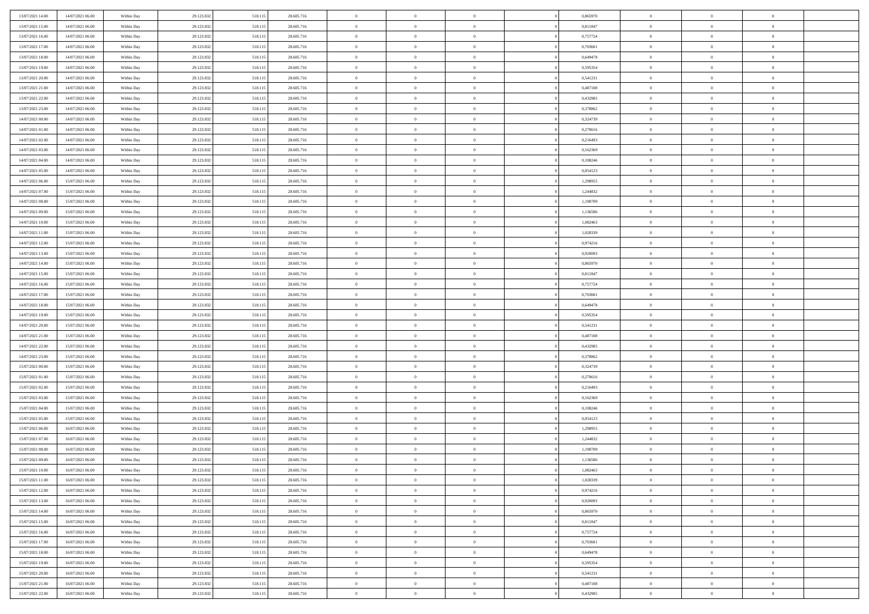| 13/07/2021 14:00                     | 14/07/2021 06:00                     | Within Day               | 29.123.832               | 518.115            | 28.605.716               | $\bf{0}$                 | $\overline{0}$ | $\theta$                         |          | 0,865970             | $\bf{0}$                 | $\overline{0}$                   | $\,0\,$                          |  |
|--------------------------------------|--------------------------------------|--------------------------|--------------------------|--------------------|--------------------------|--------------------------|----------------|----------------------------------|----------|----------------------|--------------------------|----------------------------------|----------------------------------|--|
| 13/07/2021 15:00                     | 14/07/2021 06:00                     | Within Day               | 29.123.832               | 518.115            | 28.605.716               | $\overline{0}$           | $\overline{0}$ | $\overline{0}$                   |          | 0,811847             | $\overline{0}$           | $\overline{0}$                   | $\theta$                         |  |
| 13/07/2021 16:00                     | 14/07/2021 06:00                     | Within Dav               | 29.123.832               | 518.115            | 28.605.716               | $\mathbf{0}$             | $\overline{0}$ | $\overline{0}$                   |          | 0,757724             | $\mathbf{0}$             | $\overline{0}$                   | $\overline{0}$                   |  |
| 13/07/2021 17:00                     | 14/07/2021 06:00                     | Within Day               | 29.123.832               | 518.115            | 28.605.716               | $\bf{0}$                 | $\overline{0}$ | $\overline{0}$                   |          | 0,703601             | $\bf{0}$                 | $\overline{0}$                   | $\bf{0}$                         |  |
| 13/07/2021 18:00                     | 14/07/2021 06:00                     | Within Day               | 29.123.832               | 518.115            | 28.605.716               | $\bf{0}$                 | $\overline{0}$ | $\overline{0}$                   |          | 0,649478             | $\bf{0}$                 | $\overline{0}$                   | $\,0\,$                          |  |
| 13/07/2021 19:00                     | 14/07/2021 06:00                     | Within Dav               | 29.123.832               | 518.115            | 28.605.716               | $\overline{0}$           | $\overline{0}$ | $\overline{0}$                   |          | 0,595354             | $\mathbf{0}$             | $\overline{0}$                   | $\overline{0}$                   |  |
| 13/07/2021 20:00                     | 14/07/2021 06:00                     | Within Day               | 29.123.832               | 518.115            | 28.605.716               | $\bf{0}$                 | $\overline{0}$ | $\overline{0}$                   |          | 0,541231             | $\bf{0}$                 | $\overline{0}$                   | $\bf{0}$                         |  |
| 13/07/2021 21:00                     | 14/07/2021 06:00                     | Within Day               | 29.123.832               | 518.115            | 28.605.716               | $\overline{0}$           | $\overline{0}$ | $\overline{0}$                   |          | 0,487108             | $\,$ 0 $\,$              | $\overline{0}$                   | $\overline{0}$                   |  |
| 13/07/2021 22:00                     | 14/07/2021 06:00                     | Within Day               | 29.123.832               | 518.115            | 28.605.716               | $\overline{0}$           | $\overline{0}$ | $\overline{0}$                   |          | 0,432985             | $\mathbf{0}$             | $\overline{0}$                   | $\overline{0}$                   |  |
| 13/07/2021 23:00                     | 14/07/2021 06:00                     | Within Day               | 29.123.832               | 518.115            | 28.605.716               | $\bf{0}$                 | $\overline{0}$ | $\overline{0}$                   |          | 0,378862             | $\bf{0}$                 | $\overline{0}$                   | $\,0\,$                          |  |
| 14/07/2021 00:00                     | 14/07/2021 06:00                     | Within Day               | 29.123.832               | 518.115            | 28.605.716               | $\bf{0}$                 | $\overline{0}$ | $\overline{0}$                   |          | 0,324739             | $\bf{0}$                 | $\overline{0}$                   | $\overline{0}$                   |  |
| 14/07/2021 01:00                     | 14/07/2021 06:00                     | Within Dav               | 29.123.832               | 518.115            | 28.605.716               | $\mathbf{0}$             | $\overline{0}$ | $\overline{0}$                   |          | 0,270616             | $\mathbf{0}$             | $\overline{0}$                   | $\overline{0}$                   |  |
| 14/07/2021 02.00                     | 14/07/2021 06:00                     | Within Day               | 29.123.832               | 518.115            | 28.605.716               | $\bf{0}$                 | $\overline{0}$ | $\bf{0}$                         |          | 0,216493             | $\bf{0}$                 | $\overline{0}$                   | $\overline{0}$                   |  |
| 14/07/2021 03:00                     | 14/07/2021 06:00                     | Within Day               | 29.123.832               | 518.115            | 28.605.716               | $\bf{0}$                 | $\overline{0}$ | $\overline{0}$                   |          | 0,162369             | $\bf{0}$                 | $\overline{0}$                   | $\,0\,$                          |  |
| 14/07/2021 04:00                     | 14/07/2021 06:00                     | Within Dav               | 29.123.832               | 518.115            | 28.605.716               | $\overline{0}$           | $\overline{0}$ | $\overline{0}$                   |          | 0,108246             | $\mathbf{0}$             | $\overline{0}$                   | $\overline{0}$                   |  |
| 14/07/2021 05:00                     | 14/07/2021 06:00                     | Within Day               | 29.123.832               | 518.115            | 28.605.716               | $\bf{0}$                 | $\overline{0}$ | $\overline{0}$                   |          | 0,054123             | $\bf{0}$                 | $\overline{0}$                   | $\bf{0}$                         |  |
| 14/07/2021 06:00                     | 15/07/2021 06:00                     | Within Day               | 29.123.832               | 518.115            | 28.605.716               | $\bf{0}$                 | $\overline{0}$ | $\overline{0}$                   |          | 1,298955             | $\,$ 0 $\,$              | $\overline{0}$                   | $\overline{0}$                   |  |
| 14/07/2021 07:00                     | 15/07/2021 06:00                     | Within Day               | 29.123.832               | 518.115            | 28.605.716               | $\mathbf{0}$             | $\overline{0}$ | $\overline{0}$                   |          | 1,244832             | $\mathbf{0}$             | $\overline{0}$                   | $\overline{0}$                   |  |
| 14/07/2021 08:00                     | 15/07/2021 06:00                     | Within Day               | 29.123.832               | 518.115            | 28.605.716               | $\bf{0}$                 | $\overline{0}$ | $\overline{0}$                   |          | 1,190709             | $\bf{0}$                 | $\overline{0}$                   | $\,0\,$                          |  |
| 14/07/2021 09:00                     | 15/07/2021 06:00                     | Within Day               | 29.123.832               | 518.115            | 28.605.716               | $\bf{0}$                 | $\overline{0}$ | $\overline{0}$                   |          | 1,136586             | $\bf{0}$                 | $\overline{0}$                   | $\overline{0}$                   |  |
| 14/07/2021 10:00                     | 15/07/2021 06:00                     | Within Dav               | 29.123.832               | 518.115            | 28.605.716               | $\overline{0}$           | $\overline{0}$ | $\overline{0}$                   |          | 1,082463             | $\mathbf{0}$             | $\overline{0}$                   | $\overline{0}$                   |  |
| 14/07/2021 11:00                     | 15/07/2021 06:00                     | Within Day               | 29.123.832               | 518.115            | 28.605.716               | $\bf{0}$                 | $\overline{0}$ | $\overline{0}$                   |          | 1,028339             | $\bf{0}$                 | $\overline{0}$                   | $\bf{0}$                         |  |
| 14/07/2021 12:00                     | 15/07/2021 06:00                     |                          | 29.123.832               | 518.115            | 28.605.716               | $\bf{0}$                 | $\overline{0}$ | $\overline{0}$                   |          | 0,974216             | $\,$ 0 $\,$              | $\overline{0}$                   | $\,0\,$                          |  |
| 14/07/2021 13:00                     | 15/07/2021 06:00                     | Within Day<br>Within Dav | 29.123.832               | 518.115            | 28.605.716               | $\mathbf{0}$             | $\overline{0}$ | $\overline{0}$                   |          | 0,920093             | $\mathbf{0}$             | $\overline{0}$                   | $\overline{0}$                   |  |
| 14/07/2021 14:00                     | 15/07/2021 06:00                     | Within Day               | 29.123.832               | 518.115            | 28.605.716               | $\bf{0}$                 | $\overline{0}$ | $\overline{0}$                   |          | 0,865970             | $\bf{0}$                 | $\overline{0}$                   | $\bf{0}$                         |  |
|                                      |                                      |                          |                          |                    |                          | $\bf{0}$                 | $\overline{0}$ | $\overline{0}$                   |          |                      |                          | $\mathbf{0}$                     | $\overline{0}$                   |  |
| 14/07/2021 15:00                     | 15/07/2021 06:00<br>15/07/2021 06:00 | Within Day               | 29.123.832               | 518.115            | 28.605.716               | $\overline{0}$           |                |                                  |          | 0,811847             | $\bf{0}$<br>$\mathbf{0}$ |                                  | $\overline{0}$                   |  |
| 14/07/2021 16:00                     | 15/07/2021 06:00                     | Within Day               | 29.123.832               | 518.115            | 28.605.716               |                          | $\overline{0}$ | $\overline{0}$<br>$\overline{0}$ |          | 0,757724             |                          | $\overline{0}$<br>$\overline{0}$ |                                  |  |
| 14/07/2021 17.00                     |                                      | Within Day               | 29.123.832               | 518.115            | 28.605.716               | $\bf{0}$                 | $\overline{0}$ |                                  |          | 0,703601             | $\bf{0}$                 |                                  | $\,0\,$                          |  |
| 14/07/2021 18:00                     | 15/07/2021 06:00                     | Within Day               | 29.123.832               | 518.115            | 28.605.716               | $\bf{0}$<br>$\mathbf{0}$ | $\overline{0}$ | $\overline{0}$                   |          | 0,649478             | $\bf{0}$<br>$\mathbf{0}$ | $\overline{0}$                   | $\bf{0}$<br>$\overline{0}$       |  |
| 14/07/2021 19:00                     | 15/07/2021 06:00                     | Within Dav               | 29.123.832               | 518.115            | 28.605.716               |                          | $\overline{0}$ | $\overline{0}$                   |          | 0,595354             |                          | $\overline{0}$                   |                                  |  |
| 14/07/2021 20:00                     | 15/07/2021 06:00                     | Within Day               | 29.123.832               | 518.115            | 28.605.716               | $\bf{0}$                 | $\overline{0}$ | $\overline{0}$                   |          | 0,541231             | $\,$ 0                   | $\overline{0}$                   | $\theta$                         |  |
| 14/07/2021 21:00                     | 15/07/2021 06:00                     | Within Day               | 29.123.832               | 518.115            | 28.605.716               | $\bf{0}$                 | $\overline{0}$ | $\overline{0}$                   |          | 0,487108             | $\bf{0}$                 | $\overline{0}$                   | $\bf{0}$                         |  |
| 14/07/2021 22:00                     | 15/07/2021 06:00                     | Within Dav               | 29.123.832               | 518.115            | 28.605.716               | $\overline{0}$           | $\overline{0}$ | $\overline{0}$                   |          | 0,432985             | $\mathbf{0}$             | $\overline{0}$                   | $\overline{0}$                   |  |
| 14/07/2021 23:00                     | 15/07/2021 06:00                     | Within Day               | 29.123.832               | 518.115            | 28.605.716               | $\bf{0}$                 | $\overline{0}$ | $\overline{0}$                   |          | 0,378862             | $\,$ 0                   | $\overline{0}$                   | $\theta$                         |  |
| 15/07/2021 00:00                     | 15/07/2021 06:00                     | Within Day               | 29.123.832               | 518.115            | 28.605.716               | $\overline{0}$           | $\overline{0}$ | $\overline{0}$                   |          | 0,324739             | $\bf{0}$                 | $\overline{0}$                   | $\overline{0}$                   |  |
| 15/07/2021 01:00                     | 15/07/2021 06:00                     | Within Day               | 29.123.832               | 518.115            | 28.605.716               | $\mathbf{0}$             | $\overline{0}$ | $\overline{0}$                   |          | 0,270616             | $\mathbf{0}$             | $\overline{0}$                   | $\overline{0}$                   |  |
| 15/07/2021 02:00                     | 15/07/2021 06:00                     | Within Day               | 29.123.832               | 518.115            | 28.605.716               | $\bf{0}$                 | $\overline{0}$ | $\overline{0}$                   |          | 0,216493             | $\,$ 0                   | $\overline{0}$                   | $\theta$                         |  |
| 15/07/2021 03:00                     | 15/07/2021 06:00                     | Within Day               | 29.123.832               | 518.115            | 28.605.716               | $\bf{0}$                 | $\overline{0}$ | $\overline{0}$                   |          | 0,162369             | $\bf{0}$                 | $\overline{0}$                   | $\overline{0}$                   |  |
| 15/07/2021 04:00                     | 15/07/2021 06:00                     | Within Dav               | 29.123.832               | 518.115            | 28.605.716               | $\mathbf{0}$             | $\overline{0}$ | $\overline{0}$                   |          | 0,108246             | $\mathbf{0}$             | $\overline{0}$                   | $\overline{0}$                   |  |
| 15/07/2021 05:00                     | 15/07/2021 06:00                     | Within Day               | 29.123.832               | 518.115            | 28.605.716               | $\,0\,$                  | $\overline{0}$ | $\overline{0}$                   |          | 0,054123             | $\,$ 0                   | $\overline{0}$                   | $\theta$                         |  |
| 15/07/2021 06:00<br>15/07/2021 07:00 | 16/07/2021 06:00                     | Within Day               | 29.123.832               | 518.115            | 28.605.716               | $\bf{0}$<br>$\mathbf{0}$ | $\overline{0}$ | $\overline{0}$                   |          | 1,298955             | $\bf{0}$<br>$\mathbf{0}$ | $\overline{0}$                   | $\overline{0}$<br>$\overline{0}$ |  |
|                                      | 16/07/2021 06:00                     | Within Dav               | 29.123.832               | 518.115            | 28.605.716               | $\bf{0}$                 | $\overline{0}$ | $\overline{0}$                   |          | 1,244832             |                          | $\overline{0}$                   | $\theta$                         |  |
| 15/07/2021 08:00                     | 16/07/2021 06:00<br>16/07/2021 06:00 | Within Day               | 29.123.832               | 518.115            | 28.605.716               |                          | $\overline{0}$ | $\overline{0}$<br>$\overline{0}$ |          | 1,190709             | $\,$ 0                   | $\overline{0}$<br>$\overline{0}$ |                                  |  |
| 15/07/2021 09:00<br>15/07/2021 10:00 | 16/07/2021 06:00                     | Within Day               | 29.123.832<br>29.123.832 | 518.115<br>518.115 | 28.605.716<br>28.605.716 | $\bf{0}$                 | $\overline{0}$ |                                  |          | 1,136586<br>1,082463 | $\bf{0}$                 |                                  | $\overline{0}$                   |  |
|                                      |                                      | Within Day               |                          |                    |                          | $\bf{0}$                 | $\overline{0}$ |                                  |          |                      | $\overline{0}$           | $\theta$                         | $\theta$<br>$\theta$             |  |
| 15/07/2021 11:00                     | 16/07/2021 06:00                     | Within Day               | 29.123.832               | 518.115            | 28.605.716               | $\,0\,$                  | $\overline{0}$ | $\overline{0}$                   |          | 1,028339             | $\,$ 0 $\,$              | $\bf{0}$                         |                                  |  |
| 15/07/2021 12:00                     | 16/07/2021 06:00                     | Within Day               | 29.123.832               | 518.115            | 28.605.716               | $\overline{0}$           | $\overline{0}$ | $\overline{0}$                   |          | 0,974216             | $\overline{0}$           | $\overline{0}$                   | $\overline{0}$                   |  |
| 15/07/2021 13:00                     | 16/07/2021 06:00                     | Within Day               | 29.123.832               | 518.115            | 28.605.716               | $\bf{0}$                 | $\overline{0}$ | $\overline{0}$                   |          | 0,920093             | $\overline{0}$           | $\bf{0}$                         | $\mathbf{0}$                     |  |
| 15/07/2021 14:00                     | 16/07/2021 06:00                     | Within Day               | 29.123.832               | 518.115            | 28.605.716               | $\bf{0}$                 | $\overline{0}$ | $\overline{0}$                   | $\theta$ | 0,865970             | $\mathbf{0}$             | $\bf{0}$                         | $\,$ 0 $\,$                      |  |
| 15/07/2021 15:00                     | 16/07/2021 06:00                     | Within Day               | 29.123.832               | 518.115            | 28.605.716               | $\bf{0}$                 | $\overline{0}$ | $\overline{0}$                   |          | 0,811847             | $\,$ 0 $\,$              | $\overline{0}$                   | $\overline{0}$                   |  |
| 15/07/2021 16:00                     | 16/07/2021 06:00                     | Within Day               | 29.123.832               | 518.115            | 28.605.716               | $\bf{0}$                 | $\overline{0}$ | $\overline{0}$                   |          | 0,757724             | $\mathbf{0}$             | $\overline{0}$                   | $\overline{0}$                   |  |
| 15/07/2021 17:00                     | 16/07/2021 06:00                     | Within Day               | 29.123.832               | 518.115            | 28.605.716               | $\,0\,$                  | $\overline{0}$ | $\overline{0}$                   | $\theta$ | 0,703601             | $\,$ 0 $\,$              | $\overline{0}$                   | $\,$ 0 $\,$                      |  |
| 15/07/2021 18:00                     | 16/07/2021 06:00                     | Within Day               | 29.123.832               | 518.115            | 28.605.716               | $\bf{0}$                 | $\overline{0}$ | $\overline{0}$                   |          | 0,649478             | $\overline{0}$           | $\overline{0}$                   | $\overline{0}$                   |  |
| 15/07/2021 19:00                     | 16/07/2021 06:00                     | Within Day               | 29.123.832               | 518.115            | 28.605.716               | $\bf{0}$                 | $\overline{0}$ | $\overline{0}$                   |          | 0,595354             | $\mathbf{0}$             | $\bf{0}$                         | $\overline{0}$                   |  |
| 15/07/2021 20:00                     | 16/07/2021 06:00                     | Within Day               | 29.123.832               | 518.115            | 28.605.716               | $\,0\,$                  | $\overline{0}$ | $\overline{0}$                   |          | 0,541231             | $\,$ 0 $\,$              | $\overline{0}$                   | $\,$ 0 $\,$                      |  |
| 15/07/2021 21:00                     | 16/07/2021 06:00                     | Within Day               | 29.123.832               | 518.115            | 28.605.716               | $\bf{0}$                 | $\overline{0}$ | $\overline{0}$                   |          | 0,487108             | $\bf{0}$                 | $\mathbf{0}$                     | $\overline{0}$                   |  |
| 15/07/2021 22:00                     | 16/07/2021 06:00                     | Within Day               | 29.123.832               | 518.115            | 28.605.716               | $\bf{0}$                 | $\overline{0}$ | $\overline{0}$                   |          | 0,432985             | $\mathbf{0}$             | $\overline{0}$                   | $\overline{0}$                   |  |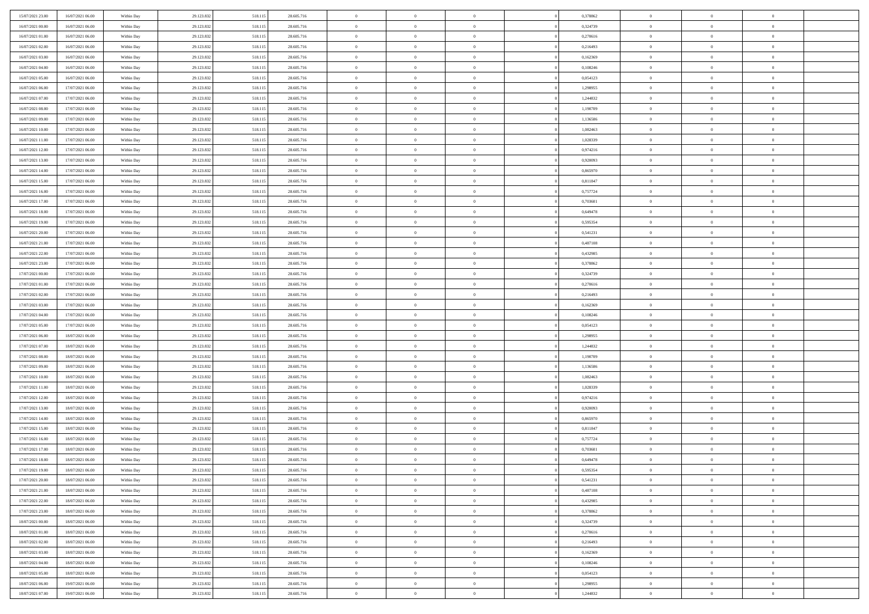| 15/07/2021 23.00                     | 16/07/2021 06:00                     | Within Day               | 29.123.832               | 518.115            | 28.605.716               | $\,$ 0               | $\overline{0}$                   | $\overline{0}$                   |          | 0,378862             | $\bf{0}$                 | $\overline{0}$ | $\,0\,$                          |  |
|--------------------------------------|--------------------------------------|--------------------------|--------------------------|--------------------|--------------------------|----------------------|----------------------------------|----------------------------------|----------|----------------------|--------------------------|----------------|----------------------------------|--|
| 16/07/2021 00:00                     | 16/07/2021 06:00                     | Within Day               | 29.123.832               | 518.115            | 28.605.716               | $\overline{0}$       | $\overline{0}$                   | $\overline{0}$                   |          | 0,324739             | $\overline{0}$           | $\overline{0}$ | $\theta$                         |  |
| 16/07/2021 01:00                     | 16/07/2021 06:00                     | Within Dav               | 29.123.832               | 518.115            | 28.605.716               | $\mathbf{0}$         | $\overline{0}$                   | $\overline{0}$                   |          | 0,270616             | $\mathbf{0}$             | $\overline{0}$ | $\overline{0}$                   |  |
| 16/07/2021 02:00                     | 16/07/2021 06:00                     | Within Day               | 29.123.832               | 518.115            | 28.605.716               | $\bf{0}$             | $\overline{0}$                   | $\overline{0}$                   |          | 0,216493             | $\bf{0}$                 | $\overline{0}$ | $\bf{0}$                         |  |
| 16/07/2021 03:00                     | 16/07/2021 06:00                     | Within Day               | 29.123.832               | 518.115            | 28.605.716               | $\bf{0}$             | $\overline{0}$                   | $\overline{0}$                   |          | 0,162369             | $\bf{0}$                 | $\bf{0}$       | $\,0\,$                          |  |
| 16/07/2021 04:00                     | 16/07/2021 06:00                     | Within Dav               | 29.123.832               | 518.115            | 28.605.716               | $\overline{0}$       | $\overline{0}$                   | $\overline{0}$                   |          | 0,108246             | $\mathbf{0}$             | $\overline{0}$ | $\overline{0}$                   |  |
| 16/07/2021 05:00                     | 16/07/2021 06:00                     | Within Day               | 29.123.832               | 518.115            | 28.605.716               | $\bf{0}$             | $\overline{0}$                   | $\overline{0}$                   |          | 0,054123             | $\bf{0}$                 | $\overline{0}$ | $\bf{0}$                         |  |
| 16/07/2021 06:00                     | 17/07/2021 06:00                     | Within Day               | 29.123.832               | 518.115            | 28.605.716               | $\overline{0}$       | $\overline{0}$                   | $\overline{0}$                   |          | 1,298955             | $\,$ 0 $\,$              | $\overline{0}$ | $\overline{0}$                   |  |
| 16/07/2021 07:00                     | 17/07/2021 06:00                     | Within Day               | 29.123.832               | 518.115            | 28.605.716               | $\overline{0}$       | $\overline{0}$                   | $\overline{0}$                   |          | 1,244832             | $\mathbf{0}$             | $\overline{0}$ | $\overline{0}$                   |  |
| 16/07/2021 08:00                     | 17/07/2021 06:00                     | Within Day               | 29.123.832               | 518.115            | 28.605.716               | $\bf{0}$             | $\overline{0}$                   | $\overline{0}$                   |          | 1,190709             | $\bf{0}$                 | $\overline{0}$ | $\,0\,$                          |  |
| 16/07/2021 09:00                     | 17/07/2021 06:00                     | Within Day               | 29.123.832               | 518.115            | 28.605.716               | $\bf{0}$             | $\overline{0}$                   | $\overline{0}$                   |          | 1,136586             | $\bf{0}$                 | $\overline{0}$ | $\theta$                         |  |
| 16/07/2021 10:00                     | 17/07/2021 06:00                     | Within Dav               | 29.123.832               | 518.115            | 28.605.716               | $\mathbf{0}$         | $\overline{0}$                   | $\overline{0}$                   |          | 1,082463             | $\mathbf{0}$             | $\overline{0}$ | $\overline{0}$                   |  |
| 16/07/2021 11:00                     | 17/07/2021 06:00                     | Within Day               | 29.123.832               | 518.115            | 28.605.716               | $\bf{0}$             | $\overline{0}$                   | $\bf{0}$                         |          | 1,028339             | $\bf{0}$                 | $\overline{0}$ | $\overline{0}$                   |  |
| 16/07/2021 12:00                     | 17/07/2021 06:00                     | Within Day               | 29.123.832               | 518.115            | 28.605.716               | $\bf{0}$             | $\overline{0}$                   | $\overline{0}$                   |          | 0,974216             | $\bf{0}$                 | $\bf{0}$       | $\,0\,$                          |  |
| 16/07/2021 13:00                     | 17/07/2021 06:00                     | Within Dav               | 29.123.832               | 518.115            | 28.605.716               | $\overline{0}$       | $\overline{0}$                   | $\overline{0}$                   |          | 0,920093             | $\mathbf{0}$             | $\overline{0}$ | $\overline{0}$                   |  |
| 16/07/2021 14:00                     | 17/07/2021 06:00                     | Within Day               | 29.123.832               | 518.115            | 28.605.716               | $\bf{0}$             | $\bf{0}$                         | $\overline{0}$                   |          | 0,865970             | $\bf{0}$                 | $\overline{0}$ | $\bf{0}$                         |  |
| 16/07/2021 15:00                     | 17/07/2021 06:00                     | Within Day               | 29.123.832               | 518.115            | 28.605.716               | $\bf{0}$             | $\overline{0}$                   | $\overline{0}$                   |          | 0,811847             | $\,$ 0 $\,$              | $\overline{0}$ | $\theta$                         |  |
| 16/07/2021 16:00                     | 17/07/2021 06:00                     | Within Day               | 29.123.832               | 518.115            | 28.605.716               | $\mathbf{0}$         | $\overline{0}$                   | $\overline{0}$                   |          | 0,757724             | $\mathbf{0}$             | $\overline{0}$ | $\overline{0}$                   |  |
| 16/07/2021 17:00                     | 17/07/2021 06:00                     | Within Day               | 29.123.832               | 518.115            | 28.605.716               | $\bf{0}$             | $\bf{0}$                         | $\overline{0}$                   |          | 0,703601             | $\bf{0}$                 | $\overline{0}$ | $\,0\,$                          |  |
| 16/07/2021 18:00                     | 17/07/2021 06:00                     | Within Day               | 29.123.832               | 518.115            | 28.605.716               | $\bf{0}$             | $\overline{0}$                   | $\overline{0}$                   |          | 0,649478             | $\bf{0}$                 | $\overline{0}$ | $\overline{0}$                   |  |
| 16/07/2021 19:00                     | 17/07/2021 06:00                     | Within Dav               | 29.123.832               | 518.115            | 28.605.716               | $\overline{0}$       | $\overline{0}$                   | $\overline{0}$                   |          | 0,595354             | $\mathbf{0}$             | $\overline{0}$ | $\overline{0}$                   |  |
| 16/07/2021 20:00                     | 17/07/2021 06:00                     | Within Day               | 29.123.832               | 518.115            | 28.605.716               | $\bf{0}$             | $\overline{0}$                   | $\overline{0}$                   |          | 0,541231             | $\bf{0}$                 | $\overline{0}$ | $\bf{0}$                         |  |
| 16/07/2021 21:00                     | 17/07/2021 06:00                     | Within Day               | 29.123.832               | 518.115            | 28.605.716               | $\bf{0}$             | $\bf{0}$                         | $\overline{0}$                   |          | 0,487108             | $\,$ 0 $\,$              | $\overline{0}$ | $\,0\,$                          |  |
| 16/07/2021 22:00                     | 17/07/2021 06:00                     | Within Dav               | 29.123.832               | 518.115            | 28.605.716               | $\mathbf{0}$         | $\overline{0}$                   | $\overline{0}$                   |          | 0,432985             | $\mathbf{0}$             | $\overline{0}$ | $\overline{0}$                   |  |
| 16/07/2021 23:00                     | 17/07/2021 06:00                     | Within Day               | 29.123.832               | 518.115            | 28.605.716               | $\bf{0}$             | $\overline{0}$                   | $\overline{0}$                   |          | 0,378862             | $\bf{0}$                 | $\overline{0}$ | $\bf{0}$                         |  |
| 17/07/2021 00:00                     | 17/07/2021 06:00                     |                          | 29.123.832               | 518.115            | 28.605.716               | $\bf{0}$             | $\overline{0}$                   | $\overline{0}$                   |          | 0,324739             | $\bf{0}$                 | $\mathbf{0}$   | $\overline{0}$                   |  |
| 17/07/2021 01:00                     | 17/07/2021 06:00                     | Within Day<br>Within Day | 29.123.832               | 518.115            | 28.605.716               | $\overline{0}$       | $\overline{0}$                   | $\overline{0}$                   |          | 0,270616             | $\mathbf{0}$             | $\overline{0}$ | $\overline{0}$                   |  |
| 17/07/2021 02.00                     | 17/07/2021 06:00                     |                          |                          |                    | 28.605.716               | $\bf{0}$             | $\overline{0}$                   | $\overline{0}$                   |          | 0,216493             | $\bf{0}$                 | $\overline{0}$ | $\,0\,$                          |  |
|                                      |                                      | Within Day               | 29.123.832               | 518.115            |                          | $\bf{0}$             |                                  | $\overline{0}$                   |          |                      |                          | $\bf{0}$       |                                  |  |
| 17/07/2021 03:00<br>17/07/2021 04:00 | 17/07/2021 06:00<br>17/07/2021 06:00 | Within Day<br>Within Dav | 29.123.832<br>29.123.832 | 518.115<br>518.115 | 28.605.716<br>28.605.716 | $\mathbf{0}$         | $\overline{0}$<br>$\overline{0}$ | $\overline{0}$                   |          | 0,162369<br>0,108246 | $\bf{0}$<br>$\mathbf{0}$ | $\overline{0}$ | $\overline{0}$<br>$\overline{0}$ |  |
|                                      |                                      |                          |                          |                    |                          |                      |                                  |                                  |          |                      |                          | $\overline{0}$ | $\theta$                         |  |
| 17/07/2021 05:00                     | 17/07/2021 06:00                     | Within Day               | 29.123.832               | 518.115            | 28.605.716               | $\bf{0}$<br>$\bf{0}$ | $\overline{0}$                   | $\theta$                         |          | 0,054123             | $\,$ 0                   | $\overline{0}$ |                                  |  |
| 17/07/2021 06:00<br>17/07/2021 07:00 | 18/07/2021 06:00<br>18/07/2021 06:00 | Within Day<br>Within Dav | 29.123.832<br>29.123.832 | 518.115<br>518.115 | 28.605.716<br>28.605.716 | $\overline{0}$       | $\overline{0}$<br>$\overline{0}$ | $\overline{0}$<br>$\overline{0}$ |          | 1,298955<br>1,244832 | $\bf{0}$<br>$\mathbf{0}$ | $\overline{0}$ | $\overline{0}$<br>$\overline{0}$ |  |
|                                      |                                      |                          |                          |                    |                          | $\bf{0}$             | $\overline{0}$                   | $\theta$                         |          |                      | $\,$ 0                   | $\overline{0}$ | $\theta$                         |  |
| 17/07/2021 08:00<br>17/07/2021 09:00 | 18/07/2021 06:00<br>18/07/2021 06:00 | Within Day               | 29.123.832<br>29.123.832 | 518.115            | 28.605.716<br>28.605.716 | $\overline{0}$       | $\overline{0}$                   | $\overline{0}$                   |          | 1,190709<br>1,136586 | $\bf{0}$                 | $\overline{0}$ | $\overline{0}$                   |  |
| 17/07/2021 10:00                     | 18/07/2021 06:00                     | Within Day<br>Within Day | 29.123.832               | 518.115<br>518.115 | 28.605.716               | $\mathbf{0}$         | $\overline{0}$                   | $\overline{0}$                   |          | 1,082463             | $\mathbf{0}$             | $\overline{0}$ | $\overline{0}$                   |  |
| 17/07/2021 11:00                     | 18/07/2021 06:00                     | Within Day               | 29.123.832               | 518.115            | 28.605.716               | $\bf{0}$             | $\overline{0}$                   | $\theta$                         |          | 1,028339             | $\,$ 0                   | $\overline{0}$ | $\theta$                         |  |
| 17/07/2021 12:00                     | 18/07/2021 06:00                     | Within Day               | 29.123.832               | 518.115            | 28.605.716               | $\bf{0}$             | $\overline{0}$                   | $\overline{0}$                   |          | 0,974216             | $\bf{0}$                 | $\overline{0}$ | $\overline{0}$                   |  |
| 17/07/2021 13:00                     | 18/07/2021 06:00                     | Within Dav               | 29.123.832               | 518.115            | 28.605.716               | $\mathbf{0}$         | $\overline{0}$                   | $\overline{0}$                   |          | 0,920093             | $\mathbf{0}$             | $\overline{0}$ | $\overline{0}$                   |  |
| 17/07/2021 14:00                     | 18/07/2021 06:00                     | Within Day               | 29.123.832               | 518.115            | 28.605.716               | $\,0\,$              | $\overline{0}$                   | $\theta$                         |          | 0,865970             | $\,$ 0                   | $\overline{0}$ | $\theta$                         |  |
| 17/07/2021 15:00                     | 18/07/2021 06:00                     | Within Day               | 29.123.832               | 518.115            | 28.605.716               | $\bf{0}$             | $\overline{0}$                   | $\overline{0}$                   |          | 0,811847             | $\bf{0}$                 | $\overline{0}$ | $\overline{0}$                   |  |
| 17/07/2021 16:00                     | 18/07/2021 06:00                     | Within Dav               | 29.123.832               | 518.115            | 28.605.716               | $\mathbf{0}$         | $\overline{0}$                   | $\overline{0}$                   |          | 0,757724             | $\mathbf{0}$             | $\overline{0}$ | $\overline{0}$                   |  |
| 17/07/2021 17:00                     | 18/07/2021 06:00                     | Within Day               | 29.123.832               | 518.115            | 28.605.716               | $\bf{0}$             | $\overline{0}$                   | $\theta$                         |          | 0,703601             | $\,$ 0                   | $\overline{0}$ | $\theta$                         |  |
| 17/07/2021 18:00                     | 18/07/2021 06:00                     | Within Day               | 29.123.832               | 518.115            | 28.605.716               | $\bf{0}$             | $\overline{0}$                   | $\overline{0}$                   |          | 0,649478             | $\bf{0}$                 | $\overline{0}$ | $\overline{0}$                   |  |
| 17/07/2021 19:00                     | 18/07/2021 06:00                     | Within Day               | 29.123.832               | 518.115            | 28.605.716               | $\bf{0}$             | $\overline{0}$                   |                                  |          | 0,595354             | $\overline{0}$           | $\theta$       | $\theta$                         |  |
| 17/07/2021 20:00                     | 18/07/2021 06:00                     | Within Day               | 29.123.832               | 518.115            | 28.605.716               | $\,0\,$              | $\overline{0}$                   | $\theta$                         |          | 0,541231             | $\,$ 0 $\,$              | $\bf{0}$       | $\theta$                         |  |
| 17/07/2021 21:00                     | 18/07/2021 06:00                     | Within Day               | 29.123.832               | 518.115            | 28.605.716               | $\overline{0}$       | $\overline{0}$                   | $\overline{0}$                   |          | 0,487108             | $\overline{0}$           | $\overline{0}$ | $\overline{0}$                   |  |
| 17/07/2021 22:00                     | 18/07/2021 06:00                     | Within Day               | 29.123.832               | 518.115            | 28.605.716               | $\bf{0}$             | $\overline{0}$                   | $\overline{0}$                   |          | 0,432985             | $\overline{0}$           | $\bf{0}$       | $\mathbf{0}$                     |  |
| 17/07/2021 23:00                     | 18/07/2021 06:00                     | Within Day               | 29.123.832               | 518.115            | 28.605.716               | $\bf{0}$             | $\overline{0}$                   | $\overline{0}$                   | $\theta$ | 0,378862             | $\mathbf{0}$             | $\bf{0}$       | $\,$ 0 $\,$                      |  |
| 18/07/2021 00:00                     | 18/07/2021 06:00                     | Within Day               | 29.123.832               | 518.115            | 28.605.716               | $\bf{0}$             | $\overline{0}$                   | $\overline{0}$                   |          | 0,324739             | $\,$ 0 $\,$              | $\overline{0}$ | $\overline{0}$                   |  |
| 18/07/2021 01:00                     | 18/07/2021 06:00                     | Within Day               | 29.123.832               | 518.115            | 28.605.716               | $\bf{0}$             | $\overline{0}$                   | $\overline{0}$                   |          | 0,270616             | $\mathbf{0}$             | $\overline{0}$ | $\overline{0}$                   |  |
|                                      |                                      |                          |                          |                    |                          | $\,0\,$              |                                  | $\overline{0}$                   | $\theta$ |                      | $\,$ 0 $\,$              | $\overline{0}$ | $\,$ 0 $\,$                      |  |
| 18/07/2021 02:00<br>18/07/2021 03:00 | 18/07/2021 06:00<br>18/07/2021 06:00 | Within Day               | 29.123.832<br>29.123.832 | 518.115            | 28.605.716<br>28.605.716 | $\bf{0}$             | $\overline{0}$<br>$\overline{0}$ | $\overline{0}$                   |          | 0,216493<br>0,162369 | $\overline{0}$           | $\overline{0}$ | $\overline{0}$                   |  |
| 18/07/2021 04:00                     | 18/07/2021 06:00                     | Within Day<br>Within Day | 29.123.832               | 518.115<br>518.115 | 28.605.716               | $\bf{0}$             | $\overline{0}$                   | $\overline{0}$                   |          | 0,108246             | $\mathbf{0}$             | $\bf{0}$       | $\overline{0}$                   |  |
|                                      |                                      |                          |                          |                    |                          | $\,0\,$              |                                  |                                  |          |                      | $\,$ 0 $\,$              | $\overline{0}$ | $\,$ 0 $\,$                      |  |
| 18/07/2021 05:00                     | 18/07/2021 06:00                     | Within Day               | 29.123.832               | 518.115            | 28.605.716               |                      | $\overline{0}$                   | $\overline{0}$                   |          | 0,054123             |                          |                |                                  |  |
| 18/07/2021 06:00                     | 19/07/2021 06:00                     | Within Day               | 29.123.832               | 518.115            | 28.605.716               | $\bf{0}$             | $\overline{0}$                   | $\overline{0}$                   |          | 1,298955             | $\bf{0}$                 | $\mathbf{0}$   | $\overline{0}$                   |  |
| 18/07/2021 07:00                     | 19/07/2021 06:00                     | Within Day               | 29.123.832               | 518.115            | 28.605.716               | $\bf{0}$             | $\overline{0}$                   | $\overline{0}$                   |          | 1,244832             | $\mathbf{0}$             | $\overline{0}$ | $\overline{0}$                   |  |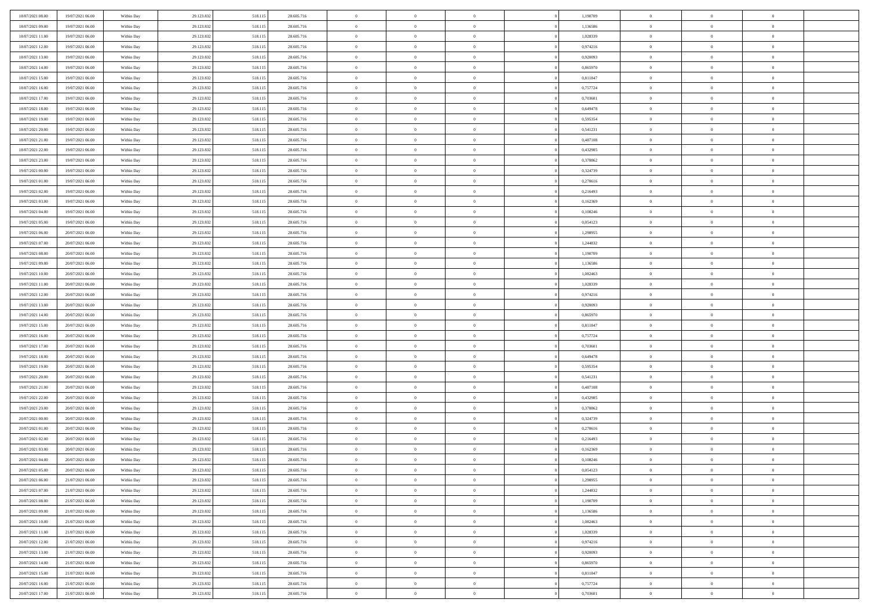| 18/07/2021 08:00                     | 19/07/2021 06:00                     | Within Day               | 29.123.832               | 518.115            | 28.605.716               | $\bf{0}$                       | $\overline{0}$                   | $\theta$                         |          | 1,190709             | $\bf{0}$                 | $\overline{0}$                   | $\,0\,$                          |  |
|--------------------------------------|--------------------------------------|--------------------------|--------------------------|--------------------|--------------------------|--------------------------------|----------------------------------|----------------------------------|----------|----------------------|--------------------------|----------------------------------|----------------------------------|--|
| 18/07/2021 09:00                     | 19/07/2021 06:00                     | Within Day               | 29.123.832               | 518.115            | 28.605.716               | $\overline{0}$                 | $\overline{0}$                   | $\overline{0}$                   |          | 1,136586             | $\overline{0}$           | $\overline{0}$                   | $\theta$                         |  |
| 18/07/2021 11:00                     | 19/07/2021 06:00                     | Within Dav               | 29.123.832               | 518.115            | 28.605.716               | $\mathbf{0}$                   | $\overline{0}$                   | $\overline{0}$                   |          | 1,028339             | $\mathbf{0}$             | $\overline{0}$                   | $\overline{0}$                   |  |
| 18/07/2021 12:00                     | 19/07/2021 06:00                     | Within Day               | 29.123.832               | 518.115            | 28.605.716               | $\bf{0}$                       | $\overline{0}$                   | $\overline{0}$                   |          | 0,974216             | $\bf{0}$                 | $\overline{0}$                   | $\bf{0}$                         |  |
| 18/07/2021 13:00                     | 19/07/2021 06:00                     | Within Day               | 29.123.832               | 518.115            | 28.605.716               | $\bf{0}$                       | $\bf{0}$                         | $\overline{0}$                   |          | 0,920093             | $\bf{0}$                 | $\bf{0}$                         | $\,0\,$                          |  |
| 18/07/2021 14:00                     | 19/07/2021 06:00                     | Within Dav               | 29.123.832               | 518.115            | 28.605.716               | $\overline{0}$                 | $\overline{0}$                   | $\overline{0}$                   |          | 0,865970             | $\mathbf{0}$             | $\overline{0}$                   | $\overline{0}$                   |  |
| 18/07/2021 15:00                     | 19/07/2021 06:00                     | Within Day               | 29.123.832               | 518.115            | 28.605.716               | $\bf{0}$                       | $\bf{0}$                         | $\overline{0}$                   |          | 0,811847             | $\bf{0}$                 | $\overline{0}$                   | $\,0\,$                          |  |
| 18/07/2021 16:00                     | 19/07/2021 06:00                     | Within Day               | 29.123.832               | 518.115            | 28.605.716               | $\overline{0}$                 | $\overline{0}$                   | $\overline{0}$                   |          | 0,757724             | $\,$ 0 $\,$              | $\overline{0}$                   | $\theta$                         |  |
| 18/07/2021 17:00                     | 19/07/2021 06:00                     | Within Day               | 29.123.832               | 518.115            | 28.605.716               | $\overline{0}$                 | $\overline{0}$                   | $\overline{0}$                   |          | 0,703601             | $\mathbf{0}$             | $\overline{0}$                   | $\overline{0}$                   |  |
| 18/07/2021 18:00                     | 19/07/2021 06:00                     | Within Day               | 29.123.832               | 518.115            | 28.605.716               | $\bf{0}$                       | $\bf{0}$                         | $\overline{0}$                   |          | 0,649478             | $\bf{0}$                 | $\overline{0}$                   | $\,0\,$                          |  |
| 18/07/2021 19:00                     | 19/07/2021 06:00                     | Within Day               | 29.123.832               | 518.115            | 28.605.716               | $\bf{0}$                       | $\overline{0}$                   | $\overline{0}$                   |          | 0.595354             | $\bf{0}$                 | $\overline{0}$                   | $\theta$                         |  |
| 18/07/2021 20:00                     | 19/07/2021 06:00                     | Within Dav               | 29.123.832               | 518.115            | 28.605.716               | $\mathbf{0}$                   | $\overline{0}$                   | $\overline{0}$                   |          | 0,541231             | $\mathbf{0}$             | $\overline{0}$                   | $\overline{0}$                   |  |
| 18/07/2021 21:00                     | 19/07/2021 06:00                     | Within Day               | 29.123.832               | 518.115            | 28.605.716               | $\bf{0}$                       | $\overline{0}$                   | $\bf{0}$                         |          | 0,487108             | $\bf{0}$                 | $\overline{0}$                   | $\overline{0}$                   |  |
| 18/07/2021 22:00                     | 19/07/2021 06:00                     | Within Day               | 29.123.832               | 518.115            | 28.605.716               | $\bf{0}$                       | $\overline{0}$                   | $\overline{0}$                   |          | 0,432985             | $\bf{0}$                 | $\overline{0}$                   | $\,0\,$                          |  |
| 18/07/2021 23:00                     | 19/07/2021 06:00                     | Within Dav               | 29.123.832               | 518.115            | 28.605.716               | $\overline{0}$                 | $\overline{0}$                   | $\overline{0}$                   |          | 0,378862             | $\mathbf{0}$             | $\overline{0}$                   | $\overline{0}$                   |  |
| 19/07/2021 00:00                     | 19/07/2021 06:00                     | Within Day               | 29.123.832               | 518.115            | 28.605.716               | $\bf{0}$                       | $\overline{0}$                   | $\overline{0}$                   |          | 0,324739             | $\bf{0}$                 | $\overline{0}$                   | $\bf{0}$                         |  |
| 19/07/2021 01:00                     | 19/07/2021 06:00                     | Within Day               | 29.123.832               | 518.115            | 28.605.716               | $\overline{0}$                 | $\overline{0}$                   | $\overline{0}$                   |          | 0,270616             | $\bf{0}$                 | $\overline{0}$                   | $\theta$                         |  |
| 19/07/2021 02:00                     | 19/07/2021 06:00                     | Within Day               | 29.123.832               | 518.115            | 28.605.716               | $\mathbf{0}$                   | $\overline{0}$                   | $\overline{0}$                   |          | 0,216493             | $\mathbf{0}$             | $\overline{0}$                   | $\overline{0}$                   |  |
| 19/07/2021 03:00                     | 19/07/2021 06:00                     | Within Day               | 29.123.832               | 518.115            | 28.605.716               | $\bf{0}$                       | $\overline{0}$                   | $\overline{0}$                   |          | 0,162369             | $\bf{0}$                 | $\overline{0}$                   | $\,0\,$                          |  |
| 19/07/2021 04:00                     | 19/07/2021 06:00                     | Within Day               | 29.123.832               | 518.115            | 28.605.716               | $\bf{0}$                       | $\overline{0}$                   | $\overline{0}$                   |          | 0,108246             | $\bf{0}$                 | $\overline{0}$                   | $\overline{0}$                   |  |
| 19/07/2021 05:00                     | 19/07/2021 06:00                     | Within Dav               | 29.123.832               | 518.115            | 28.605.716               | $\overline{0}$                 | $\overline{0}$                   | $\overline{0}$                   |          | 0,054123             | $\mathbf{0}$             | $\overline{0}$                   | $\overline{0}$                   |  |
| 19/07/2021 06:00                     | 20/07/2021 06:00                     | Within Day               | 29.123.832               | 518.115            | 28.605.716               | $\bf{0}$                       | $\overline{0}$                   | $\overline{0}$                   |          | 1,298955             | $\bf{0}$                 | $\overline{0}$                   | $\bf{0}$                         |  |
| 19/07/2021 07:00                     | 20/07/2021 06:00                     | Within Day               | 29.123.832               | 518.115            | 28.605.716               | $\bf{0}$                       | $\overline{0}$                   | $\overline{0}$                   |          | 1,244832             | $\bf{0}$                 | $\overline{0}$                   | $\,0\,$                          |  |
| 19/07/2021 08:00                     | 20/07/2021 06:00                     | Within Dav               | 29.123.832               | 518.115            | 28.605.716               | $\mathbf{0}$                   | $\overline{0}$                   | $\overline{0}$                   |          | 1,190709             | $\mathbf{0}$             | $\overline{0}$                   | $\overline{0}$                   |  |
| 19/07/2021 09:00                     | 20/07/2021 06:00                     | Within Day               | 29.123.832               | 518.115            | 28.605.716               | $\bf{0}$                       | $\overline{0}$                   | $\overline{0}$                   |          | 1,136586             | $\bf{0}$                 | $\overline{0}$                   | $\bf{0}$                         |  |
| 19/07/2021 10:00                     | 20/07/2021 06:00                     | Within Day               | 29.123.832               | 518.115            | 28.605.716               | $\overline{0}$                 | $\overline{0}$                   | $\overline{0}$                   |          | 1,082463             | $\bf{0}$                 | $\mathbf{0}$                     | $\overline{0}$                   |  |
| 19/07/2021 11:00                     | 20/07/2021 06:00                     | Within Dav               | 29.123.832               | 518.115            | 28.605.716               | $\overline{0}$                 | $\overline{0}$                   | $\overline{0}$                   |          | 1,028339             | $\mathbf{0}$             | $\overline{0}$                   | $\overline{0}$                   |  |
| 19/07/2021 12:00                     | 20/07/2021 06:00                     | Within Day               | 29.123.832               | 518.115            | 28.605.716               | $\bf{0}$                       | $\overline{0}$                   | $\overline{0}$                   |          | 0,974216             | $\bf{0}$                 | $\overline{0}$                   | $\,0\,$                          |  |
| 19/07/2021 13:00                     | 20/07/2021 06:00                     | Within Day               | 29.123.832               | 518.115            | 28.605.716               | $\bf{0}$                       | $\overline{0}$                   | $\overline{0}$                   |          | 0,920093             | $\bf{0}$                 | $\overline{0}$                   | $\overline{0}$                   |  |
| 19/07/2021 14:00                     | 20/07/2021 06:00                     | Within Dav               | 29.123.832               | 518.115            | 28.605.716               | $\mathbf{0}$                   | $\overline{0}$                   | $\overline{0}$                   |          | 0,865970             | $\mathbf{0}$             | $\overline{0}$                   | $\overline{0}$                   |  |
| 19/07/2021 15:00                     | 20/07/2021 06:00                     | Within Day               | 29.123.832               | 518.115            | 28.605.716               | $\bf{0}$                       | $\overline{0}$                   | $\theta$                         |          | 0,811847             | $\,$ 0                   | $\overline{0}$                   | $\theta$                         |  |
| 19/07/2021 16:00                     | 20/07/2021 06:00                     | Within Day               | 29.123.832               | 518.115            | 28.605.716               | $\bf{0}$                       | $\overline{0}$                   | $\overline{0}$                   |          | 0,757724             | $\bf{0}$                 | $\overline{0}$                   | $\overline{0}$                   |  |
| 19/07/2021 17:00                     | 20/07/2021 06:00                     | Within Dav               | 29.123.832               | 518.115            | 28.605.716               | $\overline{0}$                 | $\overline{0}$                   | $\overline{0}$                   |          | 0,703601             | $\mathbf{0}$             | $\overline{0}$                   | $\overline{0}$                   |  |
| 19/07/2021 18:00                     | 20/07/2021 06:00                     | Within Day               | 29.123.832               | 518.115            | 28.605.716               | $\bf{0}$                       | $\overline{0}$                   | $\theta$                         |          | 0,649478             | $\,$ 0                   | $\overline{0}$                   | $\theta$                         |  |
| 19/07/2021 19:00<br>19/07/2021 20:00 | 20/07/2021 06:00<br>20/07/2021 06:00 | Within Day<br>Within Day | 29.123.832<br>29.123.832 | 518.115<br>518.115 | 28.605.716<br>28.605.716 | $\overline{0}$<br>$\mathbf{0}$ | $\overline{0}$<br>$\overline{0}$ | $\overline{0}$<br>$\overline{0}$ |          | 0,595354<br>0,541231 | $\bf{0}$<br>$\mathbf{0}$ | $\overline{0}$<br>$\overline{0}$ | $\overline{0}$<br>$\overline{0}$ |  |
| 19/07/2021 21:00                     | 20/07/2021 06:00                     | Within Day               | 29.123.832               | 518.115            | 28.605.716               | $\bf{0}$                       | $\overline{0}$                   | $\theta$                         |          | 0,487108             | $\,$ 0                   | $\overline{0}$                   | $\theta$                         |  |
| 19/07/2021 22.00                     | 20/07/2021 06:00                     | Within Day               | 29.123.832               | 518.115            | 28.605.716               | $\bf{0}$                       | $\overline{0}$                   | $\overline{0}$                   |          | 0,432985             | $\bf{0}$                 | $\overline{0}$                   | $\overline{0}$                   |  |
| 19/07/2021 23:00                     | 20/07/2021 06:00                     | Within Dav               | 29.123.832               | 518.115            | 28.605.716               | $\mathbf{0}$                   | $\overline{0}$                   | $\overline{0}$                   |          | 0,378862             | $\mathbf{0}$             | $\overline{0}$                   | $\overline{0}$                   |  |
| 20/07/2021 00:00                     | 20/07/2021 06:00                     | Within Day               | 29.123.832               | 518.115            | 28.605.716               | $\,0\,$                        | $\overline{0}$                   | $\theta$                         |          | 0,324739             | $\,$ 0                   | $\overline{0}$                   | $\theta$                         |  |
| 20/07/2021 01:00                     | 20/07/2021 06:00                     | Within Day               | 29.123.832               | 518.115            | 28.605.716               | $\bf{0}$                       | $\overline{0}$                   | $\overline{0}$                   |          | 0,270616             | $\bf{0}$                 | $\overline{0}$                   | $\overline{0}$                   |  |
| 20/07/2021 02:00                     | 20/07/2021 06:00                     | Within Dav               | 29.123.832               | 518.115            | 28.605.716               | $\mathbf{0}$                   | $\overline{0}$                   | $\overline{0}$                   |          | 0,216493             | $\mathbf{0}$             | $\overline{0}$                   | $\overline{0}$                   |  |
| 20/07/2021 03:00                     | 20/07/2021 06:00                     | Within Day               | 29.123.832               | 518.115            | 28.605.716               | $\bf{0}$                       | $\overline{0}$                   | $\theta$                         |          | 0,162369             | $\,$ 0                   | $\overline{0}$                   | $\theta$                         |  |
| 20/07/2021 04:00                     | 20/07/2021 06:00                     | Within Day               | 29.123.832               | 518.115            | 28.605.716               | $\bf{0}$                       | $\overline{0}$                   | $\overline{0}$                   |          | 0,108246             | $\bf{0}$                 | $\overline{0}$                   | $\overline{0}$                   |  |
| 20/07/2021 05:00                     | 20/07/2021 06:00                     | Within Day               | 29.123.832               | 518.115            | 28.605.716               | $\bf{0}$                       | $\overline{0}$                   | $\Omega$                         |          | 0,054123             | $\overline{0}$           | $\theta$                         | $\theta$                         |  |
| 20/07/2021 06:00                     | 21/07/2021 06:00                     | Within Day               | 29.123.832               | 518.115            | 28.605.716               | $\,0\,$                        | $\overline{0}$                   | $\theta$                         |          | 1,298955             | $\,$ 0 $\,$              | $\bf{0}$                         | $\theta$                         |  |
| 20/07/2021 07:00                     | 21/07/2021 06:00                     | Within Day               | 29.123.832               | 518.115            | 28.605.716               | $\overline{0}$                 | $\overline{0}$                   | $\overline{0}$                   |          | 1,244832             | $\overline{0}$           | $\overline{0}$                   | $\overline{0}$                   |  |
| 20/07/2021 08:00                     | 21/07/2021 06:00                     | Within Day               | 29.123.832               | 518.115            | 28.605.716               | $\bf{0}$                       | $\overline{0}$                   | $\overline{0}$                   |          | 1,190709             | $\overline{0}$           | $\bf{0}$                         | $\mathbf{0}$                     |  |
| 20/07/2021 09:00                     | 21/07/2021 06:00                     | Within Day               | 29.123.832               | 518.115            | 28.605.716               | $\bf{0}$                       | $\overline{0}$                   | $\overline{0}$                   | $\theta$ | 1,136586             | $\mathbf{0}$             | $\bf{0}$                         | $\,$ 0 $\,$                      |  |
| 20/07/2021 10:00                     | 21/07/2021 06:00                     | Within Day               | 29.123.832               | 518.115            | 28.605.716               | $\bf{0}$                       | $\overline{0}$                   | $\overline{0}$                   |          | 1,082463             | $\,$ 0 $\,$              | $\overline{0}$                   | $\overline{0}$                   |  |
| 20/07/2021 11:00                     | 21/07/2021 06:00                     | Within Day               | 29.123.832               | 518.115            | 28.605.716               | $\bf{0}$                       | $\overline{0}$                   | $\overline{0}$                   |          | 1,028339             | $\mathbf{0}$             | $\overline{0}$                   | $\overline{0}$                   |  |
| 20/07/2021 12:00                     | 21/07/2021 06:00                     | Within Day               | 29.123.832               | 518.115            | 28.605.716               | $\,$ 0 $\,$                    | $\overline{0}$                   | $\overline{0}$                   | $\theta$ | 0,974216             | $\mathbf{0}$             | $\overline{0}$                   | $\,$ 0 $\,$                      |  |
| 20/07/2021 13:00                     | 21/07/2021 06:00                     | Within Day               | 29.123.832               | 518.115            | 28.605.716               | $\bf{0}$                       | $\overline{0}$                   | $\overline{0}$                   |          | 0,920093             | $\overline{0}$           | $\overline{0}$                   | $\overline{0}$                   |  |
| 20/07/2021 14:00                     | 21/07/2021 06:00                     | Within Day               | 29.123.832               | 518.115            | 28.605.716               | $\bf{0}$                       | $\overline{0}$                   | $\overline{0}$                   |          | 0,865970             | $\mathbf{0}$             | $\bf{0}$                         | $\overline{0}$                   |  |
| 20/07/2021 15:00                     | 21/07/2021 06:00                     | Within Day               | 29.123.832               | 518.115            | 28.605.716               | $\,0\,$                        | $\overline{0}$                   | $\overline{0}$                   |          | 0,811847             | $\mathbf{0}$             | $\overline{0}$                   | $\,$ 0 $\,$                      |  |
| 20/07/2021 16:00                     | 21/07/2021 06:00                     | Within Day               | 29.123.832               | 518.115            | 28.605.716               | $\bf{0}$                       | $\overline{0}$                   | $\overline{0}$                   |          | 0,757724             | $\mathbf{0}$             | $\mathbf{0}$                     | $\overline{0}$                   |  |
| 20/07/2021 17:00                     | 21/07/2021 06:00                     | Within Day               | 29.123.832               | 518.115            | 28.605.716               | $\overline{0}$                 | $\overline{0}$                   | $\overline{0}$                   |          | 0,703601             | $\mathbf{0}$             | $\overline{0}$                   | $\overline{0}$                   |  |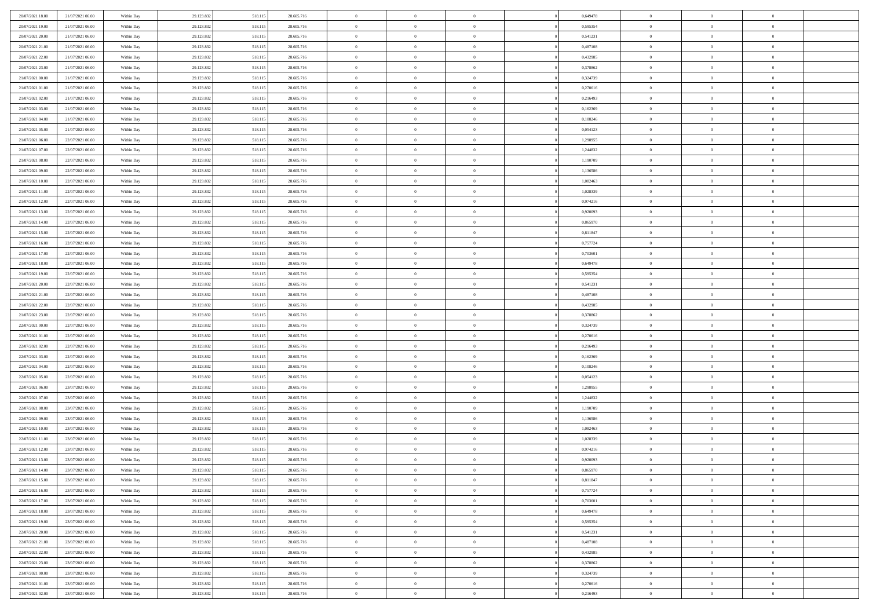| 20/07/2021 18:00 | 21/07/2021 06:00 | Within Day | 29.123.832 | 518.115 | 28.605.716 | $\,$ 0         | $\overline{0}$ | $\theta$       |          | 0,649478 | $\bf{0}$       | $\overline{0}$ | $\,0\,$        |  |
|------------------|------------------|------------|------------|---------|------------|----------------|----------------|----------------|----------|----------|----------------|----------------|----------------|--|
| 20/07/2021 19:00 | 21/07/2021 06:00 | Within Day | 29.123.832 | 518.115 | 28.605.716 | $\overline{0}$ | $\overline{0}$ | $\overline{0}$ |          | 0.595354 | $\theta$       | $\overline{0}$ | $\theta$       |  |
| 20/07/2021 20:00 | 21/07/2021 06:00 | Within Dav | 29.123.832 | 518.115 | 28.605.716 | $\mathbf{0}$   | $\overline{0}$ | $\overline{0}$ |          | 0,541231 | $\mathbf{0}$   | $\overline{0}$ | $\overline{0}$ |  |
| 20/07/2021 21:00 | 21/07/2021 06:00 | Within Day | 29.123.832 | 518.115 | 28.605.716 | $\bf{0}$       | $\overline{0}$ | $\overline{0}$ |          | 0,487108 | $\bf{0}$       | $\overline{0}$ | $\bf{0}$       |  |
| 20/07/2021 22:00 | 21/07/2021 06:00 | Within Day | 29.123.832 | 518.115 | 28.605.716 | $\bf{0}$       | $\overline{0}$ | $\overline{0}$ |          | 0,432985 | $\bf{0}$       | $\overline{0}$ | $\,0\,$        |  |
| 20/07/2021 23:00 | 21/07/2021 06:00 | Within Dav | 29.123.832 | 518.115 | 28.605.716 | $\overline{0}$ | $\overline{0}$ | $\overline{0}$ |          | 0,378862 | $\mathbf{0}$   | $\overline{0}$ | $\overline{0}$ |  |
| 21/07/2021 00:00 | 21/07/2021 06:00 | Within Day | 29.123.832 | 518.115 | 28.605.716 | $\bf{0}$       | $\overline{0}$ | $\overline{0}$ |          | 0,324739 | $\bf{0}$       | $\overline{0}$ | $\bf{0}$       |  |
| 21/07/2021 01:00 | 21/07/2021 06:00 | Within Day | 29.123.832 | 518.115 | 28.605.716 | $\overline{0}$ | $\overline{0}$ | $\overline{0}$ |          | 0,270616 | $\,$ 0 $\,$    | $\overline{0}$ | $\theta$       |  |
| 21/07/2021 02:00 | 21/07/2021 06:00 | Within Dav | 29.123.832 | 518.115 | 28.605.716 | $\overline{0}$ | $\overline{0}$ | $\overline{0}$ |          | 0,216493 | $\mathbf{0}$   | $\overline{0}$ | $\overline{0}$ |  |
| 21/07/2021 03:00 | 21/07/2021 06:00 | Within Day | 29.123.832 | 518.115 | 28.605.716 | $\bf{0}$       | $\overline{0}$ | $\overline{0}$ |          | 0,162369 | $\bf{0}$       | $\overline{0}$ | $\,0\,$        |  |
| 21/07/2021 04:00 | 21/07/2021 06:00 | Within Day | 29.123.832 | 518.115 | 28.605.716 | $\bf{0}$       | $\overline{0}$ | $\overline{0}$ |          | 0.108246 | $\bf{0}$       | $\overline{0}$ | $\theta$       |  |
| 21/07/2021 05:00 | 21/07/2021 06:00 | Within Dav | 29.123.832 | 518.115 | 28.605.716 | $\mathbf{0}$   | $\overline{0}$ | $\overline{0}$ |          | 0,054123 | $\mathbf{0}$   | $\overline{0}$ | $\overline{0}$ |  |
| 21/07/2021 06:00 | 22/07/2021 06:00 | Within Day | 29.123.832 | 518.115 | 28.605.716 | $\bf{0}$       | $\overline{0}$ | $\bf{0}$       |          | 1,298955 | $\bf{0}$       | $\overline{0}$ | $\overline{0}$ |  |
| 21/07/2021 07:00 | 22/07/2021 06:00 | Within Day | 29.123.832 | 518.115 | 28.605.716 | $\bf{0}$       | $\overline{0}$ | $\overline{0}$ |          | 1,244832 | $\bf{0}$       | $\overline{0}$ | $\bf{0}$       |  |
| 21/07/2021 08:00 | 22/07/2021 06:00 | Within Dav | 29.123.832 | 518.115 | 28.605.716 | $\overline{0}$ | $\overline{0}$ | $\overline{0}$ |          | 1,190709 | $\mathbf{0}$   | $\overline{0}$ | $\overline{0}$ |  |
| 21/07/2021 09:00 | 22/07/2021 06:00 | Within Day | 29.123.832 | 518.115 | 28.605.716 | $\bf{0}$       | $\overline{0}$ | $\overline{0}$ |          | 1,136586 | $\bf{0}$       | $\overline{0}$ | $\bf{0}$       |  |
| 21/07/2021 10:00 | 22/07/2021 06:00 | Within Day | 29.123.832 | 518.115 | 28.605.716 | $\bf{0}$       | $\overline{0}$ | $\overline{0}$ |          | 1,082463 | $\bf{0}$       | $\overline{0}$ | $\theta$       |  |
| 21/07/2021 11:00 | 22/07/2021 06:00 | Within Day | 29.123.832 | 518.115 | 28.605.716 | $\mathbf{0}$   | $\overline{0}$ | $\overline{0}$ |          | 1,028339 | $\mathbf{0}$   | $\overline{0}$ | $\overline{0}$ |  |
| 21/07/2021 12:00 | 22/07/2021 06:00 | Within Day | 29.123.832 | 518.115 | 28.605.716 | $\bf{0}$       | $\overline{0}$ | $\overline{0}$ |          | 0,974216 | $\bf{0}$       | $\overline{0}$ | $\,0\,$        |  |
| 21/07/2021 13:00 | 22/07/2021 06:00 | Within Day | 29.123.832 | 518.115 | 28.605.716 | $\bf{0}$       | $\overline{0}$ | $\overline{0}$ |          | 0,920093 | $\bf{0}$       | $\overline{0}$ | $\overline{0}$ |  |
| 21/07/2021 14:00 | 22/07/2021 06:00 | Within Dav | 29.123.832 | 518.115 | 28.605.716 | $\overline{0}$ | $\overline{0}$ | $\overline{0}$ |          | 0,865970 | $\mathbf{0}$   | $\overline{0}$ | $\overline{0}$ |  |
| 21/07/2021 15:00 | 22/07/2021 06:00 | Within Day | 29.123.832 | 518.115 | 28.605.716 | $\bf{0}$       | $\overline{0}$ | $\overline{0}$ |          | 0,811847 | $\bf{0}$       | $\overline{0}$ | $\bf{0}$       |  |
| 21/07/2021 16:00 | 22/07/2021 06:00 | Within Day | 29.123.832 | 518.115 | 28.605.716 | $\bf{0}$       | $\overline{0}$ | $\overline{0}$ |          | 0,757724 | $\,$ 0 $\,$    | $\overline{0}$ | $\bf{0}$       |  |
| 21/07/2021 17:00 | 22/07/2021 06:00 | Within Dav | 29.123.832 | 518.115 | 28.605.716 | $\mathbf{0}$   | $\overline{0}$ | $\overline{0}$ |          | 0,703601 | $\mathbf{0}$   | $\overline{0}$ | $\overline{0}$ |  |
| 21/07/2021 18:00 | 22/07/2021 06:00 | Within Day | 29.123.832 | 518.115 | 28.605.716 | $\bf{0}$       | $\overline{0}$ | $\overline{0}$ |          | 0,649478 | $\bf{0}$       | $\overline{0}$ | $\bf{0}$       |  |
| 21/07/2021 19:00 | 22/07/2021 06:00 | Within Day | 29.123.832 | 518.115 | 28.605.716 | $\bf{0}$       | $\overline{0}$ | $\overline{0}$ |          | 0,595354 | $\bf{0}$       | $\mathbf{0}$   | $\overline{0}$ |  |
| 21/07/2021 20:00 | 22/07/2021 06:00 | Within Dav | 29.123.832 | 518.115 | 28.605.716 | $\overline{0}$ | $\overline{0}$ | $\overline{0}$ |          | 0,541231 | $\mathbf{0}$   | $\overline{0}$ | $\overline{0}$ |  |
| 21/07/2021 21:00 | 22/07/2021 06:00 | Within Day | 29.123.832 | 518.115 | 28.605.716 | $\bf{0}$       | $\overline{0}$ | $\overline{0}$ |          | 0,487108 | $\bf{0}$       | $\overline{0}$ | $\bf{0}$       |  |
| 21/07/2021 22:00 | 22/07/2021 06:00 | Within Day | 29.123.832 | 518.115 | 28.605.716 | $\bf{0}$       | $\overline{0}$ | $\overline{0}$ |          | 0,432985 | $\bf{0}$       | $\bf{0}$       | $\overline{0}$ |  |
| 21/07/2021 23:00 | 22/07/2021 06:00 | Within Dav | 29.123.832 | 518.115 | 28.605.716 | $\mathbf{0}$   | $\overline{0}$ | $\overline{0}$ |          | 0,378862 | $\mathbf{0}$   | $\overline{0}$ | $\overline{0}$ |  |
| 22/07/2021 00:00 | 22/07/2021 06:00 | Within Day | 29.123.832 | 518.115 | 28.605.716 | $\bf{0}$       | $\overline{0}$ | $\theta$       |          | 0,324739 | $\,$ 0         | $\overline{0}$ | $\theta$       |  |
| 22/07/2021 01:00 | 22/07/2021 06:00 | Within Day | 29.123.832 | 518.115 | 28.605.716 | $\bf{0}$       | $\overline{0}$ | $\overline{0}$ |          | 0,270616 | $\bf{0}$       | $\overline{0}$ | $\overline{0}$ |  |
| 22/07/2021 02:00 | 22/07/2021 06:00 | Within Dav | 29.123.832 | 518.115 | 28.605.716 | $\overline{0}$ | $\overline{0}$ | $\overline{0}$ |          | 0,216493 | $\mathbf{0}$   | $\overline{0}$ | $\overline{0}$ |  |
| 22/07/2021 03:00 | 22/07/2021 06:00 | Within Day | 29.123.832 | 518.115 | 28.605.716 | $\bf{0}$       | $\overline{0}$ | $\theta$       |          | 0,162369 | $\,$ 0         | $\overline{0}$ | $\theta$       |  |
| 22/07/2021 04:00 | 22/07/2021 06:00 | Within Day | 29.123.832 | 518.115 | 28.605.716 | $\bf{0}$       | $\overline{0}$ | $\overline{0}$ |          | 0,108246 | $\bf{0}$       | $\overline{0}$ | $\overline{0}$ |  |
| 22/07/2021 05:00 | 22/07/2021 06:00 | Within Day | 29.123.832 | 518.115 | 28.605.716 | $\mathbf{0}$   | $\overline{0}$ | $\overline{0}$ |          | 0,054123 | $\mathbf{0}$   | $\overline{0}$ | $\overline{0}$ |  |
| 22/07/2021 06:00 | 23/07/2021 06:00 | Within Day | 29.123.832 | 518.115 | 28.605.716 | $\bf{0}$       | $\overline{0}$ | $\theta$       |          | 1,298955 | $\,$ 0         | $\overline{0}$ | $\theta$       |  |
| 22/07/2021 07:00 | 23/07/2021 06:00 | Within Day | 29.123.832 | 518.115 | 28.605.716 | $\bf{0}$       | $\overline{0}$ | $\overline{0}$ |          | 1,244832 | $\bf{0}$       | $\bf{0}$       | $\bf{0}$       |  |
| 22/07/2021 08:00 | 23/07/2021 06:00 | Within Dav | 29.123.832 | 518.115 | 28.605.716 | $\mathbf{0}$   | $\overline{0}$ | $\overline{0}$ |          | 1,190709 | $\mathbf{0}$   | $\overline{0}$ | $\overline{0}$ |  |
| 22/07/2021 09:00 | 23/07/2021 06:00 | Within Day | 29.123.832 | 518.115 | 28.605.716 | $\,0\,$        | $\overline{0}$ | $\theta$       |          | 1,136586 | $\,$ 0         | $\overline{0}$ | $\theta$       |  |
| 22/07/2021 10:00 | 23/07/2021 06:00 | Within Day | 29.123.832 | 518.115 | 28.605.716 | $\bf{0}$       | $\overline{0}$ | $\overline{0}$ |          | 1,082463 | $\bf{0}$       | $\overline{0}$ | $\bf{0}$       |  |
| 22/07/2021 11:00 | 23/07/2021 06:00 | Within Dav | 29.123.832 | 518.115 | 28.605.716 | $\mathbf{0}$   | $\overline{0}$ | $\overline{0}$ |          | 1,028339 | $\mathbf{0}$   | $\overline{0}$ | $\overline{0}$ |  |
| 22/07/2021 12:00 | 23/07/2021 06:00 | Within Day | 29.123.832 | 518.115 | 28.605.716 | $\bf{0}$       | $\overline{0}$ | $\theta$       |          | 0,974216 | $\,$ 0         | $\overline{0}$ | $\theta$       |  |
| 22/07/2021 13:00 | 23/07/2021 06:00 | Within Day | 29.123.832 | 518.115 | 28.605.716 | $\bf{0}$       | $\overline{0}$ | $\overline{0}$ |          | 0,920093 | $\,$ 0 $\,$    | $\overline{0}$ | $\bf{0}$       |  |
| 22/07/2021 14:00 | 23/07/2021 06:00 | Within Day | 29.123.832 | 518.115 | 28.605.716 | $\bf{0}$       | $\overline{0}$ | $\Omega$       |          | 0,865970 | $\overline{0}$ | $\theta$       | $\theta$       |  |
| 22/07/2021 15:00 | 23/07/2021 06:00 | Within Day | 29.123.832 | 518.115 | 28.605.716 | $\,0\,$        | $\overline{0}$ | $\theta$       |          | 0,811847 | $\,$ 0 $\,$    | $\bf{0}$       | $\theta$       |  |
| 22/07/2021 16:00 | 23/07/2021 06:00 | Within Day | 29.123.832 | 518.115 | 28.605.716 | $\overline{0}$ | $\overline{0}$ | $\overline{0}$ |          | 0,757724 | $\overline{0}$ | $\overline{0}$ | $\overline{0}$ |  |
| 22/07/2021 17:00 | 23/07/2021 06:00 | Within Day | 29.123.832 | 518.115 | 28.605.716 | $\bf{0}$       | $\overline{0}$ | $\overline{0}$ |          | 0,703601 | $\overline{0}$ | $\bf{0}$       | $\mathbf{0}$   |  |
| 22/07/2021 18:00 | 23/07/2021 06:00 | Within Day | 29.123.832 | 518.115 | 28.605.716 | $\bf{0}$       | $\overline{0}$ | $\overline{0}$ | $\theta$ | 0,649478 | $\mathbf{0}$   | $\bf{0}$       | $\,$ 0 $\,$    |  |
| 22/07/2021 19:00 | 23/07/2021 06:00 | Within Day | 29.123.832 | 518.115 | 28.605.716 | $\bf{0}$       | $\overline{0}$ | $\overline{0}$ |          | 0,595354 | $\,$ 0 $\,$    | $\overline{0}$ | $\overline{0}$ |  |
| 22/07/2021 20:00 | 23/07/2021 06:00 | Within Day | 29.123.832 | 518.115 | 28.605.716 | $\bf{0}$       | $\overline{0}$ | $\overline{0}$ |          | 0,541231 | $\mathbf{0}$   | $\overline{0}$ | $\overline{0}$ |  |
| 22/07/2021 21:00 | 23/07/2021 06:00 | Within Day | 29.123.832 | 518.115 | 28.605.716 | $\,$ 0 $\,$    | $\overline{0}$ | $\overline{0}$ | $\theta$ | 0,487108 | $\,$ 0 $\,$    | $\overline{0}$ | $\,$ 0 $\,$    |  |
| 22/07/2021 22:00 | 23/07/2021 06:00 | Within Day | 29.123.832 | 518.115 | 28.605.716 | $\bf{0}$       | $\overline{0}$ | $\overline{0}$ |          | 0,432985 | $\overline{0}$ | $\overline{0}$ | $\overline{0}$ |  |
| 22/07/2021 23:00 | 23/07/2021 06:00 | Within Day | 29.123.832 | 518.115 | 28.605.716 | $\bf{0}$       | $\overline{0}$ | $\overline{0}$ |          | 0,378862 | $\mathbf{0}$   | $\bf{0}$       | $\overline{0}$ |  |
| 23/07/2021 00:00 | 23/07/2021 06:00 | Within Day | 29.123.832 | 518.115 | 28.605.716 | $\,0\,$        | $\overline{0}$ | $\overline{0}$ |          | 0,324739 | $\,$ 0 $\,$    | $\overline{0}$ | $\,$ 0 $\,$    |  |
| 23/07/2021 01:00 | 23/07/2021 06:00 | Within Day | 29.123.832 | 518.115 | 28.605.716 | $\bf{0}$       | $\overline{0}$ | $\overline{0}$ |          | 0,270616 | $\bf{0}$       | $\mathbf{0}$   | $\overline{0}$ |  |
| 23/07/2021 02:00 | 23/07/2021 06:00 | Within Day | 29.123.832 | 518.115 | 28.605.716 | $\bf{0}$       | $\overline{0}$ | $\overline{0}$ |          | 0,216493 | $\mathbf{0}$   | $\overline{0}$ | $\overline{0}$ |  |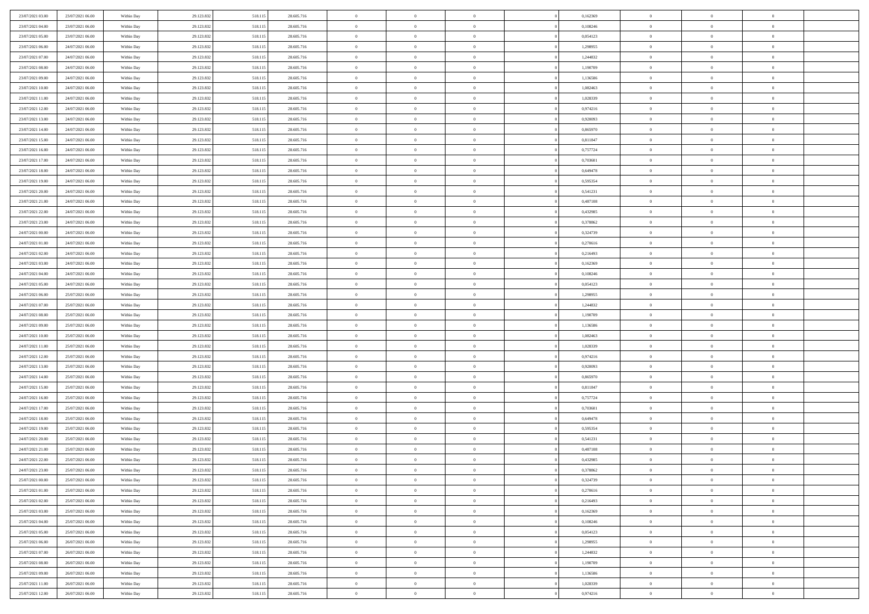| 23/07/2021 03:00 | 23/07/2021 06:00 | Within Day | 29.123.832 | 518.115 | 28.605.716 | $\,$ 0         | $\overline{0}$ | $\theta$       |          | 0,162369 | $\bf{0}$       | $\overline{0}$ | $\,0\,$        |  |
|------------------|------------------|------------|------------|---------|------------|----------------|----------------|----------------|----------|----------|----------------|----------------|----------------|--|
| 23/07/2021 04:00 | 23/07/2021 06:00 | Within Day | 29.123.832 | 518.115 | 28.605.716 | $\overline{0}$ | $\overline{0}$ | $\overline{0}$ |          | 0.108246 | $\theta$       | $\overline{0}$ | $\theta$       |  |
| 23/07/2021 05:00 | 23/07/2021 06:00 | Within Dav | 29.123.832 | 518.115 | 28.605.716 | $\mathbf{0}$   | $\overline{0}$ | $\overline{0}$ |          | 0,054123 | $\mathbf{0}$   | $\overline{0}$ | $\overline{0}$ |  |
| 23/07/2021 06:00 | 24/07/2021 06:00 | Within Day | 29.123.832 | 518.115 | 28.605.716 | $\bf{0}$       | $\overline{0}$ | $\overline{0}$ |          | 1,298955 | $\bf{0}$       | $\overline{0}$ | $\bf{0}$       |  |
| 23/07/2021 07:00 | 24/07/2021 06:00 | Within Day | 29.123.832 | 518.115 | 28.605.716 | $\bf{0}$       | $\overline{0}$ | $\overline{0}$ |          | 1,244832 | $\bf{0}$       | $\bf{0}$       | $\,0\,$        |  |
| 23/07/2021 08:00 | 24/07/2021 06:00 | Within Dav | 29.123.832 | 518.115 | 28.605.716 | $\overline{0}$ | $\overline{0}$ | $\overline{0}$ |          | 1,190709 | $\mathbf{0}$   | $\overline{0}$ | $\overline{0}$ |  |
| 23/07/2021 09:00 | 24/07/2021 06:00 | Within Day | 29.123.832 | 518.115 | 28.605.716 | $\bf{0}$       | $\overline{0}$ | $\overline{0}$ |          | 1,136586 | $\bf{0}$       | $\overline{0}$ | $\bf{0}$       |  |
| 23/07/2021 10:00 | 24/07/2021 06:00 | Within Day | 29.123.832 | 518.115 | 28.605.716 | $\overline{0}$ | $\overline{0}$ | $\overline{0}$ |          | 1,082463 | $\,$ 0 $\,$    | $\overline{0}$ | $\theta$       |  |
| 23/07/2021 11:00 | 24/07/2021 06:00 | Within Dav | 29.123.832 | 518.115 | 28.605.716 | $\overline{0}$ | $\overline{0}$ | $\overline{0}$ |          | 1,028339 | $\mathbf{0}$   | $\overline{0}$ | $\overline{0}$ |  |
| 23/07/2021 12:00 | 24/07/2021 06:00 | Within Day | 29.123.832 | 518.115 | 28.605.716 | $\bf{0}$       | $\overline{0}$ | $\overline{0}$ |          | 0,974216 | $\bf{0}$       | $\overline{0}$ | $\,0\,$        |  |
| 23/07/2021 13:00 | 24/07/2021 06:00 | Within Day | 29.123.832 | 518.115 | 28.605.716 | $\bf{0}$       | $\overline{0}$ | $\overline{0}$ |          | 0,920093 | $\bf{0}$       | $\overline{0}$ | $\theta$       |  |
| 23/07/2021 14:00 | 24/07/2021 06:00 | Within Dav | 29.123.832 | 518.115 | 28.605.716 | $\mathbf{0}$   | $\overline{0}$ | $\overline{0}$ |          | 0,865970 | $\mathbf{0}$   | $\overline{0}$ | $\overline{0}$ |  |
| 23/07/2021 15:00 | 24/07/2021 06:00 | Within Day | 29.123.832 | 518.115 | 28.605.716 | $\bf{0}$       | $\overline{0}$ | $\bf{0}$       |          | 0,811847 | $\bf{0}$       | $\overline{0}$ | $\overline{0}$ |  |
| 23/07/2021 16:00 | 24/07/2021 06:00 | Within Day | 29.123.832 | 518.115 | 28.605.716 | $\bf{0}$       | $\overline{0}$ | $\overline{0}$ |          | 0,757724 | $\bf{0}$       | $\bf{0}$       | $\,0\,$        |  |
| 23/07/2021 17:00 | 24/07/2021 06:00 | Within Dav | 29.123.832 | 518.115 | 28.605.716 | $\overline{0}$ | $\overline{0}$ | $\overline{0}$ |          | 0,703601 | $\mathbf{0}$   | $\overline{0}$ | $\overline{0}$ |  |
| 23/07/2021 18:00 | 24/07/2021 06:00 | Within Day | 29.123.832 | 518.115 | 28.605.716 | $\bf{0}$       | $\overline{0}$ | $\overline{0}$ |          | 0,649478 | $\bf{0}$       | $\overline{0}$ | $\bf{0}$       |  |
| 23/07/2021 19:00 | 24/07/2021 06:00 | Within Day | 29.123.832 | 518.115 | 28.605.716 | $\bf{0}$       | $\overline{0}$ | $\overline{0}$ |          | 0.595354 | $\,$ 0 $\,$    | $\overline{0}$ | $\theta$       |  |
| 23/07/2021 20:00 | 24/07/2021 06:00 | Within Day | 29.123.832 | 518.115 | 28.605.716 | $\mathbf{0}$   | $\overline{0}$ | $\overline{0}$ |          | 0,541231 | $\mathbf{0}$   | $\overline{0}$ | $\overline{0}$ |  |
| 23/07/2021 21:00 | 24/07/2021 06:00 | Within Day | 29.123.832 | 518.115 | 28.605.716 | $\bf{0}$       | $\overline{0}$ | $\overline{0}$ |          | 0,487108 | $\bf{0}$       | $\overline{0}$ | $\,0\,$        |  |
| 23/07/2021 22.00 | 24/07/2021 06:00 | Within Day | 29.123.832 | 518.115 | 28.605.716 | $\bf{0}$       | $\overline{0}$ | $\overline{0}$ |          | 0,432985 | $\bf{0}$       | $\overline{0}$ | $\overline{0}$ |  |
| 23/07/2021 23:00 | 24/07/2021 06:00 | Within Dav | 29.123.832 | 518.115 | 28.605.716 | $\overline{0}$ | $\overline{0}$ | $\overline{0}$ |          | 0,378862 | $\mathbf{0}$   | $\overline{0}$ | $\overline{0}$ |  |
| 24/07/2021 00:00 | 24/07/2021 06:00 | Within Day | 29.123.832 | 518.115 | 28.605.716 | $\bf{0}$       | $\overline{0}$ | $\overline{0}$ |          | 0,324739 | $\bf{0}$       | $\overline{0}$ | $\bf{0}$       |  |
| 24/07/2021 01:00 | 24/07/2021 06:00 | Within Day | 29.123.832 | 518.115 | 28.605.716 | $\bf{0}$       | $\overline{0}$ | $\overline{0}$ |          | 0,270616 | $\bf{0}$       | $\overline{0}$ | $\,0\,$        |  |
| 24/07/2021 02:00 | 24/07/2021 06:00 | Within Dav | 29.123.832 | 518.115 | 28.605.716 | $\mathbf{0}$   | $\overline{0}$ | $\overline{0}$ |          | 0,216493 | $\mathbf{0}$   | $\overline{0}$ | $\overline{0}$ |  |
| 24/07/2021 03:00 | 24/07/2021 06:00 | Within Day | 29.123.832 | 518.115 | 28.605.716 | $\bf{0}$       | $\overline{0}$ | $\overline{0}$ |          | 0,162369 | $\bf{0}$       | $\overline{0}$ | $\bf{0}$       |  |
| 24/07/2021 04:00 | 24/07/2021 06:00 | Within Day | 29.123.832 | 518.115 | 28.605.716 | $\bf{0}$       | $\overline{0}$ | $\overline{0}$ |          | 0,108246 | $\bf{0}$       | $\mathbf{0}$   | $\overline{0}$ |  |
| 24/07/2021 05:00 | 24/07/2021 06:00 | Within Dav | 29.123.832 | 518.115 | 28.605.716 | $\overline{0}$ | $\overline{0}$ | $\overline{0}$ |          | 0,054123 | $\mathbf{0}$   | $\overline{0}$ | $\overline{0}$ |  |
| 24/07/2021 06:00 | 25/07/2021 06:00 | Within Day | 29.123.832 | 518.115 | 28.605.716 | $\bf{0}$       | $\bf{0}$       | $\overline{0}$ |          | 1,298955 | $\bf{0}$       | $\overline{0}$ | $\,0\,$        |  |
| 24/07/2021 07:00 | 25/07/2021 06:00 | Within Day | 29.123.832 | 518.115 | 28.605.716 | $\bf{0}$       | $\overline{0}$ | $\overline{0}$ |          | 1,244832 | $\bf{0}$       | $\overline{0}$ | $\bf{0}$       |  |
| 24/07/2021 08:00 | 25/07/2021 06:00 | Within Dav | 29.123.832 | 518.115 | 28.605.716 | $\mathbf{0}$   | $\overline{0}$ | $\overline{0}$ |          | 1,190709 | $\mathbf{0}$   | $\overline{0}$ | $\overline{0}$ |  |
| 24/07/2021 09:00 | 25/07/2021 06:00 | Within Day | 29.123.832 | 518.115 | 28.605.716 | $\bf{0}$       | $\overline{0}$ | $\theta$       |          | 1,136586 | $\,$ 0         | $\overline{0}$ | $\theta$       |  |
| 24/07/2021 10:00 | 25/07/2021 06:00 | Within Day | 29.123.832 | 518.115 | 28.605.716 | $\bf{0}$       | $\bf{0}$       | $\overline{0}$ |          | 1,082463 | $\bf{0}$       | $\overline{0}$ | $\bf{0}$       |  |
| 24/07/2021 11:00 | 25/07/2021 06:00 | Within Dav | 29.123.832 | 518.115 | 28.605.716 | $\overline{0}$ | $\overline{0}$ | $\overline{0}$ |          | 1,028339 | $\mathbf{0}$   | $\overline{0}$ | $\overline{0}$ |  |
| 24/07/2021 12:00 | 25/07/2021 06:00 | Within Day | 29.123.832 | 518.115 | 28.605.716 | $\bf{0}$       | $\overline{0}$ | $\theta$       |          | 0,974216 | $\,$ 0         | $\overline{0}$ | $\theta$       |  |
| 24/07/2021 13:00 | 25/07/2021 06:00 | Within Day | 29.123.832 | 518.115 | 28.605.716 | $\overline{0}$ | $\overline{0}$ | $\overline{0}$ |          | 0,920093 | $\bf{0}$       | $\overline{0}$ | $\overline{0}$ |  |
| 24/07/2021 14:00 | 25/07/2021 06:00 | Within Day | 29.123.832 | 518.115 | 28.605.716 | $\mathbf{0}$   | $\overline{0}$ | $\overline{0}$ |          | 0,865970 | $\mathbf{0}$   | $\overline{0}$ | $\overline{0}$ |  |
| 24/07/2021 15:00 | 25/07/2021 06:00 | Within Day | 29.123.832 | 518.115 | 28.605.716 | $\bf{0}$       | $\overline{0}$ | $\theta$       |          | 0,811847 | $\,$ 0         | $\overline{0}$ | $\theta$       |  |
| 24/07/2021 16:00 | 25/07/2021 06:00 | Within Day | 29.123.832 | 518.115 | 28.605.716 | $\bf{0}$       | $\overline{0}$ | $\overline{0}$ |          | 0,757724 | $\bf{0}$       | $\overline{0}$ | $\overline{0}$ |  |
| 24/07/2021 17:00 | 25/07/2021 06:00 | Within Dav | 29.123.832 | 518.115 | 28.605.716 | $\mathbf{0}$   | $\overline{0}$ | $\overline{0}$ |          | 0,703601 | $\mathbf{0}$   | $\overline{0}$ | $\overline{0}$ |  |
| 24/07/2021 18:00 | 25/07/2021 06:00 | Within Day | 29.123.832 | 518.115 | 28.605.716 | $\,0\,$        | $\overline{0}$ | $\theta$       |          | 0,649478 | $\,$ 0         | $\overline{0}$ | $\theta$       |  |
| 24/07/2021 19:00 | 25/07/2021 06:00 | Within Day | 29.123.832 | 518.115 | 28.605.716 | $\bf{0}$       | $\overline{0}$ | $\overline{0}$ |          | 0,595354 | $\bf{0}$       | $\overline{0}$ | $\overline{0}$ |  |
| 24/07/2021 20:00 | 25/07/2021 06:00 | Within Dav | 29.123.832 | 518.115 | 28.605.716 | $\mathbf{0}$   | $\overline{0}$ | $\overline{0}$ |          | 0,541231 | $\mathbf{0}$   | $\overline{0}$ | $\overline{0}$ |  |
| 24/07/2021 21:00 | 25/07/2021 06:00 | Within Day | 29.123.832 | 518.115 | 28.605.716 | $\bf{0}$       | $\overline{0}$ | $\theta$       |          | 0,487108 | $\,$ 0         | $\overline{0}$ | $\theta$       |  |
| 24/07/2021 22.00 | 25/07/2021 06:00 | Within Day | 29.123.832 | 518.115 | 28.605.716 | $\bf{0}$       | $\overline{0}$ | $\overline{0}$ |          | 0,432985 | $\bf{0}$       | $\overline{0}$ | $\overline{0}$ |  |
| 24/07/2021 23:00 | 25/07/2021 06:00 | Within Day | 29.123.832 | 518.115 | 28.605.716 | $\bf{0}$       | $\overline{0}$ | $\Omega$       |          | 0,378862 | $\overline{0}$ | $\theta$       | $\theta$       |  |
| 25/07/2021 00:00 | 25/07/2021 06:00 | Within Day | 29.123.832 | 518.115 | 28.605.716 | $\,0\,$        | $\overline{0}$ | $\theta$       |          | 0,324739 | $\,$ 0 $\,$    | $\bf{0}$       | $\theta$       |  |
| 25/07/2021 01:00 | 25/07/2021 06:00 | Within Day | 29.123.832 | 518.115 | 28.605.716 | $\overline{0}$ | $\overline{0}$ | $\overline{0}$ |          | 0,270616 | $\overline{0}$ | $\overline{0}$ | $\overline{0}$ |  |
| 25/07/2021 02:00 | 25/07/2021 06:00 | Within Day | 29.123.832 | 518.115 | 28.605.716 | $\bf{0}$       | $\overline{0}$ | $\overline{0}$ |          | 0,216493 | $\overline{0}$ | $\bf{0}$       | $\mathbf{0}$   |  |
| 25/07/2021 03:00 | 25/07/2021 06:00 | Within Day | 29.123.832 | 518.115 | 28.605.716 | $\bf{0}$       | $\overline{0}$ | $\overline{0}$ | $\theta$ | 0,162369 | $\,$ 0 $\,$    | $\bf{0}$       | $\,$ 0 $\,$    |  |
| 25/07/2021 04:00 | 25/07/2021 06:00 | Within Day | 29.123.832 | 518.115 | 28.605.716 | $\bf{0}$       | $\overline{0}$ | $\overline{0}$ |          | 0,108246 | $\,$ 0 $\,$    | $\overline{0}$ | $\overline{0}$ |  |
| 25/07/2021 05:00 | 25/07/2021 06:00 | Within Day | 29.123.832 | 518.115 | 28.605.716 | $\bf{0}$       | $\overline{0}$ | $\overline{0}$ |          | 0,054123 | $\mathbf{0}$   | $\overline{0}$ | $\overline{0}$ |  |
| 25/07/2021 06:00 | 26/07/2021 06:00 | Within Day | 29.123.832 | 518.115 | 28.605.716 | $\,$ 0 $\,$    | $\overline{0}$ | $\overline{0}$ | $\theta$ | 1,298955 | $\,$ 0 $\,$    | $\overline{0}$ | $\,$ 0 $\,$    |  |
| 25/07/2021 07:00 | 26/07/2021 06:00 | Within Day | 29.123.832 | 518.115 | 28.605.716 | $\bf{0}$       | $\overline{0}$ | $\overline{0}$ |          | 1,244832 | $\overline{0}$ | $\overline{0}$ | $\overline{0}$ |  |
| 25/07/2021 08:00 | 26/07/2021 06:00 | Within Day | 29.123.832 | 518.115 | 28.605.716 | $\bf{0}$       | $\overline{0}$ | $\overline{0}$ |          | 1,190709 | $\mathbf{0}$   | $\bf{0}$       | $\overline{0}$ |  |
| 25/07/2021 09:00 | 26/07/2021 06:00 | Within Day | 29.123.832 | 518.115 | 28.605.716 | $\,0\,$        | $\overline{0}$ | $\overline{0}$ |          | 1,136586 | $\,$ 0 $\,$    | $\overline{0}$ | $\,$ 0 $\,$    |  |
| 25/07/2021 11:00 | 26/07/2021 06:00 | Within Day | 29.123.832 | 518.115 | 28.605.716 | $\bf{0}$       | $\overline{0}$ | $\overline{0}$ |          | 1,028339 | $\bf{0}$       | $\mathbf{0}$   | $\overline{0}$ |  |
| 25/07/2021 12:00 | 26/07/2021 06:00 | Within Day | 29.123.832 | 518.115 | 28.605.716 | $\bf{0}$       | $\overline{0}$ | $\overline{0}$ |          | 0,974216 | $\mathbf{0}$   | $\overline{0}$ | $\overline{0}$ |  |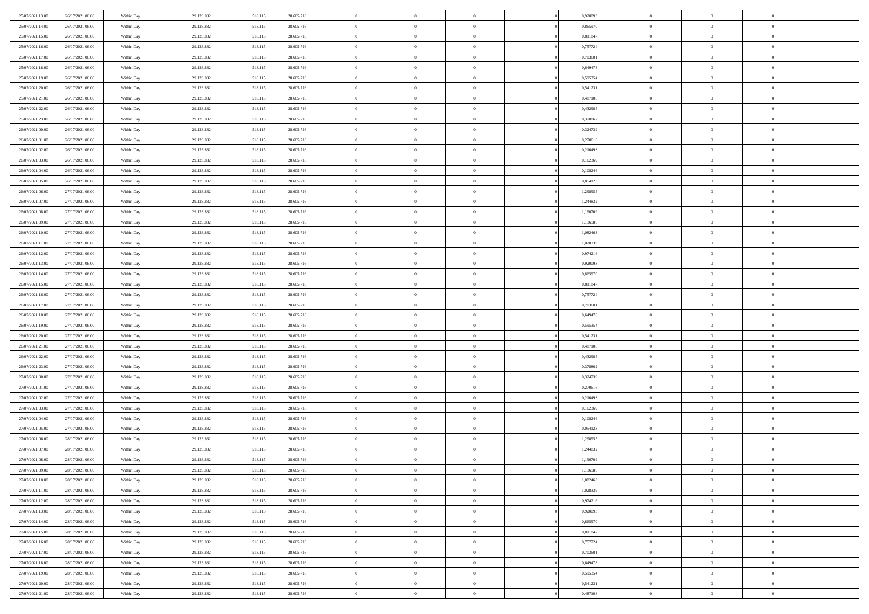| 25/07/2021 13:00                     | 26/07/2021 06:00                     | Within Day               | 29.123.832               | 518.115            | 28.605.716               | $\,$ 0                  | $\overline{0}$                   | $\theta$                         |          | 0,920093             | $\bf{0}$                      | $\overline{0}$                   | $\,0\,$                          |  |
|--------------------------------------|--------------------------------------|--------------------------|--------------------------|--------------------|--------------------------|-------------------------|----------------------------------|----------------------------------|----------|----------------------|-------------------------------|----------------------------------|----------------------------------|--|
| 25/07/2021 14:00                     | 26/07/2021 06:00                     | Within Day               | 29.123.832               | 518.115            | 28.605.716               | $\overline{0}$          | $\overline{0}$                   | $\overline{0}$                   |          | 0.865970             | $\theta$                      | $\overline{0}$                   | $\theta$                         |  |
| 25/07/2021 15:00                     | 26/07/2021 06:00                     | Within Dav               | 29.123.832               | 518.115            | 28.605.716               | $\mathbf{0}$            | $\overline{0}$                   | $\overline{0}$                   |          | 0,811847             | $\mathbf{0}$                  | $\overline{0}$                   | $\overline{0}$                   |  |
| 25/07/2021 16:00                     | 26/07/2021 06:00                     | Within Day               | 29.123.832               | 518.115            | 28.605.716               | $\bf{0}$                | $\overline{0}$                   | $\overline{0}$                   |          | 0,757724             | $\bf{0}$                      | $\overline{0}$                   | $\bf{0}$                         |  |
| 25/07/2021 17:00                     | 26/07/2021 06:00                     | Within Day               | 29.123.832               | 518.115            | 28.605.716               | $\bf{0}$                | $\overline{0}$                   | $\overline{0}$                   |          | 0,703601             | $\bf{0}$                      | $\overline{0}$                   | $\,0\,$                          |  |
| 25/07/2021 18:00                     | 26/07/2021 06:00                     | Within Dav               | 29.123.832               | 518.115            | 28.605.716               | $\overline{0}$          | $\overline{0}$                   | $\overline{0}$                   |          | 0,649478             | $\mathbf{0}$                  | $\overline{0}$                   | $\overline{0}$                   |  |
| 25/07/2021 19:00                     | 26/07/2021 06:00                     | Within Day               | 29.123.832               | 518.115            | 28.605.716               | $\bf{0}$                | $\overline{0}$                   | $\overline{0}$                   |          | 0,595354             | $\bf{0}$                      | $\overline{0}$                   | $\bf{0}$                         |  |
| 25/07/2021 20:00                     | 26/07/2021 06:00                     | Within Day               | 29.123.832               | 518.115            | 28.605.716               | $\overline{0}$          | $\overline{0}$                   | $\overline{0}$                   |          | 0,541231             | $\,$ 0 $\,$                   | $\overline{0}$                   | $\theta$                         |  |
| 25/07/2021 21:00                     | 26/07/2021 06:00                     | Within Dav               | 29.123.832               | 518.115            | 28.605.716               | $\overline{0}$          | $\overline{0}$                   | $\overline{0}$                   |          | 0,487108             | $\mathbf{0}$                  | $\overline{0}$                   | $\overline{0}$                   |  |
| 25/07/2021 22:00                     | 26/07/2021 06:00                     | Within Day               | 29.123.832               | 518.115            | 28.605.716               | $\bf{0}$                | $\overline{0}$                   | $\overline{0}$                   |          | 0,432985             | $\bf{0}$                      | $\overline{0}$                   | $\,0\,$                          |  |
| 25/07/2021 23.00                     | 26/07/2021 06:00                     | Within Day               | 29.123.832               | 518.115            | 28.605.716               | $\bf{0}$                | $\overline{0}$                   | $\overline{0}$                   |          | 0,378862             | $\bf{0}$                      | $\overline{0}$                   | $\theta$                         |  |
| 26/07/2021 00:00                     | 26/07/2021 06:00                     | Within Dav               | 29.123.832               | 518.115            | 28.605.716               | $\mathbf{0}$            | $\overline{0}$                   | $\overline{0}$                   |          | 0,324739             | $\mathbf{0}$                  | $\overline{0}$                   | $\overline{0}$                   |  |
| 26/07/2021 01:00                     | 26/07/2021 06:00                     | Within Day               | 29.123.832               | 518.115            | 28.605.716               | $\bf{0}$                | $\overline{0}$                   | $\bf{0}$                         |          | 0,270616             | $\bf{0}$                      | $\overline{0}$                   | $\bf{0}$                         |  |
| 26/07/2021 02:00                     | 26/07/2021 06:00                     | Within Day               | 29.123.832               | 518.115            | 28.605.716               | $\bf{0}$                | $\overline{0}$                   | $\overline{0}$                   |          | 0,216493             | $\bf{0}$                      | $\overline{0}$                   | $\,0\,$                          |  |
| 26/07/2021 03:00                     | 26/07/2021 06:00                     | Within Dav               | 29.123.832               | 518.115            | 28.605.716               | $\overline{0}$          | $\overline{0}$                   | $\overline{0}$                   |          | 0,162369             | $\mathbf{0}$                  | $\overline{0}$                   | $\overline{0}$                   |  |
| 26/07/2021 04:00                     | 26/07/2021 06:00                     | Within Day               | 29.123.832               | 518.115            | 28.605.716               | $\bf{0}$                | $\bf{0}$                         | $\overline{0}$                   |          | 0,108246             | $\bf{0}$                      | $\overline{0}$                   | $\bf{0}$                         |  |
| 26/07/2021 05:00                     | 26/07/2021 06:00                     | Within Day               | 29.123.832               | 518.115            | 28.605.716               | $\bf{0}$                | $\overline{0}$                   | $\overline{0}$                   |          | 0,054123             | $\bf{0}$                      | $\overline{0}$                   | $\theta$                         |  |
| 26/07/2021 06:00                     | 27/07/2021 06:00                     | Within Day               | 29.123.832               | 518.115            | 28.605.716               | $\mathbf{0}$            | $\overline{0}$                   | $\overline{0}$                   |          | 1,298955             | $\mathbf{0}$                  | $\overline{0}$                   | $\overline{0}$                   |  |
| 26/07/2021 07:00                     | 27/07/2021 06:00                     | Within Day               | 29.123.832               | 518.115            | 28.605.716               | $\bf{0}$                | $\bf{0}$                         | $\overline{0}$                   |          | 1,244832             | $\bf{0}$                      | $\overline{0}$                   | $\,0\,$                          |  |
| 26/07/2021 08:00                     | 27/07/2021 06:00                     | Within Day               | 29.123.832               | 518.115            | 28.605.716               | $\bf{0}$                | $\overline{0}$                   | $\overline{0}$                   |          | 1,190709             | $\bf{0}$                      | $\overline{0}$                   | $\bf{0}$                         |  |
| 26/07/2021 09:00                     | 27/07/2021 06:00                     | Within Dav               | 29.123.832               | 518.115            | 28.605.716               | $\overline{0}$          | $\overline{0}$                   | $\overline{0}$                   |          | 1,136586             | $\mathbf{0}$                  | $\overline{0}$                   | $\overline{0}$                   |  |
| 26/07/2021 10:00                     | 27/07/2021 06:00                     | Within Day               | 29.123.832               | 518.115            | 28.605.716               | $\bf{0}$                | $\overline{0}$                   | $\overline{0}$                   |          | 1,082463             | $\bf{0}$                      | $\overline{0}$                   | $\bf{0}$                         |  |
| 26/07/2021 11:00                     | 27/07/2021 06:00                     | Within Day               | 29.123.832               | 518.115            | 28.605.716               | $\bf{0}$                | $\bf{0}$                         | $\overline{0}$                   |          | 1,028339             | $\bf{0}$                      | $\overline{0}$                   | $\,0\,$                          |  |
| 26/07/2021 12:00                     | 27/07/2021 06:00                     | Within Dav               | 29.123.832               | 518.115            | 28.605.716               | $\mathbf{0}$            | $\overline{0}$                   | $\overline{0}$                   |          | 0,974216             | $\mathbf{0}$                  | $\overline{0}$                   | $\overline{0}$                   |  |
| 26/07/2021 13:00                     | 27/07/2021 06:00                     | Within Day               | 29.123.832               | 518.115            | 28.605.716               | $\bf{0}$                | $\overline{0}$                   | $\overline{0}$                   |          | 0,920093             | $\bf{0}$                      | $\overline{0}$                   | $\bf{0}$                         |  |
| 26/07/2021 14:00                     | 27/07/2021 06:00                     | Within Day               | 29.123.832               | 518.115            | 28.605.716               | $\bf{0}$                | $\overline{0}$                   | $\overline{0}$                   |          | 0,865970             | $\bf{0}$                      | $\mathbf{0}$                     | $\overline{0}$                   |  |
| 26/07/2021 15:00                     | 27/07/2021 06:00                     | Within Dav               | 29.123.832               | 518.115            | 28.605.716               | $\overline{0}$          | $\overline{0}$                   | $\overline{0}$                   |          | 0,811847             | $\mathbf{0}$                  | $\overline{0}$                   | $\overline{0}$                   |  |
| 26/07/2021 16:00                     | 27/07/2021 06:00                     | Within Day               | 29.123.832               | 518.115            | 28.605.716               | $\bf{0}$                | $\overline{0}$                   | $\overline{0}$                   |          | 0,757724             | $\bf{0}$                      | $\overline{0}$                   | $\,0\,$                          |  |
| 26/07/2021 17:00                     | 27/07/2021 06:00                     | Within Day               | 29.123.832               | 518.115            | 28.605.716               | $\bf{0}$                | $\overline{0}$                   | $\overline{0}$                   |          | 0.703601             | $\bf{0}$                      | $\overline{0}$                   | $\overline{0}$                   |  |
| 26/07/2021 18:00                     | 27/07/2021 06:00                     | Within Dav               | 29.123.832               | 518.115            | 28.605.716               | $\mathbf{0}$            | $\overline{0}$                   | $\overline{0}$                   |          | 0,649478             | $\mathbf{0}$                  | $\overline{0}$                   | $\overline{0}$                   |  |
| 26/07/2021 19:00                     | 27/07/2021 06:00                     | Within Day               | 29.123.832               | 518.115            | 28.605.716               | $\bf{0}$                | $\overline{0}$                   | $\theta$                         |          | 0,595354             | $\,$ 0                        | $\overline{0}$                   | $\theta$                         |  |
| 26/07/2021 20:00                     | 27/07/2021 06:00                     | Within Day               | 29.123.832               | 518.115            | 28.605.716               | $\bf{0}$                | $\overline{0}$                   | $\overline{0}$                   |          | 0,541231             | $\bf{0}$                      | $\overline{0}$                   | $\overline{0}$                   |  |
| 26/07/2021 21:00                     | 27/07/2021 06:00                     | Within Dav               | 29.123.832               | 518.115            | 28.605.716               | $\overline{0}$          | $\overline{0}$                   | $\overline{0}$                   |          | 0,487108             | $\mathbf{0}$                  | $\overline{0}$                   | $\overline{0}$                   |  |
| 26/07/2021 22:00                     | 27/07/2021 06:00                     | Within Day               | 29.123.832               | 518.115            | 28.605.716               | $\bf{0}$                | $\overline{0}$                   | $\theta$                         |          | 0,432985             | $\,$ 0                        | $\overline{0}$                   | $\theta$                         |  |
| 26/07/2021 23:00                     | 27/07/2021 06:00                     | Within Day               | 29.123.832               | 518.115            | 28.605.716               | $\bf{0}$                | $\overline{0}$                   | $\overline{0}$                   |          | 0,378862             | $\bf{0}$                      | $\overline{0}$                   | $\overline{0}$                   |  |
| 27/07/2021 00:00                     | 27/07/2021 06:00                     | Within Day               | 29.123.832               | 518.115            | 28.605.716               | $\mathbf{0}$            | $\overline{0}$                   | $\overline{0}$                   |          | 0,324739             | $\mathbf{0}$                  | $\overline{0}$                   | $\overline{0}$                   |  |
| 27/07/2021 01:00                     | 27/07/2021 06:00                     | Within Day               | 29.123.832               | 518.115            | 28.605.716               | $\bf{0}$                | $\overline{0}$                   | $\theta$                         |          | 0,270616             | $\,$ 0                        | $\overline{0}$                   | $\theta$                         |  |
| 27/07/2021 02.00                     | 27/07/2021 06:00                     | Within Day               | 29.123.832               | 518.115            | 28.605.716               | $\bf{0}$                | $\overline{0}$                   | $\overline{0}$                   |          | 0,216493             | $\bf{0}$                      | $\bf{0}$                         | $\overline{0}$                   |  |
| 27/07/2021 03:00                     | 27/07/2021 06:00                     | Within Dav               | 29.123.832               | 518.115            | 28.605.716               | $\mathbf{0}$            | $\overline{0}$                   | $\overline{0}$                   |          | 0,162369             | $\mathbf{0}$                  | $\overline{0}$                   | $\overline{0}$                   |  |
| 27/07/2021 04:00                     | 27/07/2021 06:00                     | Within Day               | 29.123.832               | 518.115            | 28.605.716               | $\,0\,$                 | $\overline{0}$                   | $\theta$                         |          | 0,108246             | $\,$ 0                        | $\overline{0}$                   | $\theta$                         |  |
| 27/07/2021 05:00                     | 27/07/2021 06:00                     | Within Day               | 29.123.832               | 518.115            | 28.605.716               | $\bf{0}$                | $\overline{0}$                   | $\overline{0}$                   |          | 0,054123             | $\bf{0}$                      | $\overline{0}$                   | $\overline{0}$                   |  |
| 27/07/2021 06:00                     | 28/07/2021 06:00                     | Within Dav               | 29.123.832               | 518.115            | 28.605.716               | $\mathbf{0}$            | $\overline{0}$                   | $\overline{0}$                   |          | 1.298955             | $\mathbf{0}$                  | $\overline{0}$                   | $\overline{0}$                   |  |
| 27/07/2021 07:00                     | 28/07/2021 06:00                     | Within Day               | 29.123.832               | 518.115            | 28.605.716               | $\bf{0}$                | $\overline{0}$                   | $\theta$                         |          | 1,244832             | $\,$ 0                        | $\overline{0}$                   | $\theta$                         |  |
| 27/07/2021 08:00                     | 28/07/2021 06:00                     | Within Day               | 29.123.832               | 518.115            | 28.605.716               | $\bf{0}$                | $\overline{0}$                   | $\overline{0}$                   |          | 1,190709             | $\bf{0}$                      | $\overline{0}$                   | $\overline{0}$                   |  |
| 27/07/2021 09:00                     | 28/07/2021 06:00                     | Within Day               | 29.123.832               | 518.115            | 28.605.716               | $\bf{0}$                | $\overline{0}$                   | $\Omega$                         |          | 1,136586             | $\overline{0}$                | $\theta$                         | $\theta$                         |  |
| 27/07/2021 10:00                     | 28/07/2021 06:00                     | Within Day               | 29.123.832               | 518.115            | 28.605.716               | $\,0\,$                 | $\overline{0}$                   | $\theta$                         |          | 1,082463             | $\,$ 0 $\,$                   | $\bf{0}$                         | $\theta$                         |  |
| 27/07/2021 11:00                     | 28/07/2021 06:00                     | Within Day               | 29.123.832               | 518.115            | 28.605.716               | $\overline{0}$          | $\overline{0}$                   | $\overline{0}$                   |          | 1,028339             | $\overline{0}$                | $\overline{0}$                   | $\overline{0}$                   |  |
| 27/07/2021 12:00                     | 28/07/2021 06:00                     | Within Day               | 29.123.832               | 518.115            | 28.605.716               | $\bf{0}$                | $\overline{0}$                   | $\overline{0}$                   |          | 0,974216             | $\overline{0}$                | $\bf{0}$                         | $\mathbf{0}$                     |  |
| 27/07/2021 13:00                     | 28/07/2021 06:00                     | Within Day               | 29.123.832               | 518.115            | 28.605.716               | $\bf{0}$                | $\overline{0}$                   | $\overline{0}$                   | $\theta$ | 0,920093             | $\mathbf{0}$                  | $\bf{0}$                         | $\,$ 0 $\,$                      |  |
| 27/07/2021 14:00                     | 28/07/2021 06:00                     | Within Day               | 29.123.832               | 518.115            | 28.605.716               | $\,$ 0 $\,$             | $\overline{0}$                   | $\overline{0}$                   |          | 0,865970             | $\,$ 0 $\,$                   | $\overline{0}$                   | $\overline{0}$                   |  |
| 27/07/2021 15:00                     | 28/07/2021 06:00                     | Within Day               | 29.123.832               | 518.115            | 28.605.716               | $\bf{0}$                | $\overline{0}$                   | $\overline{0}$                   |          | 0,811847             | $\mathbf{0}$                  | $\overline{0}$                   | $\overline{0}$                   |  |
| 27/07/2021 16:00                     | 28/07/2021 06:00                     | Within Day               | 29.123.832               | 518.115            | 28.605.716               | $\,$ 0 $\,$<br>$\bf{0}$ | $\overline{0}$<br>$\overline{0}$ | $\overline{0}$<br>$\overline{0}$ | $\theta$ | 0,757724             | $\,$ 0 $\,$<br>$\overline{0}$ | $\overline{0}$<br>$\overline{0}$ | $\,$ 0 $\,$                      |  |
| 27/07/2021 17:00<br>27/07/2021 18:00 | 28/07/2021 06:00<br>28/07/2021 06:00 | Within Day<br>Within Day | 29.123.832<br>29.123.832 | 518.115<br>518.115 | 28.605.716<br>28.605.716 | $\bf{0}$                | $\overline{0}$                   | $\overline{0}$                   |          | 0,703601<br>0,649478 | $\mathbf{0}$                  | $\bf{0}$                         | $\overline{0}$<br>$\overline{0}$ |  |
| 27/07/2021 19:00                     | 28/07/2021 06:00                     | Within Day               | 29.123.832               | 518.115            | 28.605.716               | $\,0\,$                 | $\overline{0}$                   | $\overline{0}$                   |          | 0,595354             | $\,$ 0 $\,$                   | $\overline{0}$                   | $\,$ 0 $\,$                      |  |
| 27/07/2021 20:00                     | 28/07/2021 06:00                     | Within Day               | 29.123.832               | 518.115            | 28.605.716               | $\bf{0}$                | $\overline{0}$                   | $\overline{0}$                   |          | 0,541231             | $\bf{0}$                      | $\mathbf{0}$                     | $\overline{0}$                   |  |
| 27/07/2021 21:00                     | 28/07/2021 06:00                     | Within Day               | 29.123.832               | 518.115            | 28.605.716               | $\bf{0}$                | $\overline{0}$                   | $\overline{0}$                   |          | 0,487108             | $\mathbf{0}$                  | $\overline{0}$                   | $\overline{0}$                   |  |
|                                      |                                      |                          |                          |                    |                          |                         |                                  |                                  |          |                      |                               |                                  |                                  |  |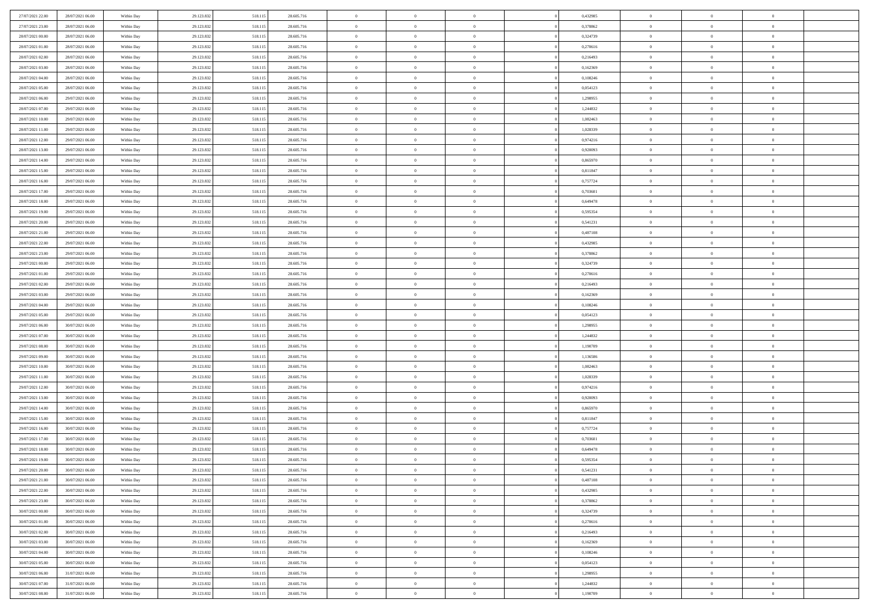| 27/07/2021 22.00 | 28/07/2021 06:00 | Within Day | 29.123.832 | 518.11: | 28.605.716 | $\,0\,$                | $\overline{0}$ | $\overline{0}$ |                | 0,432985 | $\,$ 0 $\,$    | $\overline{0}$ | $\bf{0}$       |  |
|------------------|------------------|------------|------------|---------|------------|------------------------|----------------|----------------|----------------|----------|----------------|----------------|----------------|--|
| 27/07/2021 23:00 | 28/07/2021 06:00 | Within Day | 29.123.832 | 518.11  | 28.605.716 | $\overline{0}$         | $\overline{0}$ | $\overline{0}$ |                | 0,378862 | $\theta$       | $\overline{0}$ | $\overline{0}$ |  |
| 28/07/2021 00:00 | 28/07/2021 06:00 | Within Day | 29.123.832 | 518.115 | 28.605.716 | $\mathbf{0}$           | $\overline{0}$ | $\overline{0}$ |                | 0,324739 | $\theta$       | $\overline{0}$ | $\overline{0}$ |  |
| 28/07/2021 01:00 | 28/07/2021 06:00 | Within Day | 29.123.832 | 518.115 | 28.605.716 | $\bf{0}$               | $\overline{0}$ | $\overline{0}$ |                | 0,270616 | $\bf{0}$       | $\overline{0}$ | $\bf{0}$       |  |
| 28/07/2021 02:00 | 28/07/2021 06:00 | Within Day | 29.123.832 | 518.115 | 28.605.716 | $\overline{0}$         | $\overline{0}$ | $\overline{0}$ |                | 0,216493 | $\bf{0}$       | $\overline{0}$ | $\bf{0}$       |  |
| 28/07/2021 03:00 | 28/07/2021 06:00 | Within Day | 29.123.832 | 518.115 | 28.605.716 | $\mathbf{0}$           | $\overline{0}$ | $\overline{0}$ |                | 0,162369 | $\theta$       | $\overline{0}$ | $\theta$       |  |
| 28/07/2021 04:00 |                  |            |            |         |            | $\mathbf{0}$           | $\overline{0}$ | $\overline{0}$ |                |          | $\bf{0}$       | $\overline{0}$ | $\bf{0}$       |  |
|                  | 28/07/2021 06:00 | Within Day | 29.123.832 | 518.115 | 28.605.716 |                        |                |                |                | 0,108246 |                |                |                |  |
| 28/07/2021 05:00 | 28/07/2021 06:00 | Within Day | 29.123.832 | 518.115 | 28.605.716 | $\overline{0}$         | $\overline{0}$ | $\overline{0}$ |                | 0,054123 | $\,$ 0 $\,$    | $\overline{0}$ | $\overline{0}$ |  |
| 28/07/2021 06:00 | 29/07/2021 06:00 | Within Day | 29.123.832 | 518.115 | 28.605.716 | $\mathbf{0}$           | $\overline{0}$ | $\overline{0}$ |                | 1,298955 | $\theta$       | $\overline{0}$ | $\overline{0}$ |  |
| 28/07/2021 07:00 | 29/07/2021 06:00 | Within Day | 29.123.832 | 518.115 | 28.605.716 | $\bf{0}$               | $\overline{0}$ | $\overline{0}$ |                | 1,244832 | $\mathbf{0}$   | $\overline{0}$ | $\bf{0}$       |  |
| 28/07/2021 10:00 | 29/07/2021 06:00 | Within Day | 29.123.832 | 518.115 | 28.605.716 | $\bf{0}$               | $\overline{0}$ | $\overline{0}$ |                | 1,082463 | $\bf{0}$       | $\bf{0}$       | $\bf{0}$       |  |
| 28/07/2021 11:00 | 29/07/2021 06:00 | Within Day | 29.123.832 | 518.115 | 28.605.716 | $\mathbf{0}$           | $\overline{0}$ | $\overline{0}$ |                | 1,028339 | $\theta$       | $\overline{0}$ | $\overline{0}$ |  |
| 28/07/2021 12:00 | 29/07/2021 06:00 | Within Day | 29.123.832 | 518.115 | 28.605.716 | $\,0\,$                | $\overline{0}$ | $\overline{0}$ |                | 0,974216 | $\bf{0}$       | $\overline{0}$ | $\bf{0}$       |  |
| 28/07/2021 13:00 | 29/07/2021 06:00 | Within Day | 29.123.832 | 518.115 | 28.605.716 | $\bf{0}$               | $\overline{0}$ | $\overline{0}$ |                | 0,920093 | $\,$ 0 $\,$    | $\overline{0}$ | $\theta$       |  |
| 28/07/2021 14:00 | 29/07/2021 06:00 | Within Day | 29.123.832 | 518.115 | 28.605.716 | $\overline{0}$         | $\overline{0}$ | $\overline{0}$ |                | 0,865970 | $\theta$       | $\overline{0}$ | $\overline{0}$ |  |
| 28/07/2021 15:00 | 29/07/2021 06:00 | Within Day | 29.123.832 | 518.115 | 28.605.716 | $\,0\,$                | $\overline{0}$ | $\overline{0}$ |                | 0,811847 | $\bf{0}$       | $\overline{0}$ | $\bf{0}$       |  |
| 28/07/2021 16:00 | 29/07/2021 06:00 | Within Day | 29.123.832 | 518.115 | 28.605.716 | $\bf{0}$               | $\overline{0}$ | $\overline{0}$ |                | 0,757724 | $\bf{0}$       | $\overline{0}$ | $\bf{0}$       |  |
| 28/07/2021 17:00 | 29/07/2021 06:00 | Within Day | 29.123.832 | 518.115 | 28.605.716 | $\mathbf{0}$           | $\overline{0}$ | $\overline{0}$ |                | 0,703601 | $\theta$       | $\overline{0}$ | $\overline{0}$ |  |
| 28/07/2021 18:00 | 29/07/2021 06:00 | Within Day | 29.123.832 | 518.115 | 28.605.716 | $\bf{0}$               | $\overline{0}$ | $\overline{0}$ |                | 0,649478 | $\bf{0}$       | $\overline{0}$ | $\bf{0}$       |  |
| 28/07/2021 19:00 | 29/07/2021 06:00 | Within Day | 29.123.832 | 518.115 | 28.605.716 | $\bf{0}$               | $\overline{0}$ | $\overline{0}$ |                | 0,595354 | $\,$ 0 $\,$    | $\overline{0}$ | $\overline{0}$ |  |
| 28/07/2021 20:00 | 29/07/2021 06:00 | Within Day | 29.123.832 | 518.115 | 28.605.716 | $\overline{0}$         | $\overline{0}$ | $\overline{0}$ |                | 0,541231 | $\theta$       | $\bf{0}$       | $\overline{0}$ |  |
| 28/07/2021 21:00 | 29/07/2021 06:00 | Within Day | 29.123.832 | 518.115 | 28.605.716 | $\,0\,$                | $\overline{0}$ | $\overline{0}$ |                | 0,487108 | $\bf{0}$       | $\overline{0}$ | $\theta$       |  |
| 28/07/2021 22:00 | 29/07/2021 06:00 | Within Day | 29.123.832 | 518.115 | 28.605.716 | $\bf{0}$               | $\overline{0}$ | $\overline{0}$ |                | 0,432985 | $\bf{0}$       | $\overline{0}$ | $\overline{0}$ |  |
| 28/07/2021 23:00 | 29/07/2021 06:00 | Within Day | 29.123.832 | 518.115 | 28.605.716 | $\mathbf{0}$           | $\overline{0}$ | $\overline{0}$ |                | 0,378862 | $\theta$       | $\overline{0}$ | $\overline{0}$ |  |
| 29/07/2021 00:00 | 29/07/2021 06:00 | Within Day | 29.123.832 | 518.115 | 28.605.716 | $\bf{0}$               | $\overline{0}$ | $\overline{0}$ |                | 0,324739 | $\bf{0}$       | $\overline{0}$ | $\overline{0}$ |  |
| 29/07/2021 01:00 | 29/07/2021 06:00 | Within Day | 29.123.832 | 518.115 | 28.605.716 | $\bf{0}$               | $\overline{0}$ | $\overline{0}$ |                | 0,270616 | $\bf{0}$       | $\overline{0}$ | $\overline{0}$ |  |
| 29/07/2021 02:00 | 29/07/2021 06:00 | Within Day | 29.123.832 | 518.115 | 28.605.716 | $\overline{0}$         | $\overline{0}$ | $\overline{0}$ |                | 0,216493 | $\theta$       | $\overline{0}$ | $\overline{0}$ |  |
| 29/07/2021 03:00 | 29/07/2021 06:00 | Within Day | 29.123.832 | 518.115 | 28.605.716 | $\,0\,$                | $\overline{0}$ | $\bf{0}$       |                | 0,162369 | $\bf{0}$       | $\overline{0}$ | $\bf{0}$       |  |
|                  |                  |            |            |         |            |                        | $\overline{0}$ |                |                |          | $\,$ 0 $\,$    | $\overline{0}$ |                |  |
| 29/07/2021 04:00 | 29/07/2021 06:00 | Within Day | 29.123.832 | 518.115 | 28.605.716 | $\overline{0}$         |                | $\overline{0}$ |                | 0,108246 |                |                | $\overline{0}$ |  |
| 29/07/2021 05:00 | 29/07/2021 06:00 | Within Day | 29.123.832 | 518.115 | 28.605.716 | $\mathbf{0}$           | $\overline{0}$ | $\overline{0}$ |                | 0,054123 | $\theta$       | $\overline{0}$ | $\overline{0}$ |  |
| 29/07/2021 06:00 | 30/07/2021 06:00 | Within Day | 29.123.832 | 518.115 | 28.605.716 | $\mathbf{0}$           | $\overline{0}$ | $\overline{0}$ |                | 1,298955 | $\,$ 0 $\,$    | $\overline{0}$ | $\theta$       |  |
| 29/07/2021 07:00 | 30/07/2021 06:00 | Within Day | 29.123.832 | 518.115 | 28.605.716 | $\bf{0}$               | $\overline{0}$ | $\overline{0}$ |                | 1,244832 | $\bf{0}$       | $\overline{0}$ | $\overline{0}$ |  |
| 29/07/2021 08:00 | 30/07/2021 06:00 | Within Day | 29.123.832 | 518.115 | 28.605.716 | $\mathbf{0}$           | $\overline{0}$ | $\overline{0}$ |                | 1,190709 | $\theta$       | $\overline{0}$ | $\overline{0}$ |  |
| 29/07/2021 09:00 | 30/07/2021 06:00 | Within Day | 29.123.832 | 518.115 | 28.605.716 | $\,$ 0 $\,$            | $\overline{0}$ | $\overline{0}$ |                | 1,136586 | $\,$ 0 $\,$    | $\overline{0}$ | $\theta$       |  |
| 29/07/2021 10:00 | 30/07/2021 06:00 | Within Day | 29.123.832 | 518.115 | 28.605.716 | $\bf{0}$               | $\overline{0}$ | $\overline{0}$ |                | 1,082463 | $\,$ 0 $\,$    | $\overline{0}$ | $\overline{0}$ |  |
| 29/07/2021 11:00 | 30/07/2021 06:00 | Within Day | 29.123.832 | 518.115 | 28.605.716 | $\mathbf{0}$           | $\overline{0}$ | $\overline{0}$ |                | 1,028339 | $\theta$       | $\overline{0}$ | $\overline{0}$ |  |
| 29/07/2021 12:00 | 30/07/2021 06:00 | Within Day | 29.123.832 | 518.115 | 28.605.716 | $\mathbf{0}$           | $\overline{0}$ | $\theta$       |                | 0,974216 | $\,$ 0 $\,$    | $\overline{0}$ | $\theta$       |  |
| 29/07/2021 13:00 | 30/07/2021 06:00 | Within Day | 29.123.832 | 518.115 | 28.605.716 | $\bf{0}$               | $\overline{0}$ | $\overline{0}$ |                | 0,920093 | $\bf{0}$       | $\overline{0}$ | $\overline{0}$ |  |
| 29/07/2021 14:00 | 30/07/2021 06:00 | Within Day | 29.123.832 | 518.115 | 28.605.716 | $\mathbf{0}$           | $\overline{0}$ | $\overline{0}$ |                | 0,865970 | $\theta$       | $\overline{0}$ | $\overline{0}$ |  |
| 29/07/2021 15:00 | 30/07/2021 06:00 | Within Day | 29.123.832 | 518.115 | 28.605.716 | $\,$ 0 $\,$            | $\overline{0}$ | $\bf{0}$       |                | 0,811847 | $\,$ 0 $\,$    | $\overline{0}$ | $\theta$       |  |
| 29/07/2021 16:00 | 30/07/2021 06:00 | Within Day | 29.123.832 | 518.115 | 28.605.716 | $\bf{0}$               | $\overline{0}$ | $\overline{0}$ |                | 0,757724 | $\bf{0}$       | $\overline{0}$ | $\overline{0}$ |  |
| 29/07/2021 17:00 | 30/07/2021 06:00 | Within Day | 29.123.832 | 518.115 | 28.605.716 | $\mathbf{0}$           | $\overline{0}$ | $\overline{0}$ |                | 0,703601 | $\theta$       | $\overline{0}$ | $\overline{0}$ |  |
| 29/07/2021 18:00 | 30/07/2021 06:00 | Within Day | 29.123.832 | 518.115 | 28.605.716 | $\mathbf{0}$           | $\overline{0}$ | $\overline{0}$ |                | 0,649478 | $\,$ 0 $\,$    | $\overline{0}$ | $\theta$       |  |
| 29/07/2021 19:00 | 30/07/2021 06:00 | Within Day | 29.123.832 | 518.115 | 28.605.716 | $\bf{0}$               | $\overline{0}$ | $\overline{0}$ |                | 0,595354 | $\,$ 0 $\,$    | $\overline{0}$ | $\overline{0}$ |  |
| 29/07/2021 20:00 | 30/07/2021 06:00 | Within Day | 29.123.832 | 518.115 | 28.605.716 | $\bf{0}$               | $\overline{0}$ | $\overline{0}$ |                | 0,541231 | $\overline{0}$ | $\theta$       | $\theta$       |  |
| 29/07/2021 21:00 | 30/07/2021 06:00 | Within Day | 29.123.832 | 518.115 | 28.605.716 | $\,$ 0 $\,$            | $\overline{0}$ | $\bf{0}$       |                | 0,487108 | $\,$ 0 $\,$    | $\overline{0}$ | $\theta$       |  |
| 29/07/2021 22:00 | 30/07/2021 06:00 | Within Day | 29.123.832 | 518.115 | 28.605.716 | $\overline{0}$         | $\overline{0}$ | $\overline{0}$ |                | 0,432985 | $\,$ 0 $\,$    | $\overline{0}$ | $\overline{0}$ |  |
| 29/07/2021 23:00 | 30/07/2021 06:00 | Within Day | 29.123.832 | 518.115 | 28.605.716 | $\mathbf{0}$           | $\overline{0}$ | $\overline{0}$ |                | 0,378862 | $\mathbf{0}$   | $\overline{0}$ | $\mathbf{0}$   |  |
| 30/07/2021 00:00 | 30/07/2021 06:00 | Within Day | 29.123.832 | 518.115 | 28.605.716 | $\,$ 0                 | $\overline{0}$ | $\overline{0}$ | $\overline{0}$ | 0,324739 | $\,$ 0 $\,$    | $\bf{0}$       | $\,$ 0 $\,$    |  |
| 30/07/2021 01:00 | 30/07/2021 06:00 | Within Day | 29.123.832 | 518.115 | 28.605.716 | $\hspace{0.1mm}\bm{0}$ | $\overline{0}$ | $\overline{0}$ |                | 0,270616 | $\,$ 0 $\,$    | $\overline{0}$ | $\overline{0}$ |  |
| 30/07/2021 02:00 | 30/07/2021 06:00 | Within Day | 29.123.832 | 518.115 | 28.605.716 | $\mathbf{0}$           | $\overline{0}$ | $\overline{0}$ |                | 0,216493 | $\overline{0}$ | $\overline{0}$ | $\overline{0}$ |  |
| 30/07/2021 03:00 | 30/07/2021 06:00 | Within Day | 29.123.832 | 518.115 | 28.605.716 | $\,$ 0 $\,$            | $\overline{0}$ | $\overline{0}$ |                | 0,162369 | $\,$ 0 $\,$    | $\bf{0}$       | $\,$ 0 $\,$    |  |
| 30/07/2021 04:00 | 30/07/2021 06:00 | Within Day | 29.123.832 | 518.115 | 28.605.716 | $\overline{0}$         | $\overline{0}$ | $\overline{0}$ |                | 0,108246 | $\overline{0}$ | $\overline{0}$ | $\overline{0}$ |  |
| 30/07/2021 05:00 | 30/07/2021 06:00 | Within Day | 29.123.832 | 518.115 | 28.605.716 | $\mathbf{0}$           | $\overline{0}$ | $\overline{0}$ |                | 0,054123 | $\mathbf{0}$   | $\overline{0}$ | $\mathbf{0}$   |  |
| 30/07/2021 06:00 | 31/07/2021 06:00 | Within Day | 29.123.832 | 518.115 | 28.605.716 | $\,$ 0 $\,$            | $\overline{0}$ | $\overline{0}$ | $\overline{0}$ | 1,298955 | $\,$ 0 $\,$    | $\bf{0}$       | $\,$ 0 $\,$    |  |
| 30/07/2021 07:00 | 31/07/2021 06:00 | Within Day | 29.123.832 | 518.115 | 28.605.716 | $\bf{0}$               | $\overline{0}$ | $\overline{0}$ |                | 1,244832 | $\,$ 0 $\,$    | $\mathbf{0}$   | $\overline{0}$ |  |
| 30/07/2021 08:00 | 31/07/2021 06:00 | Within Day | 29.123.832 | 518.115 | 28.605.716 | $\mathbf{0}$           | $\overline{0}$ | $\overline{0}$ |                | 1,190709 | $\overline{0}$ | $\overline{0}$ | $\overline{0}$ |  |
|                  |                  |            |            |         |            |                        |                |                |                |          |                |                |                |  |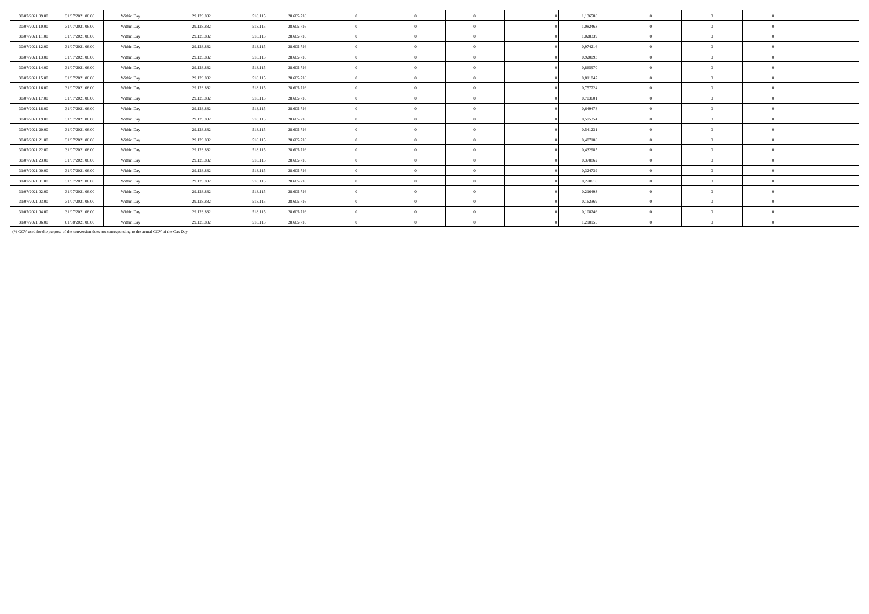| 29.123.832<br>518.115<br>1,136586<br>30/07/2021 09:00<br>31/07/2021 06:00<br>28.605.716<br>$\overline{0}$<br>Within Day<br>$\Omega$<br>$\Omega$<br>$\Omega$<br>30/07/2021 10:00<br>28,605,716<br>1,082463<br>31/07/2021 06:00<br>29.123.832<br>518.115<br>$\theta$<br>Within Day<br>$\Omega$<br>$\Omega$<br>30/07/2021 11:00<br>31/07/2021 06:00<br>29.123.832<br>518.115<br>28,605,716<br>1,028339<br>$\overline{0}$<br>Within Day<br>$\Omega$<br>$\overline{0}$<br>$\Omega$<br>30/07/2021 12:00<br>0,974216<br>31/07/2021 06:00<br>29.123.832<br>518.115<br>28,605,716<br>Within Day<br>$\mathbf{0}$<br>$\theta$<br>$\Omega$<br>30/07/2021 13:00<br>31/07/2021 06:00<br>29.123.832<br>518.115<br>28.605.716<br>0,920093<br>$\overline{0}$<br>$\overline{0}$<br>$\Omega$<br>Within Day<br>$\overline{0}$<br>$\Omega$<br>30/07/2021 14:00<br>31/07/2021 06:00<br>29.123.832<br>518.115<br>28.605.716<br>0.865970<br>Within Day<br>$\mathbf{0}$<br>$\theta$<br>$^{\circ}$<br>$\Omega$<br>30/07/2021 15:00<br>31/07/2021 06:00<br>29.123.832<br>518.115<br>28.605.716<br>0,811847<br>$\mathbf{0}$<br>Within Day<br>$\Omega$<br>$\theta$<br>$\Omega$<br>30/07/2021 16:00<br>0,757724<br>31/07/2021 06:00<br>29.123.832<br>518.115<br>28.605.716<br>Within Day<br>$\mathbf{0}$<br>$\theta$<br>$\Omega$<br>30/07/2021 17:00<br>31/07/2021 06:00<br>29.123.832<br>518.115<br>28.605.716<br>0,703601<br>Within Day<br>$\mathbf{0}$<br>$\Omega$<br>$\Omega$<br>$\theta$<br>30/07/2021 18:00<br>31/07/2021 06:00<br>29.123.832<br>518.115<br>28,605,716<br>0.649478<br>Within Day<br>$\mathbf{0}$<br>$\theta$<br>$\Omega$<br>$\Omega$<br>30/07/2021 19:00<br>31/07/2021 06:00<br>29.123.832<br>518.115<br>28,605,716<br>0.595354<br>$\mathbf{0}$<br>$\theta$<br>$\Omega$<br>Within Day<br>$\Omega$<br>0,541231<br>30/07/2021 20:00<br>31/07/2021 06:00<br>29.123.832<br>518,115<br>28.605.716<br>$\mathbf{0}$<br>Within Day<br>$\overline{0}$<br>$\Omega$<br>$^{\circ}$<br>29.123.832<br>518.115<br>0.487108<br>30/07/2021 21:00<br>31/07/2021 06:00<br>Within Day<br>28.605.716<br>$\overline{0}$<br>$\overline{0}$<br>$\Omega$<br>$\Omega$<br>$\Omega$<br>30/07/2021 22.00<br>31/07/2021 06:00<br>29.123.832<br>518.115<br>28,605,716<br>0,432985<br>$\theta$<br>Within Day<br>$\theta$<br>$\Omega$<br>$^{\circ}$ |
|------------------------------------------------------------------------------------------------------------------------------------------------------------------------------------------------------------------------------------------------------------------------------------------------------------------------------------------------------------------------------------------------------------------------------------------------------------------------------------------------------------------------------------------------------------------------------------------------------------------------------------------------------------------------------------------------------------------------------------------------------------------------------------------------------------------------------------------------------------------------------------------------------------------------------------------------------------------------------------------------------------------------------------------------------------------------------------------------------------------------------------------------------------------------------------------------------------------------------------------------------------------------------------------------------------------------------------------------------------------------------------------------------------------------------------------------------------------------------------------------------------------------------------------------------------------------------------------------------------------------------------------------------------------------------------------------------------------------------------------------------------------------------------------------------------------------------------------------------------------------------------------------------------------------------------------------------------------------------------------------------------------------------------------------------------------------------------------------------------------------------------------------------------------------------------------------------------------------------------------------------------------------------------------------------------|
|                                                                                                                                                                                                                                                                                                                                                                                                                                                                                                                                                                                                                                                                                                                                                                                                                                                                                                                                                                                                                                                                                                                                                                                                                                                                                                                                                                                                                                                                                                                                                                                                                                                                                                                                                                                                                                                                                                                                                                                                                                                                                                                                                                                                                                                                                                            |
|                                                                                                                                                                                                                                                                                                                                                                                                                                                                                                                                                                                                                                                                                                                                                                                                                                                                                                                                                                                                                                                                                                                                                                                                                                                                                                                                                                                                                                                                                                                                                                                                                                                                                                                                                                                                                                                                                                                                                                                                                                                                                                                                                                                                                                                                                                            |
|                                                                                                                                                                                                                                                                                                                                                                                                                                                                                                                                                                                                                                                                                                                                                                                                                                                                                                                                                                                                                                                                                                                                                                                                                                                                                                                                                                                                                                                                                                                                                                                                                                                                                                                                                                                                                                                                                                                                                                                                                                                                                                                                                                                                                                                                                                            |
|                                                                                                                                                                                                                                                                                                                                                                                                                                                                                                                                                                                                                                                                                                                                                                                                                                                                                                                                                                                                                                                                                                                                                                                                                                                                                                                                                                                                                                                                                                                                                                                                                                                                                                                                                                                                                                                                                                                                                                                                                                                                                                                                                                                                                                                                                                            |
|                                                                                                                                                                                                                                                                                                                                                                                                                                                                                                                                                                                                                                                                                                                                                                                                                                                                                                                                                                                                                                                                                                                                                                                                                                                                                                                                                                                                                                                                                                                                                                                                                                                                                                                                                                                                                                                                                                                                                                                                                                                                                                                                                                                                                                                                                                            |
|                                                                                                                                                                                                                                                                                                                                                                                                                                                                                                                                                                                                                                                                                                                                                                                                                                                                                                                                                                                                                                                                                                                                                                                                                                                                                                                                                                                                                                                                                                                                                                                                                                                                                                                                                                                                                                                                                                                                                                                                                                                                                                                                                                                                                                                                                                            |
|                                                                                                                                                                                                                                                                                                                                                                                                                                                                                                                                                                                                                                                                                                                                                                                                                                                                                                                                                                                                                                                                                                                                                                                                                                                                                                                                                                                                                                                                                                                                                                                                                                                                                                                                                                                                                                                                                                                                                                                                                                                                                                                                                                                                                                                                                                            |
|                                                                                                                                                                                                                                                                                                                                                                                                                                                                                                                                                                                                                                                                                                                                                                                                                                                                                                                                                                                                                                                                                                                                                                                                                                                                                                                                                                                                                                                                                                                                                                                                                                                                                                                                                                                                                                                                                                                                                                                                                                                                                                                                                                                                                                                                                                            |
|                                                                                                                                                                                                                                                                                                                                                                                                                                                                                                                                                                                                                                                                                                                                                                                                                                                                                                                                                                                                                                                                                                                                                                                                                                                                                                                                                                                                                                                                                                                                                                                                                                                                                                                                                                                                                                                                                                                                                                                                                                                                                                                                                                                                                                                                                                            |
|                                                                                                                                                                                                                                                                                                                                                                                                                                                                                                                                                                                                                                                                                                                                                                                                                                                                                                                                                                                                                                                                                                                                                                                                                                                                                                                                                                                                                                                                                                                                                                                                                                                                                                                                                                                                                                                                                                                                                                                                                                                                                                                                                                                                                                                                                                            |
|                                                                                                                                                                                                                                                                                                                                                                                                                                                                                                                                                                                                                                                                                                                                                                                                                                                                                                                                                                                                                                                                                                                                                                                                                                                                                                                                                                                                                                                                                                                                                                                                                                                                                                                                                                                                                                                                                                                                                                                                                                                                                                                                                                                                                                                                                                            |
|                                                                                                                                                                                                                                                                                                                                                                                                                                                                                                                                                                                                                                                                                                                                                                                                                                                                                                                                                                                                                                                                                                                                                                                                                                                                                                                                                                                                                                                                                                                                                                                                                                                                                                                                                                                                                                                                                                                                                                                                                                                                                                                                                                                                                                                                                                            |
|                                                                                                                                                                                                                                                                                                                                                                                                                                                                                                                                                                                                                                                                                                                                                                                                                                                                                                                                                                                                                                                                                                                                                                                                                                                                                                                                                                                                                                                                                                                                                                                                                                                                                                                                                                                                                                                                                                                                                                                                                                                                                                                                                                                                                                                                                                            |
|                                                                                                                                                                                                                                                                                                                                                                                                                                                                                                                                                                                                                                                                                                                                                                                                                                                                                                                                                                                                                                                                                                                                                                                                                                                                                                                                                                                                                                                                                                                                                                                                                                                                                                                                                                                                                                                                                                                                                                                                                                                                                                                                                                                                                                                                                                            |
| 30/07/2021 23:00<br>31/07/2021 06:00<br>29.123.832<br>518.115<br>28.605.716<br>0,378862<br>Within Day<br>$\theta$<br>$\Omega$<br>$\Omega$                                                                                                                                                                                                                                                                                                                                                                                                                                                                                                                                                                                                                                                                                                                                                                                                                                                                                                                                                                                                                                                                                                                                                                                                                                                                                                                                                                                                                                                                                                                                                                                                                                                                                                                                                                                                                                                                                                                                                                                                                                                                                                                                                                  |
| 0,324739<br>31/07/2021 00:00<br>31/07/2021 06:00<br>29.123.832<br>518.115<br>28.605.716<br>$\theta$<br>Within Day<br>$\theta$<br>$\Omega$<br>$\sqrt{2}$                                                                                                                                                                                                                                                                                                                                                                                                                                                                                                                                                                                                                                                                                                                                                                                                                                                                                                                                                                                                                                                                                                                                                                                                                                                                                                                                                                                                                                                                                                                                                                                                                                                                                                                                                                                                                                                                                                                                                                                                                                                                                                                                                    |
| 31/07/2021 01:00<br>29.123.832<br>518.115<br>28.605.716<br>$\theta$<br>0,270616<br>31/07/2021 06:00<br>Within Day<br>$\theta$<br>$\Omega$<br>$\Omega$                                                                                                                                                                                                                                                                                                                                                                                                                                                                                                                                                                                                                                                                                                                                                                                                                                                                                                                                                                                                                                                                                                                                                                                                                                                                                                                                                                                                                                                                                                                                                                                                                                                                                                                                                                                                                                                                                                                                                                                                                                                                                                                                                      |
| 31/07/2021 02:00<br>31/07/2021 06:00<br>29.123.832<br>518.115<br>28,605,716<br>0,216493<br>$\mathbf{0}$<br>$\overline{0}$<br>$\Omega$<br>Within Day<br>$\Omega$<br>$\Omega$                                                                                                                                                                                                                                                                                                                                                                                                                                                                                                                                                                                                                                                                                                                                                                                                                                                                                                                                                                                                                                                                                                                                                                                                                                                                                                                                                                                                                                                                                                                                                                                                                                                                                                                                                                                                                                                                                                                                                                                                                                                                                                                                |
| 31/07/2021 03:00<br>518.115<br>28.605.716<br>0,162369<br>31/07/2021 06:00<br>29.123.832<br>$\theta$<br>$\overline{0}$<br>Within Day<br>$\overline{0}$<br>$\Omega$<br>$\Omega$                                                                                                                                                                                                                                                                                                                                                                                                                                                                                                                                                                                                                                                                                                                                                                                                                                                                                                                                                                                                                                                                                                                                                                                                                                                                                                                                                                                                                                                                                                                                                                                                                                                                                                                                                                                                                                                                                                                                                                                                                                                                                                                              |
| 31/07/2021 04:00<br>518,115<br>28.605.716<br>0.108246<br>31/07/2021 06:00<br>29.123.832<br>$\mathbf{0}$<br>$\Omega$<br>Within Day<br>$\Omega$<br>$\Omega$<br>$\Omega$                                                                                                                                                                                                                                                                                                                                                                                                                                                                                                                                                                                                                                                                                                                                                                                                                                                                                                                                                                                                                                                                                                                                                                                                                                                                                                                                                                                                                                                                                                                                                                                                                                                                                                                                                                                                                                                                                                                                                                                                                                                                                                                                      |
| 31/07/2021 06:00<br>518.115<br>28.605.716<br>1,298955<br>01/08/2021 06:00<br>29.123.832<br>$\overline{0}$<br>Within Day                                                                                                                                                                                                                                                                                                                                                                                                                                                                                                                                                                                                                                                                                                                                                                                                                                                                                                                                                                                                                                                                                                                                                                                                                                                                                                                                                                                                                                                                                                                                                                                                                                                                                                                                                                                                                                                                                                                                                                                                                                                                                                                                                                                    |

(\*) GCV used for the purpose of the conversion does not corresponding to the actual GCV of the Gas Day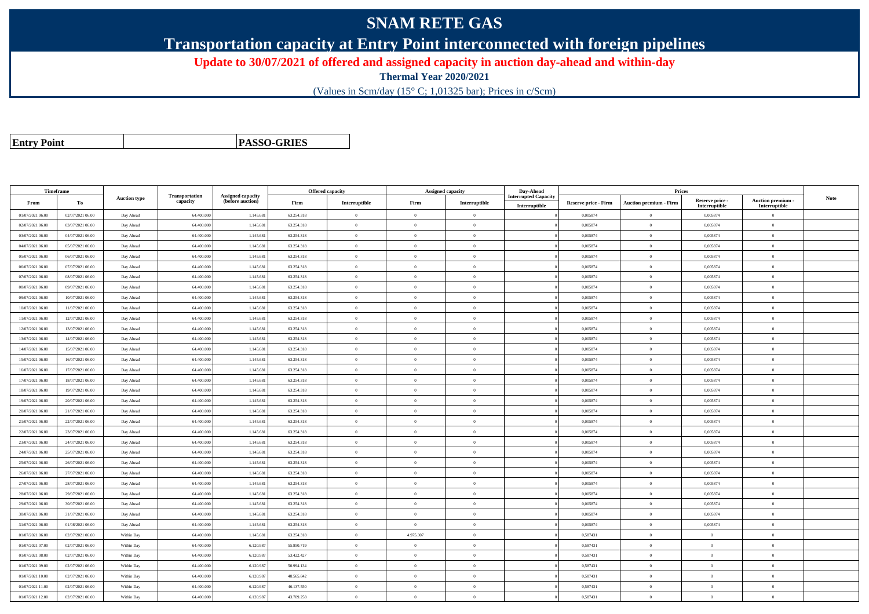## **SNAM RETE GAS**

**Transportation capacity at Entry Point interconnected with foreign pipelines**

**Update to 30/07/2021 of offered and assigned capacity in auction day-ahead and within-day**

**Thermal Year 2020/2021**

(Values in Scm/day (15° C; 1,01325 bar); Prices in c/Scm)

| <b>Entry Point</b> |  |
|--------------------|--|
|--------------------|--|

**PASSO-GRIES**

| Timeframe        |                  |                     |                            |                                              |            | Offered capacity |                | Assigned capacity | Day-Ahead                                    |                             | Prices                        |                           |                           |      |
|------------------|------------------|---------------------|----------------------------|----------------------------------------------|------------|------------------|----------------|-------------------|----------------------------------------------|-----------------------------|-------------------------------|---------------------------|---------------------------|------|
| From             | To               | <b>Auction type</b> | Transportation<br>capacity | <b>Assigned capacity</b><br>(before auction) | Firm       | Interruptible    | Firm           | Interruptible     | <b>Interrupted Capacity</b><br>Interruptible | <b>Reserve price - Firm</b> | <b>Auction premium - Firm</b> | Reserve price -           | <b>Auction premium -</b>  | Note |
| 01/07/2021 06:00 | 02/07/2021 06:00 | Day Ahead           | 64.400.000                 | 1.145.68                                     | 63.254.318 | $\mathbf{0}$     | $\overline{0}$ | $\overline{0}$    |                                              | 0,005874                    | $\Omega$                      | Interruptible<br>0,005874 | Interruptible<br>$\Omega$ |      |
| 02/07/2021 06:00 | 03/07/2021 06:00 | Day Ahead           | 64.400.00                  | 1.145.68                                     | 63.254.318 | $\Omega$         | $\overline{0}$ | $\overline{0}$    |                                              | 0,005874                    | $\theta$                      | 0,005874                  | $\Omega$                  |      |
| 03/07/2021 06:00 | 04/07/2021 06:00 | Day Ahead           | 64.400.000                 | 1.145.68                                     | 63.254.318 | $\overline{0}$   | $\overline{0}$ | $\overline{0}$    |                                              | 0,005874                    | $\overline{0}$                | 0,005874                  | $\overline{0}$            |      |
| 04/07/2021 06:00 | 05/07/2021 06:00 | Day Ahead           | 64,400,000                 | 1.145.68                                     | 63.254.318 | $\mathbf{0}$     | $\theta$       | $\overline{0}$    |                                              | 0.005874                    | $\theta$                      | 0.005874                  | $\theta$                  |      |
| 05/07/2021 06:00 | 06/07/2021 06:00 | Day Ahead           | 64.400.00                  | 1.145.68                                     | 63.254.318 | $\theta$         | $\overline{0}$ | $\overline{0}$    |                                              | 0,005874                    | $\overline{0}$                | 0,005874                  | $\overline{0}$            |      |
| 06/07/2021 06:00 | 07/07/2021 06:00 | Day Ahead           | 64.400.000                 | 1.145.68                                     | 63.254.318 | $\Omega$         | $\theta$       | $\overline{0}$    |                                              | 0,005874                    | $\theta$                      | 0,005874                  | $\overline{0}$            |      |
| 07/07/2021 06:00 | 08/07/2021 06:00 | Day Ahead           | 64,400,000                 | 1.145.68                                     | 63.254.318 | $\theta$         | $\theta$       | $\theta$          |                                              | 0.005874                    | $\theta$                      | 0.005874                  | $\theta$                  |      |
| 08/07/2021 06:00 | 09/07/2021 06:00 | Day Ahead           | 64.400.00                  | 1.145.68                                     | 63.254.318 | $\theta$         | $\overline{0}$ | $\overline{0}$    |                                              | 0,005874                    | $\Omega$                      | 0,005874                  | $\Omega$                  |      |
| 09/07/2021 06:00 | 10/07/2021 06:00 | Day Ahead           | 64.400.00                  | 1.145.68                                     | 63.254.318 | $\theta$         | $\overline{0}$ | $\overline{0}$    |                                              | 0,005874                    | $\overline{0}$                | 0,005874                  | $\overline{0}$            |      |
| 10/07/2021 06:00 | 11/07/2021 06:00 | Day Ahead           | 64,400,000                 | 1.145.68                                     | 63.254.318 | $\Omega$         | $\theta$       | $\theta$          |                                              | 0.005874                    | $\theta$                      | 0.005874                  | $\overline{0}$            |      |
| 11/07/2021 06:00 | 12/07/2021 06:00 | Day Ahead           | 64.400.000                 | 1.145.68                                     | 63.254.318 | $\Omega$         | $\overline{0}$ | $\overline{0}$    |                                              | 0,005874                    | $\theta$                      | 0,005874                  | $\theta$                  |      |
| 12/07/2021 06:00 | 13/07/2021 06:00 | Day Ahead           | 64.400.000                 | 1.145.68                                     | 63.254.318 | $\Omega$         | $\theta$       | $\theta$          |                                              | 0,005874                    | $\theta$                      | 0,005874                  | $\overline{0}$            |      |
| 13/07/2021 06:00 | 14/07/2021 06:00 | Day Ahead           | 64.400.00                  | 1.145.68                                     | 63.254.318 |                  | $\overline{0}$ | $\Omega$          |                                              | 0,005874                    | $\Omega$                      | 0,005874                  | $\Omega$                  |      |
| 14/07/2021 06:00 | 15/07/2021 06:00 | Day Ahead           | 64,400,000                 | 1.145.68                                     | 63.254.318 | $\theta$         | $\overline{0}$ | $\overline{0}$    |                                              | 0,005874                    | $\overline{0}$                | 0.005874                  | $\theta$                  |      |
| 15/07/2021 06:00 | 16/07/2021 06:00 | Day Ahead           | 64.400.000                 | 1.145.68                                     | 63.254.318 | $\theta$         | $\overline{0}$ | $\overline{0}$    |                                              | 0,005874                    | $\overline{0}$                | 0,005874                  | $\overline{0}$            |      |
| 16/07/2021 06:00 | 17/07/2021 06:00 | Day Ahead           | 64.400.00                  | 1.145.68                                     | 63.254.318 | $\theta$         | $\overline{0}$ | $\overline{0}$    |                                              | 0,005874                    | $\overline{0}$                | 0,005874                  | $\overline{0}$            |      |
| 17/07/2021 06:00 | 18/07/2021 06:00 | Day Ahead           | 64.400.000                 | 1.145.68                                     | 63.254.318 | $\Omega$         | $\theta$       | $\overline{0}$    |                                              | 0.005874                    | $\theta$                      | 0,005874                  | $\overline{0}$            |      |
| 18/07/2021 06:00 | 19/07/2021 06:00 | Day Ahead           | 64.400.000                 | 1.145.68                                     | 63.254.318 | $\theta$         | $\overline{0}$ | $\overline{0}$    |                                              | 0,005874                    | $\theta$                      | 0,005874                  | $\overline{0}$            |      |
| 19/07/2021 06:00 | 20/07/2021 06:00 | Day Ahead           | 64.400.00                  | 1.145.68                                     | 63.254.318 | $\Omega$         | $\overline{0}$ | $\overline{0}$    |                                              | 0,005874                    | $\theta$                      | 0,005874                  | $\Omega$                  |      |
| 20/07/2021 06:00 | 21/07/2021 06:00 | Day Ahead           | 64.400.000                 | 1.145.68                                     | 63.254.318 | $\theta$         | $\overline{0}$ | $\overline{0}$    |                                              | 0,005874                    | $\overline{0}$                | 0,005874                  | $\overline{0}$            |      |
| 21/07/2021 06:00 | 22/07/2021 06:00 | Day Ahead           | 64,400,000                 | 1.145.68                                     | 63.254.318 | $\mathbf{0}$     | $\overline{0}$ | $\overline{0}$    |                                              | 0.005874                    | $\mathbf{0}$                  | 0,005874                  | $\theta$                  |      |
| 22/07/2021 06:00 | 23/07/2021 06:00 | Day Ahead           | 64.400.000                 | 1.145.68                                     | 63.254.318 | $\Omega$         | $\overline{0}$ | $\overline{0}$    |                                              | 0,005874                    | $\theta$                      | 0,005874                  | $\Omega$                  |      |
| 23/07/2021 06:00 | 24/07/2021 06:00 | Day Ahead           | 64.400.000                 | 1.145.68                                     | 63.254.318 | $\Omega$         | $\overline{0}$ | $\mathbf{0}$      |                                              | 0,005874                    | $\theta$                      | 0,005874                  | $\overline{0}$            |      |
| 24/07/2021 06:00 | 25/07/2021 06:00 | Day Ahead           | 64,400,000                 | 1.145.68                                     | 63.254.318 | $\Omega$         | $\theta$       | $\Omega$          |                                              | 0.005874                    | $\theta$                      | 0.005874                  | $\theta$                  |      |
| 25/07/2021 06:00 | 26/07/2021 06:00 | Day Ahead           | 64,400,000                 | 1.145.68                                     | 63.254.318 | $\Omega$         | $\overline{0}$ | $\theta$          |                                              | 0.005874                    | $\theta$                      | 0,005874                  | $\Omega$                  |      |
| 26/07/2021 06:00 | 27/07/2021 06:00 | Day Ahead           | 64.400.00                  | 1.145.68                                     | 63.254.318 | $\theta$         | $\overline{0}$ | $\overline{0}$    |                                              | 0,005874                    | $\overline{0}$                | 0,005874                  | $\overline{0}$            |      |
| 27/07/2021 06:00 | 28/07/2021 06:00 | Day Ahead           | 64,400,000                 | 1.145.68                                     | 63.254.318 | $\Omega$         | $\theta$       | $\theta$          |                                              | 0.005874                    | $\theta$                      | 0.005874                  | $\theta$                  |      |
| 28/07/2021 06:00 | 29/07/2021 06:00 | Day Ahead           | 64.400.000                 | 1.145.68                                     | 63.254.318 | $\theta$         | $\overline{0}$ | $\hspace{.1in}0$  |                                              | 0.005874                    | $\overline{0}$                | 0,005874                  | $\overline{0}$            |      |
| 29/07/2021 06:00 | 30/07/2021 06:00 | Day Ahead           | 64.400.000                 | 1.145.68                                     | 63.254.318 | $\theta$         | $\overline{0}$ | $\overline{0}$    |                                              | 0,005874                    | $\theta$                      | 0,005874                  | $\theta$                  |      |
| 30/07/2021 06:00 | 31/07/2021 06:00 | Day Ahead           | 64.400.000                 | 1.145.68                                     | 63.254.318 | $\theta$         | $\overline{0}$ | $\overline{0}$    |                                              | 0,005874                    | $\theta$                      | 0,005874                  | $\Omega$                  |      |
| 31/07/2021 06:00 | 01/08/2021 06:00 | Day Ahead           | 64,400,000                 | 1.145.68                                     | 63.254.318 | $\theta$         | $\overline{0}$ | $\theta$          |                                              | 0.005874                    | $\overline{0}$                | 0.005874                  | $\overline{0}$            |      |
| 01/07/2021 06:00 | 02/07/2021 06:00 | Within Day          | 64.400.000                 | 1.145.68                                     | 63.254.318 | $\bf{0}$         | 4.975.307      | $\overline{0}$    |                                              | 0,587431                    | $\overline{0}$                | $\overline{0}$            | $\overline{0}$            |      |
| 01/07/2021 07:00 | 02/07/2021 06:00 | Within Day          | 64.400.00                  | 6.120.98                                     | 55.850.719 | $\Omega$         | $\overline{0}$ | $\overline{0}$    |                                              | 0,587431                    | $\theta$                      | $\theta$                  | $\Omega$                  |      |
| 01/07/2021 08:00 | 02/07/2021 06:00 | Within Day          | 64.400.000                 | 6.120.98                                     | 53.422.427 | $\Omega$         | $\overline{0}$ | $\overline{0}$    |                                              | 0,587431                    | $\theta$                      | $\mathbf{0}$              | $\overline{0}$            |      |
| 01/07/2021 09:00 | 02/07/2021 06:00 | Within Day          | 64,400,000                 | 6.120.98                                     | 50.994.134 | $\theta$         | $\theta$       | $\mathbf{0}$      |                                              | 0.587431                    | $\theta$                      | $\theta$                  | $\theta$                  |      |
| 01/07/2021 10:00 | 02/07/2021 06:00 | Within Day          | 64.400.00                  | 6.120.98                                     | 48.565.842 | $\Omega$         | $\overline{0}$ | $\overline{0}$    |                                              | 0,587431                    | $\overline{0}$                | $\mathbf{0}$              | $\overline{0}$            |      |
| 01/07/2021 11:00 | 02/07/2021 06:00 | Within Day          | 64.400.00                  | 6.120.98                                     | 46.137.550 | $\theta$         | $\overline{0}$ | $\overline{0}$    |                                              | 0,587431                    | $\overline{0}$                | $\mathbf{0}$              | $\overline{0}$            |      |
| 01/07/2021 12:00 | 02/07/2021 06:00 | Within Day          | 64,400,000                 | 6.120.98                                     | 43,709.258 | $\theta$         | $\theta$       | $\overline{0}$    |                                              | 0.587431                    | $\theta$                      | $\theta$                  | $\theta$                  |      |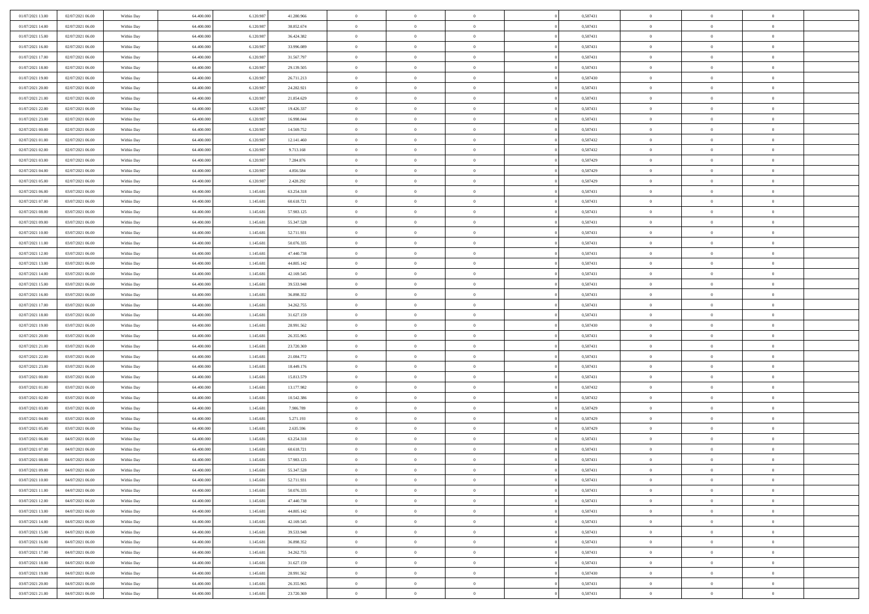| 01/07/2021 13:00 | 02/07/2021 06:00 | Within Day | 64,400,000 | 6.120.987 | 41.280.966 | $\overline{0}$ | $\overline{0}$ | $\Omega$       | 0,587431 | $\bf{0}$       | $\mathbf{0}$   | $\bf{0}$       |  |
|------------------|------------------|------------|------------|-----------|------------|----------------|----------------|----------------|----------|----------------|----------------|----------------|--|
| 01/07/2021 14:00 | 02/07/2021 06:00 | Within Dav | 64.400.000 | 6.120.987 | 38.852.674 | $\mathbf{0}$   | $\overline{0}$ | $\overline{0}$ | 0,587431 | $\overline{0}$ | $\overline{0}$ | $\overline{0}$ |  |
| 01/07/2021 15:00 | 02/07/2021 06:00 | Within Day | 64.400.000 | 6.120.987 | 36.424.382 | $\,$ 0         | $\overline{0}$ | $\bf{0}$       | 0,587431 | $\,$ 0         | $\overline{0}$ | $\,$ 0 $\,$    |  |
| 01/07/2021 16:00 | 02/07/2021 06:00 | Within Day | 64,400,000 | 6.120.987 | 33,996,089 | $\bf{0}$       | $\overline{0}$ | $\Omega$       | 0.587431 | $\bf{0}$       | $\mathbf{0}$   | $\theta$       |  |
| 01/07/2021 17:00 | 02/07/2021 06:00 | Within Day | 64.400.000 | 6.120.987 | 31.567.797 | $\bf{0}$       | $\overline{0}$ | $\overline{0}$ | 0,587431 | $\overline{0}$ | $\overline{0}$ | $\overline{0}$ |  |
| 01/07/2021 18:00 | 02/07/2021 06:00 | Within Day | 64.400.000 | 6.120.987 | 29.139.505 | $\bf{0}$       | $\overline{0}$ | $\bf{0}$       | 0,587431 | $\,$ 0         | $\overline{0}$ | $\,$ 0 $\,$    |  |
| 01/07/2021 19:00 | 02/07/2021 06:00 | Within Day | 64,400,000 | 6.120.987 | 26.711.213 | $\bf{0}$       | $\overline{0}$ | $\Omega$       | 0.587430 | $\theta$       | $\overline{0}$ | $\theta$       |  |
| 01/07/2021 20:00 | 02/07/2021 06:00 | Within Day | 64.400.000 | 6.120.987 | 24.282.921 | $\overline{0}$ | $\overline{0}$ | $\overline{0}$ | 0,587431 | $\mathbf{0}$   | $\overline{0}$ | $\overline{0}$ |  |
| 01/07/2021 21:00 | 02/07/2021 06:00 | Within Day | 64.400.000 | 6.120.987 | 21.854.629 | $\bf{0}$       | $\overline{0}$ | $\bf{0}$       | 0,587431 | $\,$ 0         | $\overline{0}$ | $\,$ 0 $\,$    |  |
| 01/07/2021 22:00 | 02/07/2021 06:00 | Within Day | 64,400,000 | 6.120.987 | 19.426.337 | $\bf{0}$       | $\overline{0}$ | $\Omega$       | 0.587431 | $\theta$       | $\mathbf{0}$   | $\theta$       |  |
| 01/07/2021 23:00 | 02/07/2021 06:00 | Within Day | 64.400.000 | 6.120.987 | 16.998.044 | $\overline{0}$ | $\overline{0}$ | $\overline{0}$ | 0,587431 | $\mathbf{0}$   | $\overline{0}$ | $\overline{0}$ |  |
| 02/07/2021 00:00 | 02/07/2021 06:00 | Within Day | 64.400.000 | 6.120.987 | 14.569.752 | $\bf{0}$       | $\overline{0}$ | $\bf{0}$       | 0,587431 | $\,$ 0         | $\overline{0}$ | $\,$ 0 $\,$    |  |
| 02/07/2021 01:00 | 02/07/2021 06:00 | Within Day | 64.400.000 | 6.120.987 | 12.141.460 | $\bf{0}$       | $\overline{0}$ | $\Omega$       | 0,587432 | $\overline{0}$ | $\mathbf{0}$   | $\theta$       |  |
| 02/07/2021 02:00 | 02/07/2021 06:00 | Within Day | 64.400.000 | 6.120.987 | 9.713.168  | $\overline{0}$ | $\overline{0}$ | $\overline{0}$ | 0,587432 | $\mathbf{0}$   | $\overline{0}$ | $\overline{0}$ |  |
| 02/07/2021 03:00 | 02/07/2021 06:00 | Within Day | 64.400.000 | 6.120.987 | 7.284.876  | $\bf{0}$       | $\overline{0}$ | $\bf{0}$       | 0,587429 | $\,$ 0         | $\overline{0}$ | $\,$ 0 $\,$    |  |
| 02/07/2021 04:00 | 02/07/2021 06:00 | Within Day | 64,400,000 | 6.120.987 | 4.856.584  | $\bf{0}$       | $\overline{0}$ | $\overline{0}$ | 0,587429 | $\bf{0}$       | $\mathbf{0}$   | $\theta$       |  |
| 02/07/2021 05:00 | 02/07/2021 06:00 | Within Day | 64.400.000 | 6.120.987 | 2.428.292  | $\overline{0}$ | $\overline{0}$ | $\overline{0}$ | 0,587429 | $\mathbf{0}$   | $\overline{0}$ | $\overline{0}$ |  |
| 02/07/2021 06:00 | 03/07/2021 06:00 | Within Day | 64.400.000 | 1.145.681 | 63.254.318 | $\bf{0}$       | $\overline{0}$ | $\bf{0}$       | 0,587431 | $\,$ 0         | $\overline{0}$ | $\,$ 0 $\,$    |  |
| 02/07/2021 07:00 | 03/07/2021 06:00 | Within Day | 64,400,000 | 1.145.681 | 60.618.721 | $\bf{0}$       | $\overline{0}$ | $\Omega$       | 0.587431 | $\theta$       | $\mathbf{0}$   | $\theta$       |  |
| 02/07/2021 08:00 | 03/07/2021 06:00 | Within Day | 64.400.000 | 1.145.681 | 57.983.125 | $\overline{0}$ | $\overline{0}$ | $\overline{0}$ | 0,587431 | $\mathbf{0}$   | $\overline{0}$ | $\overline{0}$ |  |
| 02/07/2021 09:00 | 03/07/2021 06:00 | Within Day | 64.400.000 | 1.145.681 | 55.347.528 | $\bf{0}$       | $\overline{0}$ | $\bf{0}$       | 0,587431 | $\,$ 0         | $\overline{0}$ | $\,$ 0 $\,$    |  |
| 02/07/2021 10:00 | 03/07/2021 06:00 | Within Day | 64,400,000 | 1.145.681 | 52.711.931 | $\bf{0}$       | $\overline{0}$ | $\Omega$       | 0.587431 | $\bf{0}$       | $\mathbf{0}$   | $\theta$       |  |
| 02/07/2021 11:00 | 03/07/2021 06:00 | Within Day | 64.400.000 | 1.145.681 | 50.076.335 | $\overline{0}$ | $\overline{0}$ | $\overline{0}$ | 0,587431 | $\mathbf{0}$   | $\overline{0}$ | $\overline{0}$ |  |
| 02/07/2021 12:00 | 03/07/2021 06:00 | Within Day | 64.400.000 | 1.145.681 | 47.440.738 | $\bf{0}$       | $\overline{0}$ | $\bf{0}$       | 0,587431 | $\,$ 0         | $\overline{0}$ | $\,$ 0 $\,$    |  |
| 02/07/2021 13:00 | 03/07/2021 06:00 | Within Day | 64,400,000 | 1.145.681 | 44.805.142 | $\bf{0}$       | $\overline{0}$ | $\overline{0}$ | 0,587431 | $\bf{0}$       | $\bf{0}$       | $\bf{0}$       |  |
| 02/07/2021 14:00 | 03/07/2021 06:00 | Within Day | 64.400.000 | 1.145.681 | 42.169.545 | $\overline{0}$ | $\overline{0}$ | $\overline{0}$ | 0,587431 | $\mathbf{0}$   | $\overline{0}$ | $\overline{0}$ |  |
| 02/07/2021 15:00 | 03/07/2021 06:00 | Within Day | 64.400.000 | 1.145.681 | 39.533.948 | $\bf{0}$       | $\overline{0}$ | $\bf{0}$       | 0,587431 | $\,$ 0         | $\overline{0}$ | $\,$ 0 $\,$    |  |
| 02/07/2021 16:00 | 03/07/2021 06:00 | Within Day | 64,400,000 | 1.145.681 | 36,898,352 | $\bf{0}$       | $\overline{0}$ | $\Omega$       | 0.587431 | $\theta$       | $\mathbf{0}$   | $\theta$       |  |
| 02/07/2021 17:00 | 03/07/2021 06:00 | Within Day | 64.400.000 | 1.145.681 | 34.262.755 | $\overline{0}$ | $\overline{0}$ | $\overline{0}$ | 0,587431 | $\mathbf{0}$   | $\overline{0}$ | $\overline{0}$ |  |
| 02/07/2021 18:00 | 03/07/2021 06:00 | Within Day | 64.400.000 | 1.145.681 | 31.627.159 | $\bf{0}$       | $\overline{0}$ | $\bf{0}$       | 0,587431 | $\,$ 0         | $\overline{0}$ | $\,$ 0 $\,$    |  |
| 02/07/2021 19:00 | 03/07/2021 06:00 | Within Day | 64.400.000 | 1.145.681 | 28.991.562 | $\,$ 0         | $\overline{0}$ | $\overline{0}$ | 0,587430 | $\bf{0}$       | $\overline{0}$ | $\,0\,$        |  |
| 02/07/2021 20:00 | 03/07/2021 06:00 | Within Dav | 64.400.000 | 1.145.681 | 26.355.965 | $\overline{0}$ | $\overline{0}$ | $\overline{0}$ | 0,587431 | $\mathbf{0}$   | $\overline{0}$ | $\overline{0}$ |  |
| 02/07/2021 21:00 | 03/07/2021 06:00 | Within Day | 64.400.000 | 1.145.681 | 23.720.369 | $\bf{0}$       | $\overline{0}$ | $\bf{0}$       | 0,587431 | $\,$ 0         | $\overline{0}$ | $\,$ 0 $\,$    |  |
| 02/07/2021 22.00 | 03/07/2021 06:00 | Within Day | 64.400.000 | 1.145.681 | 21.084.772 | $\bf{0}$       | $\overline{0}$ | $\bf{0}$       | 0,587431 | $\bf{0}$       | $\overline{0}$ | $\,0\,$        |  |
| 02/07/2021 23:00 | 03/07/2021 06:00 | Within Day | 64.400.000 | 1.145.681 | 18.449.176 | $\overline{0}$ | $\overline{0}$ | $\overline{0}$ | 0,587431 | $\overline{0}$ | $\overline{0}$ | $\overline{0}$ |  |
| 03/07/2021 00:00 | 03/07/2021 06:00 | Within Day | 64.400.000 | 1.145.681 | 15.813.579 | $\bf{0}$       | $\overline{0}$ | $\bf{0}$       | 0,587431 | $\,$ 0         | $\overline{0}$ | $\,$ 0 $\,$    |  |
| 03/07/2021 01:00 | 03/07/2021 06:00 | Within Day | 64.400.000 | 1.145.681 | 13.177.982 | $\bf{0}$       | $\overline{0}$ | $\overline{0}$ | 0,587432 | $\bf{0}$       | $\overline{0}$ | $\,0\,$        |  |
| 03/07/2021 02:00 | 03/07/2021 06:00 | Within Day | 64.400.000 | 1.145.681 | 10.542.386 | $\overline{0}$ | $\overline{0}$ | $\overline{0}$ | 0,587432 | $\mathbf{0}$   | $\overline{0}$ | $\overline{0}$ |  |
| 03/07/2021 03:00 | 03/07/2021 06:00 | Within Day | 64.400.000 | 1.145.681 | 7.906.789  | $\bf{0}$       | $\overline{0}$ | $\bf{0}$       | 0,587429 | $\,$ 0         | $\overline{0}$ | $\,$ 0 $\,$    |  |
| 03/07/2021 04:00 | 03/07/2021 06:00 | Within Day | 64.400.000 | 1.145.681 | 5.271.193  | $\bf{0}$       | $\bf{0}$       | $\overline{0}$ | 0,587429 | $\bf{0}$       | $\overline{0}$ | $\,0\,$        |  |
| 03/07/2021 05:00 | 03/07/2021 06:00 | Within Day | 64.400.000 | 1.145.681 | 2.635.596  | $\overline{0}$ | $\overline{0}$ | $\overline{0}$ | 0,587429 | $\overline{0}$ | $\overline{0}$ | $\overline{0}$ |  |
| 03/07/2021 06:00 | 04/07/2021 06:00 | Within Day | 64.400.000 | 1.145.681 | 63.254.318 | $\bf{0}$       | $\overline{0}$ | $\bf{0}$       | 0,587431 | $\,$ 0         | $\overline{0}$ | $\,$ 0 $\,$    |  |
| 03/07/2021 07:00 | 04/07/2021 06:00 | Within Day | 64.400.000 | 1.145.681 | 60.618.721 | $\bf{0}$       | $\bf{0}$       | $\bf{0}$       | 0,587431 | $\bf{0}$       | $\overline{0}$ | $\,0\,$        |  |
| 03/07/2021 08:00 | 04/07/2021 06:00 | Within Day | 64.400.000 | 1.145.681 | 57.983.125 | $\mathbf{0}$   | $\overline{0}$ | $\overline{0}$ | 0,587431 | $\overline{0}$ | $\overline{0}$ | $\overline{0}$ |  |
| 03/07/2021 09:00 | 04/07/2021 06:00 | Within Day | 64.400.000 | 1.145.681 | 55.347.528 | $\bf{0}$       | $\overline{0}$ | $\theta$       | 0,587431 | $\overline{0}$ | $\theta$       | $\theta$       |  |
| 03/07/2021 10:00 | 04/07/2021 06:00 | Within Day | 64.400.000 | 1.145.681 | 52.711.931 | $\bf{0}$       | $\bf{0}$       | $\bf{0}$       | 0,587431 | $\bf{0}$       | $\overline{0}$ | $\,0\,$        |  |
| 03/07/2021 11:00 | 04/07/2021 06:00 | Within Day | 64.400.000 | 1.145.681 | 50.076.335 | $\overline{0}$ | $\overline{0}$ | $\overline{0}$ | 0,587431 | $\overline{0}$ | $\bf{0}$       | $\overline{0}$ |  |
| 03/07/2021 12:00 | 04/07/2021 06:00 | Within Day | 64.400.000 | 1.145.681 | 47.440.738 | $\,$ 0 $\,$    | $\overline{0}$ | $\overline{0}$ | 0,587431 | $\mathbf{0}$   | $\,$ 0 $\,$    | $\,$ 0 $\,$    |  |
| 03/07/2021 13:00 | 04/07/2021 06:00 | Within Day | 64.400.000 | 1.145.681 | 44.805.142 | $\bf{0}$       | $\bf{0}$       | $\overline{0}$ | 0,587431 | $\bf{0}$       | $\overline{0}$ | $\bf{0}$       |  |
| 03/07/2021 14:00 | 04/07/2021 06:00 | Within Day | 64.400.000 | 1.145.681 | 42.169.545 | $\bf{0}$       | $\overline{0}$ | $\overline{0}$ | 0,587431 | $\overline{0}$ | $\bf{0}$       | $\overline{0}$ |  |
| 03/07/2021 15:00 | 04/07/2021 06:00 | Within Day | 64.400.000 | 1.145.681 | 39.533.948 | $\,$ 0 $\,$    | $\overline{0}$ | $\overline{0}$ | 0,587431 | $\,$ 0 $\,$    | $\overline{0}$ | $\,$ 0 $\,$    |  |
| 03/07/2021 16:00 | 04/07/2021 06:00 | Within Day | 64.400.000 | 1.145.681 | 36.898.352 | $\overline{0}$ | $\overline{0}$ | $\overline{0}$ | 0,587431 | $\bf{0}$       | $\overline{0}$ | $\overline{0}$ |  |
| 03/07/2021 17:00 | 04/07/2021 06:00 | Within Day | 64.400.000 | 1.145.681 | 34.262.755 | $\overline{0}$ | $\overline{0}$ | $\overline{0}$ | 0,587431 | $\overline{0}$ | $\bf{0}$       | $\overline{0}$ |  |
| 03/07/2021 18:00 | 04/07/2021 06:00 | Within Day | 64.400.000 | 1.145.681 | 31.627.159 | $\,$ 0 $\,$    | $\overline{0}$ | $\overline{0}$ | 0,587431 | $\,$ 0 $\,$    | $\,$ 0 $\,$    | $\,$ 0 $\,$    |  |
| 03/07/2021 19:00 | 04/07/2021 06:00 | Within Day | 64.400.000 | 1.145.681 | 28.991.562 | $\bf{0}$       | $\bf{0}$       | $\overline{0}$ | 0,587430 | $\bf{0}$       | $\overline{0}$ | $\bf{0}$       |  |
| 03/07/2021 20:00 | 04/07/2021 06:00 | Within Day | 64.400.000 | 1.145.681 | 26.355.965 | $\bf{0}$       | $\overline{0}$ | $\overline{0}$ | 0,587431 | $\mathbf{0}$   | $\bf{0}$       | $\overline{0}$ |  |
| 03/07/2021 21:00 | 04/07/2021 06:00 | Within Day | 64.400.000 | 1.145.681 | 23.720.369 | $\,0\,$        | $\overline{0}$ | $\overline{0}$ | 0,587431 | $\,$ 0         | $\overline{0}$ | $\,$ 0 $\,$    |  |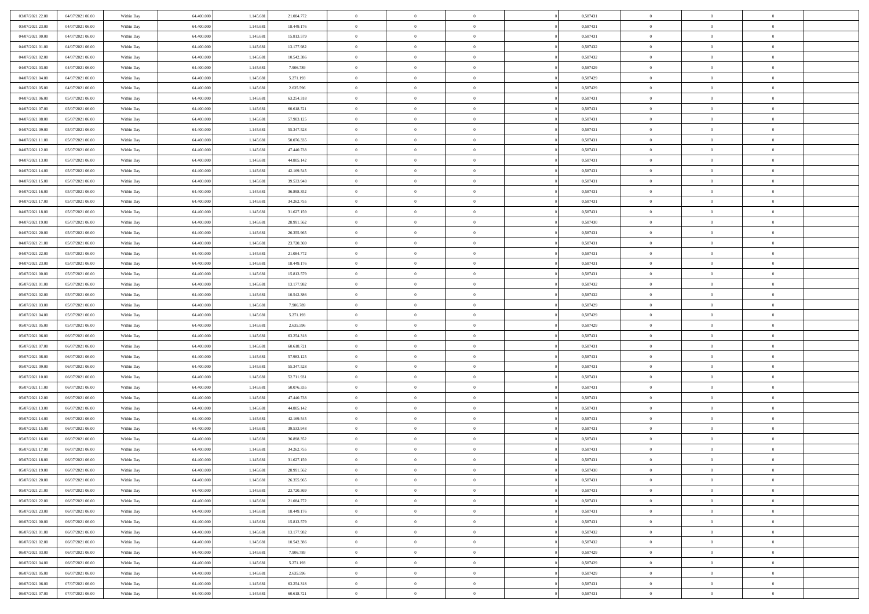| 03/07/2021 22.00 | 04/07/2021 06:00 | Within Day | 64,400,000 | 1.145.681 | 21.084.772 | $\overline{0}$ | $\overline{0}$ | $\Omega$       | 0,587431 | $\bf{0}$       | $\mathbf{0}$   | $\bf{0}$       |  |
|------------------|------------------|------------|------------|-----------|------------|----------------|----------------|----------------|----------|----------------|----------------|----------------|--|
| 03/07/2021 23:00 | 04/07/2021 06:00 | Within Day | 64.400.000 | 1.145.681 | 18.449.176 | $\mathbf{0}$   | $\overline{0}$ | $\overline{0}$ | 0,587431 | $\overline{0}$ | $\overline{0}$ | $\overline{0}$ |  |
| 04/07/2021 00:00 | 04/07/2021 06:00 | Within Day | 64.400.000 | 1.145.681 | 15.813.579 | $\,$ 0         | $\overline{0}$ | $\bf{0}$       | 0,587431 | $\,$ 0         | $\overline{0}$ | $\,$ 0 $\,$    |  |
| 04/07/2021 01:00 | 04/07/2021 06:00 | Within Day | 64,400,000 | 1.145.681 | 13.177.982 | $\bf{0}$       | $\overline{0}$ | $\Omega$       | 0,587432 | $\bf{0}$       | $\mathbf{0}$   | $\theta$       |  |
| 04/07/2021 02:00 | 04/07/2021 06:00 | Within Day | 64.400.000 | 1.145.681 | 10.542.386 | $\bf{0}$       | $\overline{0}$ | $\overline{0}$ | 0,587432 | $\overline{0}$ | $\overline{0}$ | $\overline{0}$ |  |
| 04/07/2021 03:00 | 04/07/2021 06:00 | Within Day | 64.400.000 | 1.145.681 | 7.906.789  | $\bf{0}$       | $\overline{0}$ | $\bf{0}$       | 0,587429 | $\,$ 0         | $\overline{0}$ | $\,$ 0 $\,$    |  |
| 04/07/2021 04:00 | 04/07/2021 06:00 | Within Day | 64,400,000 | 1.145.681 | 5.271.193  | $\bf{0}$       | $\overline{0}$ | $\Omega$       | 0,587429 | $\bf{0}$       | $\bf{0}$       | $\theta$       |  |
| 04/07/2021 05:00 | 04/07/2021 06:00 | Within Day | 64.400.000 | 1.145.681 | 2.635.596  | $\overline{0}$ | $\overline{0}$ | $\overline{0}$ | 0,587429 | $\mathbf{0}$   | $\overline{0}$ | $\overline{0}$ |  |
| 04/07/2021 06:00 | 05/07/2021 06:00 | Within Day | 64.400.000 | 1.145.681 | 63.254.318 | $\bf{0}$       | $\overline{0}$ | $\bf{0}$       | 0,587431 | $\,$ 0         | $\overline{0}$ | $\,$ 0 $\,$    |  |
| 04/07/2021 07:00 | 05/07/2021 06:00 | Within Day | 64,400,000 | 1.145.681 | 60.618.721 | $\bf{0}$       | $\overline{0}$ | $\Omega$       | 0.587431 | $\theta$       | $\mathbf{0}$   | $\theta$       |  |
| 04/07/2021 08:00 | 05/07/2021 06:00 | Within Day | 64.400.000 | 1.145.681 | 57.983.125 | $\overline{0}$ | $\overline{0}$ | $\overline{0}$ | 0,587431 | $\mathbf{0}$   | $\overline{0}$ | $\overline{0}$ |  |
| 04/07/2021 09:00 | 05/07/2021 06:00 | Within Day | 64.400.000 | 1.145.681 | 55.347.528 | $\bf{0}$       | $\overline{0}$ | $\bf{0}$       | 0,587431 | $\,$ 0         | $\overline{0}$ | $\,$ 0 $\,$    |  |
| 04/07/2021 11:00 | 05/07/2021 06:00 | Within Day | 64.400.000 | 1.145.681 | 50.076.335 | $\bf{0}$       | $\overline{0}$ | $\Omega$       | 0.587431 | $\overline{0}$ | $\mathbf{0}$   | $\theta$       |  |
| 04/07/2021 12:00 | 05/07/2021 06:00 | Within Day | 64.400.000 | 1.145.681 | 47.440.738 | $\overline{0}$ | $\overline{0}$ | $\overline{0}$ | 0,587431 | $\mathbf{0}$   | $\overline{0}$ | $\overline{0}$ |  |
| 04/07/2021 13:00 | 05/07/2021 06:00 | Within Day | 64.400.000 | 1.145.681 | 44.805.142 | $\bf{0}$       | $\overline{0}$ | $\bf{0}$       | 0,587431 | $\,$ 0         | $\overline{0}$ | $\,$ 0 $\,$    |  |
| 04/07/2021 14:00 | 05/07/2021 06:00 | Within Day | 64,400,000 | 1.145.681 | 42.169.545 | $\bf{0}$       | $\overline{0}$ | $\overline{0}$ | 0.587431 | $\bf{0}$       | $\mathbf{0}$   | $\theta$       |  |
| 04/07/2021 15:00 | 05/07/2021 06:00 | Within Day | 64.400.000 | 1.145.681 | 39.533.948 | $\overline{0}$ | $\overline{0}$ | $\overline{0}$ | 0,587431 | $\mathbf{0}$   | $\overline{0}$ | $\overline{0}$ |  |
| 04/07/2021 16:00 | 05/07/2021 06:00 | Within Day | 64.400.000 | 1.145.681 | 36.898.352 | $\bf{0}$       | $\overline{0}$ | $\bf{0}$       | 0,587431 | $\,$ 0         | $\overline{0}$ | $\,$ 0 $\,$    |  |
| 04/07/2021 17:00 | 05/07/2021 06:00 | Within Day | 64,400,000 | 1.145.681 | 34.262.755 | $\bf{0}$       | $\overline{0}$ | $\Omega$       | 0.587431 | $\theta$       | $\mathbf{0}$   | $\theta$       |  |
| 04/07/2021 18:00 | 05/07/2021 06:00 | Within Day | 64.400.000 | 1.145.681 | 31.627.159 | $\overline{0}$ | $\overline{0}$ | $\overline{0}$ | 0,587431 | $\mathbf{0}$   | $\overline{0}$ | $\overline{0}$ |  |
| 04/07/2021 19:00 | 05/07/2021 06:00 | Within Day | 64.400.000 | 1.145.681 | 28.991.562 | $\bf{0}$       | $\overline{0}$ | $\bf{0}$       | 0,587430 | $\,$ 0         | $\overline{0}$ | $\,$ 0 $\,$    |  |
| 04/07/2021 20:00 | 05/07/2021 06:00 | Within Day | 64,400,000 | 1.145.681 | 26.355.965 | $\bf{0}$       | $\overline{0}$ | $\Omega$       | 0.587431 | $\bf{0}$       | $\mathbf{0}$   | $\theta$       |  |
| 04/07/2021 21:00 | 05/07/2021 06:00 | Within Day | 64.400.000 | 1.145.681 | 23.720.369 | $\overline{0}$ | $\overline{0}$ | $\overline{0}$ | 0,587431 | $\mathbf{0}$   | $\overline{0}$ | $\overline{0}$ |  |
| 04/07/2021 22.00 | 05/07/2021 06:00 | Within Day | 64.400.000 | 1.145.681 | 21.084.772 | $\bf{0}$       | $\overline{0}$ | $\bf{0}$       | 0,587431 | $\,$ 0         | $\overline{0}$ | $\,$ 0 $\,$    |  |
| 04/07/2021 23.00 | 05/07/2021 06:00 | Within Day | 64,400,000 | 1.145.681 | 18.449.176 | $\bf{0}$       | $\overline{0}$ | $\overline{0}$ | 0,587431 | $\bf{0}$       | $\bf{0}$       | $\bf{0}$       |  |
| 05/07/2021 00:00 | 05/07/2021 06:00 | Within Day | 64.400.000 | 1.145.681 | 15.813.579 | $\overline{0}$ | $\overline{0}$ | $\overline{0}$ | 0,587431 | $\mathbf{0}$   | $\overline{0}$ | $\overline{0}$ |  |
| 05/07/2021 01:00 | 05/07/2021 06:00 | Within Day | 64.400.000 | 1.145.681 | 13.177.982 | $\bf{0}$       | $\overline{0}$ | $\bf{0}$       | 0,587432 | $\,$ 0         | $\overline{0}$ | $\,$ 0 $\,$    |  |
| 05/07/2021 02:00 | 05/07/2021 06:00 | Within Day | 64,400,000 | 1.145.681 | 10.542.386 | $\bf{0}$       | $\overline{0}$ | $\Omega$       | 0.587432 | $\theta$       | $\mathbf{0}$   | $\theta$       |  |
| 05/07/2021 03:00 | 05/07/2021 06:00 | Within Day | 64.400.000 | 1.145.681 | 7.906.789  | $\overline{0}$ | $\overline{0}$ | $\overline{0}$ | 0,587429 | $\mathbf{0}$   | $\overline{0}$ | $\overline{0}$ |  |
| 05/07/2021 04:00 | 05/07/2021 06:00 | Within Day | 64.400.000 | 1.145.681 | 5.271.193  | $\bf{0}$       | $\overline{0}$ | $\bf{0}$       | 0,587429 | $\,$ 0         | $\overline{0}$ | $\,$ 0 $\,$    |  |
| 05/07/2021 05:00 | 05/07/2021 06:00 | Within Day | 64.400.000 | 1.145.681 | 2.635.596  | $\,$ 0         | $\overline{0}$ | $\overline{0}$ | 0,587429 | $\bf{0}$       | $\overline{0}$ | $\,0\,$        |  |
| 05/07/2021 06:00 | 06/07/2021 06:00 | Within Dav | 64.400.000 | 1.145.681 | 63.254.318 | $\overline{0}$ | $\overline{0}$ | $\overline{0}$ | 0,587431 | $\mathbf{0}$   | $\overline{0}$ | $\overline{0}$ |  |
| 05/07/2021 07:00 | 06/07/2021 06:00 | Within Day | 64.400.000 | 1.145.681 | 60.618.721 | $\bf{0}$       | $\overline{0}$ | $\bf{0}$       | 0,587431 | $\,$ 0         | $\overline{0}$ | $\,$ 0 $\,$    |  |
| 05/07/2021 08:00 | 06/07/2021 06:00 | Within Day | 64.400.000 | 1.145.681 | 57.983.125 | $\bf{0}$       | $\overline{0}$ | $\bf{0}$       | 0,587431 | $\bf{0}$       | $\overline{0}$ | $\,0\,$        |  |
| 05/07/2021 09:00 | 06/07/2021 06:00 | Within Day | 64.400.000 | 1.145.681 | 55.347.528 | $\overline{0}$ | $\overline{0}$ | $\overline{0}$ | 0,587431 | $\overline{0}$ | $\overline{0}$ | $\overline{0}$ |  |
| 05/07/2021 10:00 | 06/07/2021 06:00 | Within Day | 64.400.000 | 1.145.681 | 52.711.931 | $\bf{0}$       | $\overline{0}$ | $\bf{0}$       | 0,587431 | $\,$ 0         | $\overline{0}$ | $\,$ 0 $\,$    |  |
| 05/07/2021 11:00 | 06/07/2021 06:00 | Within Day | 64.400.000 | 1.145.681 | 50.076.335 | $\bf{0}$       | $\bf{0}$       | $\overline{0}$ | 0,587431 | $\bf{0}$       | $\overline{0}$ | $\,0\,$        |  |
| 05/07/2021 12:00 | 06/07/2021 06:00 | Within Day | 64.400.000 | 1.145.681 | 47.440.738 | $\overline{0}$ | $\overline{0}$ | $\overline{0}$ | 0,587431 | $\mathbf{0}$   | $\overline{0}$ | $\overline{0}$ |  |
| 05/07/2021 13:00 | 06/07/2021 06:00 | Within Day | 64.400.000 | 1.145.681 | 44.805.142 | $\bf{0}$       | $\overline{0}$ | $\bf{0}$       | 0,587431 | $\,$ 0         | $\overline{0}$ | $\,$ 0 $\,$    |  |
| 05/07/2021 14:00 | 06/07/2021 06:00 | Within Day | 64.400.000 | 1.145.681 | 42.169.545 | $\bf{0}$       | $\bf{0}$       | $\overline{0}$ | 0,587431 | $\bf{0}$       | $\overline{0}$ | $\,0\,$        |  |
| 05/07/2021 15:00 | 06/07/2021 06:00 | Within Day | 64.400.000 | 1.145.681 | 39.533.948 | $\overline{0}$ | $\overline{0}$ | $\overline{0}$ | 0,587431 | $\overline{0}$ | $\overline{0}$ | $\overline{0}$ |  |
| 05/07/2021 16:00 | 06/07/2021 06:00 | Within Day | 64.400.000 | 1.145.681 | 36.898.352 | $\bf{0}$       | $\overline{0}$ | $\bf{0}$       | 0,587431 | $\,$ 0         | $\overline{0}$ | $\,$ 0 $\,$    |  |
| 05/07/2021 17:00 | 06/07/2021 06:00 | Within Day | 64.400.000 | 1.145.681 | 34.262.755 | $\bf{0}$       | $\bf{0}$       | $\bf{0}$       | 0,587431 | $\bf{0}$       | $\overline{0}$ | $\,0\,$        |  |
| 05/07/2021 18:00 | 06/07/2021 06:00 | Within Day | 64.400.000 | 1.145.681 | 31.627.159 | $\mathbf{0}$   | $\overline{0}$ | $\overline{0}$ | 0,587431 | $\overline{0}$ | $\overline{0}$ | $\overline{0}$ |  |
| 05/07/2021 19:00 | 06/07/2021 06:00 | Within Day | 64.400.000 | 1.145.681 | 28.991.562 | $\bf{0}$       | $\overline{0}$ | $\theta$       | 0,587430 | $\overline{0}$ | $\theta$       | $\theta$       |  |
| 05/07/2021 20:00 | 06/07/2021 06:00 | Within Day | 64.400.000 | 1.145.681 | 26.355.965 | $\bf{0}$       | $\bf{0}$       | $\bf{0}$       | 0,587431 | $\bf{0}$       | $\overline{0}$ | $\,0\,$        |  |
| 05/07/2021 21:00 | 06/07/2021 06:00 | Within Day | 64.400.000 | 1.145.681 | 23.720.369 | $\overline{0}$ | $\overline{0}$ | $\overline{0}$ | 0,587431 | $\overline{0}$ | $\bf{0}$       | $\overline{0}$ |  |
| 05/07/2021 22.00 | 06/07/2021 06:00 | Within Day | 64.400.000 | 1.145.681 | 21.084.772 | $\,$ 0 $\,$    | $\overline{0}$ | $\overline{0}$ | 0,587431 | $\mathbf{0}$   | $\,$ 0 $\,$    | $\,$ 0 $\,$    |  |
| 05/07/2021 23:00 | 06/07/2021 06:00 | Within Day | 64.400.000 | 1.145.681 | 18.449.176 | $\bf{0}$       | $\bf{0}$       | $\overline{0}$ | 0,587431 | $\bf{0}$       | $\overline{0}$ | $\bf{0}$       |  |
| 06/07/2021 00:00 | 06/07/2021 06:00 | Within Day | 64.400.000 | 1.145.681 | 15.813.579 | $\bf{0}$       | $\overline{0}$ | $\overline{0}$ | 0,587431 | $\overline{0}$ | $\overline{0}$ | $\overline{0}$ |  |
| 06/07/2021 01:00 | 06/07/2021 06:00 | Within Day | 64.400.000 | 1.145.681 | 13.177.982 | $\,$ 0 $\,$    | $\overline{0}$ | $\overline{0}$ | 0,587432 | $\,$ 0 $\,$    | $\overline{0}$ | $\,$ 0 $\,$    |  |
| 06/07/2021 02:00 | 06/07/2021 06:00 | Within Day | 64.400.000 | 1.145.681 | 10.542.386 | $\bf{0}$       | $\overline{0}$ | $\overline{0}$ | 0,587432 | $\bf{0}$       | $\overline{0}$ | $\overline{0}$ |  |
| 06/07/2021 03:00 | 06/07/2021 06:00 | Within Day | 64.400.000 | 1.145.681 | 7.906.789  | $\overline{0}$ | $\overline{0}$ | $\overline{0}$ | 0,587429 | $\overline{0}$ | $\bf{0}$       | $\overline{0}$ |  |
| 06/07/2021 04:00 | 06/07/2021 06:00 | Within Day | 64.400.000 | 1.145.681 | 5.271.193  | $\,$ 0 $\,$    | $\overline{0}$ | $\overline{0}$ | 0,587429 | $\,$ 0 $\,$    | $\,$ 0 $\,$    | $\,$ 0 $\,$    |  |
| 06/07/2021 05:00 | 06/07/2021 06:00 | Within Day | 64.400.000 | 1.145.681 | 2.635.596  | $\bf{0}$       | $\bf{0}$       | $\overline{0}$ | 0,587429 | $\mathbf{0}$   | $\overline{0}$ | $\bf{0}$       |  |
| 06/07/2021 06:00 | 07/07/2021 06:00 | Within Day | 64.400.000 | 1.145.681 | 63.254.318 | $\bf{0}$       | $\overline{0}$ | $\overline{0}$ | 0,587431 | $\mathbf{0}$   | $\bf{0}$       | $\overline{0}$ |  |
| 06/07/2021 07:00 | 07/07/2021 06:00 | Within Day | 64.400.000 | 1.145.681 | 60.618.721 | $\,0\,$        | $\overline{0}$ | $\overline{0}$ | 0,587431 | $\,$ 0         | $\overline{0}$ | $\,$ 0 $\,$    |  |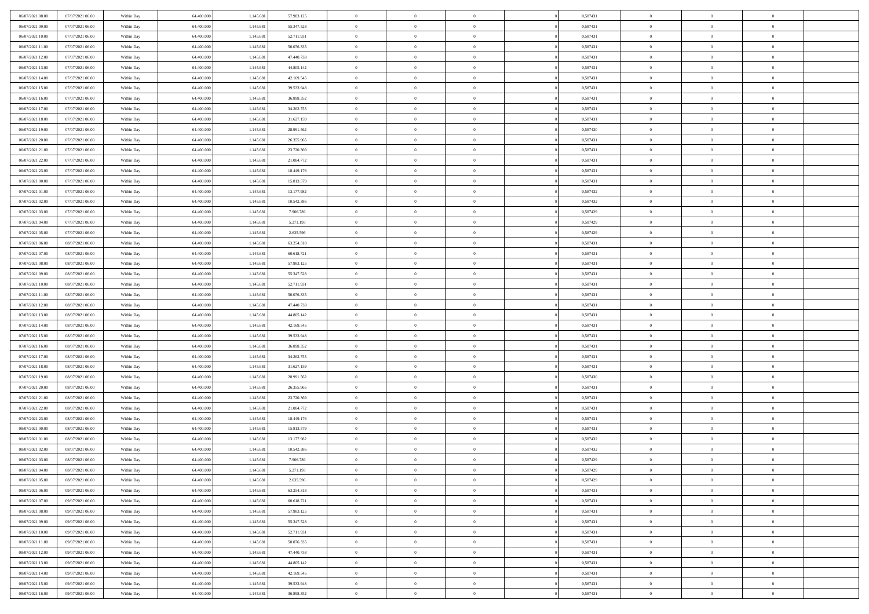| 06/07/2021 08:00 | 07/07/2021 06:00 | Within Day | 64,400,000 | 1.145.681 | 57.983.125 | $\overline{0}$ | $\overline{0}$ | $\Omega$       | 0,587431 | $\bf{0}$       | $\mathbf{0}$   | $\bf{0}$       |  |
|------------------|------------------|------------|------------|-----------|------------|----------------|----------------|----------------|----------|----------------|----------------|----------------|--|
| 06/07/2021 09:00 | 07/07/2021 06:00 | Within Dav | 64.400.000 | 1.145.681 | 55.347.528 | $\mathbf{0}$   | $\overline{0}$ | $\overline{0}$ | 0,587431 | $\overline{0}$ | $\overline{0}$ | $\overline{0}$ |  |
| 06/07/2021 10:00 | 07/07/2021 06:00 | Within Day | 64.400.000 | 1.145.681 | 52.711.931 | $\,$ 0         | $\overline{0}$ | $\bf{0}$       | 0,587431 | $\,$ 0         | $\overline{0}$ | $\,$ 0 $\,$    |  |
| 06/07/2021 11:00 | 07/07/2021 06:00 | Within Day | 64,400,000 | 1.145.681 | 50.076.335 | $\bf{0}$       | $\overline{0}$ | $\Omega$       | 0.587431 | $\bf{0}$       | $\mathbf{0}$   | $\theta$       |  |
| 06/07/2021 12:00 | 07/07/2021 06:00 | Within Day | 64.400.000 | 1.145.681 | 47.440.738 | $\bf{0}$       | $\overline{0}$ | $\overline{0}$ | 0,587431 | $\overline{0}$ | $\overline{0}$ | $\overline{0}$ |  |
| 06/07/2021 13:00 | 07/07/2021 06:00 | Within Day | 64.400.000 | 1.145.681 | 44.805.142 | $\bf{0}$       | $\overline{0}$ | $\bf{0}$       | 0,587431 | $\,$ 0         | $\overline{0}$ | $\,$ 0 $\,$    |  |
| 06/07/2021 14:00 | 07/07/2021 06:00 | Within Day | 64,400,000 | 1.145.681 | 42.169.545 | $\bf{0}$       | $\overline{0}$ | $\Omega$       | 0.587431 | $\theta$       | $\mathbf{0}$   | $\theta$       |  |
| 06/07/2021 15:00 | 07/07/2021 06:00 | Within Day | 64.400.000 | 1.145.681 | 39.533.948 | $\overline{0}$ | $\overline{0}$ | $\overline{0}$ | 0,587431 | $\mathbf{0}$   | $\overline{0}$ | $\overline{0}$ |  |
| 06/07/2021 16:00 | 07/07/2021 06:00 | Within Day | 64.400.000 | 1.145.681 | 36.898.352 | $\bf{0}$       | $\overline{0}$ | $\bf{0}$       | 0,587431 | $\,$ 0         | $\overline{0}$ | $\,$ 0 $\,$    |  |
| 06/07/2021 17:00 | 07/07/2021 06:00 | Within Day | 64,400,000 | 1.145.681 | 34.262.755 | $\bf{0}$       | $\overline{0}$ | $\Omega$       | 0.587431 | $\theta$       | $\mathbf{0}$   | $\theta$       |  |
| 06/07/2021 18:00 | 07/07/2021 06:00 | Within Day | 64.400.000 | 1.145.681 | 31.627.159 | $\overline{0}$ | $\overline{0}$ | $\overline{0}$ | 0,587431 | $\mathbf{0}$   | $\overline{0}$ | $\overline{0}$ |  |
| 06/07/2021 19:00 | 07/07/2021 06:00 | Within Day | 64.400.000 | 1.145.681 | 28.991.562 | $\bf{0}$       | $\overline{0}$ | $\bf{0}$       | 0,587430 | $\,$ 0         | $\overline{0}$ | $\,$ 0 $\,$    |  |
| 06/07/2021 20:00 | 07/07/2021 06:00 | Within Day | 64.400.000 | 1.145.681 | 26.355.965 | $\bf{0}$       | $\overline{0}$ | $\Omega$       | 0.587431 | $\overline{0}$ | $\mathbf{0}$   | $\theta$       |  |
| 06/07/2021 21:00 | 07/07/2021 06:00 | Within Dav | 64.400.000 | 1.145.681 | 23.720.369 | $\overline{0}$ | $\overline{0}$ | $\overline{0}$ | 0,587431 | $\mathbf{0}$   | $\overline{0}$ | $\overline{0}$ |  |
| 06/07/2021 22.00 | 07/07/2021 06:00 | Within Day | 64.400.000 | 1.145.681 | 21.084.772 | $\bf{0}$       | $\overline{0}$ | $\bf{0}$       | 0,587431 | $\,$ 0         | $\overline{0}$ | $\,$ 0 $\,$    |  |
| 06/07/2021 23.00 | 07/07/2021 06:00 | Within Day | 64,400,000 | 1.145.681 | 18.449.176 | $\bf{0}$       | $\overline{0}$ | $\overline{0}$ | 0.587431 | $\bf{0}$       | $\mathbf{0}$   | $\theta$       |  |
| 07/07/2021 00:00 | 07/07/2021 06:00 | Within Day | 64.400.000 | 1.145.681 | 15.813.579 | $\overline{0}$ | $\overline{0}$ | $\overline{0}$ | 0,587431 | $\mathbf{0}$   | $\overline{0}$ | $\overline{0}$ |  |
| 07/07/2021 01:00 | 07/07/2021 06:00 | Within Day | 64.400.000 | 1.145.681 | 13.177.982 | $\bf{0}$       | $\overline{0}$ | $\bf{0}$       | 0,587432 | $\,$ 0         | $\overline{0}$ | $\,$ 0 $\,$    |  |
| 07/07/2021 02:00 | 07/07/2021 06:00 | Within Day | 64,400,000 | 1.145.681 | 10.542.386 | $\bf{0}$       | $\overline{0}$ | $\Omega$       | 0.587432 | $\theta$       | $\mathbf{0}$   | $\theta$       |  |
| 07/07/2021 03:00 | 07/07/2021 06:00 | Within Day | 64.400.000 | 1.145.681 | 7.906.789  | $\overline{0}$ | $\overline{0}$ | $\overline{0}$ | 0,587429 | $\mathbf{0}$   | $\overline{0}$ | $\overline{0}$ |  |
| 07/07/2021 04:00 | 07/07/2021 06:00 | Within Day | 64.400.000 | 1.145.681 | 5.271.193  | $\bf{0}$       | $\overline{0}$ | $\bf{0}$       | 0,587429 | $\,$ 0         | $\overline{0}$ | $\,$ 0 $\,$    |  |
| 07/07/2021 05:00 | 07/07/2021 06:00 | Within Day | 64,400,000 | 1.145.681 | 2.635.596  | $\bf{0}$       | $\overline{0}$ | $\Omega$       | 0.587429 | $\bf{0}$       | $\mathbf{0}$   | $\theta$       |  |
| 07/07/2021 06:00 | 08/07/2021 06:00 | Within Day | 64.400.000 | 1.145.681 | 63.254.318 | $\overline{0}$ | $\overline{0}$ | $\overline{0}$ | 0,587431 | $\mathbf{0}$   | $\overline{0}$ | $\overline{0}$ |  |
| 07/07/2021 07:00 | 08/07/2021 06:00 | Within Day | 64.400.000 | 1.145.681 | 60.618.721 | $\bf{0}$       | $\overline{0}$ | $\bf{0}$       | 0,587431 | $\,$ 0         | $\overline{0}$ | $\,$ 0 $\,$    |  |
| 07/07/2021 08:00 | 08/07/2021 06:00 | Within Day | 64,400,000 | 1.145.681 | 57.983.125 | $\bf{0}$       | $\overline{0}$ | $\overline{0}$ | 0,587431 | $\bf{0}$       | $\bf{0}$       | $\bf{0}$       |  |
| 07/07/2021 09:00 | 08/07/2021 06:00 | Within Day | 64.400.000 | 1.145.681 | 55.347.528 | $\overline{0}$ | $\overline{0}$ | $\overline{0}$ | 0,587431 | $\mathbf{0}$   | $\overline{0}$ | $\overline{0}$ |  |
| 07/07/2021 10:00 | 08/07/2021 06:00 | Within Day | 64.400.000 | 1.145.681 | 52.711.931 | $\bf{0}$       | $\overline{0}$ | $\bf{0}$       | 0,587431 | $\,$ 0         | $\overline{0}$ | $\,$ 0 $\,$    |  |
| 07/07/2021 11:00 | 08/07/2021 06:00 | Within Day | 64,400,000 | 1.145.681 | 50.076.335 | $\bf{0}$       | $\overline{0}$ | $\Omega$       | 0.587431 | $\theta$       | $\mathbf{0}$   | $\theta$       |  |
| 07/07/2021 12:00 | 08/07/2021 06:00 | Within Day | 64.400.000 | 1.145.681 | 47.440.738 | $\overline{0}$ | $\overline{0}$ | $\overline{0}$ | 0,587431 | $\mathbf{0}$   | $\overline{0}$ | $\overline{0}$ |  |
| 07/07/2021 13:00 | 08/07/2021 06:00 | Within Day | 64.400.000 | 1.145.681 | 44.805.142 | $\bf{0}$       | $\overline{0}$ | $\bf{0}$       | 0,587431 | $\,$ 0         | $\overline{0}$ | $\,$ 0 $\,$    |  |
| 07/07/2021 14:00 | 08/07/2021 06:00 | Within Day | 64.400.000 | 1.145.681 | 42.169.545 | $\,$ 0         | $\overline{0}$ | $\overline{0}$ | 0,587431 | $\bf{0}$       | $\overline{0}$ | $\,0\,$        |  |
| 07/07/2021 15:00 | 08/07/2021 06:00 | Within Dav | 64.400.000 | 1.145.681 | 39.533.948 | $\overline{0}$ | $\overline{0}$ | $\overline{0}$ | 0,587431 | $\mathbf{0}$   | $\overline{0}$ | $\overline{0}$ |  |
| 07/07/2021 16:00 | 08/07/2021 06:00 | Within Day | 64.400.000 | 1.145.681 | 36.898.352 | $\bf{0}$       | $\overline{0}$ | $\bf{0}$       | 0,587431 | $\,$ 0         | $\overline{0}$ | $\,$ 0 $\,$    |  |
| 07/07/2021 17:00 | 08/07/2021 06:00 | Within Day | 64.400.000 | 1.145.681 | 34.262.755 | $\bf{0}$       | $\bf{0}$       | $\bf{0}$       | 0,587431 | $\bf{0}$       | $\overline{0}$ | $\,0\,$        |  |
| 07/07/2021 18:00 | 08/07/2021 06:00 | Within Day | 64.400.000 | 1.145.681 | 31.627.159 | $\overline{0}$ | $\overline{0}$ | $\overline{0}$ | 0,587431 | $\overline{0}$ | $\overline{0}$ | $\overline{0}$ |  |
| 07/07/2021 19:00 | 08/07/2021 06:00 | Within Day | 64.400.000 | 1.145.681 | 28.991.562 | $\bf{0}$       | $\overline{0}$ | $\bf{0}$       | 0,587430 | $\,$ 0         | $\overline{0}$ | $\,$ 0 $\,$    |  |
| 07/07/2021 20:00 | 08/07/2021 06:00 | Within Day | 64.400.000 | 1.145.681 | 26.355.965 | $\,$ 0         | $\bf{0}$       | $\overline{0}$ | 0,587431 | $\bf{0}$       | $\overline{0}$ | $\,0\,$        |  |
| 07/07/2021 21:00 | 08/07/2021 06:00 | Within Day | 64.400.000 | 1.145.681 | 23.720.369 | $\overline{0}$ | $\overline{0}$ | $\overline{0}$ | 0,587431 | $\mathbf{0}$   | $\overline{0}$ | $\overline{0}$ |  |
| 07/07/2021 22.00 | 08/07/2021 06:00 | Within Day | 64.400.000 | 1.145.681 | 21.084.772 | $\bf{0}$       | $\overline{0}$ | $\bf{0}$       | 0,587431 | $\,$ 0         | $\overline{0}$ | $\,$ 0 $\,$    |  |
| 07/07/2021 23.00 | 08/07/2021 06:00 | Within Day | 64.400.000 | 1.145.681 | 18.449.176 | $\bf{0}$       | $\bf{0}$       | $\overline{0}$ | 0,587431 | $\bf{0}$       | $\overline{0}$ | $\,0\,$        |  |
| 08/07/2021 00:00 | 08/07/2021 06:00 | Within Day | 64.400.000 | 1.145.681 | 15.813.579 | $\overline{0}$ | $\overline{0}$ | $\overline{0}$ | 0,587431 | $\overline{0}$ | $\overline{0}$ | $\overline{0}$ |  |
| 08/07/2021 01:00 | 08/07/2021 06:00 | Within Day | 64.400.000 | 1.145.681 | 13.177.982 | $\bf{0}$       | $\overline{0}$ | $\bf{0}$       | 0,587432 | $\,$ 0         | $\overline{0}$ | $\,$ 0 $\,$    |  |
| 08/07/2021 02:00 | 08/07/2021 06:00 | Within Day | 64.400.000 | 1.145.681 | 10.542.386 | $\bf{0}$       | $\bf{0}$       | $\bf{0}$       | 0,587432 | $\bf{0}$       | $\overline{0}$ | $\,0\,$        |  |
| 08/07/2021 03:00 | 08/07/2021 06:00 | Within Day | 64.400.000 | 1.145.681 | 7.906.789  | $\mathbf{0}$   | $\overline{0}$ | $\overline{0}$ | 0,587429 | $\overline{0}$ | $\overline{0}$ | $\overline{0}$ |  |
| 08/07/2021 04:00 | 08/07/2021 06:00 | Within Day | 64.400.000 | 1.145.681 | 5.271.193  | $\bf{0}$       | $\overline{0}$ | $\theta$       | 0,587429 | $\overline{0}$ | $\theta$       | $\theta$       |  |
| 08/07/2021 05:00 | 08/07/2021 06:00 | Within Day | 64.400.000 | 1.145.681 | 2.635.596  | $\bf{0}$       | $\bf{0}$       | $\bf{0}$       | 0,587429 | $\bf{0}$       | $\overline{0}$ | $\,0\,$        |  |
| 08/07/2021 06:00 | 09/07/2021 06:00 | Within Day | 64.400.000 | 1.145.681 | 63.254.318 | $\overline{0}$ | $\overline{0}$ | $\overline{0}$ | 0,587431 | $\overline{0}$ | $\bf{0}$       | $\overline{0}$ |  |
| 08/07/2021 07:00 | 09/07/2021 06:00 | Within Day | 64.400.000 | 1.145.681 | 60.618.721 | $\,$ 0 $\,$    | $\overline{0}$ | $\overline{0}$ | 0,587431 | $\mathbf{0}$   | $\,$ 0 $\,$    | $\,$ 0 $\,$    |  |
| 08/07/2021 08:00 | 09/07/2021 06:00 | Within Day | 64.400.000 | 1.145.681 | 57.983.125 | $\bf{0}$       | $\bf{0}$       | $\overline{0}$ | 0,587431 | $\bf{0}$       | $\overline{0}$ | $\bf{0}$       |  |
| 08/07/2021 09:00 | 09/07/2021 06:00 | Within Day | 64.400.000 | 1.145.681 | 55.347.528 | $\bf{0}$       | $\overline{0}$ | $\overline{0}$ | 0,587431 | $\overline{0}$ | $\overline{0}$ | $\overline{0}$ |  |
| 08/07/2021 10:00 | 09/07/2021 06:00 | Within Day | 64.400.000 | 1.145.681 | 52.711.931 | $\,$ 0 $\,$    | $\overline{0}$ | $\overline{0}$ | 0,587431 | $\,$ 0 $\,$    | $\overline{0}$ | $\,$ 0 $\,$    |  |
| 08/07/2021 11:00 | 09/07/2021 06:00 | Within Day | 64.400.000 | 1.145.681 | 50.076.335 | $\overline{0}$ | $\overline{0}$ | $\overline{0}$ | 0,587431 | $\bf{0}$       | $\overline{0}$ | $\overline{0}$ |  |
| 08/07/2021 12:00 | 09/07/2021 06:00 | Within Day | 64.400.000 | 1.145.681 | 47.440.738 | $\overline{0}$ | $\overline{0}$ | $\overline{0}$ | 0,587431 | $\overline{0}$ | $\bf{0}$       | $\overline{0}$ |  |
| 08/07/2021 13:00 | 09/07/2021 06:00 | Within Day | 64.400.000 | 1.145.681 | 44.805.142 | $\,$ 0 $\,$    | $\overline{0}$ | $\overline{0}$ | 0,587431 | $\,$ 0 $\,$    | $\,$ 0 $\,$    | $\,$ 0 $\,$    |  |
| 08/07/2021 14:00 | 09/07/2021 06:00 | Within Day | 64.400.000 | 1.145.681 | 42.169.545 | $\bf{0}$       | $\bf{0}$       | $\overline{0}$ | 0,587431 | $\mathbf{0}$   | $\overline{0}$ | $\bf{0}$       |  |
| 08/07/2021 15:00 | 09/07/2021 06:00 | Within Day | 64.400.000 | 1.145.681 | 39.533.948 | $\bf{0}$       | $\overline{0}$ | $\overline{0}$ | 0,587431 | $\mathbf{0}$   | $\bf{0}$       | $\overline{0}$ |  |
| 08/07/2021 16:00 | 09/07/2021 06:00 | Within Day | 64.400.000 | 1.145.681 | 36.898.352 | $\,0\,$        | $\overline{0}$ | $\overline{0}$ | 0,587431 | $\,$ 0         | $\overline{0}$ | $\,$ 0 $\,$    |  |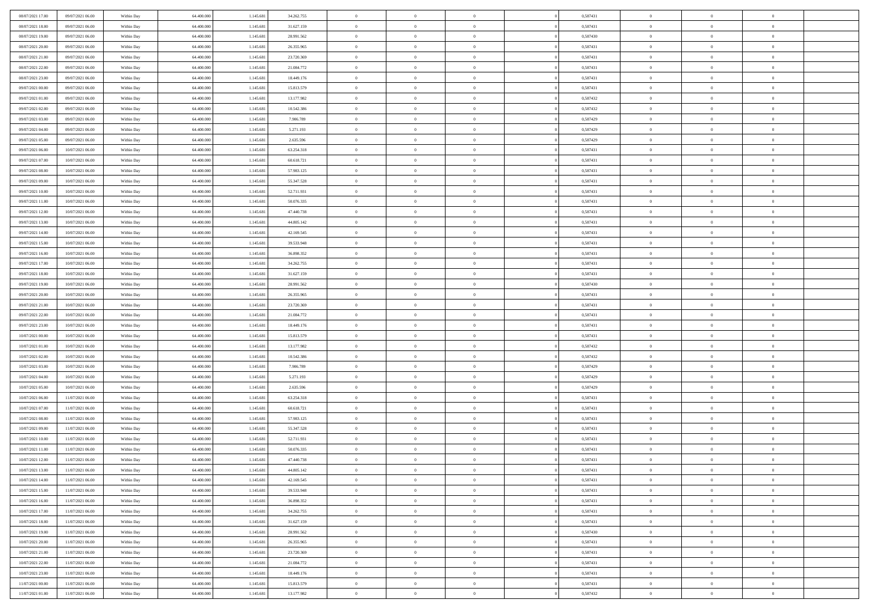| 08/07/2021 17:00                     | 09/07/2021 06:00                     | Within Day               | 64,400,000               | 1.145.681              | 34.262.755              | $\overline{0}$             | $\overline{0}$             | $\Omega$                   | 0,587431             | $\bf{0}$                 | $\mathbf{0}$                     | $\bf{0}$                  |  |
|--------------------------------------|--------------------------------------|--------------------------|--------------------------|------------------------|-------------------------|----------------------------|----------------------------|----------------------------|----------------------|--------------------------|----------------------------------|---------------------------|--|
| 08/07/2021 18:00                     | 09/07/2021 06:00                     | Within Dav               | 64.400.000               | 1.145.681              | 31.627.159              | $\mathbf{0}$               | $\overline{0}$             | $\overline{0}$             | 0,587431             | $\overline{0}$           | $\overline{0}$                   | $\overline{0}$            |  |
| 08/07/2021 19:00                     | 09/07/2021 06:00                     | Within Day               | 64.400.000               | 1.145.681              | 28.991.562              | $\,$ 0                     | $\overline{0}$             | $\bf{0}$                   | 0,587430             | $\,$ 0                   | $\overline{0}$                   | $\,$ 0 $\,$               |  |
| 08/07/2021 20:00                     | 09/07/2021 06:00                     | Within Day               | 64,400,000               | 1.145.681              | 26.355.965              | $\bf{0}$                   | $\overline{0}$             | $\Omega$                   | 0.587431             | $\bf{0}$                 | $\mathbf{0}$                     | $\theta$                  |  |
| 08/07/2021 21:00                     | 09/07/2021 06:00                     | Within Day               | 64.400.000               | 1.145.681              | 23.720.369              | $\bf{0}$                   | $\overline{0}$             | $\overline{0}$             | 0,587431             | $\overline{0}$           | $\overline{0}$                   | $\overline{0}$            |  |
| 08/07/2021 22:00                     | 09/07/2021 06:00                     | Within Day               | 64.400.000               | 1.145.681              | 21.084.772              | $\bf{0}$                   | $\overline{0}$             | $\bf{0}$                   | 0,587431             | $\,$ 0                   | $\overline{0}$                   | $\,$ 0 $\,$               |  |
| 08/07/2021 23:00                     | 09/07/2021 06:00                     | Within Day               | 64,400,000               | 1.145.681              | 18.449.176              | $\bf{0}$                   | $\overline{0}$             | $\Omega$                   | 0,587431             | $\bf{0}$                 | $\bf{0}$                         | $\theta$                  |  |
| 09/07/2021 00:00                     | 09/07/2021 06:00                     | Within Day               | 64.400.000               | 1.145.681              | 15.813.579              | $\overline{0}$             | $\overline{0}$             | $\overline{0}$             | 0,587431             | $\mathbf{0}$             | $\overline{0}$                   | $\overline{0}$            |  |
| 09/07/2021 01:00                     | 09/07/2021 06:00                     | Within Day               | 64.400.000               | 1.145.681              | 13.177.982              | $\bf{0}$                   | $\overline{0}$             | $\bf{0}$                   | 0,587432             | $\,$ 0                   | $\overline{0}$                   | $\,$ 0 $\,$               |  |
| 09/07/2021 02:00                     | 09/07/2021 06:00                     | Within Day               | 64,400,000               | 1.145.681              | 10.542.386              | $\bf{0}$                   | $\overline{0}$             | $\Omega$                   | 0.587432             | $\theta$                 | $\mathbf{0}$                     | $\theta$                  |  |
| 09/07/2021 03:00                     | 09/07/2021 06:00                     | Within Day               | 64.400.000               | 1.145.681              | 7.906.789               | $\overline{0}$             | $\overline{0}$             | $\overline{0}$             | 0,587429             | $\mathbf{0}$             | $\overline{0}$                   | $\overline{0}$            |  |
| 09/07/2021 04:00                     | 09/07/2021 06:00                     | Within Day               | 64.400.000               | 1.145.681              | 5.271.193               | $\bf{0}$                   | $\overline{0}$             | $\bf{0}$                   | 0,587429             | $\,$ 0                   | $\overline{0}$                   | $\,$ 0 $\,$               |  |
| 09/07/2021 05:00                     | 09/07/2021 06:00                     | Within Day               | 64.400.000               | 1.145.681              | 2.635.596               | $\bf{0}$                   | $\overline{0}$             | $\Omega$                   | 0.587429             | $\overline{0}$           | $\mathbf{0}$                     | $\theta$                  |  |
| 09/07/2021 06:00                     | 10/07/2021 06:00                     | Within Day               | 64.400.000               | 1.145.681              | 63.254.318              | $\overline{0}$             | $\overline{0}$             | $\overline{0}$             | 0,587431             | $\mathbf{0}$             | $\overline{0}$                   | $\overline{0}$            |  |
| 09/07/2021 07:00                     | 10/07/2021 06:00                     | Within Day               | 64.400.000               | 1.145.681              | 60.618.721              | $\bf{0}$                   | $\overline{0}$             | $\bf{0}$                   | 0,587431             | $\,$ 0                   | $\overline{0}$                   | $\,$ 0 $\,$               |  |
| 09/07/2021 08:00                     | 10/07/2021 06:00                     | Within Day               | 64,400,000               | 1.145.681              | 57.983.125              | $\bf{0}$                   | $\overline{0}$             | $\overline{0}$             | 0.587431             | $\bf{0}$                 | $\mathbf{0}$                     | $\theta$                  |  |
| 09/07/2021 09:00                     | 10/07/2021 06:00                     | Within Day               | 64.400.000               | 1.145.681              | 55.347.528              | $\overline{0}$             | $\overline{0}$             | $\overline{0}$             | 0,587431             | $\mathbf{0}$             | $\overline{0}$                   | $\overline{0}$            |  |
| 09/07/2021 10:00                     | 10/07/2021 06:00                     | Within Day               | 64.400.000               | 1.145.681              | 52.711.931              | $\bf{0}$                   | $\overline{0}$             | $\bf{0}$                   | 0,587431             | $\,$ 0                   | $\overline{0}$                   | $\,$ 0 $\,$               |  |
| 09/07/2021 11:00                     | 10/07/2021 06:00                     | Within Day               | 64,400,000               | 1.145.681              | 50.076.335              | $\bf{0}$                   | $\overline{0}$             | $\Omega$                   | 0.587431             | $\theta$                 | $\mathbf{0}$                     | $\theta$                  |  |
| 09/07/2021 12:00                     | 10/07/2021 06:00                     | Within Day               | 64.400.000               | 1.145.681              | 47.440.738              | $\overline{0}$             | $\overline{0}$             | $\overline{0}$             | 0,587431             | $\mathbf{0}$             | $\overline{0}$                   | $\overline{0}$            |  |
| 09/07/2021 13:00                     | 10/07/2021 06:00                     | Within Day               | 64.400.000               | 1.145.681              | 44.805.142              | $\bf{0}$                   | $\overline{0}$             | $\bf{0}$                   | 0,587431             | $\,$ 0                   | $\overline{0}$                   | $\,$ 0 $\,$               |  |
| 09/07/2021 14:00                     | 10/07/2021 06:00                     | Within Day               | 64,400,000               | 1.145.681              | 42.169.545              | $\bf{0}$                   | $\overline{0}$             | $\Omega$                   | 0.587431             | $\bf{0}$                 | $\mathbf{0}$                     | $\theta$                  |  |
| 09/07/2021 15:00                     | 10/07/2021 06:00                     | Within Day               | 64.400.000               | 1.145.681              | 39.533.948              | $\overline{0}$             | $\overline{0}$             | $\overline{0}$             | 0,587431             | $\mathbf{0}$             | $\overline{0}$                   | $\overline{0}$            |  |
| 09/07/2021 16:00                     | 10/07/2021 06:00                     | Within Day               | 64.400.000               | 1.145.681              | 36.898.352              | $\bf{0}$                   | $\overline{0}$             | $\bf{0}$                   | 0,587431             | $\,$ 0                   | $\overline{0}$                   | $\,$ 0 $\,$               |  |
| 09/07/2021 17:00                     | 10/07/2021 06:00                     | Within Day               | 64,400,000               | 1.145.681              | 34.262.755              | $\bf{0}$                   | $\overline{0}$             | $\overline{0}$             | 0,587431             | $\bf{0}$                 | $\bf{0}$                         | $\bf{0}$                  |  |
| 09/07/2021 18:00                     | 10/07/2021 06:00                     | Within Day               | 64.400.000               | 1.145.681              | 31.627.159              | $\overline{0}$             | $\overline{0}$             | $\overline{0}$             | 0,587431             | $\mathbf{0}$             | $\overline{0}$                   | $\overline{0}$            |  |
| 09/07/2021 19:00                     | 10/07/2021 06:00                     | Within Day               | 64.400.000               | 1.145.681              | 28.991.562              | $\bf{0}$                   | $\overline{0}$             | $\bf{0}$                   | 0,587430             | $\,$ 0                   | $\overline{0}$                   | $\,$ 0 $\,$               |  |
| 09/07/2021 20:00                     | 10/07/2021 06:00                     | Within Day               | 64,400,000               | 1.145.681              | 26,355,965              | $\bf{0}$                   | $\overline{0}$             | $\Omega$                   | 0.587431             | $\theta$                 | $\mathbf{0}$                     | $\theta$                  |  |
| 09/07/2021 21:00                     | 10/07/2021 06:00                     | Within Day               | 64.400.000               | 1.145.681              | 23.720.369              | $\overline{0}$             | $\overline{0}$             | $\overline{0}$             | 0,587431             | $\mathbf{0}$             | $\overline{0}$                   | $\overline{0}$            |  |
| 09/07/2021 22.00                     | 10/07/2021 06:00                     | Within Day               | 64.400.000               | 1.145.681              | 21.084.772              | $\bf{0}$                   | $\overline{0}$             | $\bf{0}$                   | 0,587431             | $\,$ 0                   | $\overline{0}$                   | $\,$ 0 $\,$               |  |
| 09/07/2021 23.00                     | 10/07/2021 06:00                     | Within Day               | 64.400.000               | 1.145.681              | 18.449.176              | $\,$ 0                     | $\bf{0}$                   | $\overline{0}$             | 0,587431             | $\bf{0}$                 | $\overline{0}$                   | $\,0\,$                   |  |
| 10/07/2021 00:00                     | 10/07/2021 06:00                     | Within Dav               | 64.400.000               | 1.145.681              | 15.813.579              | $\overline{0}$             | $\overline{0}$             | $\overline{0}$             | 0,587431             | $\mathbf{0}$             | $\overline{0}$                   | $\overline{0}$            |  |
| 10/07/2021 01:00                     | 10/07/2021 06:00                     | Within Day               | 64.400.000               | 1.145.681              | 13.177.982              | $\bf{0}$                   | $\overline{0}$             | $\bf{0}$                   | 0,587432             | $\,$ 0                   | $\overline{0}$                   | $\,$ 0 $\,$               |  |
| 10/07/2021 02:00                     | 10/07/2021 06:00                     | Within Day               | 64.400.000               | 1.145.681              | 10.542.386              | $\bf{0}$                   | $\bf{0}$                   | $\bf{0}$                   | 0,587432             | $\bf{0}$                 | $\overline{0}$                   | $\,0\,$                   |  |
| 10/07/2021 03:00                     | 10/07/2021 06:00                     | Within Day               | 64.400.000               | 1.145.681              | 7.906.789               | $\overline{0}$             | $\overline{0}$             | $\overline{0}$             | 0,587429             | $\overline{0}$           | $\overline{0}$                   | $\overline{0}$            |  |
| 10/07/2021 04:00                     | 10/07/2021 06:00                     | Within Day               | 64.400.000               | 1.145.681              | 5.271.193               | $\bf{0}$                   | $\overline{0}$             | $\bf{0}$<br>$\overline{0}$ | 0,587429             | $\,$ 0                   | $\overline{0}$<br>$\overline{0}$ | $\,$ 0 $\,$               |  |
| 10/07/2021 05:00<br>10/07/2021 06:00 | 10/07/2021 06:00<br>11/07/2021 06:00 | Within Day<br>Within Day | 64.400.000<br>64.400.000 | 1.145.681<br>1.145.681 | 2.635.596<br>63.254.318 | $\bf{0}$<br>$\overline{0}$ | $\bf{0}$<br>$\overline{0}$ | $\overline{0}$             | 0,587429<br>0,587431 | $\bf{0}$<br>$\mathbf{0}$ | $\overline{0}$                   | $\,0\,$<br>$\overline{0}$ |  |
| 10/07/2021 07:00                     | 11/07/2021 06:00                     | Within Day               | 64.400.000               | 1.145.681              | 60.618.721              | $\bf{0}$                   | $\overline{0}$             | $\bf{0}$                   | 0,587431             | $\,$ 0                   | $\overline{0}$                   | $\,$ 0 $\,$               |  |
| 10/07/2021 08:00                     | 11/07/2021 06:00                     | Within Day               | 64.400.000               | 1.145.681              | 57.983.125              | $\bf{0}$                   | $\bf{0}$                   | $\overline{0}$             | 0,587431             | $\bf{0}$                 | $\overline{0}$                   | $\,0\,$                   |  |
| 10/07/2021 09:00                     | 11/07/2021 06:00                     | Within Day               | 64.400.000               | 1.145.681              | 55.347.528              | $\overline{0}$             | $\overline{0}$             | $\overline{0}$             | 0,587431             | $\overline{0}$           | $\overline{0}$                   | $\overline{0}$            |  |
| 10/07/2021 10:00                     | 11/07/2021 06:00                     | Within Day               | 64.400.000               | 1.145.681              | 52.711.931              | $\bf{0}$                   | $\overline{0}$             | $\bf{0}$                   | 0,587431             | $\,$ 0                   | $\overline{0}$                   | $\,$ 0 $\,$               |  |
| 10/07/2021 11:00                     | 11/07/2021 06:00                     | Within Day               | 64.400.000               | 1.145.681              | 50.076.335              | $\bf{0}$                   | $\bf{0}$                   | $\bf{0}$                   | 0,587431             | $\bf{0}$                 | $\overline{0}$                   | $\,0\,$                   |  |
| 10/07/2021 12:00                     | 11/07/2021 06:00                     | Within Dav               | 64.400.000               | 1.145.681              | 47.440.738              | $\mathbf{0}$               | $\overline{0}$             | $\overline{0}$             | 0,587431             | $\overline{0}$           | $\overline{0}$                   | $\overline{0}$            |  |
| 10/07/2021 13:00                     | 11/07/2021 06:00                     | Within Day               | 64.400.000               | 1.145.681              | 44.805.142              | $\bf{0}$                   | $\overline{0}$             | $\theta$                   | 0,587431             | $\overline{0}$           | $\theta$                         | $\theta$                  |  |
| 10/07/2021 14:00                     | 11/07/2021 06:00                     | Within Day               | 64.400.000               | 1.145.681              | 42.169.545              | $\bf{0}$                   | $\bf{0}$                   | $\bf{0}$                   | 0,587431             | $\bf{0}$                 | $\overline{0}$                   | $\bf{0}$                  |  |
| 10/07/2021 15:00                     | 11/07/2021 06:00                     | Within Day               | 64.400.000               | 1.145.681              | 39.533.948              | $\overline{0}$             | $\overline{0}$             | $\overline{0}$             | 0,587431             | $\overline{0}$           | $\overline{0}$                   | $\overline{0}$            |  |
| 10/07/2021 16:00                     | 11/07/2021 06:00                     | Within Day               | 64.400.000               | 1.145.681              | 36.898.352              | $\,$ 0 $\,$                | $\overline{0}$             | $\overline{0}$             | 0,587431             | $\mathbf{0}$             | $\,$ 0 $\,$                      | $\,$ 0 $\,$               |  |
| 10/07/2021 17:00                     | 11/07/2021 06:00                     | Within Day               | 64.400.000               | 1.145.681              | 34.262.755              | $\bf{0}$                   | $\bf{0}$                   | $\overline{0}$             | 0,587431             | $\bf{0}$                 | $\overline{0}$                   | $\bf{0}$                  |  |
| 10/07/2021 18:00                     | 11/07/2021 06:00                     | Within Day               | 64.400.000               | 1.145.681              | 31.627.159              | $\bf{0}$                   | $\overline{0}$             | $\overline{0}$             | 0,587431             | $\overline{0}$           | $\bf{0}$                         | $\overline{0}$            |  |
| 10/07/2021 19:00                     | 11/07/2021 06:00                     | Within Day               | 64.400.000               | 1.145.681              | 28.991.562              | $\,$ 0 $\,$                | $\overline{0}$             | $\overline{0}$             | 0,587430             | $\,$ 0 $\,$              | $\overline{0}$                   | $\,$ 0 $\,$               |  |
| 10/07/2021 20:00                     | 11/07/2021 06:00                     | Within Day               | 64.400.000               | 1.145.681              | 26.355.965              | $\overline{0}$             | $\overline{0}$             | $\overline{0}$             | 0,587431             | $\bf{0}$                 | $\overline{0}$                   | $\overline{0}$            |  |
| 10/07/2021 21:00                     | 11/07/2021 06:00                     | Within Day               | 64.400.000               | 1.145.681              | 23.720.369              | $\overline{0}$             | $\overline{0}$             | $\overline{0}$             | 0,587431             | $\overline{0}$           | $\bf{0}$                         | $\overline{0}$            |  |
| 10/07/2021 22:00                     | 11/07/2021 06:00                     | Within Day               | 64.400.000               | 1.145.681              | 21.084.772              | $\,$ 0 $\,$                | $\overline{0}$             | $\overline{0}$             | 0,587431             | $\,$ 0 $\,$              | $\,$ 0 $\,$                      | $\,$ 0 $\,$               |  |
| 10/07/2021 23:00                     | 11/07/2021 06:00                     | Within Day               | 64.400.000               | 1.145.681              | 18.449.176              | $\bf{0}$                   | $\bf{0}$                   | $\overline{0}$             | 0,587431             | $\bf{0}$                 | $\overline{0}$                   | $\bf{0}$                  |  |
| 11/07/2021 00:00                     | 11/07/2021 06:00                     | Within Day               | 64.400.000               | 1.145.681              | 15.813.579              | $\overline{0}$             | $\overline{0}$             | $\overline{0}$             | 0,587431             | $\mathbf{0}$             | $\bf{0}$                         | $\overline{0}$            |  |
| 11/07/2021 01:00                     | 11/07/2021 06:00                     | Within Day               | 64.400.000               | 1.145.681              | 13.177.982              | $\,0\,$                    | $\overline{0}$             | $\overline{0}$             | 0,587432             | $\,$ 0                   | $\overline{0}$                   | $\,$ 0 $\,$               |  |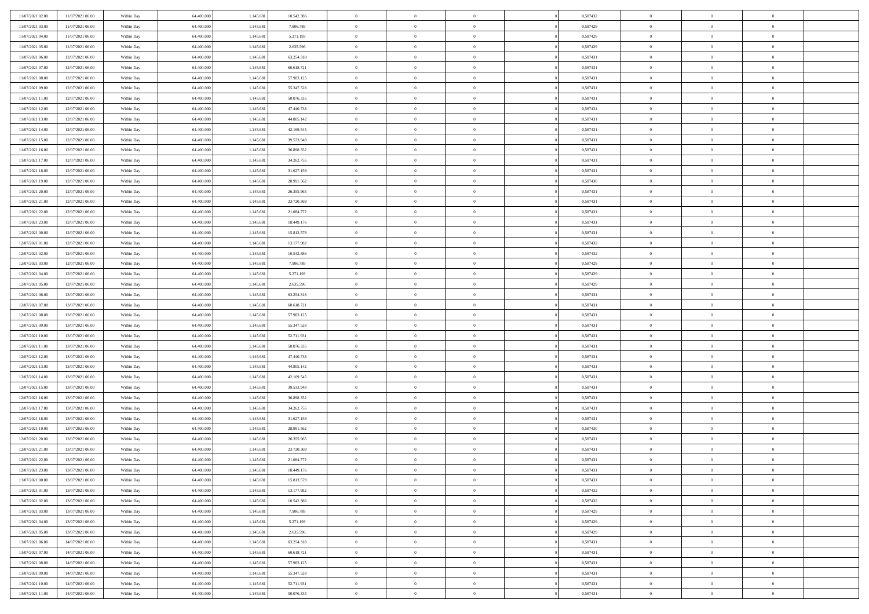| 11/07/2021 02:00 | 11/07/2021 06:00                     | Within Day | 64.400.000 | 1.145.681 | 10.542.386 | $\,$ 0         | $\bf{0}$       | $\theta$       |                | 0,587432 | $\bf{0}$       | $\overline{0}$ | $\theta$                         |  |
|------------------|--------------------------------------|------------|------------|-----------|------------|----------------|----------------|----------------|----------------|----------|----------------|----------------|----------------------------------|--|
| 11/07/2021 03:00 | 11/07/2021 06:00                     | Within Day | 64,400,000 | 1.145.681 | 7.906.789  | $\overline{0}$ | $\overline{0}$ | $\overline{0}$ |                | 0,587429 | $\theta$       | $\theta$       | $\overline{0}$                   |  |
| 11/07/2021 04:00 | 11/07/2021 06:00                     | Within Dav | 64.400.000 | 1.145.681 | 5.271.193  | $\mathbf{0}$   | $\overline{0}$ | $\overline{0}$ |                | 0,587429 | $\theta$       | $\overline{0}$ | $\theta$                         |  |
| 11/07/2021 05:00 | 11/07/2021 06:00                     | Within Day | 64.400.000 | 1.145.681 | 2.635.596  | $\bf{0}$       | $\overline{0}$ | $\bf{0}$       |                | 0,587429 | $\bf{0}$       | $\overline{0}$ | $\bf{0}$                         |  |
| 11/07/2021 06:00 | 12/07/2021 06:00                     | Within Day | 64,400,000 | 1.145.681 | 63.254.318 | $\bf{0}$       | $\bf{0}$       | $\overline{0}$ |                | 0,587431 | $\bf{0}$       | $\Omega$       | $\bf{0}$                         |  |
| 11/07/2021 07:00 | 12/07/2021 06:00                     | Within Day | 64.400.000 | 1.145.681 | 60.618.721 | $\overline{0}$ | $\overline{0}$ | $\overline{0}$ |                | 0,587431 | $\theta$       | $\overline{0}$ | $\theta$                         |  |
| 11/07/2021 08:00 | 12/07/2021 06:00                     | Within Day | 64.400.000 | 1.145.681 | 57.983.125 | $\bf{0}$       | $\bf{0}$       | $\overline{0}$ |                | 0,587431 | $\bf{0}$       | $\overline{0}$ | $\theta$                         |  |
|                  |                                      |            | 64,400,000 |           | 55.347.528 | $\overline{0}$ | $\overline{0}$ | $\overline{0}$ |                | 0,587431 | $\,$ 0 $\,$    | $\overline{0}$ | $\overline{0}$                   |  |
| 11/07/2021 09:00 | 12/07/2021 06:00                     | Within Day |            | 1.145.681 |            | $\mathbf{0}$   |                |                |                |          | $\theta$       |                |                                  |  |
| 11/07/2021 11:00 | 12/07/2021 06:00                     | Within Day | 64.400.000 | 1.145.681 | 50.076.335 |                | $\overline{0}$ | $\overline{0}$ |                | 0,587431 |                | $\overline{0}$ | $\theta$                         |  |
| 11/07/2021 12:00 | 12/07/2021 06:00                     | Within Day | 64.400.000 | 1.145.681 | 47.440.738 | $\bf{0}$       | $\bf{0}$       | $\overline{0}$ |                | 0,587431 | $\bf{0}$       | $\overline{0}$ | $\theta$                         |  |
| 11/07/2021 13:00 | 12/07/2021 06:00                     | Within Day | 64,400,000 | 1.145.681 | 44.805.142 | $\bf{0}$       | $\overline{0}$ | $\overline{0}$ |                | 0,587431 | $\bf{0}$       | $\theta$       | $\overline{0}$                   |  |
| 11/07/2021 14:00 | 12/07/2021 06:00                     | Within Day | 64.400.000 | 1.145.681 | 42.169.545 | $\mathbf{0}$   | $\overline{0}$ | $\overline{0}$ |                | 0,587431 | $\theta$       | $\overline{0}$ | $\theta$                         |  |
| 11/07/2021 15:00 | 12/07/2021 06:00                     | Within Day | 64.400.000 | 1.145.681 | 39.533.948 | $\bf{0}$       | $\overline{0}$ | $\bf{0}$       |                | 0,587431 | $\bf{0}$       | $\overline{0}$ | $\bf{0}$                         |  |
| 11/07/2021 16:00 | 12/07/2021 06:00                     | Within Day | 64.400.000 | 1.145.681 | 36.898.352 | $\bf{0}$       | $\overline{0}$ | $\overline{0}$ |                | 0,587431 | $\bf{0}$       | $\Omega$       | $\bf{0}$                         |  |
| 11/07/2021 17:00 | 12/07/2021 06:00                     | Within Day | 64.400.000 | 1.145.681 | 34.262.755 | $\overline{0}$ | $\overline{0}$ | $\overline{0}$ |                | 0,587431 | $\theta$       | $\overline{0}$ | $\theta$                         |  |
| 11/07/2021 18:00 | 12/07/2021 06:00                     | Within Day | 64.400.000 | 1.145.681 | 31.627.159 | $\bf{0}$       | $\overline{0}$ | $\overline{0}$ |                | 0,587431 | $\bf{0}$       | $\overline{0}$ | $\theta$                         |  |
| 11/07/2021 19:00 | 12/07/2021 06:00                     | Within Day | 64,400,000 | 1.145.681 | 28.991.562 | $\bf{0}$       | $\overline{0}$ | $\overline{0}$ |                | 0,587430 | $\,$ 0 $\,$    | $\overline{0}$ | $\overline{0}$                   |  |
| 11/07/2021 20:00 | 12/07/2021 06:00                     | Within Day | 64.400.000 | 1.145.681 | 26.355.965 | $\mathbf{0}$   | $\overline{0}$ | $\overline{0}$ |                | 0,587431 | $\theta$       | $\overline{0}$ | $\theta$                         |  |
| 11/07/2021 21:00 | 12/07/2021 06:00                     | Within Day | 64.400.000 | 1.145.681 | 23.720.369 | $\bf{0}$       | $\overline{0}$ | $\overline{0}$ |                | 0,587431 | $\bf{0}$       | $\overline{0}$ | $\theta$                         |  |
| 11/07/2021 22:00 | 12/07/2021 06:00                     | Within Day | 64.400.000 | 1.145.681 | 21.084.772 | $\bf{0}$       | $\overline{0}$ | $\overline{0}$ |                | 0,587431 | $\bf{0}$       | $\theta$       | $\bf{0}$                         |  |
| 11/07/2021 23:00 | 12/07/2021 06:00                     | Within Day | 64.400.000 | 1.145.681 | 18.449.176 | $\mathbf{0}$   | $\overline{0}$ | $\overline{0}$ |                | 0,587431 | $\theta$       | $\overline{0}$ | $\theta$                         |  |
| 12/07/2021 00:00 | 12/07/2021 06:00                     | Within Day | 64.400.000 | 1.145.681 | 15.813.579 | $\bf{0}$       | $\overline{0}$ | $\bf{0}$       |                | 0,587431 | $\bf{0}$       | $\overline{0}$ | $\bf{0}$                         |  |
| 12/07/2021 01:00 | 12/07/2021 06:00                     | Within Day | 64,400,000 | 1.145.681 | 13.177.982 | $\bf{0}$       | $\bf{0}$       | $\overline{0}$ |                | 0,587432 | $\bf{0}$       | $\overline{0}$ | $\bf{0}$                         |  |
| 12/07/2021 02:00 | 12/07/2021 06:00                     | Within Day | 64.400.000 | 1.145.681 | 10.542.386 | $\mathbf{0}$   | $\overline{0}$ | $\overline{0}$ |                | 0,587432 | $\theta$       | $\overline{0}$ | $\theta$                         |  |
| 12/07/2021 03:00 | 12/07/2021 06:00                     | Within Day | 64.400.000 | 1.145.681 | 7.906.789  | $\bf{0}$       | $\bf{0}$       | $\overline{0}$ |                | 0,587429 | $\bf{0}$       | $\overline{0}$ | $\theta$                         |  |
| 12/07/2021 04:00 | 12/07/2021 06:00                     | Within Day | 64,400,000 | 1.145.681 | 5.271.193  | $\bf{0}$       | $\overline{0}$ | $\overline{0}$ |                | 0,587429 | $\,$ 0 $\,$    | $\overline{0}$ | $\overline{0}$                   |  |
| 12/07/2021 05:00 | 12/07/2021 06:00                     | Within Day | 64.400.000 | 1.145.681 | 2.635.596  | $\mathbf{0}$   | $\overline{0}$ | $\overline{0}$ |                | 0,587429 | $\theta$       | $\overline{0}$ | $\theta$                         |  |
| 12/07/2021 06:00 | 13/07/2021 06:00                     | Within Day | 64.400.000 | 1.145.681 | 63.254.318 | $\bf{0}$       | $\bf{0}$       | $\overline{0}$ |                | 0,587431 | $\bf{0}$       | $\overline{0}$ | $\theta$                         |  |
| 12/07/2021 07:00 | 13/07/2021 06:00                     | Within Day | 64,400,000 | 1.145.681 | 60.618.721 | $\bf{0}$       | $\overline{0}$ | $\overline{0}$ |                | 0,587431 | $\bf{0}$       | $\theta$       | $\bf{0}$                         |  |
| 12/07/2021 08:00 | 13/07/2021 06:00                     | Within Day | 64.400.000 | 1.145.681 | 57.983.125 | $\mathbf{0}$   | $\overline{0}$ | $\overline{0}$ |                | 0,587431 | $\theta$       | $\overline{0}$ | $\theta$                         |  |
| 12/07/2021 09:00 | 13/07/2021 06:00                     | Within Day | 64.400.000 | 1.145.681 | 55.347.528 | $\bf{0}$       | $\overline{0}$ | $\overline{0}$ |                | 0,587431 | $\,0\,$        | $\overline{0}$ | $\theta$                         |  |
| 12/07/2021 10:00 | 13/07/2021 06:00                     | Within Day | 64.400.000 | 1.145.681 | 52.711.931 | $\bf{0}$       | $\bf{0}$       | $\overline{0}$ |                | 0,587431 | $\bf{0}$       | $\overline{0}$ | $\bf{0}$                         |  |
| 12/07/2021 11:00 | 13/07/2021 06:00                     | Within Day | 64.400.000 | 1.145.681 | 50.076.335 | $\overline{0}$ | $\overline{0}$ | $\overline{0}$ |                | 0,587431 | $\theta$       | $\overline{0}$ | $\theta$                         |  |
| 12/07/2021 12:00 | 13/07/2021 06:00                     | Within Day | 64.400.000 | 1.145.681 | 47.440.738 | $\bf{0}$       | $\overline{0}$ | $\theta$       |                | 0,587431 | $\,0\,$        | $\overline{0}$ | $\theta$                         |  |
| 12/07/2021 13:00 | 13/07/2021 06:00                     | Within Day | 64,400,000 | 1.145.681 | 44.805.142 | $\overline{0}$ | $\overline{0}$ | $\overline{0}$ |                | 0,587431 | $\bf{0}$       | $\overline{0}$ | $\bf{0}$                         |  |
| 12/07/2021 14:00 | 13/07/2021 06:00                     | Within Day | 64.400.000 | 1.145.681 | 42.169.545 | $\mathbf{0}$   | $\overline{0}$ | $\overline{0}$ |                | 0,587431 | $\theta$       | $\overline{0}$ | $\theta$                         |  |
| 12/07/2021 15:00 | 13/07/2021 06:00                     | Within Day | 64.400.000 | 1.145.681 | 39.533.948 | $\bf{0}$       | $\overline{0}$ | $\theta$       |                | 0,587431 | $\,0\,$        | $\overline{0}$ | $\theta$                         |  |
| 12/07/2021 16:00 | 13/07/2021 06:00                     | Within Day | 64.400.000 | 1.145.681 | 36.898.352 | $\bf{0}$       | $\overline{0}$ | $\overline{0}$ |                | 0,587431 | $\bf{0}$       | $\theta$       | $\bf{0}$                         |  |
| 12/07/2021 17:00 | 13/07/2021 06:00                     | Within Dav | 64.400.000 | 1.145.681 | 34.262.755 | $\mathbf{0}$   | $\overline{0}$ | $\overline{0}$ |                | 0,587431 | $\theta$       | $\overline{0}$ | $\theta$                         |  |
| 12/07/2021 18:00 | 13/07/2021 06:00                     | Within Day | 64.400.000 | 1.145.681 | 31.627.159 | $\,0\,$        | $\overline{0}$ | $\theta$       |                | 0,587431 | $\,0\,$        | $\overline{0}$ | $\theta$                         |  |
| 12/07/2021 19:00 | 13/07/2021 06:00                     | Within Day | 64,400,000 | 1.145.681 | 28.991.562 | $\bf{0}$       | $\bf{0}$       | $\overline{0}$ |                | 0,587430 | $\bf{0}$       | $\overline{0}$ | $\bf{0}$                         |  |
| 12/07/2021 20:00 | 13/07/2021 06:00                     | Within Dav | 64.400.000 | 1.145.681 | 26.355.965 | $\mathbf{0}$   | $\overline{0}$ | $\overline{0}$ |                | 0,587431 | $\theta$       | $\overline{0}$ | $\overline{0}$                   |  |
| 12/07/2021 21:00 | 13/07/2021 06:00                     | Within Day | 64.400.000 | 1.145.681 | 23.720.369 | $\bf{0}$       | $\overline{0}$ | $\theta$       |                | 0,587431 | $\,0\,$        | $\overline{0}$ | $\theta$                         |  |
| 12/07/2021 22:00 | 13/07/2021 06:00                     | Within Day | 64,400,000 | 1.145.681 | 21.084.772 | $\bf{0}$       | $\overline{0}$ | $\overline{0}$ |                | 0,587431 | $\,$ 0 $\,$    | $\overline{0}$ | $\bf{0}$                         |  |
| 12/07/2021 23:00 | 13/07/2021 06:00                     | Within Day | 64.400.000 | 1.145.681 | 18.449.176 | $\bf{0}$       | $\overline{0}$ |                |                | 0,587431 | $\bf{0}$       | $\Omega$       | $\Omega$                         |  |
| 13/07/2021 00:00 | 13/07/2021 06:00                     | Within Day | 64.400.000 | 1.145.681 | 15.813.579 | $\,0\,$        | $\overline{0}$ | $\theta$       |                | 0,587431 | $\,$ 0 $\,$    | $\overline{0}$ | $\theta$                         |  |
| 13/07/2021 01:00 | 13/07/2021 06:00                     | Within Day | 64,400,000 | 1.145.681 | 13.177.982 | $\bf{0}$       | $\overline{0}$ | $\overline{0}$ |                | 0,587432 | $\overline{0}$ | $\overline{0}$ | $\overline{0}$                   |  |
| 13/07/2021 02:00 | 13/07/2021 06:00                     | Within Day | 64.400.000 | 1.145.681 | 10.542.386 | $\mathbf{0}$   | $\overline{0}$ | $\overline{0}$ |                | 0,587432 | $\mathbf{0}$   | $\overline{0}$ | $\overline{0}$                   |  |
| 13/07/2021 03:00 | 13/07/2021 06:00                     | Within Day | 64.400.000 | 1.145.681 | 7.906.789  | $\,$ 0 $\,$    | $\overline{0}$ | $\overline{0}$ | $\overline{0}$ | 0,587429 | $\,$ 0 $\,$    | $\mathbf{0}$   | $\,$ 0                           |  |
| 13/07/2021 04:00 | 13/07/2021 06:00                     | Within Day | 64,400,000 | 1.145.681 | 5.271.193  | $\,$ 0 $\,$    | $\overline{0}$ | $\overline{0}$ |                | 0,587429 | $\,$ 0 $\,$    | $\overline{0}$ | $\overline{0}$                   |  |
| 13/07/2021 05:00 | 13/07/2021 06:00                     | Within Day | 64.400.000 | 1.145.681 | 2.635.596  | $\mathbf{0}$   | $\overline{0}$ | $\overline{0}$ |                | 0,587429 | $\overline{0}$ | $\overline{0}$ | $\overline{0}$                   |  |
| 13/07/2021 06:00 | 14/07/2021 06:00                     |            | 64.400.000 | 1.145.681 | 63.254.318 | $\,$ 0 $\,$    | $\overline{0}$ | $\overline{0}$ | $\theta$       | 0,587431 | $\,$ 0 $\,$    | $\overline{0}$ | $\theta$                         |  |
|                  |                                      | Within Day | 64,400,000 |           |            | $\bf{0}$       | $\overline{0}$ |                |                |          | $\overline{0}$ | $\overline{0}$ |                                  |  |
| 13/07/2021 07:00 | 14/07/2021 06:00<br>14/07/2021 06:00 | Within Day |            | 1.145.681 | 60.618.721 | $\,$ 0 $\,$    |                | $\overline{0}$ |                | 0,587431 | $\mathbf{0}$   |                | $\overline{0}$<br>$\overline{0}$ |  |
| 13/07/2021 08:00 |                                      | Within Day | 64.400.000 | 1.145.681 | 57.983.125 |                | $\overline{0}$ | $\overline{0}$ |                | 0,587431 |                | $\overline{0}$ |                                  |  |
| 13/07/2021 09:00 | 14/07/2021 06:00                     | Within Day | 64.400.000 | 1.145.681 | 55.347.528 | $\,$ 0 $\,$    | $\overline{0}$ | $\overline{0}$ |                | 0,587431 | $\,$ 0 $\,$    | $\overline{0}$ | $\,$ 0                           |  |
| 13/07/2021 10:00 | 14/07/2021 06:00                     | Within Day | 64,400,000 | 1.145.681 | 52.711.931 | $\bf{0}$       | $\overline{0}$ | $\overline{0}$ |                | 0,587431 | $\,$ 0 $\,$    | $\overline{0}$ | $\overline{0}$                   |  |
| 13/07/2021 11:00 | 14/07/2021 06:00                     | Within Day | 64.400.000 | 1.145.681 | 50.076.335 | $\overline{0}$ | $\overline{0}$ | $\overline{0}$ |                | 0,587431 | $\mathbf{0}$   | $\overline{0}$ | $\overline{0}$                   |  |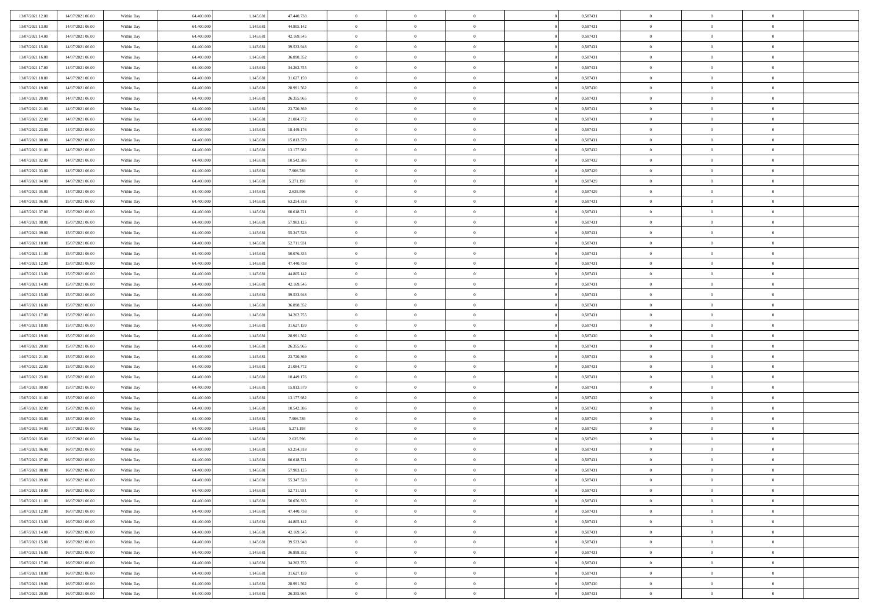| 13/07/2021 12:00 | 14/07/2021 06:00                     | Within Day | 64.400.000 | 1.145.681 | 47.440.738 | $\,$ 0         | $\bf{0}$       | $\theta$                         |                | 0,587431 | $\bf{0}$       | $\overline{0}$                   | $\theta$                         |  |
|------------------|--------------------------------------|------------|------------|-----------|------------|----------------|----------------|----------------------------------|----------------|----------|----------------|----------------------------------|----------------------------------|--|
| 13/07/2021 13:00 | 14/07/2021 06:00                     | Within Day | 64,400,000 | 1.145.681 | 44.805.142 | $\overline{0}$ | $\overline{0}$ | $\overline{0}$                   |                | 0,587431 | $\theta$       | $\overline{0}$                   | $\overline{0}$                   |  |
| 13/07/2021 14:00 | 14/07/2021 06:00                     | Within Dav | 64.400.000 | 1.145.681 | 42.169.545 | $\mathbf{0}$   | $\overline{0}$ | $\overline{0}$                   |                | 0,587431 | $\theta$       | $\overline{0}$                   | $\theta$                         |  |
| 13/07/2021 15:00 | 14/07/2021 06:00                     | Within Day | 64.400.000 | 1.145.681 | 39.533.948 | $\bf{0}$       | $\overline{0}$ | $\bf{0}$                         |                | 0,587431 | $\bf{0}$       | $\overline{0}$                   | $\bf{0}$                         |  |
| 13/07/2021 16:00 | 14/07/2021 06:00                     | Within Day | 64,400,000 | 1.145.681 | 36.898.352 | $\bf{0}$       | $\bf{0}$       | $\overline{0}$                   |                | 0,587431 | $\bf{0}$       | $\overline{0}$                   | $\bf{0}$                         |  |
| 13/07/2021 17:00 | 14/07/2021 06:00                     | Within Dav | 64.400.000 | 1.145.681 | 34.262.755 | $\overline{0}$ | $\overline{0}$ | $\overline{0}$                   |                | 0,587431 | $\theta$       | $\overline{0}$                   | $\theta$                         |  |
| 13/07/2021 18:00 | 14/07/2021 06:00                     | Within Day | 64.400.000 | 1.145.681 | 31.627.159 | $\bf{0}$       | $\bf{0}$       | $\overline{0}$                   |                | 0,587431 | $\bf{0}$       | $\overline{0}$                   | $\theta$                         |  |
|                  |                                      |            | 64,400,000 |           |            | $\overline{0}$ | $\overline{0}$ | $\overline{0}$                   |                | 0,587430 | $\,$ 0 $\,$    | $\overline{0}$                   | $\overline{0}$                   |  |
| 13/07/2021 19:00 | 14/07/2021 06:00                     | Within Day |            | 1.145.681 | 28.991.562 | $\mathbf{0}$   |                |                                  |                |          | $\theta$       |                                  |                                  |  |
| 13/07/2021 20:00 | 14/07/2021 06:00                     | Within Day | 64.400.000 | 1.145.681 | 26.355.965 |                | $\overline{0}$ | $\overline{0}$<br>$\overline{0}$ |                | 0,587431 |                | $\overline{0}$<br>$\overline{0}$ | $\theta$<br>$\theta$             |  |
| 13/07/2021 21:00 | 14/07/2021 06:00                     | Within Day | 64.400.000 | 1.145.681 | 23.720.369 | $\bf{0}$       | $\bf{0}$       |                                  |                | 0,587431 | $\bf{0}$       |                                  |                                  |  |
| 13/07/2021 22:00 | 14/07/2021 06:00                     | Within Day | 64,400,000 | 1.145.681 | 21.084.772 | $\bf{0}$       | $\overline{0}$ | $\overline{0}$                   |                | 0,587431 | $\bf{0}$       | $\theta$                         | $\overline{0}$                   |  |
| 13/07/2021 23:00 | 14/07/2021 06:00                     | Within Dav | 64.400.000 | 1.145.681 | 18.449.176 | $\mathbf{0}$   | $\overline{0}$ | $\overline{0}$                   |                | 0,587431 | $\theta$       | $\overline{0}$                   | $\theta$                         |  |
| 14/07/2021 00:00 | 14/07/2021 06:00                     | Within Day | 64.400.000 | 1.145.681 | 15.813.579 | $\bf{0}$       | $\overline{0}$ | $\bf{0}$                         |                | 0,587431 | $\bf{0}$       | $\overline{0}$                   | $\bf{0}$                         |  |
| 14/07/2021 01:00 | 14/07/2021 06:00                     | Within Day | 64.400.000 | 1.145.681 | 13.177.982 | $\bf{0}$       | $\overline{0}$ | $\overline{0}$                   |                | 0,587432 | $\bf{0}$       | $\Omega$                         | $\bf{0}$                         |  |
| 14/07/2021 02:00 | 14/07/2021 06:00                     | Within Dav | 64.400.000 | 1.145.681 | 10.542.386 | $\overline{0}$ | $\overline{0}$ | $\overline{0}$                   |                | 0,587432 | $\theta$       | $\overline{0}$                   | $\theta$                         |  |
| 14/07/2021 03:00 | 14/07/2021 06:00                     | Within Day | 64.400.000 | 1.145.681 | 7.906.789  | $\bf{0}$       | $\bf{0}$       | $\overline{0}$                   |                | 0,587429 | $\bf{0}$       | $\overline{0}$                   | $\theta$                         |  |
| 14/07/2021 04:00 | 14/07/2021 06:00                     | Within Day | 64,400,000 | 1.145.681 | 5.271.193  | $\bf{0}$       | $\overline{0}$ | $\overline{0}$                   |                | 0,587429 | $\,$ 0 $\,$    | $\overline{0}$                   | $\overline{0}$                   |  |
| 14/07/2021 05:00 | 14/07/2021 06:00                     | Within Day | 64.400.000 | 1.145.681 | 2.635.596  | $\mathbf{0}$   | $\overline{0}$ | $\overline{0}$                   |                | 0,587429 | $\theta$       | $\overline{0}$                   | $\theta$                         |  |
| 14/07/2021 06:00 | 15/07/2021 06:00                     | Within Day | 64.400.000 | 1.145.681 | 63.254.318 | $\bf{0}$       | $\overline{0}$ | $\overline{0}$                   |                | 0,587431 | $\bf{0}$       | $\overline{0}$                   | $\theta$                         |  |
| 14/07/2021 07:00 | 15/07/2021 06:00                     | Within Day | 64.400.000 | 1.145.681 | 60.618.721 | $\bf{0}$       | $\overline{0}$ | $\overline{0}$                   |                | 0,587431 | $\bf{0}$       | $\theta$                         | $\bf{0}$                         |  |
| 14/07/2021 08:00 | 15/07/2021 06:00                     | Within Dav | 64.400.000 | 1.145.681 | 57.983.125 | $\mathbf{0}$   | $\overline{0}$ | $\overline{0}$                   |                | 0,587431 | $\theta$       | $\overline{0}$                   | $\theta$                         |  |
| 14/07/2021 09:00 | 15/07/2021 06:00                     | Within Day | 64.400.000 | 1.145.681 | 55.347.528 | $\bf{0}$       | $\overline{0}$ | $\bf{0}$                         |                | 0,587431 | $\bf{0}$       | $\overline{0}$                   | $\bf{0}$                         |  |
| 14/07/2021 10:00 | 15/07/2021 06:00                     | Within Day | 64,400,000 | 1.145.681 | 52.711.931 | $\bf{0}$       | $\overline{0}$ | $\overline{0}$                   |                | 0,587431 | $\bf{0}$       | $\overline{0}$                   | $\bf{0}$                         |  |
| 14/07/2021 11:00 | 15/07/2021 06:00                     | Within Dav | 64.400.000 | 1.145.681 | 50.076.335 | $\mathbf{0}$   | $\overline{0}$ | $\overline{0}$                   |                | 0,587431 | $\theta$       | $\overline{0}$                   | $\theta$                         |  |
| 14/07/2021 12:00 | 15/07/2021 06:00                     | Within Day | 64.400.000 | 1.145.681 | 47.440.738 | $\bf{0}$       | $\overline{0}$ | $\overline{0}$                   |                | 0,587431 | $\bf{0}$       | $\overline{0}$                   | $\theta$                         |  |
| 14/07/2021 13:00 | 15/07/2021 06:00                     | Within Day | 64,400,000 | 1.145.681 | 44.805.142 | $\bf{0}$       | $\overline{0}$ | $\overline{0}$                   |                | 0,587431 | $\,$ 0 $\,$    | $\overline{0}$                   | $\bf{0}$                         |  |
| 14/07/2021 14:00 | 15/07/2021 06:00                     | Within Day | 64.400.000 | 1.145.681 | 42.169.545 | $\overline{0}$ | $\overline{0}$ | $\overline{0}$                   |                | 0,587431 | $\theta$       | $\overline{0}$                   | $\theta$                         |  |
| 14/07/2021 15:00 | 15/07/2021 06:00                     | Within Day | 64.400.000 | 1.145.681 | 39.533.948 | $\bf{0}$       | $\overline{0}$ | $\overline{0}$                   |                | 0,587431 | $\bf{0}$       | $\overline{0}$                   | $\theta$                         |  |
| 14/07/2021 16:00 | 15/07/2021 06:00                     | Within Day | 64,400,000 | 1.145.681 | 36.898.352 | $\bf{0}$       | $\overline{0}$ | $\overline{0}$                   |                | 0,587431 | $\bf{0}$       | $\theta$                         | $\bf{0}$                         |  |
| 14/07/2021 17:00 | 15/07/2021 06:00                     | Within Dav | 64.400.000 | 1.145.681 | 34.262.755 | $\mathbf{0}$   | $\overline{0}$ | $\overline{0}$                   |                | 0,587431 | $\theta$       | $\overline{0}$                   | $\theta$                         |  |
| 14/07/2021 18:00 | 15/07/2021 06:00                     | Within Day | 64.400.000 | 1.145.681 | 31.627.159 | $\bf{0}$       | $\overline{0}$ | $\overline{0}$                   |                | 0,587431 | $\,0\,$        | $\overline{0}$                   | $\theta$                         |  |
| 14/07/2021 19:00 | 15/07/2021 06:00                     | Within Day | 64.400.000 | 1.145.681 | 28.991.562 | $\bf{0}$       | $\overline{0}$ | $\overline{0}$                   |                | 0,587430 | $\bf{0}$       | $\overline{0}$                   | $\bf{0}$                         |  |
| 14/07/2021 20:00 | 15/07/2021 06:00                     | Within Dav | 64.400.000 | 1.145.681 | 26.355.965 | $\mathbf{0}$   | $\overline{0}$ | $\overline{0}$                   |                | 0,587431 | $\theta$       | $\overline{0}$                   | $\theta$                         |  |
| 14/07/2021 21:00 | 15/07/2021 06:00                     | Within Day | 64.400.000 | 1.145.681 | 23.720.369 | $\bf{0}$       | $\overline{0}$ | $\theta$                         |                | 0,587431 | $\,0\,$        | $\overline{0}$                   | $\theta$                         |  |
| 14/07/2021 22:00 | 15/07/2021 06:00                     | Within Day | 64,400,000 | 1.145.681 | 21.084.772 | $\overline{0}$ | $\overline{0}$ | $\overline{0}$                   |                | 0,587431 | $\bf{0}$       | $\overline{0}$                   | $\bf{0}$                         |  |
| 14/07/2021 23:00 | 15/07/2021 06:00                     | Within Day | 64.400.000 | 1.145.681 | 18.449.176 | $\mathbf{0}$   | $\overline{0}$ | $\overline{0}$                   |                | 0,587431 | $\theta$       | $\overline{0}$                   | $\theta$                         |  |
| 15/07/2021 00:00 | 15/07/2021 06:00                     | Within Day | 64.400.000 | 1.145.681 | 15.813.579 | $\bf{0}$       | $\overline{0}$ | $\theta$                         |                | 0,587431 | $\,0\,$        | $\overline{0}$                   | $\theta$                         |  |
| 15/07/2021 01:00 | 15/07/2021 06:00                     | Within Day | 64.400.000 | 1.145.681 | 13.177.982 | $\bf{0}$       | $\bf{0}$       | $\overline{0}$                   |                | 0,587432 | $\bf{0}$       | $\theta$                         | $\bf{0}$                         |  |
| 15/07/2021 02:00 | 15/07/2021 06:00                     | Within Dav | 64.400.000 | 1.145.681 | 10.542.386 | $\mathbf{0}$   | $\overline{0}$ | $\overline{0}$                   |                | 0,587432 | $\theta$       | $\overline{0}$                   | $\theta$                         |  |
| 15/07/2021 03:00 | 15/07/2021 06:00                     | Within Day | 64.400.000 | 1.145.681 | 7.906.789  | $\,0\,$        | $\overline{0}$ | $\theta$                         |                | 0,587429 | $\,0\,$        | $\overline{0}$                   | $\theta$                         |  |
| 15/07/2021 04:00 | 15/07/2021 06:00                     | Within Day | 64,400,000 | 1.145.681 | 5.271.193  | $\bf{0}$       | $\bf{0}$       | $\overline{0}$                   |                | 0,587429 | $\bf{0}$       | $\overline{0}$                   | $\bf{0}$                         |  |
| 15/07/2021 05:00 | 15/07/2021 06:00                     | Within Dav | 64.400.000 | 1.145.681 | 2.635.596  | $\mathbf{0}$   | $\overline{0}$ | $\overline{0}$                   |                | 0,587429 | $\theta$       | $\overline{0}$                   | $\overline{0}$                   |  |
| 15/07/2021 06:00 | 16/07/2021 06:00                     | Within Day | 64.400.000 | 1.145.681 | 63.254.318 | $\bf{0}$       | $\overline{0}$ | $\theta$                         |                | 0,587431 | $\,0\,$        | $\overline{0}$                   | $\theta$                         |  |
| 15/07/2021 07:00 | 16/07/2021 06:00                     | Within Day | 64,400,000 | 1.145.681 | 60.618.721 | $\bf{0}$       | $\overline{0}$ | $\overline{0}$                   |                | 0,587431 | $\,$ 0 $\,$    | $\overline{0}$                   | $\bf{0}$                         |  |
| 15/07/2021 08:00 | 16/07/2021 06:00                     | Within Day | 64.400.000 | 1.145.681 | 57.983.125 | $\bf{0}$       | $\overline{0}$ |                                  |                | 0,587431 | $\bf{0}$       | $\Omega$                         | $\theta$                         |  |
| 15/07/2021 09:00 | 16/07/2021 06:00                     | Within Day | 64.400.000 | 1.145.681 | 55.347.528 | $\,0\,$        | $\overline{0}$ | $\theta$                         |                | 0,587431 | $\,$ 0 $\,$    | $\overline{0}$                   | $\theta$                         |  |
| 15/07/2021 10:00 | 16/07/2021 06:00                     | Within Day | 64,400,000 | 1.145.681 | 52.711.931 | $\bf{0}$       | $\overline{0}$ | $\overline{0}$                   |                | 0,587431 | $\overline{0}$ | $\overline{0}$                   | $\overline{0}$                   |  |
| 15/07/2021 11:00 | 16/07/2021 06:00                     | Within Day | 64.400.000 | 1.145.681 | 50.076.335 | $\mathbf{0}$   | $\overline{0}$ | $\overline{0}$                   |                | 0,587431 | $\mathbf{0}$   | $\overline{0}$                   | $\overline{0}$                   |  |
| 15/07/2021 12:00 | 16/07/2021 06:00                     | Within Day | 64.400.000 | 1.145.681 | 47.440.738 | $\,$ 0 $\,$    | $\overline{0}$ | $\overline{0}$                   | $\overline{0}$ | 0,587431 | $\,$ 0 $\,$    | $\mathbf{0}$                     | $\,$ 0                           |  |
|                  |                                      |            | 64,400,000 | 1.145.681 |            |                | $\overline{0}$ |                                  |                | 0,587431 |                | $\overline{0}$                   |                                  |  |
| 15/07/2021 13:00 | 16/07/2021 06:00<br>16/07/2021 06:00 | Within Day |            |           | 44.805.142 | $\,$ 0 $\,$    |                | $\overline{0}$                   |                |          | $\,$ 0 $\,$    |                                  | $\overline{0}$<br>$\overline{0}$ |  |
| 15/07/2021 14:00 |                                      | Within Day | 64.400.000 | 1.145.681 | 42.169.545 | $\mathbf{0}$   | $\overline{0}$ | $\overline{0}$                   |                | 0,587431 | $\overline{0}$ | $\overline{0}$                   |                                  |  |
| 15/07/2021 15:00 | 16/07/2021 06:00                     | Within Day | 64.400.000 | 1.145.681 | 39.533.948 | $\,$ 0 $\,$    | $\overline{0}$ | $\overline{0}$                   | $\theta$       | 0,587431 | $\,$ 0 $\,$    | $\overline{0}$                   | $\theta$                         |  |
| 15/07/2021 16:00 | 16/07/2021 06:00                     | Within Day | 64,400,000 | 1.145.681 | 36.898.352 | $\bf{0}$       | $\overline{0}$ | $\overline{0}$                   |                | 0,587431 | $\overline{0}$ | $\overline{0}$                   | $\overline{0}$                   |  |
| 15/07/2021 17:00 | 16/07/2021 06:00                     | Within Day | 64.400.000 | 1.145.681 | 34.262.755 | $\mathbf{0}$   | $\overline{0}$ | $\overline{0}$                   |                | 0,587431 | $\mathbf{0}$   | $\overline{0}$                   | $\overline{0}$                   |  |
| 15/07/2021 18:00 | 16/07/2021 06:00                     | Within Day | 64.400.000 | 1.145.681 | 31.627.159 | $\,0\,$        | $\overline{0}$ | $\overline{0}$                   |                | 0,587431 | $\,$ 0 $\,$    | $\overline{0}$                   | $\,$ 0                           |  |
| 15/07/2021 19:00 | 16/07/2021 06:00                     | Within Day | 64,400,000 | 1.145.681 | 28.991.562 | $\bf{0}$       | $\bf{0}$       | $\overline{0}$                   |                | 0.587430 | $\,$ 0 $\,$    | $\overline{0}$                   | $\overline{0}$                   |  |
| 15/07/2021 20:00 | 16/07/2021 06:00                     | Within Day | 64.400.000 | 1.145.681 | 26.355.965 | $\overline{0}$ | $\overline{0}$ | $\overline{0}$                   |                | 0,587431 | $\mathbf{0}$   | $\overline{0}$                   | $\overline{0}$                   |  |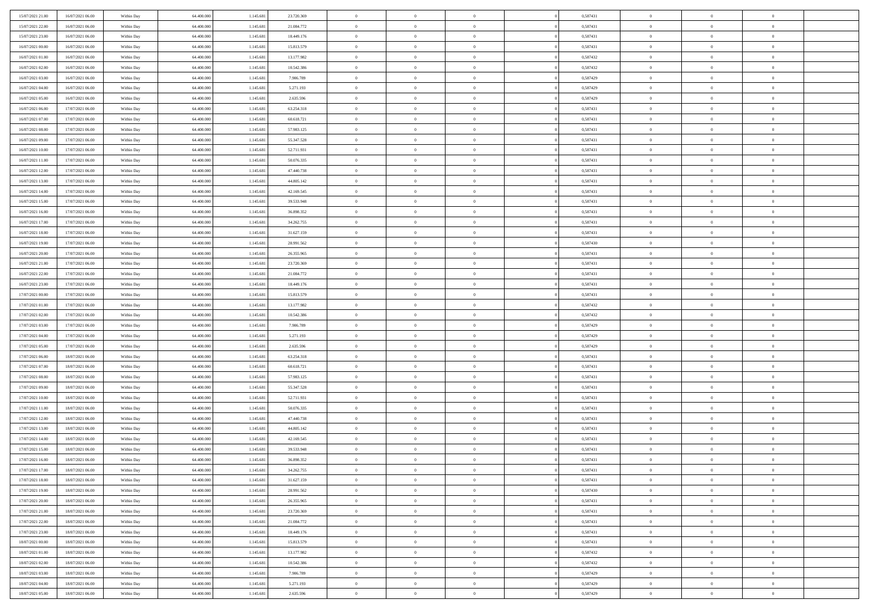| 15/07/2021 21:00 | 16/07/2021 06:00 | Within Day | 64,400,000 | 1.145.681 | 23.720.369 | $\overline{0}$ | $\overline{0}$ | $\Omega$       | 0,587431 | $\bf{0}$       | $\mathbf{0}$   | $\bf{0}$       |  |
|------------------|------------------|------------|------------|-----------|------------|----------------|----------------|----------------|----------|----------------|----------------|----------------|--|
| 15/07/2021 22:00 | 16/07/2021 06:00 | Within Dav | 64.400.000 | 1.145.681 | 21.084.772 | $\mathbf{0}$   | $\overline{0}$ | $\overline{0}$ | 0,587431 | $\overline{0}$ | $\overline{0}$ | $\overline{0}$ |  |
| 15/07/2021 23:00 | 16/07/2021 06:00 | Within Day | 64.400.000 | 1.145.681 | 18.449.176 | $\,$ 0         | $\overline{0}$ | $\bf{0}$       | 0,587431 | $\,$ 0         | $\overline{0}$ | $\,$ 0 $\,$    |  |
| 16/07/2021 00:00 | 16/07/2021 06:00 | Within Day | 64,400,000 | 1.145.681 | 15.813.579 | $\bf{0}$       | $\overline{0}$ | $\Omega$       | 0.587431 | $\theta$       | $\mathbf{0}$   | $\theta$       |  |
| 16/07/2021 01:00 | 16/07/2021 06:00 | Within Day | 64.400.000 | 1.145.681 | 13.177.982 | $\bf{0}$       | $\overline{0}$ | $\overline{0}$ | 0,587432 | $\mathbf{0}$   | $\overline{0}$ | $\overline{0}$ |  |
| 16/07/2021 02:00 | 16/07/2021 06:00 | Within Day | 64.400.000 | 1.145.681 | 10.542.386 | $\bf{0}$       | $\overline{0}$ | $\bf{0}$       | 0,587432 | $\,$ 0         | $\overline{0}$ | $\,$ 0 $\,$    |  |
| 16/07/2021 03:00 | 16/07/2021 06:00 | Within Day | 64,400,000 | 1.145.681 | 7.906.789  | $\bf{0}$       | $\bf{0}$       | $\overline{0}$ | 0,587429 | $\bf{0}$       | $\bf{0}$       | $\theta$       |  |
| 16/07/2021 04:00 | 16/07/2021 06:00 | Within Day | 64.400.000 | 1.145.681 | 5.271.193  | $\overline{0}$ | $\overline{0}$ | $\overline{0}$ | 0,587429 | $\mathbf{0}$   | $\overline{0}$ | $\overline{0}$ |  |
| 16/07/2021 05:00 | 16/07/2021 06:00 | Within Day | 64.400.000 | 1.145.681 | 2.635.596  | $\bf{0}$       | $\overline{0}$ | $\bf{0}$       | 0,587429 | $\,$ 0         | $\overline{0}$ | $\,$ 0 $\,$    |  |
| 16/07/2021 06:00 | 17/07/2021 06:00 | Within Day | 64,400,000 | 1.145.681 | 63.254.318 | $\overline{0}$ | $\overline{0}$ | $\Omega$       | 0.587431 | $\theta$       | $\mathbf{0}$   | $\theta$       |  |
| 16/07/2021 07:00 | 17/07/2021 06:00 | Within Day | 64.400.000 | 1.145.681 | 60.618.721 | $\overline{0}$ | $\overline{0}$ | $\overline{0}$ | 0,587431 | $\mathbf{0}$   | $\overline{0}$ | $\overline{0}$ |  |
| 16/07/2021 08:00 | 17/07/2021 06:00 | Within Day | 64.400.000 | 1.145.681 | 57.983.125 | $\bf{0}$       | $\overline{0}$ | $\bf{0}$       | 0,587431 | $\,$ 0         | $\overline{0}$ | $\,$ 0 $\,$    |  |
| 16/07/2021 09:00 | 17/07/2021 06:00 | Within Day | 64.400.000 | 1.145.681 | 55.347.528 | $\bf{0}$       | $\overline{0}$ | $\Omega$       | 0.587431 | $\theta$       | $\mathbf{0}$   | $\theta$       |  |
| 16/07/2021 10:00 | 17/07/2021 06:00 | Within Day | 64.400.000 | 1.145.681 | 52.711.931 | $\overline{0}$ | $\overline{0}$ | $\overline{0}$ | 0,587431 | $\overline{0}$ | $\overline{0}$ | $\overline{0}$ |  |
| 16/07/2021 11:00 | 17/07/2021 06:00 | Within Day | 64.400.000 | 1.145.681 | 50.076.335 | $\bf{0}$       | $\overline{0}$ | $\bf{0}$       | 0,587431 | $\,$ 0         | $\overline{0}$ | $\,$ 0 $\,$    |  |
| 16/07/2021 12:00 | 17/07/2021 06:00 | Within Day | 64,400,000 | 1.145.681 | 47.440.738 | $\bf{0}$       | $\overline{0}$ | $\overline{0}$ | 0.587431 | $\bf{0}$       | $\bf{0}$       | $\theta$       |  |
| 16/07/2021 13:00 | 17/07/2021 06:00 | Within Day | 64.400.000 | 1.145.681 | 44.805.142 | $\overline{0}$ | $\overline{0}$ | $\overline{0}$ | 0,587431 | $\mathbf{0}$   | $\overline{0}$ | $\overline{0}$ |  |
| 16/07/2021 14:00 | 17/07/2021 06:00 | Within Day | 64.400.000 | 1.145.681 | 42.169.545 | $\bf{0}$       | $\overline{0}$ | $\bf{0}$       | 0,587431 | $\,$ 0         | $\overline{0}$ | $\,$ 0 $\,$    |  |
| 16/07/2021 15:00 | 17/07/2021 06:00 | Within Day | 64,400,000 | 1.145.681 | 39.533.948 | $\bf{0}$       | $\overline{0}$ | $\Omega$       | 0.587431 | $\theta$       | $\mathbf{0}$   | $\theta$       |  |
| 16/07/2021 16:00 | 17/07/2021 06:00 | Within Day | 64.400.000 | 1.145.681 | 36.898.352 | $\overline{0}$ | $\overline{0}$ | $\overline{0}$ | 0,587431 | $\mathbf{0}$   | $\overline{0}$ | $\overline{0}$ |  |
| 16/07/2021 17:00 | 17/07/2021 06:00 | Within Day | 64.400.000 | 1.145.681 | 34.262.755 | $\bf{0}$       | $\overline{0}$ | $\bf{0}$       | 0,587431 | $\,$ 0         | $\overline{0}$ | $\,$ 0 $\,$    |  |
| 16/07/2021 18:00 | 17/07/2021 06:00 | Within Day | 64,400,000 | 1.145.681 | 31.627.159 | $\bf{0}$       | $\overline{0}$ | $\Omega$       | 0.587431 | $\theta$       | $\mathbf{0}$   | $\theta$       |  |
| 16/07/2021 19:00 | 17/07/2021 06:00 | Within Day | 64.400.000 | 1.145.681 | 28.991.562 | $\overline{0}$ | $\overline{0}$ | $\overline{0}$ | 0,587430 | $\mathbf{0}$   | $\overline{0}$ | $\overline{0}$ |  |
| 16/07/2021 20:00 | 17/07/2021 06:00 | Within Day | 64.400.000 | 1.145.681 | 26.355.965 | $\bf{0}$       | $\overline{0}$ | $\bf{0}$       | 0,587431 | $\,$ 0         | $\overline{0}$ | $\,$ 0 $\,$    |  |
| 16/07/2021 21:00 | 17/07/2021 06:00 | Within Day | 64,400,000 | 1.145.681 | 23.720.369 | $\bf{0}$       | $\overline{0}$ | $\overline{0}$ | 0,587431 | $\bf{0}$       | $\bf{0}$       | $\bf{0}$       |  |
| 16/07/2021 22:00 | 17/07/2021 06:00 | Within Day | 64.400.000 | 1.145.681 | 21.084.772 | $\overline{0}$ | $\overline{0}$ | $\overline{0}$ | 0,587431 | $\mathbf{0}$   | $\overline{0}$ | $\overline{0}$ |  |
| 16/07/2021 23:00 | 17/07/2021 06:00 | Within Day | 64.400.000 | 1.145.681 | 18.449.176 | $\bf{0}$       | $\overline{0}$ | $\bf{0}$       | 0,587431 | $\,$ 0         | $\overline{0}$ | $\,$ 0 $\,$    |  |
| 17/07/2021 00:00 | 17/07/2021 06:00 | Within Day | 64,400,000 | 1.145.681 | 15.813.579 | $\bf{0}$       | $\overline{0}$ | $\Omega$       | 0.587431 | $\theta$       | $\mathbf{0}$   | $\theta$       |  |
| 17/07/2021 01:00 | 17/07/2021 06:00 | Within Day | 64.400.000 | 1.145.681 | 13.177.982 | $\overline{0}$ | $\overline{0}$ | $\overline{0}$ | 0,587432 | $\mathbf{0}$   | $\overline{0}$ | $\overline{0}$ |  |
| 17/07/2021 02:00 | 17/07/2021 06:00 | Within Day | 64.400.000 | 1.145.681 | 10.542.386 | $\bf{0}$       | $\overline{0}$ | $\bf{0}$       | 0,587432 | $\,$ 0         | $\overline{0}$ | $\,$ 0 $\,$    |  |
| 17/07/2021 03:00 | 17/07/2021 06:00 | Within Day | 64.400.000 | 1.145.681 | 7.906.789  | $\bf{0}$       | $\bf{0}$       | $\overline{0}$ | 0,587429 | $\bf{0}$       | $\overline{0}$ | $\,0\,$        |  |
| 17/07/2021 04:00 | 17/07/2021 06:00 | Within Day | 64.400.000 | 1.145.681 | 5.271.193  | $\overline{0}$ | $\overline{0}$ | $\overline{0}$ | 0,587429 | $\mathbf{0}$   | $\overline{0}$ | $\overline{0}$ |  |
| 17/07/2021 05:00 | 17/07/2021 06:00 | Within Day | 64.400.000 | 1.145.681 | 2.635.596  | $\bf{0}$       | $\overline{0}$ | $\bf{0}$       | 0,587429 | $\,$ 0         | $\overline{0}$ | $\,$ 0 $\,$    |  |
| 17/07/2021 06:00 | 18/07/2021 06:00 | Within Day | 64.400.000 | 1.145.681 | 63.254.318 | $\bf{0}$       | $\bf{0}$       | $\bf{0}$       | 0,587431 | $\bf{0}$       | $\overline{0}$ | $\,0\,$        |  |
| 17/07/2021 07:00 | 18/07/2021 06:00 | Within Day | 64.400.000 | 1.145.681 | 60.618.721 | $\overline{0}$ | $\overline{0}$ | $\overline{0}$ | 0,587431 | $\mathbf{0}$   | $\overline{0}$ | $\overline{0}$ |  |
| 17/07/2021 08:00 | 18/07/2021 06:00 | Within Day | 64.400.000 | 1.145.681 | 57.983.125 | $\bf{0}$       | $\overline{0}$ | $\bf{0}$       | 0,587431 | $\,$ 0         | $\overline{0}$ | $\,$ 0 $\,$    |  |
| 17/07/2021 09:00 | 18/07/2021 06:00 | Within Day | 64.400.000 | 1.145.681 | 55.347.528 | $\bf{0}$       | $\bf{0}$       | $\overline{0}$ | 0,587431 | $\bf{0}$       | $\overline{0}$ | $\,0\,$        |  |
| 17/07/2021 10:00 | 18/07/2021 06:00 | Within Day | 64.400.000 | 1.145.681 | 52.711.931 | $\overline{0}$ | $\overline{0}$ | $\overline{0}$ | 0,587431 | $\mathbf{0}$   | $\overline{0}$ | $\overline{0}$ |  |
| 17/07/2021 11:00 | 18/07/2021 06:00 | Within Day | 64.400.000 | 1.145.681 | 50.076.335 | $\bf{0}$       | $\overline{0}$ | $\bf{0}$       | 0,587431 | $\,$ 0         | $\overline{0}$ | $\,$ 0 $\,$    |  |
| 17/07/2021 12:00 | 18/07/2021 06:00 | Within Day | 64.400.000 | 1.145.681 | 47.440.738 | $\bf{0}$       | $\bf{0}$       | $\overline{0}$ | 0,587431 | $\bf{0}$       | $\overline{0}$ | $\,0\,$        |  |
| 17/07/2021 13:00 | 18/07/2021 06:00 | Within Day | 64.400.000 | 1.145.681 | 44.805.142 | $\overline{0}$ | $\overline{0}$ | $\overline{0}$ | 0,587431 | $\mathbf{0}$   | $\overline{0}$ | $\overline{0}$ |  |
| 17/07/2021 14:00 | 18/07/2021 06:00 | Within Day | 64.400.000 | 1.145.681 | 42.169.545 | $\bf{0}$       | $\overline{0}$ | $\bf{0}$       | 0,587431 | $\,$ 0         | $\overline{0}$ | $\,$ 0 $\,$    |  |
| 17/07/2021 15:00 | 18/07/2021 06:00 | Within Day | 64.400.000 | 1.145.681 | 39.533.948 | $\bf{0}$       | $\bf{0}$       | $\bf{0}$       | 0,587431 | $\bf{0}$       | $\overline{0}$ | $\,0\,$        |  |
| 17/07/2021 16:00 | 18/07/2021 06:00 | Within Dav | 64.400.000 | 1.145.681 | 36.898.352 | $\mathbf{0}$   | $\overline{0}$ | $\overline{0}$ | 0,587431 | $\overline{0}$ | $\overline{0}$ | $\overline{0}$ |  |
| 17/07/2021 17:00 | 18/07/2021 06:00 | Within Day | 64.400.000 | 1.145.681 | 34.262.755 | $\bf{0}$       | $\overline{0}$ | $\theta$       | 0,587431 | $\overline{0}$ | $\overline{0}$ | $\theta$       |  |
| 17/07/2021 18:00 | 18/07/2021 06:00 | Within Day | 64.400.000 | 1.145.681 | 31.627.159 | $\bf{0}$       | $\bf{0}$       | $\bf{0}$       | 0,587431 | $\bf{0}$       | $\overline{0}$ | $\bf{0}$       |  |
| 17/07/2021 19:00 | 18/07/2021 06:00 | Within Day | 64.400.000 | 1.145.681 | 28.991.562 | $\overline{0}$ | $\overline{0}$ | $\overline{0}$ | 0,587430 | $\overline{0}$ | $\bf{0}$       | $\overline{0}$ |  |
| 17/07/2021 20:00 | 18/07/2021 06:00 | Within Day | 64.400.000 | 1.145.681 | 26.355.965 | $\,$ 0 $\,$    | $\overline{0}$ | $\overline{0}$ | 0,587431 | $\mathbf{0}$   | $\,$ 0 $\,$    | $\,$ 0 $\,$    |  |
| 17/07/2021 21:00 | 18/07/2021 06:00 | Within Day | 64.400.000 | 1.145.681 | 23.720.369 | $\bf{0}$       | $\bf{0}$       | $\overline{0}$ | 0,587431 | $\bf{0}$       | $\overline{0}$ | $\bf{0}$       |  |
| 17/07/2021 22:00 | 18/07/2021 06:00 | Within Day | 64.400.000 | 1.145.681 | 21.084.772 | $\bf{0}$       | $\overline{0}$ | $\overline{0}$ | 0,587431 | $\overline{0}$ | $\bf{0}$       | $\overline{0}$ |  |
| 17/07/2021 23:00 | 18/07/2021 06:00 | Within Day | 64.400.000 | 1.145.681 | 18.449.176 | $\,$ 0 $\,$    | $\overline{0}$ | $\overline{0}$ | 0,587431 | $\,$ 0 $\,$    | $\overline{0}$ | $\,$ 0 $\,$    |  |
| 18/07/2021 00:00 | 18/07/2021 06:00 | Within Day | 64.400.000 | 1.145.681 | 15.813.579 | $\overline{0}$ | $\overline{0}$ | $\overline{0}$ | 0,587431 | $\bf{0}$       | $\overline{0}$ | $\overline{0}$ |  |
| 18/07/2021 01:00 | 18/07/2021 06:00 | Within Day | 64.400.000 | 1.145.681 | 13.177.982 | $\overline{0}$ | $\overline{0}$ | $\overline{0}$ | 0,587432 | $\overline{0}$ | $\bf{0}$       | $\overline{0}$ |  |
| 18/07/2021 02:00 | 18/07/2021 06:00 | Within Day | 64.400.000 | 1.145.681 | 10.542.386 | $\,$ 0 $\,$    | $\overline{0}$ | $\overline{0}$ | 0,587432 | $\,$ 0 $\,$    | $\,$ 0 $\,$    | $\,$ 0 $\,$    |  |
| 18/07/2021 03:00 | 18/07/2021 06:00 | Within Day | 64.400.000 | 1.145.681 | 7.906.789  | $\bf{0}$       | $\bf{0}$       | $\overline{0}$ | 0,587429 | $\bf{0}$       | $\overline{0}$ | $\bf{0}$       |  |
| 18/07/2021 04:00 | 18/07/2021 06:00 | Within Day | 64.400.000 | 1.145.681 | 5.271.193  | $\overline{0}$ | $\overline{0}$ | $\overline{0}$ | 0,587429 | $\mathbf{0}$   | $\bf{0}$       | $\overline{0}$ |  |
| 18/07/2021 05:00 | 18/07/2021 06:00 | Within Day | 64.400.000 | 1.145.681 | 2.635.596  | $\,0\,$        | $\overline{0}$ | $\overline{0}$ | 0,587429 | $\,$ 0         | $\overline{0}$ | $\,$ 0 $\,$    |  |
|                  |                  |            |            |           |            |                |                |                |          |                |                |                |  |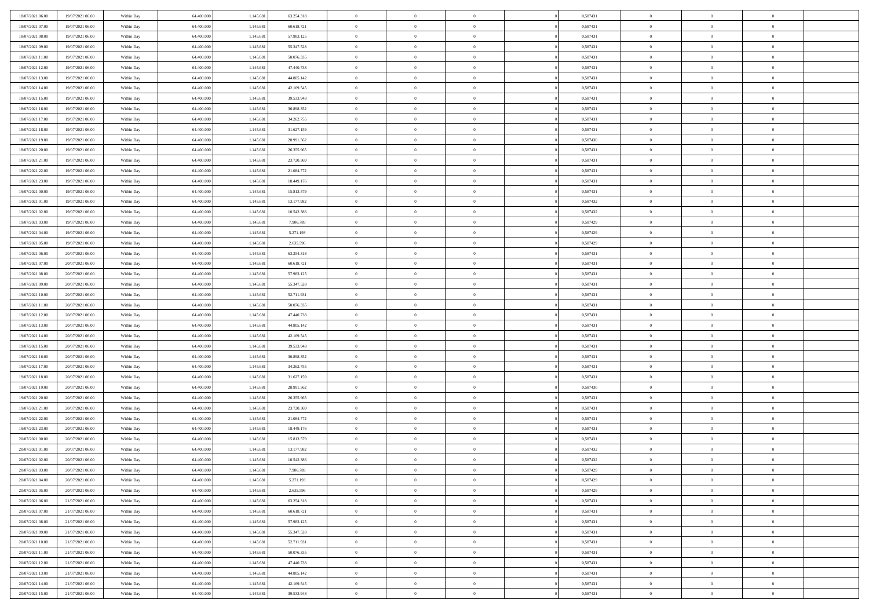| 18/07/2021 06:00 | 19/07/2021 06:00 | Within Day | 64.400.000 | 1.145.681 | 63.254.318 | $\,$ 0         | $\bf{0}$       | $\theta$       |                | 0,587431 | $\bf{0}$       | $\overline{0}$ | $\theta$       |  |
|------------------|------------------|------------|------------|-----------|------------|----------------|----------------|----------------|----------------|----------|----------------|----------------|----------------|--|
| 18/07/2021 07:00 | 19/07/2021 06:00 | Within Day | 64,400,000 | 1.145.681 | 60.618.721 | $\overline{0}$ | $\overline{0}$ | $\overline{0}$ |                | 0,587431 | $\theta$       | $\theta$       | $\overline{0}$ |  |
| 18/07/2021 08:00 | 19/07/2021 06:00 | Within Dav | 64.400.000 | 1.145.681 | 57.983.125 | $\mathbf{0}$   | $\overline{0}$ | $\overline{0}$ |                | 0,587431 | $\theta$       | $\overline{0}$ | $\theta$       |  |
| 18/07/2021 09:00 | 19/07/2021 06:00 | Within Day | 64.400.000 | 1.145.681 | 55.347.528 | $\bf{0}$       | $\overline{0}$ | $\bf{0}$       |                | 0,587431 | $\bf{0}$       | $\overline{0}$ | $\bf{0}$       |  |
| 18/07/2021 11:00 | 19/07/2021 06:00 | Within Day | 64,400,000 | 1.145.681 | 50.076.335 | $\bf{0}$       | $\bf{0}$       | $\overline{0}$ |                | 0,587431 | $\bf{0}$       | $\Omega$       | $\bf{0}$       |  |
| 18/07/2021 12:00 | 19/07/2021 06:00 | Within Dav | 64.400.000 | 1.145.681 | 47.440.738 | $\overline{0}$ | $\overline{0}$ | $\overline{0}$ |                | 0,587431 | $\theta$       | $\overline{0}$ | $\theta$       |  |
| 18/07/2021 13:00 | 19/07/2021 06:00 | Within Day | 64.400.000 | 1.145.681 | 44.805.142 | $\bf{0}$       | $\bf{0}$       | $\overline{0}$ |                | 0,587431 | $\bf{0}$       | $\overline{0}$ | $\theta$       |  |
|                  |                  |            | 64,400,000 |           |            | $\overline{0}$ | $\overline{0}$ | $\overline{0}$ |                | 0,587431 | $\,$ 0 $\,$    | $\overline{0}$ | $\overline{0}$ |  |
| 18/07/2021 14:00 | 19/07/2021 06:00 | Within Day |            | 1.145.681 | 42.169.545 | $\mathbf{0}$   |                |                |                |          | $\theta$       |                |                |  |
| 18/07/2021 15:00 | 19/07/2021 06:00 | Within Day | 64.400.000 | 1.145.681 | 39.533.948 |                | $\overline{0}$ | $\overline{0}$ |                | 0,587431 |                | $\overline{0}$ | $\theta$       |  |
| 18/07/2021 16:00 | 19/07/2021 06:00 | Within Day | 64.400.000 | 1.145.681 | 36.898.352 | $\bf{0}$       | $\bf{0}$       | $\overline{0}$ |                | 0,587431 | $\bf{0}$       | $\overline{0}$ | $\theta$       |  |
| 18/07/2021 17:00 | 19/07/2021 06:00 | Within Day | 64,400,000 | 1.145.681 | 34.262.755 | $\bf{0}$       | $\overline{0}$ | $\overline{0}$ |                | 0,587431 | $\bf{0}$       | $\theta$       | $\overline{0}$ |  |
| 18/07/2021 18:00 | 19/07/2021 06:00 | Within Dav | 64.400.000 | 1.145.681 | 31.627.159 | $\mathbf{0}$   | $\overline{0}$ | $\overline{0}$ |                | 0,587431 | $\theta$       | $\overline{0}$ | $\theta$       |  |
| 18/07/2021 19:00 | 19/07/2021 06:00 | Within Day | 64.400.000 | 1.145.681 | 28.991.562 | $\bf{0}$       | $\overline{0}$ | $\bf{0}$       |                | 0,587430 | $\bf{0}$       | $\overline{0}$ | $\bf{0}$       |  |
| 18/07/2021 20:00 | 19/07/2021 06:00 | Within Day | 64.400.000 | 1.145.681 | 26.355.965 | $\bf{0}$       | $\overline{0}$ | $\overline{0}$ |                | 0,587431 | $\bf{0}$       | $\Omega$       | $\bf{0}$       |  |
| 18/07/2021 21:00 | 19/07/2021 06:00 | Within Dav | 64.400.000 | 1.145.681 | 23.720.369 | $\mathbf{0}$   | $\overline{0}$ | $\overline{0}$ |                | 0,587431 | $\theta$       | $\overline{0}$ | $\theta$       |  |
| 18/07/2021 22:00 | 19/07/2021 06:00 | Within Day | 64.400.000 | 1.145.681 | 21.084.772 | $\bf{0}$       | $\bf{0}$       | $\overline{0}$ |                | 0,587431 | $\bf{0}$       | $\overline{0}$ | $\theta$       |  |
| 18/07/2021 23:00 | 19/07/2021 06:00 | Within Day | 64,400,000 | 1.145.681 | 18.449.176 | $\bf{0}$       | $\overline{0}$ | $\overline{0}$ |                | 0,587431 | $\,$ 0 $\,$    | $\overline{0}$ | $\overline{0}$ |  |
| 19/07/2021 00:00 | 19/07/2021 06:00 | Within Day | 64.400.000 | 1.145.681 | 15.813.579 | $\mathbf{0}$   | $\overline{0}$ | $\overline{0}$ |                | 0,587431 | $\theta$       | $\overline{0}$ | $\theta$       |  |
| 19/07/2021 01:00 | 19/07/2021 06:00 | Within Day | 64.400.000 | 1.145.681 | 13.177.982 | $\bf{0}$       | $\bf{0}$       | $\overline{0}$ |                | 0,587432 | $\bf{0}$       | $\overline{0}$ | $\theta$       |  |
| 19/07/2021 02:00 | 19/07/2021 06:00 | Within Day | 64.400.000 | 1.145.681 | 10.542.386 | $\bf{0}$       | $\overline{0}$ | $\overline{0}$ |                | 0,587432 | $\bf{0}$       | $\theta$       | $\bf{0}$       |  |
| 19/07/2021 03:00 | 19/07/2021 06:00 | Within Dav | 64.400.000 | 1.145.681 | 7.906.789  | $\mathbf{0}$   | $\overline{0}$ | $\overline{0}$ |                | 0,587429 | $\theta$       | $\overline{0}$ | $\theta$       |  |
| 19/07/2021 04:00 | 19/07/2021 06:00 | Within Day | 64.400.000 | 1.145.681 | 5.271.193  | $\bf{0}$       | $\bf{0}$       | $\bf{0}$       |                | 0,587429 | $\bf{0}$       | $\overline{0}$ | $\bf{0}$       |  |
| 19/07/2021 05:00 | 19/07/2021 06:00 | Within Day | 64,400,000 | 1.145.681 | 2.635.596  | $\bf{0}$       | $\bf{0}$       | $\overline{0}$ |                | 0,587429 | $\bf{0}$       | $\overline{0}$ | $\bf{0}$       |  |
| 19/07/2021 06:00 | 20/07/2021 06:00 | Within Dav | 64.400.000 | 1.145.681 | 63.254.318 | $\mathbf{0}$   | $\overline{0}$ | $\overline{0}$ |                | 0,587431 | $\theta$       | $\overline{0}$ | $\theta$       |  |
| 19/07/2021 07:00 | 20/07/2021 06:00 | Within Day | 64.400.000 | 1.145.681 | 60.618.721 | $\bf{0}$       | $\bf{0}$       | $\overline{0}$ |                | 0,587431 | $\bf{0}$       | $\overline{0}$ | $\theta$       |  |
| 19/07/2021 08:00 | 20/07/2021 06:00 | Within Day | 64,400,000 | 1.145.681 | 57.983.125 | $\bf{0}$       | $\overline{0}$ | $\overline{0}$ |                | 0,587431 | $\,$ 0 $\,$    | $\overline{0}$ | $\overline{0}$ |  |
| 19/07/2021 09:00 | 20/07/2021 06:00 | Within Day | 64.400.000 | 1.145.681 | 55.347.528 | $\mathbf{0}$   | $\overline{0}$ | $\overline{0}$ |                | 0,587431 | $\theta$       | $\overline{0}$ | $\theta$       |  |
| 19/07/2021 10:00 | 20/07/2021 06:00 | Within Day | 64.400.000 | 1.145.681 | 52.711.931 | $\bf{0}$       | $\bf{0}$       | $\overline{0}$ |                | 0,587431 | $\bf{0}$       | $\overline{0}$ | $\theta$       |  |
| 19/07/2021 11:00 | 20/07/2021 06:00 | Within Day | 64,400,000 | 1.145.681 | 50.076.335 | $\bf{0}$       | $\overline{0}$ | $\overline{0}$ |                | 0,587431 | $\bf{0}$       | $\theta$       | $\bf{0}$       |  |
| 19/07/2021 12:00 | 20/07/2021 06:00 | Within Dav | 64.400.000 | 1.145.681 | 47.440.738 | $\mathbf{0}$   | $\overline{0}$ | $\overline{0}$ |                | 0,587431 | $\theta$       | $\overline{0}$ | $\theta$       |  |
| 19/07/2021 13:00 | 20/07/2021 06:00 | Within Day | 64.400.000 | 1.145.681 | 44.805.142 | $\bf{0}$       | $\overline{0}$ | $\overline{0}$ |                | 0,587431 | $\,0\,$        | $\overline{0}$ | $\theta$       |  |
| 19/07/2021 14:00 | 20/07/2021 06:00 | Within Day | 64.400.000 | 1.145.681 | 42.169.545 | $\bf{0}$       | $\bf{0}$       | $\overline{0}$ |                | 0,587431 | $\bf{0}$       | $\overline{0}$ | $\bf{0}$       |  |
| 19/07/2021 15:00 | 20/07/2021 06:00 | Within Dav | 64.400.000 | 1.145.681 | 39.533.948 | $\mathbf{0}$   | $\overline{0}$ | $\overline{0}$ |                | 0,587431 | $\theta$       | $\overline{0}$ | $\theta$       |  |
| 19/07/2021 16:00 | 20/07/2021 06:00 | Within Day | 64.400.000 | 1.145.681 | 36.898.352 | $\bf{0}$       | $\overline{0}$ | $\theta$       |                | 0,587431 | $\,0\,$        | $\overline{0}$ | $\theta$       |  |
| 19/07/2021 17:00 | 20/07/2021 06:00 | Within Day | 64,400,000 | 1.145.681 | 34.262.755 | $\overline{0}$ | $\overline{0}$ | $\overline{0}$ |                | 0,587431 | $\bf{0}$       | $\overline{0}$ | $\bf{0}$       |  |
| 19/07/2021 18:00 | 20/07/2021 06:00 | Within Day | 64.400.000 | 1.145.681 | 31.627.159 | $\mathbf{0}$   | $\overline{0}$ | $\overline{0}$ |                | 0,587431 | $\theta$       | $\overline{0}$ | $\theta$       |  |
| 19/07/2021 19:00 | 20/07/2021 06:00 | Within Day | 64.400.000 | 1.145.681 | 28.991.562 | $\bf{0}$       | $\overline{0}$ | $\theta$       |                | 0,587430 | $\,0\,$        | $\overline{0}$ | $\theta$       |  |
| 19/07/2021 20:00 | 20/07/2021 06:00 | Within Day | 64.400.000 | 1.145.681 | 26.355.965 | $\bf{0}$       | $\overline{0}$ | $\overline{0}$ |                | 0,587431 | $\bf{0}$       | $\theta$       | $\bf{0}$       |  |
| 19/07/2021 21:00 | 20/07/2021 06:00 | Within Dav | 64.400.000 | 1.145.681 | 23.720.369 | $\mathbf{0}$   | $\overline{0}$ | $\overline{0}$ |                | 0,587431 | $\theta$       | $\overline{0}$ | $\theta$       |  |
| 19/07/2021 22:00 | 20/07/2021 06:00 | Within Day | 64.400.000 | 1.145.681 | 21.084.772 | $\,0\,$        | $\overline{0}$ | $\theta$       |                | 0,587431 | $\,0\,$        | $\overline{0}$ | $\theta$       |  |
| 19/07/2021 23:00 | 20/07/2021 06:00 | Within Day | 64,400,000 | 1.145.681 | 18.449.176 | $\bf{0}$       | $\bf{0}$       | $\overline{0}$ |                | 0,587431 | $\bf{0}$       | $\overline{0}$ | $\bf{0}$       |  |
| 20/07/2021 00:00 | 20/07/2021 06:00 | Within Dav | 64.400.000 | 1.145.681 | 15.813.579 | $\mathbf{0}$   | $\overline{0}$ | $\overline{0}$ |                | 0,587431 | $\theta$       | $\overline{0}$ | $\overline{0}$ |  |
| 20/07/2021 01:00 | 20/07/2021 06:00 | Within Day | 64.400.000 | 1.145.681 | 13.177.982 | $\bf{0}$       | $\overline{0}$ | $\theta$       |                | 0,587432 | $\,0\,$        | $\overline{0}$ | $\theta$       |  |
| 20/07/2021 02:00 | 20/07/2021 06:00 | Within Day | 64,400,000 | 1.145.681 | 10.542.386 | $\bf{0}$       | $\overline{0}$ | $\overline{0}$ |                | 0,587432 | $\,$ 0 $\,$    | $\overline{0}$ | $\bf{0}$       |  |
| 20/07/2021 03:00 | 20/07/2021 06:00 | Within Day | 64.400.000 | 1.145.681 | 7.906.789  | $\bf{0}$       | $\overline{0}$ |                |                | 0,587429 | $\bf{0}$       | $\Omega$       | $\Omega$       |  |
| 20/07/2021 04:00 | 20/07/2021 06:00 | Within Day | 64.400.000 | 1.145.681 | 5.271.193  | $\,0\,$        | $\overline{0}$ | $\theta$       |                | 0,587429 | $\,$ 0 $\,$    | $\overline{0}$ | $\theta$       |  |
| 20/07/2021 05:00 | 20/07/2021 06:00 | Within Day | 64,400,000 | 1.145.681 | 2.635.596  | $\overline{0}$ | $\overline{0}$ | $\overline{0}$ |                | 0,587429 | $\overline{0}$ | $\overline{0}$ | $\overline{0}$ |  |
| 20/07/2021 06:00 | 21/07/2021 06:00 | Within Day | 64.400.000 | 1.145.681 | 63.254.318 | $\mathbf{0}$   | $\overline{0}$ | $\overline{0}$ |                | 0,587431 | $\mathbf{0}$   | $\overline{0}$ | $\overline{0}$ |  |
|                  |                  |            |            |           |            |                |                |                | $\overline{0}$ |          |                | $\mathbf{0}$   | $\,$ 0         |  |
| 20/07/2021 07:00 | 21/07/2021 06:00 | Within Day | 64.400.000 | 1.145.681 | 60.618.721 | $\,$ 0 $\,$    | $\overline{0}$ | $\overline{0}$ |                | 0,587431 | $\,$ 0 $\,$    |                |                |  |
| 20/07/2021 08:00 | 21/07/2021 06:00 | Within Day | 64,400,000 | 1.145.681 | 57.983.125 | $\,$ 0 $\,$    | $\overline{0}$ | $\overline{0}$ |                | 0,587431 | $\,$ 0 $\,$    | $\overline{0}$ | $\overline{0}$ |  |
| 20/07/2021 09:00 | 21/07/2021 06:00 | Within Day | 64.400.000 | 1.145.681 | 55.347.528 | $\mathbf{0}$   | $\overline{0}$ | $\overline{0}$ |                | 0,587431 | $\overline{0}$ | $\overline{0}$ | $\overline{0}$ |  |
| 20/07/2021 10:00 | 21/07/2021 06:00 | Within Day | 64.400.000 | 1.145.681 | 52.711.931 | $\,$ 0 $\,$    | $\overline{0}$ | $\overline{0}$ | $\theta$       | 0,587431 | $\,$ 0 $\,$    | $\overline{0}$ | $\theta$       |  |
| 20/07/2021 11:00 | 21/07/2021 06:00 | Within Day | 64,400,000 | 1.145.681 | 50.076.335 | $\bf{0}$       | $\overline{0}$ | $\overline{0}$ |                | 0,587431 | $\,$ 0 $\,$    | $\overline{0}$ | $\overline{0}$ |  |
| 20/07/2021 12:00 | 21/07/2021 06:00 | Within Day | 64.400.000 | 1.145.681 | 47.440.738 | $\,$ 0 $\,$    | $\overline{0}$ | $\overline{0}$ |                | 0,587431 | $\mathbf{0}$   | $\overline{0}$ | $\overline{0}$ |  |
| 20/07/2021 13:00 | 21/07/2021 06:00 | Within Day | 64.400.000 | 1.145.681 | 44.805.142 | $\,$ 0 $\,$    | $\overline{0}$ | $\overline{0}$ |                | 0,587431 | $\,$ 0 $\,$    | $\overline{0}$ | $\,$ 0         |  |
| 20/07/2021 14:00 | 21/07/2021 06:00 | Within Day | 64,400,000 | 1.145.681 | 42.169.545 | $\bf{0}$       | $\bf{0}$       | $\overline{0}$ |                | 0,587431 | $\,$ 0 $\,$    | $\overline{0}$ | $\overline{0}$ |  |
| 20/07/2021 15:00 | 21/07/2021 06:00 | Within Day | 64.400.000 | 1.145.681 | 39.533.948 | $\overline{0}$ | $\overline{0}$ | $\overline{0}$ |                | 0,587431 | $\mathbf{0}$   | $\overline{0}$ | $\overline{0}$ |  |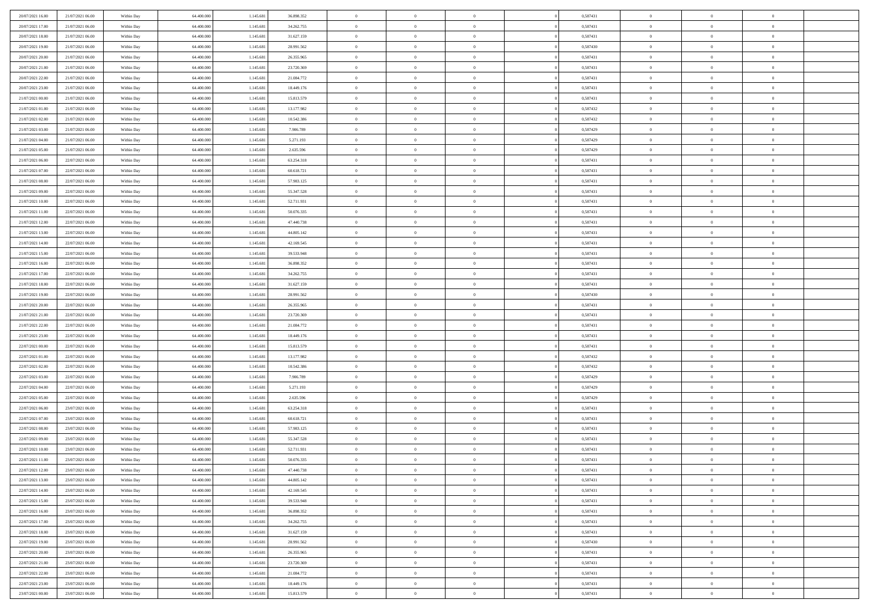| 20/07/2021 16:00 | 21/07/2021 06:00 | Within Day | 64,400,000 | 1.145.681 | 36.898.352 | $\overline{0}$ | $\overline{0}$ | $\Omega$       | 0,587431 | $\bf{0}$       | $\mathbf{0}$   | $\bf{0}$       |  |
|------------------|------------------|------------|------------|-----------|------------|----------------|----------------|----------------|----------|----------------|----------------|----------------|--|
| 20/07/2021 17:00 | 21/07/2021 06:00 | Within Day | 64.400.000 | 1.145.681 | 34.262.755 | $\mathbf{0}$   | $\overline{0}$ | $\overline{0}$ | 0,587431 | $\mathbf{0}$   | $\overline{0}$ | $\overline{0}$ |  |
| 20/07/2021 18:00 | 21/07/2021 06:00 | Within Day | 64.400.000 | 1.145.681 | 31.627.159 | $\,$ 0         | $\overline{0}$ | $\bf{0}$       | 0,587431 | $\,$ 0         | $\overline{0}$ | $\,$ 0 $\,$    |  |
| 20/07/2021 19:00 | 21/07/2021 06:00 | Within Day | 64,400,000 | 1.145.681 | 28.991.562 | $\bf{0}$       | $\overline{0}$ | $\Omega$       | 0.587430 | $\bf{0}$       | $\mathbf{0}$   | $\theta$       |  |
| 20/07/2021 20:00 | 21/07/2021 06:00 | Within Day | 64.400.000 | 1.145.681 | 26.355.965 | $\bf{0}$       | $\overline{0}$ | $\overline{0}$ | 0,587431 | $\mathbf{0}$   | $\bf{0}$       | $\overline{0}$ |  |
| 20/07/2021 21:00 | 21/07/2021 06:00 | Within Day | 64.400.000 | 1.145.681 | 23.720.369 | $\bf{0}$       | $\overline{0}$ | $\bf{0}$       | 0,587431 | $\,$ 0         | $\overline{0}$ | $\,$ 0 $\,$    |  |
| 20/07/2021 22:00 | 21/07/2021 06:00 | Within Day | 64,400,000 | 1.145.681 | 21.084.772 | $\bf{0}$       | $\overline{0}$ | $\overline{0}$ | 0,587431 | $\bf{0}$       | $\bf{0}$       | $\theta$       |  |
| 20/07/2021 23:00 | 21/07/2021 06:00 | Within Day | 64.400.000 | 1.145.681 | 18.449.176 | $\overline{0}$ | $\overline{0}$ | $\overline{0}$ | 0,587431 | $\mathbf{0}$   | $\overline{0}$ | $\overline{0}$ |  |
| 21/07/2021 00:00 | 21/07/2021 06:00 | Within Day | 64.400.000 | 1.145.681 | 15.813.579 | $\bf{0}$       | $\overline{0}$ | $\bf{0}$       | 0,587431 | $\,$ 0         | $\overline{0}$ | $\,$ 0 $\,$    |  |
| 21/07/2021 01:00 | 21/07/2021 06:00 | Within Day | 64,400,000 | 1.145.681 | 13.177.982 | $\mathbf{0}$   | $\overline{0}$ | $\Omega$       | 0.587432 | $\theta$       | $\mathbf{0}$   | $\theta$       |  |
| 21/07/2021 02:00 | 21/07/2021 06:00 | Within Day | 64.400.000 | 1.145.681 | 10.542.386 | $\bf{0}$       | $\overline{0}$ | $\overline{0}$ | 0,587432 | $\mathbf{0}$   | $\overline{0}$ | $\overline{0}$ |  |
| 21/07/2021 03:00 | 21/07/2021 06:00 | Within Day | 64.400.000 | 1.145.681 | 7.906.789  | $\bf{0}$       | $\overline{0}$ | $\bf{0}$       | 0,587429 | $\,$ 0         | $\overline{0}$ | $\,$ 0 $\,$    |  |
| 21/07/2021 04:00 | 21/07/2021 06:00 | Within Day | 64,400,000 | 1.145.681 | 5.271.193  | $\bf{0}$       | $\overline{0}$ | $\Omega$       | 0.587429 | $\bf{0}$       | $\mathbf{0}$   | $\theta$       |  |
| 21/07/2021 05:00 | 21/07/2021 06:00 | Within Day | 64.400.000 | 1.145.681 | 2.635.596  | $\bf{0}$       | $\overline{0}$ | $\overline{0}$ | 0,587429 | $\mathbf{0}$   | $\overline{0}$ | $\overline{0}$ |  |
| 21/07/2021 06:00 | 22/07/2021 06:00 | Within Day | 64.400.000 | 1.145.681 | 63.254.318 | $\bf{0}$       | $\overline{0}$ | $\bf{0}$       | 0,587431 | $\,$ 0         | $\overline{0}$ | $\,$ 0 $\,$    |  |
| 21/07/2021 07:00 | 22/07/2021 06:00 | Within Day | 64,400,000 | 1.145.681 | 60.618.721 | $\bf{0}$       | $\overline{0}$ | $\overline{0}$ | 0.587431 | $\bf{0}$       | $\overline{0}$ | $\theta$       |  |
| 21/07/2021 08:00 | 22/07/2021 06:00 | Within Day | 64.400.000 | 1.145.681 | 57.983.125 | $\overline{0}$ | $\overline{0}$ | $\overline{0}$ | 0,587431 | $\mathbf{0}$   | $\overline{0}$ | $\overline{0}$ |  |
| 21/07/2021 09:00 | 22/07/2021 06:00 | Within Day | 64.400.000 | 1.145.681 | 55.347.528 | $\bf{0}$       | $\overline{0}$ | $\bf{0}$       | 0,587431 | $\,$ 0         | $\overline{0}$ | $\,$ 0 $\,$    |  |
| 21/07/2021 10:00 | 22/07/2021 06:00 | Within Day | 64,400,000 | 1.145.681 | 52.711.931 | $\bf{0}$       | $\overline{0}$ | $\Omega$       | 0.587431 | $\theta$       | $\mathbf{0}$   | $\theta$       |  |
| 21/07/2021 11:00 | 22/07/2021 06:00 | Within Day | 64.400.000 | 1.145.681 | 50.076.335 | $\overline{0}$ | $\overline{0}$ | $\overline{0}$ | 0,587431 | $\mathbf{0}$   | $\overline{0}$ | $\overline{0}$ |  |
| 21/07/2021 12:00 | 22/07/2021 06:00 | Within Day | 64.400.000 | 1.145.681 | 47.440.738 | $\bf{0}$       | $\overline{0}$ | $\bf{0}$       | 0,587431 | $\,$ 0         | $\overline{0}$ | $\,$ 0 $\,$    |  |
| 21/07/2021 13:00 | 22/07/2021 06:00 | Within Day | 64,400,000 | 1.145.681 | 44.805.142 | $\bf{0}$       | $\overline{0}$ | $\Omega$       | 0.587431 | $\theta$       | $\mathbf{0}$   | $\theta$       |  |
| 21/07/2021 14:00 | 22/07/2021 06:00 | Within Day | 64.400.000 | 1.145.681 | 42.169.545 | $\overline{0}$ | $\overline{0}$ | $\overline{0}$ | 0,587431 | $\mathbf{0}$   | $\overline{0}$ | $\overline{0}$ |  |
| 21/07/2021 15:00 | 22/07/2021 06:00 | Within Day | 64.400.000 | 1.145.681 | 39.533.948 | $\bf{0}$       | $\overline{0}$ | $\bf{0}$       | 0,587431 | $\,$ 0         | $\overline{0}$ | $\,$ 0 $\,$    |  |
| 21/07/2021 16:00 | 22/07/2021 06:00 | Within Day | 64,400,000 | 1.145.681 | 36.898.352 | $\bf{0}$       | $\overline{0}$ | $\overline{0}$ | 0,587431 | $\bf{0}$       | $\overline{0}$ | $\bf{0}$       |  |
| 21/07/2021 17:00 | 22/07/2021 06:00 | Within Day | 64.400.000 | 1.145.681 | 34.262.755 | $\overline{0}$ | $\overline{0}$ | $\overline{0}$ | 0,587431 | $\mathbf{0}$   | $\overline{0}$ | $\overline{0}$ |  |
| 21/07/2021 18:00 | 22/07/2021 06:00 | Within Day | 64.400.000 | 1.145.681 | 31.627.159 | $\bf{0}$       | $\overline{0}$ | $\bf{0}$       | 0,587431 | $\,$ 0         | $\overline{0}$ | $\,$ 0 $\,$    |  |
| 21/07/2021 19:00 | 22/07/2021 06:00 | Within Day | 64,400,000 | 1.145.681 | 28.991.562 | $\bf{0}$       | $\overline{0}$ | $\Omega$       | 0.587430 | $\theta$       | $\mathbf{0}$   | $\theta$       |  |
| 21/07/2021 20:00 | 22/07/2021 06:00 | Within Day | 64.400.000 | 1.145.681 | 26.355.965 | $\overline{0}$ | $\overline{0}$ | $\overline{0}$ | 0,587431 | $\mathbf{0}$   | $\overline{0}$ | $\overline{0}$ |  |
| 21/07/2021 21:00 | 22/07/2021 06:00 | Within Day | 64.400.000 | 1.145.681 | 23.720.369 | $\bf{0}$       | $\overline{0}$ | $\bf{0}$       | 0,587431 | $\,$ 0         | $\overline{0}$ | $\,$ 0 $\,$    |  |
| 21/07/2021 22.00 | 22/07/2021 06:00 | Within Day | 64.400.000 | 1.145.681 | 21.084.772 | $\bf{0}$       | $\bf{0}$       | $\overline{0}$ | 0,587431 | $\bf{0}$       | $\overline{0}$ | $\,0\,$        |  |
| 21/07/2021 23:00 | 22/07/2021 06:00 | Within Day | 64.400.000 | 1.145.681 | 18.449.176 | $\overline{0}$ | $\overline{0}$ | $\overline{0}$ | 0,587431 | $\mathbf{0}$   | $\overline{0}$ | $\overline{0}$ |  |
| 22/07/2021 00:00 | 22/07/2021 06:00 | Within Day | 64.400.000 | 1.145.681 | 15.813.579 | $\bf{0}$       | $\overline{0}$ | $\bf{0}$       | 0,587431 | $\,$ 0         | $\overline{0}$ | $\,$ 0 $\,$    |  |
| 22/07/2021 01:00 | 22/07/2021 06:00 | Within Day | 64.400.000 | 1.145.681 | 13.177.982 | $\bf{0}$       | $\bf{0}$       | $\bf{0}$       | 0,587432 | $\bf{0}$       | $\overline{0}$ | $\bf{0}$       |  |
| 22/07/2021 02:00 | 22/07/2021 06:00 | Within Day | 64.400.000 | 1.145.681 | 10.542.386 | $\overline{0}$ | $\overline{0}$ | $\overline{0}$ | 0,587432 | $\mathbf{0}$   | $\overline{0}$ | $\overline{0}$ |  |
| 22/07/2021 03:00 | 22/07/2021 06:00 | Within Day | 64.400.000 | 1.145.681 | 7.906.789  | $\bf{0}$       | $\overline{0}$ | $\bf{0}$       | 0,587429 | $\,$ 0         | $\overline{0}$ | $\,$ 0 $\,$    |  |
| 22/07/2021 04:00 | 22/07/2021 06:00 | Within Day | 64.400.000 | 1.145.681 | 5.271.193  | $\bf{0}$       | $\bf{0}$       | $\overline{0}$ | 0,587429 | $\bf{0}$       | $\overline{0}$ | $\,0\,$        |  |
| 22/07/2021 05:00 | 22/07/2021 06:00 | Within Day | 64.400.000 | 1.145.681 | 2.635.596  | $\overline{0}$ | $\overline{0}$ | $\overline{0}$ | 0,587429 | $\mathbf{0}$   | $\overline{0}$ | $\overline{0}$ |  |
| 22/07/2021 06:00 | 23/07/2021 06:00 | Within Day | 64.400.000 | 1.145.681 | 63.254.318 | $\bf{0}$       | $\overline{0}$ | $\bf{0}$       | 0,587431 | $\,$ 0         | $\overline{0}$ | $\,$ 0 $\,$    |  |
| 22/07/2021 07:00 | 23/07/2021 06:00 | Within Day | 64.400.000 | 1.145.681 | 60.618.721 | $\bf{0}$       | $\bf{0}$       | $\overline{0}$ | 0,587431 | $\bf{0}$       | $\overline{0}$ | $\,0\,$        |  |
| 22/07/2021 08:00 | 23/07/2021 06:00 | Within Day | 64.400.000 | 1.145.681 | 57.983.125 | $\overline{0}$ | $\overline{0}$ | $\overline{0}$ | 0,587431 | $\mathbf{0}$   | $\overline{0}$ | $\overline{0}$ |  |
| 22/07/2021 09:00 | 23/07/2021 06:00 | Within Day | 64.400.000 | 1.145.681 | 55.347.528 | $\bf{0}$       | $\overline{0}$ | $\bf{0}$       | 0,587431 | $\,$ 0         | $\overline{0}$ | $\,$ 0 $\,$    |  |
| 22/07/2021 10:00 | 23/07/2021 06:00 | Within Day | 64.400.000 | 1.145.681 | 52.711.931 | $\bf{0}$       | $\bf{0}$       | $\bf{0}$       | 0,587431 | $\bf{0}$       | $\overline{0}$ | $\,0\,$        |  |
| 22/07/2021 11:00 | 23/07/2021 06:00 | Within Day | 64.400.000 | 1.145.681 | 50.076.335 | $\mathbf{0}$   | $\overline{0}$ | $\overline{0}$ | 0,587431 | $\mathbf{0}$   | $\overline{0}$ | $\overline{0}$ |  |
| 22/07/2021 12:00 | 23/07/2021 06:00 | Within Day | 64.400.000 | 1.145.681 | 47.440.738 | $\bf{0}$       | $\overline{0}$ | $\theta$       | 0,587431 | $\overline{0}$ | $\overline{0}$ | $\theta$       |  |
| 22/07/2021 13:00 | 23/07/2021 06:00 | Within Day | 64.400.000 | 1.145.681 | 44.805.142 | $\bf{0}$       | $\bf{0}$       | $\bf{0}$       | 0,587431 | $\bf{0}$       | $\overline{0}$ | $\bf{0}$       |  |
| 22/07/2021 14:00 | 23/07/2021 06:00 | Within Day | 64.400.000 | 1.145.681 | 42.169.545 | $\overline{0}$ | $\overline{0}$ | $\overline{0}$ | 0,587431 | $\overline{0}$ | $\overline{0}$ | $\overline{0}$ |  |
| 22/07/2021 15:00 | 23/07/2021 06:00 | Within Day | 64.400.000 | 1.145.681 | 39.533.948 | $\,$ 0 $\,$    | $\overline{0}$ | $\overline{0}$ | 0,587431 | $\mathbf{0}$   | $\,$ 0 $\,$    | $\,$ 0 $\,$    |  |
| 22/07/2021 16:00 | 23/07/2021 06:00 | Within Day | 64.400.000 | 1.145.681 | 36.898.352 | $\bf{0}$       | $\bf{0}$       | $\overline{0}$ | 0,587431 | $\bf{0}$       | $\overline{0}$ | $\bf{0}$       |  |
| 22/07/2021 17:00 | 23/07/2021 06:00 | Within Day | 64.400.000 | 1.145.681 | 34.262.755 | $\bf{0}$       | $\overline{0}$ | $\overline{0}$ | 0,587431 | $\overline{0}$ | $\bf{0}$       | $\overline{0}$ |  |
| 22/07/2021 18:00 | 23/07/2021 06:00 | Within Day | 64.400.000 | 1.145.681 | 31.627.159 | $\,$ 0 $\,$    | $\overline{0}$ | $\overline{0}$ | 0,587431 | $\,$ 0 $\,$    | $\overline{0}$ | $\,$ 0 $\,$    |  |
| 22/07/2021 19:00 | 23/07/2021 06:00 | Within Day | 64.400.000 | 1.145.681 | 28.991.562 | $\overline{0}$ | $\overline{0}$ | $\overline{0}$ | 0,587430 | $\bf{0}$       | $\overline{0}$ | $\overline{0}$ |  |
| 22/07/2021 20:00 | 23/07/2021 06:00 | Within Day | 64.400.000 | 1.145.681 | 26.355.965 | $\overline{0}$ | $\overline{0}$ | $\overline{0}$ | 0,587431 | $\overline{0}$ | $\bf{0}$       | $\overline{0}$ |  |
| 22/07/2021 21:00 | 23/07/2021 06:00 | Within Day | 64.400.000 | 1.145.681 | 23.720.369 | $\,$ 0 $\,$    | $\overline{0}$ | $\overline{0}$ | 0,587431 | $\mathbf{0}$   | $\,$ 0 $\,$    | $\,$ 0 $\,$    |  |
| 22/07/2021 22:00 | 23/07/2021 06:00 | Within Day | 64.400.000 | 1.145.681 | 21.084.772 | $\bf{0}$       | $\bf{0}$       | $\overline{0}$ | 0,587431 | $\mathbf{0}$   | $\overline{0}$ | $\bf{0}$       |  |
| 22/07/2021 23:00 | 23/07/2021 06:00 | Within Day | 64.400.000 | 1.145.681 | 18.449.176 | $\bf{0}$       | $\overline{0}$ | $\overline{0}$ | 0,587431 | $\mathbf{0}$   | $\bf{0}$       | $\overline{0}$ |  |
| 23/07/2021 00:00 | 23/07/2021 06:00 | Within Day | 64.400.000 | 1.145.681 | 15.813.579 | $\,0\,$        | $\overline{0}$ | $\overline{0}$ | 0,587431 | $\,$ 0         | $\overline{0}$ | $\,$ 0 $\,$    |  |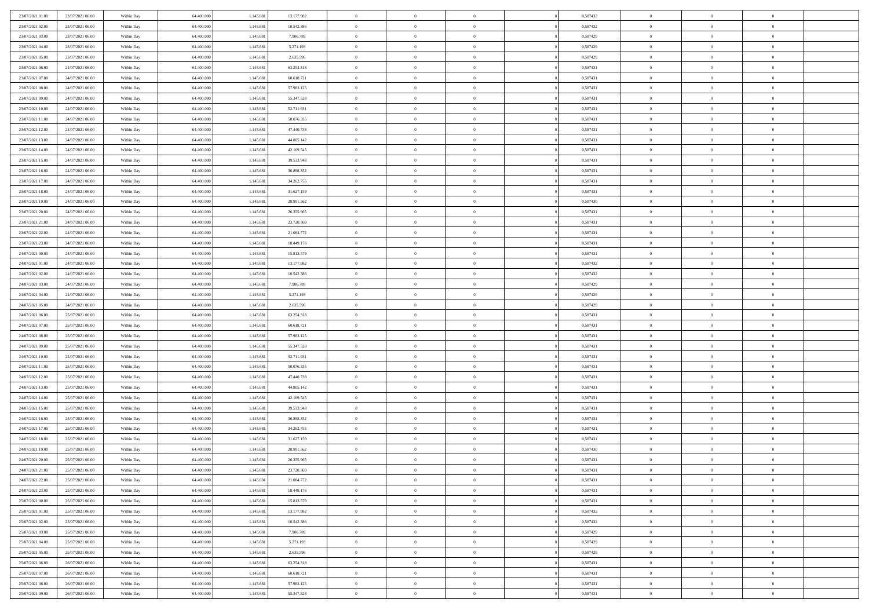| 23/07/2021 01:00 | 23/07/2021 06:00 | Within Day | 64,400,000 | 1.145.681 | 13.177.982 | $\overline{0}$ | $\overline{0}$ | $\Omega$       | 0,587432 | $\bf{0}$       | $\mathbf{0}$   | $\bf{0}$       |  |
|------------------|------------------|------------|------------|-----------|------------|----------------|----------------|----------------|----------|----------------|----------------|----------------|--|
| 23/07/2021 02:00 | 23/07/2021 06:00 | Within Day | 64.400.000 | 1.145.681 | 10.542.386 | $\mathbf{0}$   | $\overline{0}$ | $\overline{0}$ | 0,587432 | $\mathbf{0}$   | $\overline{0}$ | $\overline{0}$ |  |
| 23/07/2021 03:00 | 23/07/2021 06:00 | Within Day | 64.400.000 | 1.145.681 | 7.906.789  | $\,$ 0         | $\overline{0}$ | $\bf{0}$       | 0,587429 | $\,$ 0         | $\overline{0}$ | $\,$ 0 $\,$    |  |
| 23/07/2021 04:00 | 23/07/2021 06:00 | Within Day | 64,400,000 | 1.145.681 | 5.271.193  | $\bf{0}$       | $\overline{0}$ | $\Omega$       | 0.587429 | $\bf{0}$       | $\mathbf{0}$   | $\theta$       |  |
| 23/07/2021 05:00 | 23/07/2021 06:00 | Within Day | 64.400.000 | 1.145.681 | 2.635.596  | $\bf{0}$       | $\overline{0}$ | $\overline{0}$ | 0,587429 | $\mathbf{0}$   | $\overline{0}$ | $\overline{0}$ |  |
| 23/07/2021 06:00 | 24/07/2021 06:00 | Within Day | 64.400.000 | 1.145.681 | 63.254.318 | $\bf{0}$       | $\overline{0}$ | $\bf{0}$       | 0,587431 | $\,$ 0         | $\overline{0}$ | $\,$ 0 $\,$    |  |
| 23/07/2021 07:00 | 24/07/2021 06:00 | Within Day | 64,400,000 | 1.145.681 | 60.618.721 | $\bf{0}$       | $\overline{0}$ | $\overline{0}$ | 0,587431 | $\bf{0}$       | $\overline{0}$ | $\theta$       |  |
| 23/07/2021 08:00 | 24/07/2021 06:00 | Within Day | 64.400.000 | 1.145.681 | 57.983.125 | $\overline{0}$ | $\overline{0}$ | $\overline{0}$ | 0,587431 | $\mathbf{0}$   | $\overline{0}$ | $\overline{0}$ |  |
| 23/07/2021 09:00 | 24/07/2021 06:00 | Within Day | 64.400.000 | 1.145.681 | 55.347.528 | $\bf{0}$       | $\overline{0}$ | $\bf{0}$       | 0,587431 | $\,$ 0         | $\overline{0}$ | $\,$ 0 $\,$    |  |
| 23/07/2021 10:00 | 24/07/2021 06:00 | Within Day | 64,400,000 | 1.145.681 | 52.711.931 | $\overline{0}$ | $\overline{0}$ | $\Omega$       | 0.587431 | $\theta$       | $\mathbf{0}$   | $\theta$       |  |
| 23/07/2021 11:00 | 24/07/2021 06:00 | Within Day | 64.400.000 | 1.145.681 | 50.076.335 | $\overline{0}$ | $\overline{0}$ | $\overline{0}$ | 0,587431 | $\mathbf{0}$   | $\overline{0}$ | $\overline{0}$ |  |
| 23/07/2021 12:00 | 24/07/2021 06:00 | Within Day | 64.400.000 | 1.145.681 | 47.440.738 | $\bf{0}$       | $\overline{0}$ | $\bf{0}$       | 0,587431 | $\,$ 0         | $\overline{0}$ | $\,$ 0 $\,$    |  |
| 23/07/2021 13:00 | 24/07/2021 06:00 | Within Day | 64,400,000 | 1.145.681 | 44.805.142 | $\bf{0}$       | $\overline{0}$ | $\Omega$       | 0.587431 | $\bf{0}$       | $\mathbf{0}$   | $\theta$       |  |
| 23/07/2021 14:00 | 24/07/2021 06:00 | Within Day | 64.400.000 | 1.145.681 | 42.169.545 | $\overline{0}$ | $\overline{0}$ | $\overline{0}$ | 0,587431 | $\overline{0}$ | $\overline{0}$ | $\overline{0}$ |  |
| 23/07/2021 15:00 | 24/07/2021 06:00 | Within Day | 64.400.000 | 1.145.681 | 39.533.948 | $\bf{0}$       | $\overline{0}$ | $\bf{0}$       | 0,587431 | $\,$ 0         | $\overline{0}$ | $\,$ 0 $\,$    |  |
| 23/07/2021 16:00 | 24/07/2021 06:00 | Within Day | 64,400,000 | 1.145.681 | 36.898.352 | $\bf{0}$       | $\overline{0}$ | $\overline{0}$ | 0.587431 | $\bf{0}$       | $\overline{0}$ | $\theta$       |  |
| 23/07/2021 17:00 | 24/07/2021 06:00 | Within Day | 64.400.000 | 1.145.681 | 34.262.755 | $\overline{0}$ | $\overline{0}$ | $\overline{0}$ | 0,587431 | $\mathbf{0}$   | $\overline{0}$ | $\overline{0}$ |  |
| 23/07/2021 18:00 | 24/07/2021 06:00 | Within Day | 64.400.000 | 1.145.681 | 31.627.159 | $\bf{0}$       | $\overline{0}$ | $\bf{0}$       | 0,587431 | $\,$ 0         | $\overline{0}$ | $\,$ 0 $\,$    |  |
| 23/07/2021 19:00 | 24/07/2021 06:00 | Within Day | 64,400,000 | 1.145.681 | 28.991.562 | $\bf{0}$       | $\overline{0}$ | $\Omega$       | 0.587430 | $\theta$       | $\mathbf{0}$   | $\theta$       |  |
| 23/07/2021 20:00 | 24/07/2021 06:00 | Within Day | 64.400.000 | 1.145.681 | 26.355.965 | $\overline{0}$ | $\overline{0}$ | $\overline{0}$ | 0,587431 | $\mathbf{0}$   | $\overline{0}$ | $\overline{0}$ |  |
| 23/07/2021 21:00 | 24/07/2021 06:00 | Within Day | 64.400.000 | 1.145.681 | 23.720.369 | $\bf{0}$       | $\overline{0}$ | $\bf{0}$       | 0,587431 | $\,$ 0         | $\overline{0}$ | $\,$ 0 $\,$    |  |
| 23/07/2021 22.00 | 24/07/2021 06:00 | Within Day | 64,400,000 | 1.145.681 | 21.084.772 | $\bf{0}$       | $\overline{0}$ | $\Omega$       | 0.587431 | $\theta$       | $\mathbf{0}$   | $\theta$       |  |
| 23/07/2021 23:00 | 24/07/2021 06:00 | Within Day | 64.400.000 | 1.145.681 | 18.449.176 | $\overline{0}$ | $\overline{0}$ | $\overline{0}$ | 0,587431 | $\mathbf{0}$   | $\overline{0}$ | $\overline{0}$ |  |
| 24/07/2021 00:00 | 24/07/2021 06:00 | Within Day | 64.400.000 | 1.145.681 | 15.813.579 | $\bf{0}$       | $\overline{0}$ | $\bf{0}$       | 0,587431 | $\,$ 0         | $\overline{0}$ | $\,$ 0 $\,$    |  |
| 24/07/2021 01:00 | 24/07/2021 06:00 | Within Day | 64,400,000 | 1.145.681 | 13.177.982 | $\bf{0}$       | $\overline{0}$ | $\overline{0}$ | 0,587432 | $\bf{0}$       | $\overline{0}$ | $\bf{0}$       |  |
| 24/07/2021 02:00 | 24/07/2021 06:00 | Within Day | 64.400.000 | 1.145.681 | 10.542.386 | $\overline{0}$ | $\overline{0}$ | $\overline{0}$ | 0,587432 | $\mathbf{0}$   | $\overline{0}$ | $\overline{0}$ |  |
| 24/07/2021 03:00 | 24/07/2021 06:00 | Within Day | 64.400.000 | 1.145.681 | 7.906.789  | $\bf{0}$       | $\overline{0}$ | $\bf{0}$       | 0,587429 | $\,$ 0         | $\overline{0}$ | $\,$ 0 $\,$    |  |
| 24/07/2021 04:00 | 24/07/2021 06:00 | Within Day | 64,400,000 | 1.145.681 | 5.271.193  | $\bf{0}$       | $\overline{0}$ | $\Omega$       | 0.587429 | $\theta$       | $\mathbf{0}$   | $\theta$       |  |
| 24/07/2021 05:00 | 24/07/2021 06:00 | Within Day | 64.400.000 | 1.145.681 | 2.635.596  | $\overline{0}$ | $\overline{0}$ | $\overline{0}$ | 0,587429 | $\mathbf{0}$   | $\overline{0}$ | $\overline{0}$ |  |
| 24/07/2021 06:00 | 25/07/2021 06:00 | Within Day | 64.400.000 | 1.145.681 | 63.254.318 | $\bf{0}$       | $\overline{0}$ | $\bf{0}$       | 0,587431 | $\,$ 0         | $\overline{0}$ | $\,$ 0 $\,$    |  |
| 24/07/2021 07:00 | 25/07/2021 06:00 | Within Day | 64.400.000 | 1.145.681 | 60.618.721 | $\bf{0}$       | $\bf{0}$       | $\overline{0}$ | 0,587431 | $\bf{0}$       | $\overline{0}$ | $\,0\,$        |  |
| 24/07/2021 08:00 | 25/07/2021 06:00 | Within Day | 64.400.000 | 1.145.681 | 57.983.125 | $\overline{0}$ | $\overline{0}$ | $\overline{0}$ | 0,587431 | $\mathbf{0}$   | $\overline{0}$ | $\overline{0}$ |  |
| 24/07/2021 09:00 | 25/07/2021 06:00 | Within Day | 64.400.000 | 1.145.681 | 55.347.528 | $\bf{0}$       | $\overline{0}$ | $\bf{0}$       | 0,587431 | $\,$ 0         | $\overline{0}$ | $\,$ 0 $\,$    |  |
| 24/07/2021 10:00 | 25/07/2021 06:00 | Within Day | 64.400.000 | 1.145.681 | 52.711.931 | $\bf{0}$       | $\bf{0}$       | $\bf{0}$       | 0,587431 | $\bf{0}$       | $\overline{0}$ | $\,0\,$        |  |
| 24/07/2021 11:00 | 25/07/2021 06:00 | Within Day | 64.400.000 | 1.145.681 | 50.076.335 | $\overline{0}$ | $\overline{0}$ | $\overline{0}$ | 0,587431 | $\mathbf{0}$   | $\overline{0}$ | $\overline{0}$ |  |
| 24/07/2021 12:00 | 25/07/2021 06:00 | Within Day | 64.400.000 | 1.145.681 | 47.440.738 | $\bf{0}$       | $\overline{0}$ | $\bf{0}$       | 0,587431 | $\,$ 0         | $\overline{0}$ | $\,$ 0 $\,$    |  |
| 24/07/2021 13:00 | 25/07/2021 06:00 | Within Day | 64.400.000 | 1.145.681 | 44.805.142 | $\bf{0}$       | $\bf{0}$       | $\overline{0}$ | 0,587431 | $\bf{0}$       | $\overline{0}$ | $\,0\,$        |  |
| 24/07/2021 14:00 | 25/07/2021 06:00 | Within Day | 64.400.000 | 1.145.681 | 42.169.545 | $\overline{0}$ | $\overline{0}$ | $\overline{0}$ | 0,587431 | $\mathbf{0}$   | $\overline{0}$ | $\overline{0}$ |  |
| 24/07/2021 15:00 | 25/07/2021 06:00 | Within Day | 64.400.000 | 1.145.681 | 39.533.948 | $\bf{0}$       | $\overline{0}$ | $\bf{0}$       | 0,587431 | $\,$ 0         | $\overline{0}$ | $\,$ 0 $\,$    |  |
| 24/07/2021 16:00 | 25/07/2021 06:00 | Within Day | 64.400.000 | 1.145.681 | 36.898.352 | $\bf{0}$       | $\bf{0}$       | $\overline{0}$ | 0,587431 | $\bf{0}$       | $\overline{0}$ | $\,0\,$        |  |
| 24/07/2021 17:00 | 25/07/2021 06:00 | Within Day | 64.400.000 | 1.145.681 | 34.262.755 | $\overline{0}$ | $\overline{0}$ | $\overline{0}$ | 0,587431 | $\mathbf{0}$   | $\overline{0}$ | $\overline{0}$ |  |
| 24/07/2021 18:00 | 25/07/2021 06:00 | Within Day | 64.400.000 | 1.145.681 | 31.627.159 | $\bf{0}$       | $\overline{0}$ | $\bf{0}$       | 0,587431 | $\,$ 0         | $\overline{0}$ | $\,$ 0 $\,$    |  |
| 24/07/2021 19:00 | 25/07/2021 06:00 | Within Day | 64.400.000 | 1.145.681 | 28.991.562 | $\bf{0}$       | $\bf{0}$       | $\bf{0}$       | 0,587430 | $\bf{0}$       | $\overline{0}$ | $\,0\,$        |  |
| 24/07/2021 20:00 | 25/07/2021 06:00 | Within Day | 64.400.000 | 1.145.681 | 26.355.965 | $\mathbf{0}$   | $\overline{0}$ | $\overline{0}$ | 0,587431 | $\overline{0}$ | $\overline{0}$ | $\overline{0}$ |  |
| 24/07/2021 21:00 | 25/07/2021 06:00 | Within Day | 64.400.000 | 1.145.681 | 23.720.369 | $\bf{0}$       | $\overline{0}$ | $\theta$       | 0,587431 | $\overline{0}$ | $\overline{0}$ | $\theta$       |  |
| 24/07/2021 22.00 | 25/07/2021 06:00 | Within Day | 64.400.000 | 1.145.681 | 21.084.772 | $\bf{0}$       | $\bf{0}$       | $\bf{0}$       | 0,587431 | $\bf{0}$       | $\overline{0}$ | $\bf{0}$       |  |
| 24/07/2021 23:00 | 25/07/2021 06:00 | Within Day | 64.400.000 | 1.145.681 | 18.449.176 | $\overline{0}$ | $\overline{0}$ | $\overline{0}$ | 0,587431 | $\overline{0}$ | $\overline{0}$ | $\overline{0}$ |  |
| 25/07/2021 00:00 | 25/07/2021 06:00 | Within Day | 64.400.000 | 1.145.681 | 15.813.579 | $\,$ 0 $\,$    | $\overline{0}$ | $\overline{0}$ | 0,587431 | $\mathbf{0}$   | $\,$ 0 $\,$    | $\,$ 0 $\,$    |  |
| 25/07/2021 01:00 | 25/07/2021 06:00 | Within Day | 64.400.000 | 1.145.681 | 13.177.982 | $\bf{0}$       | $\bf{0}$       | $\overline{0}$ | 0,587432 | $\bf{0}$       | $\overline{0}$ | $\bf{0}$       |  |
| 25/07/2021 02:00 | 25/07/2021 06:00 | Within Day | 64.400.000 | 1.145.681 | 10.542.386 | $\overline{0}$ | $\overline{0}$ | $\overline{0}$ | 0,587432 | $\overline{0}$ | $\bf{0}$       | $\overline{0}$ |  |
| 25/07/2021 03:00 | 25/07/2021 06:00 | Within Day | 64.400.000 | 1.145.681 | 7.906.789  | $\,$ 0 $\,$    | $\overline{0}$ | $\overline{0}$ | 0,587429 | $\mathbf{0}$   | $\overline{0}$ | $\,$ 0 $\,$    |  |
| 25/07/2021 04:00 | 25/07/2021 06:00 | Within Day | 64.400.000 | 1.145.681 | 5.271.193  | $\bf{0}$       | $\overline{0}$ | $\overline{0}$ | 0,587429 | $\bf{0}$       | $\overline{0}$ | $\overline{0}$ |  |
| 25/07/2021 05:00 | 25/07/2021 06:00 | Within Day | 64.400.000 | 1.145.681 | 2.635.596  | $\overline{0}$ | $\overline{0}$ | $\overline{0}$ | 0,587429 | $\overline{0}$ | $\bf{0}$       | $\overline{0}$ |  |
| 25/07/2021 06:00 | 26/07/2021 06:00 | Within Day | 64.400.000 | 1.145.681 | 63.254.318 | $\,$ 0 $\,$    | $\overline{0}$ | $\overline{0}$ | 0,587431 | $\mathbf{0}$   | $\,$ 0 $\,$    | $\,$ 0 $\,$    |  |
| 25/07/2021 07:00 | 26/07/2021 06:00 | Within Day | 64.400.000 | 1.145.681 | 60.618.721 | $\bf{0}$       | $\bf{0}$       | $\overline{0}$ | 0,587431 | $\mathbf{0}$   | $\overline{0}$ | $\bf{0}$       |  |
| 25/07/2021 08:00 | 26/07/2021 06:00 | Within Day | 64.400.000 | 1.145.681 | 57.983.125 | $\bf{0}$       | $\overline{0}$ | $\overline{0}$ | 0,587431 | $\mathbf{0}$   | $\bf{0}$       | $\overline{0}$ |  |
| 25/07/2021 09:00 | 26/07/2021 06:00 | Within Day | 64.400.000 | 1.145.681 | 55.347.528 | $\,0\,$        | $\overline{0}$ | $\overline{0}$ | 0,587431 | $\,$ 0         | $\overline{0}$ | $\,$ 0 $\,$    |  |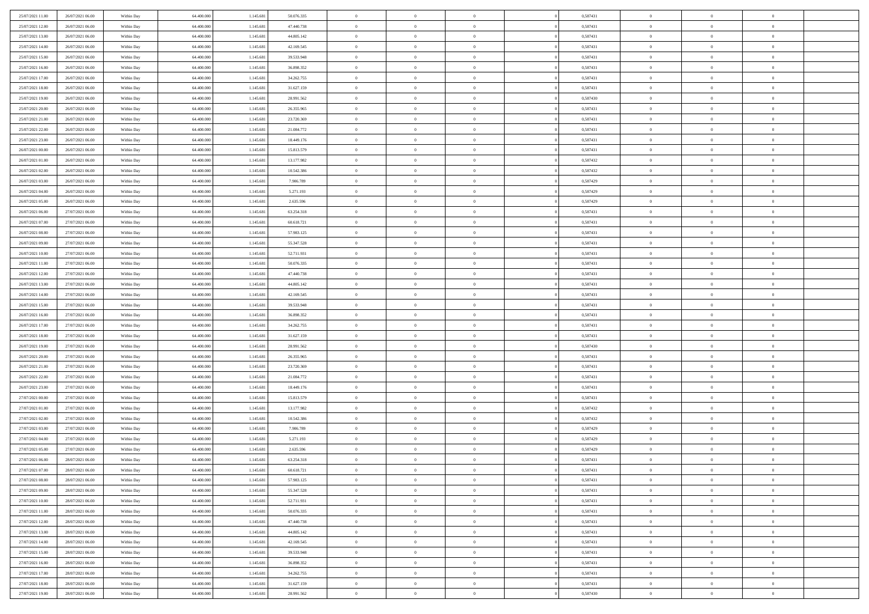| 25/07/2021 11:00                     | 26/07/2021 06:00                     | Within Day               | 64.400.000               | 1.145.681              | 50.076.335               | $\bf{0}$                 | $\bf{0}$                         | $\theta$                   |          | 0,587431             | $\bf{0}$                 | $\overline{0}$                   | $\,0\,$                    |  |
|--------------------------------------|--------------------------------------|--------------------------|--------------------------|------------------------|--------------------------|--------------------------|----------------------------------|----------------------------|----------|----------------------|--------------------------|----------------------------------|----------------------------|--|
| 25/07/2021 12:00                     | 26/07/2021 06:00                     | Within Day               | 64,400,000               | 1.145.681              | 47.440.738               | $\overline{0}$           | $\overline{0}$                   | $\overline{0}$             |          | 0,587431             | $\theta$                 | $\overline{0}$                   | $\theta$                   |  |
| 25/07/2021 13:00                     | 26/07/2021 06:00                     | Within Dav               | 64.400.000               | 1.145.681              | 44.805.142               | $\overline{0}$           | $\overline{0}$                   | $\overline{0}$             |          | 0,587431             | $\mathbf{0}$             | $\overline{0}$                   | $\overline{0}$             |  |
| 25/07/2021 14:00                     | 26/07/2021 06:00                     | Within Day               | 64.400.000               | 1.145.681              | 42.169.545               | $\bf{0}$                 | $\overline{0}$                   | $\overline{0}$             |          | 0,587431             | $\bf{0}$                 | $\overline{0}$                   | $\bf{0}$                   |  |
| 25/07/2021 15:00                     | 26/07/2021 06:00                     | Within Day               | 64,400,000               | 1.145.681              | 39.533.948               | $\bf{0}$                 | $\bf{0}$                         | $\overline{0}$             |          | 0,587431             | $\bf{0}$                 | $\bf{0}$                         | $\,0\,$                    |  |
| 25/07/2021 16:00                     | 26/07/2021 06:00                     | Within Dav               | 64.400.000               | 1.145.681              | 36.898.352               | $\overline{0}$           | $\overline{0}$                   | $\overline{0}$             |          | 0,587431             | $\mathbf{0}$             | $\overline{0}$                   | $\overline{0}$             |  |
| 25/07/2021 17:00                     | 26/07/2021 06:00                     | Within Day               | 64.400.000               | 1.145.681              | 34.262.755               | $\bf{0}$                 | $\bf{0}$                         | $\overline{0}$             |          | 0,587431             | $\bf{0}$                 | $\overline{0}$                   | $\,0\,$                    |  |
| 25/07/2021 18:00                     | 26/07/2021 06:00                     | Within Day               | 64.400.000               | 1.145.681              | 31.627.159               | $\overline{0}$           | $\overline{0}$                   | $\overline{0}$             |          | 0,587431             | $\,$ 0 $\,$              | $\overline{0}$                   | $\theta$                   |  |
| 25/07/2021 19:00                     | 26/07/2021 06:00                     | Within Dav               | 64.400.000               | 1.145.681              | 28.991.562               | $\mathbf{0}$             | $\overline{0}$                   | $\overline{0}$             |          | 0,587430             | $\mathbf{0}$             | $\overline{0}$                   | $\overline{0}$             |  |
| 25/07/2021 20:00                     | 26/07/2021 06:00                     | Within Day               | 64.400.000               | 1.145.681              | 26.355.965               | $\bf{0}$                 | $\bf{0}$                         | $\overline{0}$             |          | 0,587431             | $\bf{0}$                 | $\overline{0}$                   | $\,0\,$                    |  |
| 25/07/2021 21:00                     | 26/07/2021 06:00                     | Within Day               | 64,400,000               | 1.145.681              | 23.720.369               | $\bf{0}$                 | $\overline{0}$                   | $\overline{0}$             |          | 0,587431             | $\bf{0}$                 | $\overline{0}$                   | $\theta$                   |  |
| 25/07/2021 22:00                     | 26/07/2021 06:00                     | Within Dav               | 64.400.000               | 1.145.681              | 21.084.772               | $\mathbf{0}$             | $\overline{0}$                   | $\overline{0}$             |          | 0,587431             | $\mathbf{0}$             | $\overline{0}$                   | $\overline{0}$             |  |
| 25/07/2021 23.00                     | 26/07/2021 06:00                     | Within Day               | 64.400.000               | 1.145.681              | 18.449.176               | $\bf{0}$                 | $\overline{0}$                   | $\bf{0}$                   |          | 0,587431             | $\bf{0}$                 | $\overline{0}$                   | $\bf{0}$                   |  |
| 26/07/2021 00:00                     | 26/07/2021 06:00                     | Within Day               | 64.400.000               | 1.145.681              | 15.813.579               | $\bf{0}$                 | $\bf{0}$                         | $\overline{0}$             |          | 0,587431             | $\bf{0}$                 | $\overline{0}$                   | $\,0\,$                    |  |
| 26/07/2021 01:00                     | 26/07/2021 06:00                     | Within Dav               | 64.400.000               | 1.145.681              | 13.177.982               | $\overline{0}$           | $\overline{0}$                   | $\overline{0}$             |          | 0,587432             | $\mathbf{0}$             | $\overline{0}$                   | $\overline{0}$             |  |
| 26/07/2021 02:00                     | 26/07/2021 06:00                     | Within Day               | 64.400.000               | 1.145.681              | 10.542.386               | $\bf{0}$                 | $\bf{0}$                         | $\overline{0}$             |          | 0,587432             | $\bf{0}$                 | $\overline{0}$                   | $\bf{0}$                   |  |
| 26/07/2021 03:00                     | 26/07/2021 06:00                     | Within Day               | 64,400,000               | 1.145.681              | 7.906.789                | $\bf{0}$                 | $\overline{0}$                   | $\overline{0}$             |          | 0,587429             | $\,$ 0 $\,$              | $\overline{0}$                   | $\theta$                   |  |
| 26/07/2021 04:00                     | 26/07/2021 06:00                     | Within Day               | 64.400.000               | 1.145.681              | 5.271.193                | $\mathbf{0}$             | $\overline{0}$                   | $\overline{0}$             |          | 0,587429             | $\mathbf{0}$             | $\overline{0}$                   | $\overline{0}$             |  |
| 26/07/2021 05:00                     | 26/07/2021 06:00                     | Within Day               | 64.400.000               | 1.145.681              | 2.635.596                | $\bf{0}$                 | $\bf{0}$                         | $\overline{0}$             |          | 0,587429             | $\bf{0}$                 | $\overline{0}$                   | $\,0\,$                    |  |
| 26/07/2021 06:00                     | 27/07/2021 06:00                     | Within Day               | 64.400.000               | 1.145.681              | 63.254.318               | $\bf{0}$                 | $\overline{0}$                   | $\overline{0}$             |          | 0,587431             | $\bf{0}$                 | $\overline{0}$                   | $\bf{0}$                   |  |
| 26/07/2021 07:00                     | 27/07/2021 06:00                     | Within Dav               | 64.400.000               | 1.145.681              | 60.618.721               | $\overline{0}$           | $\overline{0}$                   | $\overline{0}$             |          | 0,587431             | $\mathbf{0}$             | $\overline{0}$                   | $\overline{0}$             |  |
| 26/07/2021 08:00                     | 27/07/2021 06:00                     | Within Day               | 64.400.000               | 1.145.681              | 57.983.125               | $\bf{0}$                 | $\overline{0}$                   | $\overline{0}$             |          | 0,587431             | $\bf{0}$                 | $\overline{0}$                   | $\bf{0}$                   |  |
| 26/07/2021 09:00                     | 27/07/2021 06:00                     | Within Day               | 64,400,000               | 1.145.681              | 55.347.528               | $\bf{0}$                 | $\bf{0}$                         | $\overline{0}$             |          | 0,587431             | $\,$ 0 $\,$              | $\overline{0}$                   | $\,0\,$                    |  |
| 26/07/2021 10:00                     | 27/07/2021 06:00                     | Within Dav               | 64.400.000               | 1.145.681              | 52.711.931               | $\mathbf{0}$             | $\overline{0}$                   | $\overline{0}$             |          | 0,587431             | $\mathbf{0}$             | $\overline{0}$                   | $\overline{0}$             |  |
| 26/07/2021 11:00                     | 27/07/2021 06:00                     | Within Day               | 64.400.000               | 1.145.681              | 50.076.335               | $\bf{0}$                 | $\bf{0}$                         | $\overline{0}$             |          | 0,587431             | $\bf{0}$                 | $\overline{0}$                   | $\,0\,$                    |  |
| 26/07/2021 12:00                     | 27/07/2021 06:00                     | Within Day               | 64.400.000               | 1.145.681              | 47.440.738               | $\bf{0}$                 | $\overline{0}$                   | $\overline{0}$             |          | 0,587431             | $\bf{0}$                 | $\mathbf{0}$                     | $\overline{0}$             |  |
| 26/07/2021 13:00                     | 27/07/2021 06:00                     | Within Dav               | 64.400.000               | 1.145.681              | 44.805.142               | $\overline{0}$           | $\overline{0}$                   | $\overline{0}$             |          | 0,587431             | $\mathbf{0}$             | $\overline{0}$                   | $\overline{0}$             |  |
| 26/07/2021 14:00                     | 27/07/2021 06:00                     | Within Day               | 64.400.000               | 1.145.681              | 42.169.545               | $\bf{0}$                 | $\bf{0}$                         | $\overline{0}$             |          | 0,587431             | $\bf{0}$                 | $\overline{0}$                   | $\,0\,$                    |  |
| 26/07/2021 15:00                     | 27/07/2021 06:00                     | Within Day               | 64,400,000               | 1.145.681              | 39.533.948               | $\bf{0}$                 | $\bf{0}$                         | $\overline{0}$             |          | 0,587431             | $\bf{0}$                 | $\bf{0}$                         | $\bf{0}$                   |  |
| 26/07/2021 16:00                     | 27/07/2021 06:00                     | Within Dav               | 64.400.000               | 1.145.681              | 36.898.352               | $\mathbf{0}$             | $\overline{0}$                   | $\overline{0}$             |          | 0,587431             | $\mathbf{0}$             | $\overline{0}$                   | $\overline{0}$             |  |
| 26/07/2021 17:00                     | 27/07/2021 06:00                     | Within Day               | 64.400.000               | 1.145.681              | 34.262.755               | $\bf{0}$                 | $\overline{0}$                   | $\theta$                   |          | 0,587431             | $\,$ 0                   | $\overline{0}$                   | $\theta$                   |  |
| 26/07/2021 18:00                     | 27/07/2021 06:00                     | Within Day               | 64.400.000               | 1.145.681              | 31.627.159               | $\bf{0}$                 | $\bf{0}$                         | $\overline{0}$             |          | 0,587431             | $\bf{0}$                 | $\overline{0}$                   | $\bf{0}$                   |  |
| 26/07/2021 19:00                     | 27/07/2021 06:00                     | Within Dav               | 64.400.000               | 1.145.681              | 28.991.562               | $\overline{0}$           | $\overline{0}$                   | $\overline{0}$             |          | 0,587430             | $\mathbf{0}$             | $\overline{0}$                   | $\overline{0}$             |  |
| 26/07/2021 20:00                     | 27/07/2021 06:00                     | Within Day               | 64.400.000<br>64,400,000 | 1.145.681              | 26.355.965               | $\bf{0}$                 | $\overline{0}$<br>$\overline{0}$ | $\theta$<br>$\overline{0}$ |          | 0,587431             | $\,$ 0                   | $\overline{0}$<br>$\overline{0}$ | $\theta$<br>$\overline{0}$ |  |
| 26/07/2021 21:00<br>26/07/2021 22:00 | 27/07/2021 06:00<br>27/07/2021 06:00 | Within Day<br>Within Day | 64.400.000               | 1.145.681<br>1.145.681 | 23.720.369<br>21.084.772 | $\bf{0}$<br>$\mathbf{0}$ | $\overline{0}$                   | $\overline{0}$             |          | 0,587431<br>0,587431 | $\bf{0}$<br>$\mathbf{0}$ | $\overline{0}$                   | $\overline{0}$             |  |
| 26/07/2021 23:00                     | 27/07/2021 06:00                     | Within Day               | 64.400.000               | 1.145.681              | 18.449.176               | $\bf{0}$                 | $\overline{0}$                   | $\theta$                   |          | 0,587431             | $\,$ 0                   | $\overline{0}$                   | $\theta$                   |  |
| 27/07/2021 00:00                     | 27/07/2021 06:00                     | Within Day               | 64.400.000               | 1.145.681              | 15.813.579               | $\bf{0}$                 | $\overline{0}$                   | $\overline{0}$             |          | 0,587431             | $\bf{0}$                 | $\overline{0}$                   | $\bf{0}$                   |  |
| 27/07/2021 01:00                     | 27/07/2021 06:00                     | Within Dav               | 64.400.000               | 1.145.681              | 13.177.982               | $\mathbf{0}$             | $\overline{0}$                   | $\overline{0}$             |          | 0,587432             | $\mathbf{0}$             | $\overline{0}$                   | $\overline{0}$             |  |
| 27/07/2021 02:00                     | 27/07/2021 06:00                     | Within Day               | 64.400.000               | 1.145.681              | 10.542.386               | $\,0\,$                  | $\overline{0}$                   | $\theta$                   |          | 0,587432             | $\,$ 0                   | $\overline{0}$                   | $\theta$                   |  |
| 27/07/2021 03:00                     | 27/07/2021 06:00                     | Within Day               | 64,400,000               | 1.145.681              | 7.906.789                | $\bf{0}$                 | $\overline{0}$                   | $\overline{0}$             |          | 0,587429             | $\bf{0}$                 | $\overline{0}$                   | $\bf{0}$                   |  |
| 27/07/2021 04:00                     | 27/07/2021 06:00                     | Within Dav               | 64.400.000               | 1.145.681              | 5.271.193                | $\mathbf{0}$             | $\overline{0}$                   | $\overline{0}$             |          | 0,587429             | $\mathbf{0}$             | $\overline{0}$                   | $\overline{0}$             |  |
| 27/07/2021 05:00                     | 27/07/2021 06:00                     | Within Day               | 64.400.000               | 1.145.681              | 2.635.596                | $\bf{0}$                 | $\overline{0}$                   | $\theta$                   |          | 0,587429             | $\,$ 0                   | $\overline{0}$                   | $\theta$                   |  |
| 27/07/2021 06:00                     | 28/07/2021 06:00                     | Within Day               | 64.400.000               | 1.145.681              | 63.254.318               | $\bf{0}$                 | $\overline{0}$                   | $\overline{0}$             |          | 0,587431             | $\,$ 0 $\,$              | $\overline{0}$                   | $\bf{0}$                   |  |
| 27/07/2021 07:00                     | 28/07/2021 06:00                     | Within Day               | 64.400.000               | 1.145.681              | 60.618.721               | $\bf{0}$                 | $\overline{0}$                   |                            |          | 0,587431             | $\overline{0}$           | $\theta$                         | $\theta$                   |  |
| 27/07/2021 08:00                     | 28/07/2021 06:00                     | Within Day               | 64.400.000               | 1.145.681              | 57.983.125               | $\,0\,$                  | $\overline{0}$                   | $\theta$                   |          | 0,587431             | $\,$ 0 $\,$              | $\bf{0}$                         | $\theta$                   |  |
| 27/07/2021 09:00                     | 28/07/2021 06:00                     | Within Day               | 64.400.000               | 1.145.681              | 55.347.528               | $\overline{0}$           | $\overline{0}$                   | $\overline{0}$             |          | 0,587431             | $\overline{0}$           | $\overline{0}$                   | $\overline{0}$             |  |
| 27/07/2021 10:00                     | 28/07/2021 06:00                     | Within Day               | 64.400.000               | 1.145.681              | 52.711.931               | $\bf{0}$                 | $\overline{0}$                   | $\overline{0}$             |          | 0,587431             | $\overline{0}$           | $\bf{0}$                         | $\mathbf{0}$               |  |
| 27/07/2021 11:00                     | 28/07/2021 06:00                     | Within Day               | 64.400.000               | 1.145.681              | 50.076.335               | $\bf{0}$                 | $\overline{0}$                   | $\overline{0}$             | $\theta$ | 0,587431             | $\mathbf{0}$             | $\bf{0}$                         | $\,$ 0 $\,$                |  |
| 27/07/2021 12:00                     | 28/07/2021 06:00                     | Within Day               | 64,400,000               | 1.145.681              | 47.440.738               | $\bf{0}$                 | $\overline{0}$                   | $\overline{0}$             |          | 0,587431             | $\,$ 0 $\,$              | $\overline{0}$                   | $\overline{0}$             |  |
| 27/07/2021 13:00                     | 28/07/2021 06:00                     | Within Day               | 64.400.000               | 1.145.681              | 44.805.142               | $\bf{0}$                 | $\overline{0}$                   | $\overline{0}$             |          | 0,587431             | $\mathbf{0}$             | $\overline{0}$                   | $\overline{0}$             |  |
| 27/07/2021 14:00                     | 28/07/2021 06:00                     | Within Day               | 64.400.000               | 1.145.681              | 42.169.545               | $\,$ 0 $\,$              | $\overline{0}$                   | $\overline{0}$             | $\theta$ | 0,587431             | $\,$ 0 $\,$              | $\mathbf{0}$                     | $\,$ 0 $\,$                |  |
| 27/07/2021 15:00                     | 28/07/2021 06:00                     | Within Day               | 64.400.000               | 1.145.681              | 39.533.948               | $\bf{0}$                 | $\overline{0}$                   | $\overline{0}$             |          | 0,587431             | $\overline{0}$           | $\overline{0}$                   | $\overline{0}$             |  |
| 27/07/2021 16:00                     | 28/07/2021 06:00                     | Within Day               | 64.400.000               | 1.145.681              | 36.898.352               | $\bf{0}$                 | $\overline{0}$                   | $\overline{0}$             |          | 0,587431             | $\mathbf{0}$             | $\bf{0}$                         | $\overline{0}$             |  |
| 27/07/2021 17:00                     | 28/07/2021 06:00                     | Within Day               | 64.400.000               | 1.145.681              | 34.262.755               | $\,0\,$                  | $\overline{0}$                   | $\overline{0}$             |          | 0,587431             | $\,$ 0 $\,$              | $\mathbf{0}$                     | $\,$ 0 $\,$                |  |
| 27/07/2021 18:00                     | 28/07/2021 06:00                     | Within Day               | 64.400.000               | 1.145.681              | 31.627.159               | $\bf{0}$                 | $\overline{0}$                   | $\overline{0}$             |          | 0,587431             | $\bf{0}$                 | $\mathbf{0}$                     | $\overline{0}$             |  |
| 27/07/2021 19:00                     | 28/07/2021 06:00                     | Within Day               | 64.400.000               | 1.145.681              | 28.991.562               | $\overline{0}$           | $\overline{0}$                   | $\overline{0}$             |          | 0,587430             | $\mathbf{0}$             | $\overline{0}$                   | $\overline{0}$             |  |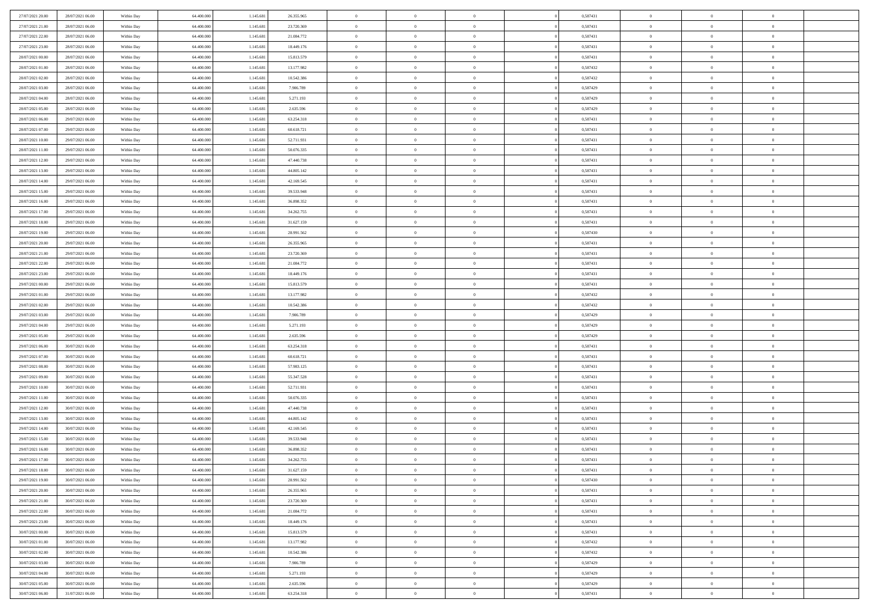| 27/07/2021 20:00 | 28/07/2021 06:00 | Within Day | 64,400,000 | 1.145.681 | 26.355.965 | $\overline{0}$ | $\overline{0}$ | $\Omega$       | 0,587431 | $\bf{0}$       | $\mathbf{0}$   | $\bf{0}$       |  |
|------------------|------------------|------------|------------|-----------|------------|----------------|----------------|----------------|----------|----------------|----------------|----------------|--|
| 27/07/2021 21:00 | 28/07/2021 06:00 | Within Day | 64.400.000 | 1.145.681 | 23.720.369 | $\mathbf{0}$   | $\overline{0}$ | $\overline{0}$ | 0,587431 | $\overline{0}$ | $\overline{0}$ | $\overline{0}$ |  |
| 27/07/2021 22.00 | 28/07/2021 06:00 | Within Day | 64.400.000 | 1.145.681 | 21.084.772 | $\,$ 0         | $\overline{0}$ | $\bf{0}$       | 0,587431 | $\,$ 0         | $\overline{0}$ | $\,$ 0 $\,$    |  |
| 27/07/2021 23:00 | 28/07/2021 06:00 | Within Day | 64,400,000 | 1.145.681 | 18.449.176 | $\bf{0}$       | $\overline{0}$ | $\Omega$       | 0.587431 | $\bf{0}$       | $\mathbf{0}$   | $\theta$       |  |
| 28/07/2021 00:00 | 28/07/2021 06:00 | Within Day | 64.400.000 | 1.145.681 | 15.813.579 | $\bf{0}$       | $\overline{0}$ | $\overline{0}$ | 0,587431 | $\mathbf{0}$   | $\overline{0}$ | $\overline{0}$ |  |
| 28/07/2021 01:00 | 28/07/2021 06:00 | Within Day | 64.400.000 | 1.145.681 | 13.177.982 | $\bf{0}$       | $\overline{0}$ | $\bf{0}$       | 0,587432 | $\,$ 0         | $\overline{0}$ | $\,$ 0 $\,$    |  |
| 28/07/2021 02:00 | 28/07/2021 06:00 | Within Day | 64,400,000 | 1.145.681 | 10.542.386 | $\bf{0}$       | $\overline{0}$ | $\Omega$       | 0,587432 | $\bf{0}$       | $\bf{0}$       | $\theta$       |  |
| 28/07/2021 03:00 | 28/07/2021 06:00 | Within Day | 64.400.000 | 1.145.681 | 7.906.789  | $\overline{0}$ | $\overline{0}$ | $\overline{0}$ | 0,587429 | $\mathbf{0}$   | $\overline{0}$ | $\overline{0}$ |  |
| 28/07/2021 04:00 | 28/07/2021 06:00 | Within Day | 64.400.000 | 1.145.681 | 5.271.193  | $\bf{0}$       | $\overline{0}$ | $\bf{0}$       | 0,587429 | $\,$ 0         | $\overline{0}$ | $\,$ 0 $\,$    |  |
| 28/07/2021 05:00 | 28/07/2021 06:00 | Within Day | 64,400,000 | 1.145.681 | 2.635.596  | $\overline{0}$ | $\overline{0}$ | $\Omega$       | 0.587429 | $\theta$       | $\mathbf{0}$   | $\theta$       |  |
| 28/07/2021 06:00 | 29/07/2021 06:00 | Within Day | 64.400.000 | 1.145.681 | 63.254.318 | $\overline{0}$ | $\overline{0}$ | $\overline{0}$ | 0,587431 | $\mathbf{0}$   | $\overline{0}$ | $\overline{0}$ |  |
| 28/07/2021 07:00 | 29/07/2021 06:00 | Within Day | 64.400.000 | 1.145.681 | 60.618.721 | $\bf{0}$       | $\overline{0}$ | $\bf{0}$       | 0,587431 | $\,$ 0         | $\overline{0}$ | $\,$ 0 $\,$    |  |
| 28/07/2021 10:00 | 29/07/2021 06:00 | Within Day | 64,400,000 | 1.145.681 | 52.711.931 | $\bf{0}$       | $\overline{0}$ | $\Omega$       | 0.587431 | $\bf{0}$       | $\mathbf{0}$   | $\theta$       |  |
| 28/07/2021 11:00 | 29/07/2021 06:00 | Within Day | 64.400.000 | 1.145.681 | 50.076.335 | $\overline{0}$ | $\overline{0}$ | $\overline{0}$ | 0,587431 | $\overline{0}$ | $\overline{0}$ | $\overline{0}$ |  |
| 28/07/2021 12:00 | 29/07/2021 06:00 | Within Day | 64.400.000 | 1.145.681 | 47.440.738 | $\bf{0}$       | $\overline{0}$ | $\bf{0}$       | 0,587431 | $\,$ 0         | $\overline{0}$ | $\,$ 0 $\,$    |  |
| 28/07/2021 13:00 | 29/07/2021 06:00 | Within Day | 64,400,000 | 1.145.681 | 44.805.142 | $\bf{0}$       | $\overline{0}$ | $\overline{0}$ | 0.587431 | $\bf{0}$       | $\bf{0}$       | $\theta$       |  |
| 28/07/2021 14:00 | 29/07/2021 06:00 | Within Day | 64.400.000 | 1.145.681 | 42.169.545 | $\overline{0}$ | $\overline{0}$ | $\overline{0}$ | 0,587431 | $\mathbf{0}$   | $\overline{0}$ | $\overline{0}$ |  |
| 28/07/2021 15:00 | 29/07/2021 06:00 | Within Day | 64.400.000 | 1.145.681 | 39.533.948 | $\bf{0}$       | $\overline{0}$ | $\bf{0}$       | 0,587431 | $\,$ 0         | $\overline{0}$ | $\,$ 0 $\,$    |  |
| 28/07/2021 16:00 | 29/07/2021 06:00 | Within Day | 64,400,000 | 1.145.681 | 36.898.352 | $\bf{0}$       | $\overline{0}$ | $\Omega$       | 0.587431 | $\theta$       | $\mathbf{0}$   | $\theta$       |  |
| 28/07/2021 17:00 | 29/07/2021 06:00 | Within Day | 64.400.000 | 1.145.681 | 34.262.755 | $\overline{0}$ | $\overline{0}$ | $\overline{0}$ | 0,587431 | $\mathbf{0}$   | $\overline{0}$ | $\overline{0}$ |  |
| 28/07/2021 18:00 | 29/07/2021 06:00 | Within Day | 64.400.000 | 1.145.681 | 31.627.159 | $\bf{0}$       | $\overline{0}$ | $\bf{0}$       | 0,587431 | $\,$ 0         | $\overline{0}$ | $\,$ 0 $\,$    |  |
| 28/07/2021 19:00 | 29/07/2021 06:00 | Within Day | 64,400,000 | 1.145.681 | 28.991.562 | $\bf{0}$       | $\overline{0}$ | $\Omega$       | 0.587430 | $\theta$       | $\mathbf{0}$   | $\theta$       |  |
| 28/07/2021 20:00 | 29/07/2021 06:00 | Within Day | 64.400.000 | 1.145.681 | 26.355.965 | $\overline{0}$ | $\overline{0}$ | $\overline{0}$ | 0,587431 | $\mathbf{0}$   | $\overline{0}$ | $\overline{0}$ |  |
| 28/07/2021 21:00 | 29/07/2021 06:00 | Within Day | 64.400.000 | 1.145.681 | 23.720.369 | $\bf{0}$       | $\overline{0}$ | $\bf{0}$       | 0,587431 | $\,$ 0         | $\overline{0}$ | $\,$ 0 $\,$    |  |
| 28/07/2021 22.00 | 29/07/2021 06:00 | Within Day | 64,400,000 | 1.145.681 | 21.084.772 | $\bf{0}$       | $\overline{0}$ | $\overline{0}$ | 0,587431 | $\bf{0}$       | $\bf{0}$       | $\bf{0}$       |  |
| 28/07/2021 23:00 | 29/07/2021 06:00 | Within Day | 64.400.000 | 1.145.681 | 18.449.176 | $\overline{0}$ | $\overline{0}$ | $\overline{0}$ | 0,587431 | $\mathbf{0}$   | $\overline{0}$ | $\overline{0}$ |  |
| 29/07/2021 00:00 | 29/07/2021 06:00 | Within Day | 64.400.000 | 1.145.681 | 15.813.579 | $\bf{0}$       | $\overline{0}$ | $\bf{0}$       | 0,587431 | $\,$ 0         | $\overline{0}$ | $\,$ 0 $\,$    |  |
| 29/07/2021 01:00 | 29/07/2021 06:00 | Within Day | 64,400,000 | 1.145.681 | 13.177.982 | $\bf{0}$       | $\overline{0}$ | $\Omega$       | 0.587432 | $\theta$       | $\mathbf{0}$   | $\theta$       |  |
| 29/07/2021 02:00 | 29/07/2021 06:00 | Within Day | 64.400.000 | 1.145.681 | 10.542.386 | $\overline{0}$ | $\overline{0}$ | $\overline{0}$ | 0,587432 | $\mathbf{0}$   | $\overline{0}$ | $\overline{0}$ |  |
| 29/07/2021 03:00 | 29/07/2021 06:00 | Within Day | 64.400.000 | 1.145.681 | 7.906.789  | $\bf{0}$       | $\overline{0}$ | $\bf{0}$       | 0,587429 | $\,$ 0         | $\overline{0}$ | $\,$ 0 $\,$    |  |
| 29/07/2021 04:00 | 29/07/2021 06:00 | Within Day | 64.400.000 | 1.145.681 | 5.271.193  | $\bf{0}$       | $\bf{0}$       | $\overline{0}$ | 0,587429 | $\bf{0}$       | $\overline{0}$ | $\,0\,$        |  |
| 29/07/2021 05:00 | 29/07/2021 06:00 | Within Day | 64.400.000 | 1.145.681 | 2.635.596  | $\overline{0}$ | $\overline{0}$ | $\overline{0}$ | 0,587429 | $\mathbf{0}$   | $\overline{0}$ | $\overline{0}$ |  |
| 29/07/2021 06:00 | 30/07/2021 06:00 | Within Day | 64.400.000 | 1.145.681 | 63.254.318 | $\bf{0}$       | $\overline{0}$ | $\bf{0}$       | 0,587431 | $\,$ 0         | $\overline{0}$ | $\,$ 0 $\,$    |  |
| 29/07/2021 07:00 | 30/07/2021 06:00 | Within Day | 64.400.000 | 1.145.681 | 60.618.721 | $\bf{0}$       | $\bf{0}$       | $\bf{0}$       | 0,587431 | $\bf{0}$       | $\overline{0}$ | $\,0\,$        |  |
| 29/07/2021 08:00 | 30/07/2021 06:00 | Within Day | 64.400.000 | 1.145.681 | 57.983.125 | $\overline{0}$ | $\overline{0}$ | $\overline{0}$ | 0,587431 | $\mathbf{0}$   | $\overline{0}$ | $\overline{0}$ |  |
| 29/07/2021 09:00 | 30/07/2021 06:00 | Within Day | 64.400.000 | 1.145.681 | 55.347.528 | $\bf{0}$       | $\overline{0}$ | $\bf{0}$       | 0,587431 | $\,$ 0         | $\overline{0}$ | $\,$ 0 $\,$    |  |
| 29/07/2021 10:00 | 30/07/2021 06:00 | Within Day | 64.400.000 | 1.145.681 | 52.711.931 | $\bf{0}$       | $\bf{0}$       | $\overline{0}$ | 0,587431 | $\bf{0}$       | $\overline{0}$ | $\,0\,$        |  |
| 29/07/2021 11:00 | 30/07/2021 06:00 | Within Day | 64.400.000 | 1.145.681 | 50.076.335 | $\overline{0}$ | $\overline{0}$ | $\overline{0}$ | 0,587431 | $\mathbf{0}$   | $\overline{0}$ | $\overline{0}$ |  |
| 29/07/2021 12:00 | 30/07/2021 06:00 | Within Day | 64.400.000 | 1.145.681 | 47.440.738 | $\bf{0}$       | $\overline{0}$ | $\bf{0}$       | 0,587431 | $\,$ 0         | $\overline{0}$ | $\,$ 0 $\,$    |  |
| 29/07/2021 13:00 | 30/07/2021 06:00 | Within Day | 64.400.000 | 1.145.681 | 44.805.142 | $\bf{0}$       | $\bf{0}$       | $\overline{0}$ | 0,587431 | $\bf{0}$       | $\overline{0}$ | $\,0\,$        |  |
| 29/07/2021 14:00 | 30/07/2021 06:00 | Within Day | 64.400.000 | 1.145.681 | 42.169.545 | $\overline{0}$ | $\overline{0}$ | $\overline{0}$ | 0,587431 | $\mathbf{0}$   | $\overline{0}$ | $\overline{0}$ |  |
| 29/07/2021 15:00 | 30/07/2021 06:00 | Within Day | 64.400.000 | 1.145.681 | 39.533.948 | $\bf{0}$       | $\overline{0}$ | $\bf{0}$       | 0,587431 | $\,$ 0         | $\overline{0}$ | $\,$ 0 $\,$    |  |
| 29/07/2021 16:00 | 30/07/2021 06:00 | Within Day | 64.400.000 | 1.145.681 | 36.898.352 | $\bf{0}$       | $\bf{0}$       | $\bf{0}$       | 0,587431 | $\bf{0}$       | $\overline{0}$ | $\,0\,$        |  |
| 29/07/2021 17:00 | 30/07/2021 06:00 | Within Dav | 64.400.000 | 1.145.681 | 34.262.755 | $\mathbf{0}$   | $\overline{0}$ | $\overline{0}$ | 0,587431 | $\mathbf{0}$   | $\overline{0}$ | $\overline{0}$ |  |
| 29/07/2021 18:00 | 30/07/2021 06:00 | Within Day | 64.400.000 | 1.145.681 | 31.627.159 | $\bf{0}$       | $\overline{0}$ | $\overline{0}$ | 0,587431 | $\overline{0}$ | $\overline{0}$ | $\theta$       |  |
| 29/07/2021 19:00 | 30/07/2021 06:00 | Within Day | 64.400.000 | 1.145.681 | 28.991.562 | $\bf{0}$       | $\bf{0}$       | $\bf{0}$       | 0,587430 | $\bf{0}$       | $\overline{0}$ | $\,0\,$        |  |
| 29/07/2021 20:00 | 30/07/2021 06:00 | Within Day | 64.400.000 | 1.145.681 | 26.355.965 | $\overline{0}$ | $\overline{0}$ | $\overline{0}$ | 0,587431 | $\overline{0}$ | $\bf{0}$       | $\overline{0}$ |  |
| 29/07/2021 21:00 | 30/07/2021 06:00 | Within Day | 64.400.000 | 1.145.681 | 23.720.369 | $\,$ 0 $\,$    | $\overline{0}$ | $\overline{0}$ | 0,587431 | $\mathbf{0}$   | $\,$ 0 $\,$    | $\,$ 0 $\,$    |  |
| 29/07/2021 22:00 | 30/07/2021 06:00 | Within Day | 64.400.000 | 1.145.681 | 21.084.772 | $\bf{0}$       | $\bf{0}$       | $\overline{0}$ | 0,587431 | $\bf{0}$       | $\overline{0}$ | $\bf{0}$       |  |
| 29/07/2021 23:00 | 30/07/2021 06:00 | Within Day | 64.400.000 | 1.145.681 | 18.449.176 | $\bf{0}$       | $\overline{0}$ | $\overline{0}$ | 0,587431 | $\overline{0}$ | $\bf{0}$       | $\overline{0}$ |  |
| 30/07/2021 00:00 | 30/07/2021 06:00 | Within Day | 64.400.000 | 1.145.681 | 15.813.579 | $\,$ 0 $\,$    | $\overline{0}$ | $\overline{0}$ | 0,587431 | $\,$ 0 $\,$    | $\overline{0}$ | $\,$ 0 $\,$    |  |
| 30/07/2021 01:00 | 30/07/2021 06:00 | Within Day | 64.400.000 | 1.145.681 | 13.177.982 | $\bf{0}$       | $\overline{0}$ | $\overline{0}$ | 0,587432 | $\bf{0}$       | $\overline{0}$ | $\overline{0}$ |  |
| 30/07/2021 02:00 | 30/07/2021 06:00 | Within Day | 64.400.000 | 1.145.681 | 10.542.386 | $\overline{0}$ | $\overline{0}$ | $\overline{0}$ | 0,587432 | $\overline{0}$ | $\bf{0}$       | $\overline{0}$ |  |
| 30/07/2021 03:00 | 30/07/2021 06:00 | Within Day | 64.400.000 | 1.145.681 | 7.906.789  | $\,$ 0 $\,$    | $\overline{0}$ | $\overline{0}$ | 0,587429 | $\,$ 0 $\,$    | $\,$ 0 $\,$    | $\,$ 0 $\,$    |  |
| 30/07/2021 04:00 | 30/07/2021 06:00 | Within Day | 64.400.000 | 1.145.681 | 5.271.193  | $\bf{0}$       | $\bf{0}$       | $\overline{0}$ | 0,587429 | $\mathbf{0}$   | $\overline{0}$ | $\bf{0}$       |  |
| 30/07/2021 05:00 | 30/07/2021 06:00 | Within Day | 64.400.000 | 1.145.681 | 2.635.596  | $\bf{0}$       | $\overline{0}$ | $\overline{0}$ | 0,587429 | $\mathbf{0}$   | $\bf{0}$       | $\overline{0}$ |  |
| 30/07/2021 06:00 | 31/07/2021 06:00 | Within Day | 64.400.000 | 1.145.681 | 63.254.318 | $\,0\,$        | $\overline{0}$ | $\overline{0}$ | 0,587431 | $\,$ 0         | $\overline{0}$ | $\,$ 0 $\,$    |  |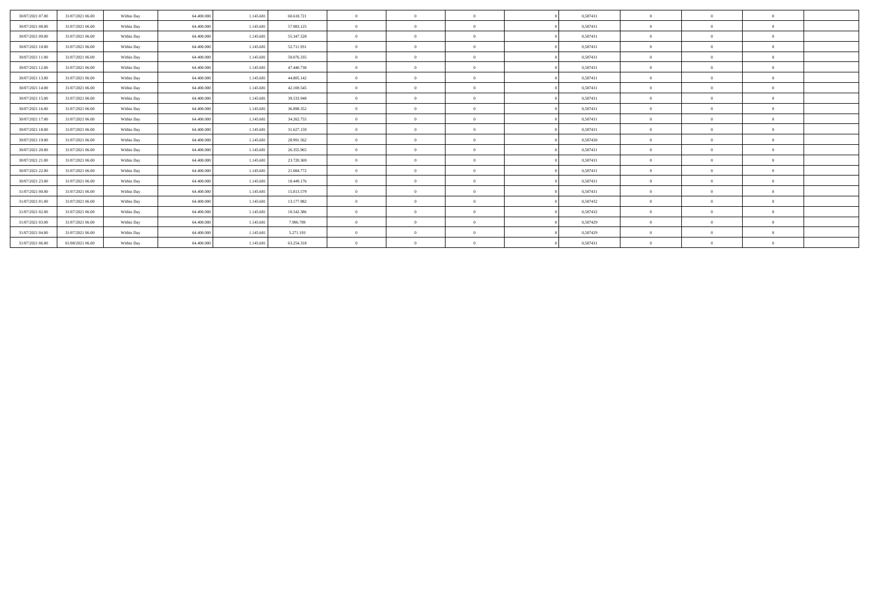| 30/07/2021 07:00 | 31/07/2021 06:00 | Within Day | 64,400,000 | 1.145.681 | 60.618.721 | $\Omega$       | $\theta$ |          | 0,587431 | $\Omega$       | $\sqrt{2}$     | $\Omega$   |  |
|------------------|------------------|------------|------------|-----------|------------|----------------|----------|----------|----------|----------------|----------------|------------|--|
| 30/07/2021 08:00 | 31/07/2021 06:00 | Within Day | 64,400,000 | 1.145.681 | 57.983.125 | $\Omega$       | $\theta$ | $\Omega$ | 0,587431 | $\Omega$       | $\theta$       | $\Omega$   |  |
| 30/07/2021 09:00 | 31/07/2021 06:00 | Within Day | 64,400,000 | 1.145.681 | 55.347.528 | $\overline{0}$ | $\theta$ | $\Omega$ | 0,587431 | $\theta$       | $\theta$       | $^{\circ}$ |  |
| 30/07/2021 10:00 | 31/07/2021 06:00 | Within Day | 64.400,000 | 1.145.681 | 52.711.931 | $\Omega$       | $\Omega$ | $\Omega$ | 0.587431 | $\theta$       | $\theta$       | $\Omega$   |  |
| 30/07/2021 11:00 | 31/07/2021 06:00 | Within Day | 64.400.000 | 1.145.681 | 50.076.335 | $\Omega$       | $\theta$ | $\Omega$ | 0,587431 | $\mathbf{0}$   | $\overline{0}$ | $^{\circ}$ |  |
| 30/07/2021 12:00 | 31/07/2021 06:00 | Within Day | 64.400.000 | 1.145.681 | 47.440.738 | $\Omega$       | $\Omega$ | $\Omega$ | 0,587431 | $\theta$       | $\theta$       | $\Omega$   |  |
| 30/07/2021 13:00 | 31/07/2021 06:00 | Within Day | 64.400.000 | 1.145.681 | 44.805.142 | $\Omega$       | $\theta$ | $\Omega$ | 0,587431 | $\Omega$       | $\theta$       | $\Omega$   |  |
| 30/07/2021 14:00 | 31/07/2021 06:00 | Within Day | 64,400,000 | 1.145.681 | 42.169.545 | $\theta$       | $\theta$ | $\Omega$ | 0.587431 | $\theta$       | $\theta$       | $\Omega$   |  |
| 30/07/2021 15:00 | 31/07/2021 06:00 | Within Day | 64,400,000 | 1.145.681 | 39.533.948 | $\overline{0}$ | $\Omega$ | $\Omega$ | 0.587431 | $\overline{0}$ | $\theta$       | $\theta$   |  |
| 30/07/2021 16:00 | 31/07/2021 06:00 | Within Day | 64.400.000 | 1.145.681 | 36.898.352 | $\overline{0}$ | $\theta$ | $\Omega$ | 0,587431 | $\overline{0}$ | $\theta$       | $^{\circ}$ |  |
| 30/07/2021 17:00 | 31/07/2021 06:00 | Within Day | 64,400,000 | 1.145.681 | 34.262.755 | $\Omega$       | $\Omega$ | $\Omega$ | 0,587431 | $\Omega$       | $\theta$       | $\Omega$   |  |
| 30/07/2021 18:00 | 31/07/2021 06:00 | Within Day | 64,400,000 | 1.145.681 | 31.627.159 | $\Omega$       | $\theta$ | $\Omega$ | 0,587431 | $\Omega$       | $\theta$       | $\Omega$   |  |
| 30/07/2021 19:00 | 31/07/2021 06:00 | Within Day | 64,400,000 | 1.145.681 | 28.991.562 | $\theta$       | $\theta$ | $\Omega$ | 0,587430 | $\Omega$       | $\theta$       | $\Omega$   |  |
| 30/07/2021 20:00 | 31/07/2021 06:00 | Within Day | 64,400,000 | 1.145.681 | 26.355.965 | $\theta$       | $\Omega$ | $\Omega$ | 0.587431 | $\theta$       | $\theta$       | $\Omega$   |  |
| 30/07/2021 21:00 | 31/07/2021 06:00 | Within Day | 64.400.000 | 1.145.681 | 23.720.369 | $\overline{0}$ | $\theta$ | $\Omega$ | 0,587431 | $\overline{0}$ | $\overline{0}$ | $\Omega$   |  |
| 30/07/2021 22:00 | 31/07/2021 06:00 | Within Day | 64,400,000 | 1.145.68  | 21.084.772 | $\Omega$       | $\theta$ | $\Omega$ | 0.587431 | $\theta$       | $\theta$       | $\theta$   |  |
| 30/07/2021 23:00 | 31/07/2021 06:00 | Within Day | 64,400,000 | 1.145.681 | 18,449.176 | $\Omega$       | $\Omega$ | $\Omega$ | 0,587431 | $\Omega$       | $\theta$       | $\Omega$   |  |
| 31/07/2021 00:00 | 31/07/2021 06:00 | Within Day | 64,400,000 | 1.145.681 | 15.813.579 | $\Omega$       | $\Omega$ | $\Omega$ | 0.587431 | $\Omega$       | $\theta$       | $\Omega$   |  |
| 31/07/2021 01:00 | 31/07/2021 06:00 | Within Day | 64.400.000 | 1.145.681 | 13.177.982 | $\Omega$       | $\theta$ | $\Omega$ | 0,587432 | $\theta$       | $\theta$       | $\Omega$   |  |
| 31/07/2021 02:00 | 31/07/2021 06:00 | Within Day | 64,400,000 | 1.145.681 | 10.542.386 | $\overline{0}$ | $\Omega$ | $\Omega$ | 0,587432 | $\overline{0}$ | $\theta$       | $\Omega$   |  |
| 31/07/2021 03:00 | 31/07/2021 06:00 | Within Day | 64,400,000 | 1.145.681 | 7.906.789  | $\theta$       | $\Omega$ | $\Omega$ | 0,587429 | $\Omega$       | $\theta$       | $\Omega$   |  |
| 31/07/2021 04:00 | 31/07/2021 06:00 | Within Day | 64,400,000 | 1.145.681 | 5.271.193  | $\Omega$       | $\Omega$ | $\Omega$ | 0,587429 | $\Omega$       | $\theta$       | $\Omega$   |  |
| 31/07/2021 06:00 | 01/08/2021 06:00 | Within Day | 64.400,000 | 1.145.681 | 63.254.318 | $\theta$       | $\theta$ |          | 0.587431 | $\Omega$       | $\theta$       | $\Omega$   |  |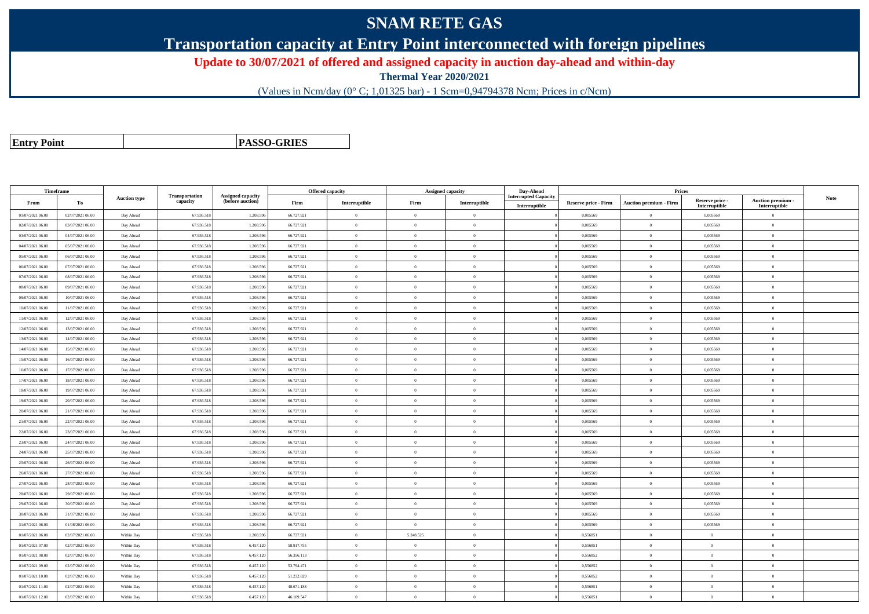## **SNAM RETE GAS**

**Transportation capacity at Entry Point interconnected with foreign pipelines**

**Update to 30/07/2021 of offered and assigned capacity in auction day-ahead and within-day**

**Thermal Year 2020/2021**

(Values in Ncm/day (0° C; 1,01325 bar) - 1 Scm=0,94794378 Ncm; Prices in c/Ncm)

**Entry Point**

**PASSO-GRIES**

| Timeframe        |                  |                     |                            |                                       | <b>Offered capacity</b> |                | <b>Assigned capacity</b> |                | Day-Ahead                                    |                             | Prices                        |                                  |                                    |             |
|------------------|------------------|---------------------|----------------------------|---------------------------------------|-------------------------|----------------|--------------------------|----------------|----------------------------------------------|-----------------------------|-------------------------------|----------------------------------|------------------------------------|-------------|
| From             | To               | <b>Auction type</b> | Transportation<br>capacity | Assigned capacity<br>(before auction) | Firm                    | Interruptible  | Firm                     | Interruptible  | <b>Interrupted Capacity</b><br>Interruptible | <b>Reserve price - Firm</b> | <b>Auction premium - Firm</b> | Reserve price -<br>Interruptible | Auction premium -<br>Interruptible | <b>Note</b> |
| 01/07/2021 06:00 | 02/07/2021 06:00 | Day Ahead           | 67.936.518                 | 1.208.59                              | 66.727.921              | $\overline{0}$ | $\overline{0}$           | $\mathbf{0}$   |                                              | 0,005569                    | $\theta$                      | 0,005569                         | $\overline{0}$                     |             |
| 02/07/2021 06:00 | 03/07/2021 06:00 | Day Ahead           | 67.936.518                 | 1.208.596                             | 66.727.921              | $\theta$       | $\theta$                 | $\Omega$       |                                              | 0.005569                    | $\theta$                      | 0.005569                         | $\theta$                           |             |
| 03/07/2021 06:00 | 04/07/2021 06:00 | Day Ahead           | 67.936.518                 | 1.208.596                             | 66.727.921              | $\theta$       | $\theta$                 | $\Omega$       |                                              | 0,005569                    | $\overline{0}$                | 0,005569                         | $\theta$                           |             |
| 04/07/2021 06:00 | 05/07/2021 06:00 | Day Ahead           | 67.936.518                 | 1.208.59                              | 66.727.921              | $\overline{0}$ | $\overline{0}$           | $\theta$       |                                              | 0,005569                    | $\overline{0}$                | 0,005569                         | $\overline{0}$                     |             |
| 05/07/2021 06:00 | 06/07/2021 06:00 | Day Ahead           | 67.936.518                 | 1.208.59                              | 66.727.921              | $\theta$       | $\overline{0}$           | $\mathbf{0}$   |                                              | 0.005569                    | $\overline{0}$                | 0.005569                         | $\overline{0}$                     |             |
| 06/07/2021 06:00 | 07/07/2021 06:00 | Day Ahead           | 67.936.518                 | 1.208.596                             | 66.727.921              | $\theta$       | $\theta$                 | $\overline{0}$ |                                              | 0.005569                    | $\overline{0}$                | 0,005569                         | $\overline{0}$                     |             |
| 07/07/2021 06:00 | 08/07/2021 06:00 | Day Ahead           | 67.936.518                 | 1.208.596                             | 66.727.921              | $\overline{0}$ | $\theta$                 | $\mathbf{0}$   |                                              | 0.005569                    | $\theta$                      | 0,005569                         | $\overline{0}$                     |             |
| 08/07/2021 06:00 | 09/07/2021 06:00 | Day Ahead           | 67.936.518                 | 1.208.59                              | 66.727.921              | $\theta$       | $\overline{0}$           | $\Omega$       |                                              | 0,005569                    | $\theta$                      | 0,005569                         | $\Omega$                           |             |
| 09/07/2021 06:00 | 10/07/2021 06:00 | Day Ahead           | 67.936.518                 | 1.208.596                             | 66.727.921              | $\overline{0}$ | $\theta$                 | $\mathbf{0}$   |                                              | 0.005569                    | $\overline{0}$                | 0.005569                         | $\overline{0}$                     |             |
| 10/07/2021 06:00 | 11/07/2021 06:00 | Day Ahead           | 67.936.518                 | 1.208.59                              | 66.727.921              | $\theta$       | $\overline{0}$           | $\theta$       |                                              | 0.005569                    | $\theta$                      | 0,005569                         | $\theta$                           |             |
| 11/07/2021 06:00 | 12/07/2021 06:00 | Day Ahead           | 67.936.51                  | 1.208.59                              | 66.727.921              | $\overline{0}$ | $\overline{0}$           | $\mathbf{0}$   |                                              | 0,005569                    | $\overline{0}$                | 0,005569                         | $\overline{0}$                     |             |
| 12/07/2021 06:00 | 13/07/2021 06:00 | Day Ahead           | 67.936.518                 | 1.208.596                             | 66.727.921              | $\theta$       | $\theta$                 | $\mathbf{0}$   |                                              | 0.005569                    | $\theta$                      | 0.005569                         | $\theta$                           |             |
| 13/07/2021 06:00 | 14/07/2021 06:00 | Day Ahead           | 67.936.518                 | 1.208.596                             | 66.727.921              | $\theta$       | $\Omega$                 | $\mathbf{0}$   |                                              | 0.005569                    | $\theta$                      | 0.005569                         | $\theta$                           |             |
| 14/07/2021 06:00 | 15/07/2021 06:00 | Day Ahead           | 67.936.518                 | 1.208.59                              | 66.727.921              | $\theta$       | $\overline{0}$           | $\theta$       |                                              | 0,005569                    | $\theta$                      | 0,005569                         | $\Omega$                           |             |
| 15/07/2021 06:00 | 16/07/2021 06:00 | Day Ahead           | 67.936.518                 | 1.208.596                             | 66.727.921              | $\theta$       | $\theta$                 | $\Omega$       |                                              | 0.005569                    | $\overline{0}$                | 0.005569                         | $\overline{0}$                     |             |
| 16/07/2021 06:00 | 17/07/2021 06:00 | Day Ahead           | 67.936.518                 | 1.208.596                             | 66.727.921              | $\theta$       | $\Omega$                 | $\Omega$       |                                              | 0.005569                    | $\overline{0}$                | 0.005569                         | $\overline{0}$                     |             |
| 17/07/2021 06:00 | 18/07/2021 06:00 | Day Ahead           | 67.936.518                 | 1.208.59                              | 66.727.921              | $\theta$       | $\overline{0}$           | $\overline{0}$ |                                              | 0,005569                    | $\theta$                      | 0,005569                         | $\Omega$                           |             |
| 18/07/2021 06:00 | 19/07/2021 06:00 | Day Ahead           | 67.936.518                 | 1.208.596                             | 66.727.921              | $\theta$       | $\overline{0}$           | $\theta$       |                                              | 0,005569                    | $\theta$                      | 0,005569                         | $\overline{0}$                     |             |
| 19/07/2021 06:00 | 20/07/2021 06:00 | Day Ahead           | 67.936.518                 | 1.208.596                             | 66.727.921              | $\theta$       | $\overline{0}$           | $\mathbf{0}$   |                                              | 0.005569                    | $\theta$                      | 0.005569                         | $\theta$                           |             |
| 20/07/2021 06:00 | 21/07/2021 06:00 | Day Ahead           | 67.936.518                 | 1.208.59                              | 66.727.921              | $\theta$       | $\Omega$                 | $\Omega$       |                                              | 0.005569                    | $\overline{0}$                | 0,005569                         | $\Omega$                           |             |
| 21/07/2021 06:00 | 22/07/2021 06:00 | Day Ahead           | 67.936.518                 | 1.208.59                              | 66.727.921              | $\theta$       | $\overline{0}$           | $\theta$       |                                              | 0,005569                    | $\overline{0}$                | 0,005569                         | $\overline{0}$                     |             |
| 22/07/2021 06:00 | 23/07/2021 06:00 | Day Ahead           | 67.936.518                 | 1.208.59                              | 66.727.921              | $\theta$       | $\overline{0}$           | $\Omega$       |                                              | 0,005569                    | $\theta$                      | 0,005569                         | $\Omega$                           |             |
| 23/07/2021 06:00 | 24/07/2021 06:00 | Day Ahead           | 67.936.518                 | 1.208.59                              | 66.727.921              | $\theta$       | $\Omega$                 | $\theta$       |                                              | 0.005569                    | $\theta$                      | 0.005569                         | $\theta$                           |             |
| 24/07/2021 06:00 | 25/07/2021 06:00 | Day Ahead           | 67.936.518                 | 1.208.596                             | 66.727.921              | $\theta$       | $\overline{0}$           | $\theta$       |                                              | 0,005569                    | $\theta$                      | 0,005569                         | $\overline{0}$                     |             |
| 25/07/2021 06:00 | 26/07/2021 06:00 | Day Ahead           | 67.936.518                 | 1.208.59                              | 66.727.921              | $\theta$       | $\theta$                 | $\theta$       |                                              | 0,005569                    | $\theta$                      | 0,005569                         | $\Omega$                           |             |
| 26/07/2021 06:00 | 27/07/2021 06:00 | Day Ahead           | 67.936.518                 | 1.208.596                             | 66.727.921              | $\theta$       | $\overline{0}$           | $\mathbf{0}$   |                                              | 0,005569                    | $\bf{0}$                      | 0,005569                         | $\overline{0}$                     |             |
| 27/07/2021 06:00 | 28/07/2021 06:00 | Day Ahead           | 67.936.518                 | 1.208.596                             | 66.727.921              | $\overline{0}$ | $\overline{0}$           | $\Omega$       |                                              | 0,005569                    | $\overline{0}$                | 0,005569                         | $\overline{0}$                     |             |
| 28/07/2021 06:00 | 29/07/2021 06:00 | Day Ahead           | 67.936.51                  | 1.208.59                              | 66.727.921              | $\theta$       | $\overline{0}$           | $\overline{0}$ |                                              | 0,005569                    | $\overline{0}$                | 0,005569                         | $\overline{0}$                     |             |
| 29/07/2021 06:00 | 30/07/2021 06:00 | Day Ahead           | 67.936.518                 | 1.208.596                             | 66.727.921              | $\theta$       | $\theta$                 | $\Omega$       |                                              | 0.005569                    | $\theta$                      | 0.005569                         | $\overline{0}$                     |             |
| 30/07/2021 06:00 | 31/07/2021 06:00 | Day Ahead           | 67.936.518                 | 1.208.596                             | 66.727.921              | $\theta$       | $\Omega$                 | $\Omega$       |                                              | 0,005569                    | $\Omega$                      | 0,005569                         | $\Omega$                           |             |
| 31/07/2021 06:00 | 01/08/2021 06:00 | Day Ahead           | 67.936.518                 | 1.208.59                              | 66.727.921              | $\theta$       | $\theta$                 | $\Omega$       |                                              | 0,005569                    | $\overline{0}$                | 0,005569                         | $\Omega$                           |             |
| 01/07/2021 06:00 | 02/07/2021 06:00 | Within Day          | 67.936.518                 | 1.208.596                             | 66.727.921              | $\theta$       | 5.248.525                | $\theta$       |                                              | 0,556851                    | $\overline{0}$                | $\bf{0}$                         | $\overline{0}$                     |             |
| 01/07/2021 07:00 | 02/07/2021 06:00 | Within Day          | 67.936.518                 | 6.457.120                             | 58.917.755              | $\overline{0}$ | $\Omega$                 | $\Omega$       |                                              | 0.556851                    | $\overline{0}$                | $\theta$                         | $\overline{0}$                     |             |
| 01/07/2021 08:00 | 02/07/2021 06:00 | Within Day          | 67.936.518                 | 6.457.120                             | 56.356.113              | $\theta$       | $\Omega$                 | $\overline{0}$ |                                              | 0,556852                    | $\theta$                      | $\Omega$                         | $\Omega$                           |             |
| 01/07/2021 09:00 | 02/07/2021 06:00 | Within Day          | 67.936.518                 | 6.457.120                             | 53.794.471              | $\theta$       | $\theta$                 | $\theta$       |                                              | 0,556852                    | $\theta$                      | $\theta$                         | $\theta$                           |             |
| 01/07/2021 10:00 | 02/07/2021 06:00 | Within Day          | 67.936.518                 | 6.457.120                             | 51.232.829              | $\theta$       | $\theta$                 | $\Omega$       |                                              | 0,556852                    | $\theta$                      | $\theta$                         | $\theta$                           |             |
| 01/07/2021 11:00 | 02/07/2021 06:00 | Within Day          | 67.936.518                 | 6.457.120                             | 48.671.188              | $\theta$       | $\theta$                 | $\Omega$       |                                              | 0.556851                    | $\theta$                      | $\theta$                         | $\Omega$                           |             |
| 01/07/2021 12:00 | 02/07/2021 06:00 | Within Day          | 67.936.518                 | 6.457.120                             | 46.109.547              | $\theta$       | $\overline{0}$           | $\theta$       |                                              | 0,556851                    | $\theta$                      | $\bf{0}$                         | $\overline{0}$                     |             |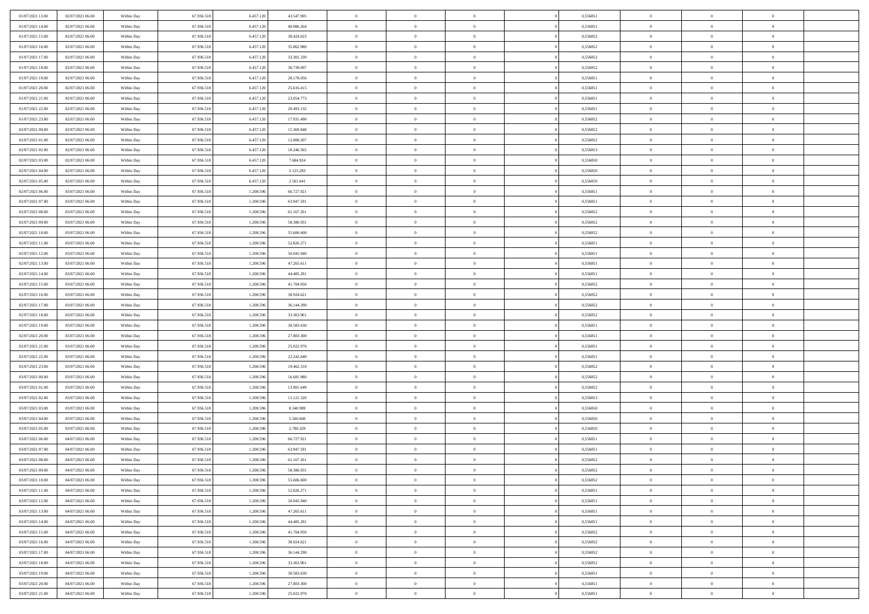| 01/07/2021 13:00 | 02/07/2021 06:00 | Within Day | 67.936.518 | 6.457.120 | 43.547.905 | $\,$ 0         | $\bf{0}$       | $\theta$       |          | 0,556851 | $\bf{0}$       | $\overline{0}$ | $\,0\,$        |  |
|------------------|------------------|------------|------------|-----------|------------|----------------|----------------|----------------|----------|----------|----------------|----------------|----------------|--|
| 01/07/2021 14:00 | 02/07/2021 06:00 | Within Day | 67.936.518 | 6.457.120 | 40.986.264 | $\overline{0}$ | $\overline{0}$ | $\overline{0}$ |          | 0.556851 | $\overline{0}$ | $\overline{0}$ | $\theta$       |  |
| 01/07/2021 15:00 | 02/07/2021 06:00 | Within Dav | 67.936.518 | 6.457.120 | 38.424.623 | $\mathbf{0}$   | $\overline{0}$ | $\overline{0}$ |          | 0,556852 | $\mathbf{0}$   | $\overline{0}$ | $\overline{0}$ |  |
| 01/07/2021 16:00 | 02/07/2021 06:00 | Within Day | 67.936.518 | 6.457.120 | 35.862.980 | $\bf{0}$       | $\overline{0}$ | $\bf{0}$       |          | 0,556852 | $\bf{0}$       | $\overline{0}$ | $\bf{0}$       |  |
| 01/07/2021 17:00 | 02/07/2021 06:00 | Within Day | 67.936.518 | 6.457.120 | 33.301.339 | $\bf{0}$       | $\bf{0}$       | $\overline{0}$ |          | 0,556852 | $\bf{0}$       | $\bf{0}$       | $\,0\,$        |  |
| 01/07/2021 18:00 | 02/07/2021 06:00 | Within Dav | 67.936.518 | 6.457.120 | 30.739.697 | $\mathbf{0}$   | $\overline{0}$ | $\overline{0}$ |          | 0,556852 | $\mathbf{0}$   | $\overline{0}$ | $\overline{0}$ |  |
|                  |                  |            |            |           |            |                |                |                |          |          |                |                |                |  |
| 01/07/2021 19:00 | 02/07/2021 06:00 | Within Day | 67.936.518 | 6.457.120 | 28.178.056 | $\bf{0}$       | $\bf{0}$       | $\overline{0}$ |          | 0,556851 | $\bf{0}$       | $\overline{0}$ | $\,0\,$        |  |
| 01/07/2021 20:00 | 02/07/2021 06:00 | Within Day | 67.936.518 | 6.457.120 | 25.616.415 | $\overline{0}$ | $\overline{0}$ | $\overline{0}$ |          | 0,556851 | $\,$ 0 $\,$    | $\overline{0}$ | $\theta$       |  |
| 01/07/2021 21:00 | 02/07/2021 06:00 | Within Day | 67.936.518 | 6.457.120 | 23.054.773 | $\mathbf{0}$   | $\overline{0}$ | $\overline{0}$ |          | 0,556851 | $\mathbf{0}$   | $\overline{0}$ | $\overline{0}$ |  |
| 01/07/2021 22.00 | 02/07/2021 06:00 | Within Day | 67.936.518 | 6.457.120 | 20.493.132 | $\bf{0}$       | $\bf{0}$       | $\overline{0}$ |          | 0,556851 | $\bf{0}$       | $\overline{0}$ | $\,0\,$        |  |
| 01/07/2021 23.00 | 02/07/2021 06:00 | Within Day | 67.936.518 | 6.457.120 | 17.931.490 | $\overline{0}$ | $\overline{0}$ | $\overline{0}$ |          | 0.556852 | $\bf{0}$       | $\overline{0}$ | $\overline{0}$ |  |
| 02/07/2021 00:00 | 02/07/2021 06:00 | Within Dav | 67.936.518 | 6.457.120 | 15.369.848 | $\mathbf{0}$   | $\overline{0}$ | $\overline{0}$ |          | 0,556852 | $\mathbf{0}$   | $\overline{0}$ | $\overline{0}$ |  |
| 02/07/2021 01:00 | 02/07/2021 06:00 | Within Day | 67.936.518 | 6.457.120 | 12.808.207 | $\bf{0}$       | $\overline{0}$ | $\bf{0}$       |          | 0,556852 | $\bf{0}$       | $\overline{0}$ | $\bf{0}$       |  |
| 02/07/2021 02:00 | 02/07/2021 06:00 | Within Day | 67.936.518 | 6.457.120 | 10.246.565 | $\bf{0}$       | $\overline{0}$ | $\overline{0}$ |          | 0,556853 | $\bf{0}$       | $\mathbf{0}$   | $\,0\,$        |  |
| 02/07/2021 03:00 | 02/07/2021 06:00 | Within Dav | 67.936.518 | 6.457.120 | 7.684.924  | $\overline{0}$ | $\overline{0}$ | $\overline{0}$ |          | 0,556850 | $\mathbf{0}$   | $\overline{0}$ | $\overline{0}$ |  |
| 02/07/2021 04:00 | 02/07/2021 06:00 | Within Day | 67.936.518 | 6.457.120 | 5.123.283  | $\bf{0}$       | $\bf{0}$       | $\overline{0}$ |          | 0,556850 | $\bf{0}$       | $\overline{0}$ | $\bf{0}$       |  |
| 02/07/2021 05:00 | 02/07/2021 06:00 | Within Day | 67.936.518 | 6.457.120 | 2.561.641  | $\overline{0}$ | $\overline{0}$ | $\overline{0}$ |          | 0.556850 | $\bf{0}$       | $\overline{0}$ | $\theta$       |  |
| 02/07/2021 06:00 | 03/07/2021 06:00 | Within Day | 67.936.518 | 1.208.596 | 66.727.921 | $\mathbf{0}$   | $\overline{0}$ | $\overline{0}$ |          | 0,556851 | $\mathbf{0}$   | $\overline{0}$ | $\overline{0}$ |  |
| 02/07/2021 07:00 | 03/07/2021 06:00 | Within Day | 67.936.518 | 1.208.596 | 63.947.591 | $\bf{0}$       | $\bf{0}$       | $\overline{0}$ |          | 0,556851 | $\bf{0}$       | $\overline{0}$ | $\,0\,$        |  |
| 02/07/2021 08:00 | 03/07/2021 06:00 | Within Day | 67.936.518 | 1.208.596 | 61.167.261 | $\overline{0}$ | $\overline{0}$ | $\overline{0}$ |          | 0,556852 | $\bf{0}$       | $\overline{0}$ | $\overline{0}$ |  |
| 02/07/2021 09:00 | 03/07/2021 06:00 | Within Dav | 67.936.518 | 1.208.596 | 58.386.931 | $\mathbf{0}$   | $\overline{0}$ | $\overline{0}$ |          | 0,556852 | $\mathbf{0}$   | $\overline{0}$ | $\overline{0}$ |  |
| 02/07/2021 10:00 | 03/07/2021 06:00 | Within Day | 67.936.518 | 1.208.596 | 55.606.600 | $\bf{0}$       | $\overline{0}$ | $\overline{0}$ |          | 0,556852 | $\bf{0}$       | $\overline{0}$ | $\bf{0}$       |  |
| 02/07/2021 11:00 | 03/07/2021 06:00 | Within Day | 67.936.518 | 1.208.596 | 52.826.271 | $\bf{0}$       | $\bf{0}$       | $\overline{0}$ |          | 0,556851 | $\bf{0}$       | $\overline{0}$ | $\,0\,$        |  |
| 02/07/2021 12:00 | 03/07/2021 06:00 | Within Dav | 67.936.518 | 1.208.596 | 50.045.940 | $\mathbf{0}$   | $\overline{0}$ | $\overline{0}$ |          | 0,556851 | $\mathbf{0}$   | $\overline{0}$ | $\overline{0}$ |  |
| 02/07/2021 13:00 | 03/07/2021 06:00 | Within Day | 67.936.518 | 1.208.596 | 47.265.611 | $\bf{0}$       | $\bf{0}$       | $\overline{0}$ |          | 0,556851 | $\bf{0}$       | $\overline{0}$ | $\,0\,$        |  |
| 02/07/2021 14:00 | 03/07/2021 06:00 | Within Day | 67.936.518 | 1.208.596 | 44.485.281 | $\overline{0}$ | $\overline{0}$ | $\overline{0}$ |          | 0,556851 | $\bf{0}$       | $\overline{0}$ | $\overline{0}$ |  |
| 02/07/2021 15:00 | 03/07/2021 06:00 | Within Day | 67.936.518 | 1.208.596 | 41.704.950 | $\mathbf{0}$   | $\overline{0}$ | $\overline{0}$ |          | 0,556852 | $\mathbf{0}$   | $\overline{0}$ | $\overline{0}$ |  |
| 02/07/2021 16:00 | 03/07/2021 06:00 | Within Day | 67.936.518 | 1.208.596 | 38.924.621 | $\bf{0}$       | $\bf{0}$       | $\overline{0}$ |          | 0,556852 | $\bf{0}$       | $\overline{0}$ | $\,0\,$        |  |
| 02/07/2021 17:00 | 03/07/2021 06:00 |            | 67.936.518 | 1.208.596 | 36.144.290 | $\bf{0}$       | $\bf{0}$       | $\overline{0}$ |          | 0.556852 | $\bf{0}$       | $\mathbf{0}$   | $\overline{0}$ |  |
|                  |                  | Within Day |            |           |            | $\mathbf{0}$   |                |                |          |          | $\mathbf{0}$   |                | $\overline{0}$ |  |
| 02/07/2021 18:00 | 03/07/2021 06:00 | Within Dav | 67.936.518 | 1.208.596 | 33.363.961 |                | $\overline{0}$ | $\overline{0}$ |          | 0,556852 |                | $\overline{0}$ |                |  |
| 02/07/2021 19:00 | 03/07/2021 06:00 | Within Day | 67.936.518 | 1.208.596 | 30.583.630 | $\bf{0}$       | $\overline{0}$ | $\theta$       |          | 0,556851 | $\,$ 0         | $\overline{0}$ | $\theta$       |  |
| 02/07/2021 20:00 | 03/07/2021 06:00 | Within Day | 67.936.518 | 1.208.596 | 27.803.300 | $\bf{0}$       | $\bf{0}$       | $\overline{0}$ |          | 0,556851 | $\bf{0}$       | $\overline{0}$ | $\overline{0}$ |  |
| 02/07/2021 21:00 | 03/07/2021 06:00 | Within Dav | 67.936.518 | 1.208.596 | 25.022.970 | $\mathbf{0}$   | $\overline{0}$ | $\overline{0}$ |          | 0,556851 | $\mathbf{0}$   | $\overline{0}$ | $\overline{0}$ |  |
| 02/07/2021 22:00 | 03/07/2021 06:00 | Within Day | 67.936.518 | 1.208.596 | 22.242.640 | $\bf{0}$       | $\overline{0}$ | $\theta$       |          | 0,556851 | $\,$ 0         | $\overline{0}$ | $\theta$       |  |
| 02/07/2021 23:00 | 03/07/2021 06:00 | Within Day | 67.936.518 | 1.208.596 | 19.462.310 | $\overline{0}$ | $\overline{0}$ | $\overline{0}$ |          | 0.556852 | $\bf{0}$       | $\overline{0}$ | $\overline{0}$ |  |
| 03/07/2021 00:00 | 03/07/2021 06:00 | Within Day | 67.936.518 | 1.208.596 | 16.681.980 | $\mathbf{0}$   | $\overline{0}$ | $\overline{0}$ |          | 0,556852 | $\mathbf{0}$   | $\overline{0}$ | $\overline{0}$ |  |
| 03/07/2021 01:00 | 03/07/2021 06:00 | Within Day | 67.936.518 | 1.208.596 | 13.901.649 | $\bf{0}$       | $\overline{0}$ | $\theta$       |          | 0,556852 | $\,$ 0         | $\overline{0}$ | $\theta$       |  |
| 03/07/2021 02:00 | 03/07/2021 06:00 | Within Day | 67.936.518 | 1.208.596 | 11.121.320 | $\bf{0}$       | $\overline{0}$ | $\overline{0}$ |          | 0,556853 | $\bf{0}$       | $\overline{0}$ | $\bf{0}$       |  |
| 03/07/2021 03:00 | 03/07/2021 06:00 | Within Dav | 67.936.518 | 1.208.596 | 8.340.989  | $\mathbf{0}$   | $\overline{0}$ | $\overline{0}$ |          | 0,556850 | $\mathbf{0}$   | $\overline{0}$ | $\overline{0}$ |  |
| 03/07/2021 04:00 | 03/07/2021 06:00 | Within Day | 67.936.518 | 1.208.596 | 5.560.660  | $\,0\,$        | $\overline{0}$ | $\theta$       |          | 0,556850 | $\,$ 0         | $\overline{0}$ | $\theta$       |  |
| 03/07/2021 05:00 | 03/07/2021 06:00 | Within Day | 67.936.518 | 1.208.596 | 2.780.329  | $\bf{0}$       | $\bf{0}$       | $\overline{0}$ |          | 0,556850 | $\bf{0}$       | $\overline{0}$ | $\bf{0}$       |  |
| 03/07/2021 06:00 | 04/07/2021 06:00 | Within Dav | 67.936.518 | 1.208.596 | 66.727.921 | $\mathbf{0}$   | $\overline{0}$ | $\overline{0}$ |          | 0,556851 | $\mathbf{0}$   | $\overline{0}$ | $\overline{0}$ |  |
| 03/07/2021 07:00 | 04/07/2021 06:00 | Within Day | 67.936.518 | 1.208.596 | 63.947.591 | $\bf{0}$       | $\overline{0}$ | $\theta$       |          | 0,556851 | $\,$ 0         | $\overline{0}$ | $\theta$       |  |
| 03/07/2021 08:00 | 04/07/2021 06:00 | Within Day | 67.936.518 | 1.208.596 | 61.167.261 | $\bf{0}$       | $\overline{0}$ | $\overline{0}$ |          | 0,556852 | $\,$ 0 $\,$    | $\overline{0}$ | $\bf{0}$       |  |
| 03/07/2021 09:00 | 04/07/2021 06:00 | Within Day | 67.936.518 | 1.208.596 | 58.386.931 | $\bf{0}$       | $\overline{0}$ | $\Omega$       |          | 0,556852 | $\overline{0}$ | $\theta$       | $\theta$       |  |
| 03/07/2021 10:00 | 04/07/2021 06:00 | Within Day | 67.936.518 | 1.208.596 | 55.606.600 | $\,0\,$        | $\overline{0}$ | $\theta$       |          | 0,556852 | $\,$ 0 $\,$    | $\bf{0}$       | $\theta$       |  |
| 03/07/2021 11:00 | 04/07/2021 06:00 | Within Day | 67.936.518 | 1.208.596 | 52.826.271 | $\overline{0}$ | $\overline{0}$ | $\overline{0}$ |          | 0,556851 | $\overline{0}$ | $\overline{0}$ | $\overline{0}$ |  |
| 03/07/2021 12:00 | 04/07/2021 06:00 | Within Day | 67.936.518 | 1.208.596 | 50.045.940 | $\bf{0}$       | $\overline{0}$ | $\overline{0}$ |          | 0,556851 | $\overline{0}$ | $\bf{0}$       | $\mathbf{0}$   |  |
| 03/07/2021 13:00 | 04/07/2021 06:00 | Within Day | 67.936.518 | 1.208.596 | 47.265.611 | $\bf{0}$       | $\overline{0}$ | $\overline{0}$ | $\theta$ | 0,556851 | $\,$ 0 $\,$    | $\bf{0}$       | $\,$ 0 $\,$    |  |
| 03/07/2021 14:00 | 04/07/2021 06:00 | Within Day | 67.936.518 | 1.208.596 | 44.485.281 | $\bf{0}$       | $\overline{0}$ | $\overline{0}$ |          | 0,556851 | $\,$ 0 $\,$    | $\overline{0}$ | $\overline{0}$ |  |
| 03/07/2021 15:00 | 04/07/2021 06:00 | Within Day | 67.936.518 | 1.208.596 | 41.704.950 | $\bf{0}$       | $\overline{0}$ | $\overline{0}$ |          | 0,556852 | $\mathbf{0}$   | $\overline{0}$ | $\overline{0}$ |  |
| 03/07/2021 16:00 | 04/07/2021 06:00 | Within Day | 67.936.518 | 1.208.596 | 38.924.621 | $\,0\,$        | $\overline{0}$ | $\overline{0}$ | $\theta$ | 0,556852 | $\,$ 0 $\,$    | $\overline{0}$ | $\overline{0}$ |  |
| 03/07/2021 17:00 | 04/07/2021 06:00 | Within Day | 67.936.518 | 1.208.596 | 36.144.290 | $\bf{0}$       | $\overline{0}$ | $\overline{0}$ |          | 0,556852 | $\overline{0}$ | $\overline{0}$ | $\overline{0}$ |  |
| 03/07/2021 18:00 | 04/07/2021 06:00 | Within Day | 67.936.518 | 1.208.596 | 33.363.961 | $\bf{0}$       | $\overline{0}$ | $\overline{0}$ |          | 0,556852 | $\mathbf{0}$   | $\bf{0}$       | $\overline{0}$ |  |
| 03/07/2021 19:00 | 04/07/2021 06:00 | Within Day | 67.936.518 | 1.208.596 | 30.583.630 | $\,0\,$        | $\overline{0}$ | $\overline{0}$ |          | 0,556851 | $\,$ 0 $\,$    | $\mathbf{0}$   | $\overline{0}$ |  |
| 03/07/2021 20:00 | 04/07/2021 06:00 | Within Day | 67.936.518 | 1.208.596 | 27.803.300 | $\bf{0}$       | $\overline{0}$ | $\overline{0}$ |          | 0,556851 | $\bf{0}$       | $\mathbf{0}$   | $\overline{0}$ |  |
| 03/07/2021 21:00 | 04/07/2021 06:00 | Within Day | 67.936.518 | 1.208.596 | 25.022.970 | $\overline{0}$ | $\overline{0}$ | $\overline{0}$ |          | 0,556851 | $\mathbf{0}$   | $\overline{0}$ | $\overline{0}$ |  |
|                  |                  |            |            |           |            |                |                |                |          |          |                |                |                |  |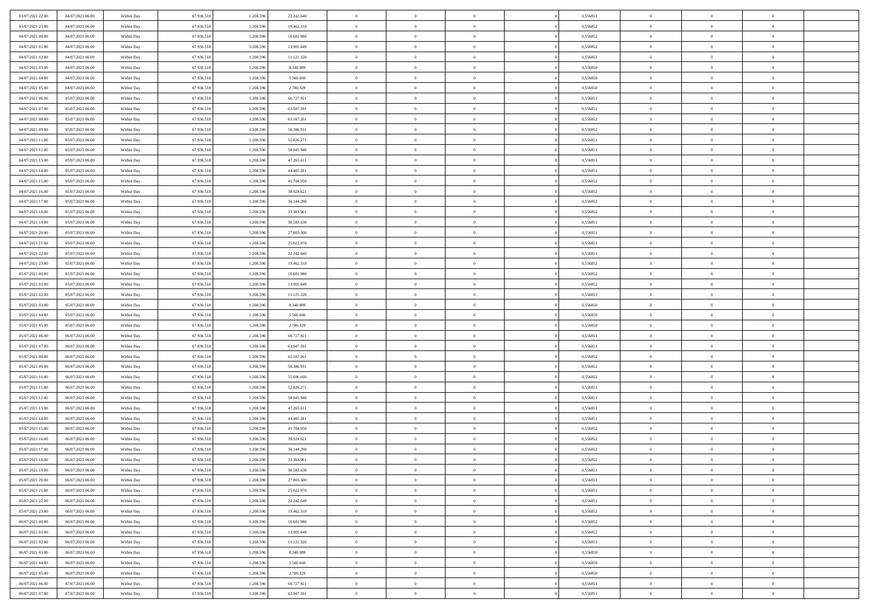| 03/07/2021 22:00                     | 04/07/2021 06:00 | Within Day | 67.936.518               | 1.208.59               | 22.242.640               | $\overline{0}$       | $\overline{0}$                   | $\overline{0}$                   | 0,556851             | $\bf{0}$                   | $\bf{0}$                         | $\theta$                   |  |
|--------------------------------------|------------------|------------|--------------------------|------------------------|--------------------------|----------------------|----------------------------------|----------------------------------|----------------------|----------------------------|----------------------------------|----------------------------|--|
| 03/07/2021 23:00                     | 04/07/2021 06:00 | Within Day | 67.936.518               | 1.208.596              | 19.462.310               | $\overline{0}$       | $\overline{0}$                   | $\overline{0}$                   | 0,556852             | $\theta$                   | $\overline{0}$                   | $\theta$                   |  |
| 04/07/2021 00:00                     | 04/07/2021 06:00 | Within Day | 67.936.518               | 1.208.596              | 16.681.980               | $\,0\,$              | $\overline{0}$                   | $\bf{0}$                         | 0,556852             | $\,$ 0 $\,$                | $\overline{0}$                   | $\,$ 0 $\,$                |  |
| 04/07/2021 01:00                     | 04/07/2021 06:00 | Within Day | 67.936.518               | 1.208.596              | 13.901.649               | $\mathbf{0}$         | $\Omega$                         | $\overline{0}$                   | 0,556852             | $\theta$                   | $\mathbf{0}$                     | $\theta$                   |  |
| 04/07/2021 02:00                     | 04/07/2021 06:00 | Within Day | 67.936.518               | 1.208.596              | 11.121.320               | $\overline{0}$       | $\overline{0}$                   | $\overline{0}$                   | 0,556853             | $\mathbf{0}$               | $\overline{0}$                   | $\overline{0}$             |  |
| 04/07/2021 03:00                     | 04/07/2021 06:00 | Within Day | 67.936.518               | 1.208.596              | 8.340.989                | $\,$ 0 $\,$          | $\overline{0}$                   | $\bf{0}$                         | 0,556850             | $\,$ 0 $\,$                | $\overline{0}$                   | $\,$ 0 $\,$                |  |
| 04/07/2021 04:00                     | 04/07/2021 06:00 | Within Day | 67.936.518               | 1.208.596              | 5.560.660                | $\overline{0}$       | $\overline{0}$                   | $\overline{0}$                   | 0.556850             | $\bf{0}$                   | $\overline{0}$                   | $\theta$                   |  |
|                                      | 04/07/2021 06:00 |            | 67.936.518               | 1.208.596              | 2.780.329                | $\overline{0}$       | $\overline{0}$                   | $\overline{0}$                   | 0,556850             | $\mathbf{0}$               | $\overline{0}$                   | $\overline{0}$             |  |
| 04/07/2021 05:00                     |                  | Within Day |                          |                        |                          |                      |                                  |                                  |                      |                            |                                  |                            |  |
| 04/07/2021 06:00                     | 05/07/2021 06:00 | Within Day | 67.936.518               | 1.208.596              | 66.727.921               | $\,$ 0 $\,$          | $\overline{0}$                   | $\bf{0}$                         | 0,556851             | $\,$ 0 $\,$                | $\overline{0}$                   | $\bf{0}$                   |  |
| 04/07/2021 07:00                     | 05/07/2021 06:00 | Within Day | 67.936.518               | 1.208.59               | 63.947.591               | $\overline{0}$       | $\mathbf{0}$                     | $\overline{0}$                   | 0.556851             | $\theta$                   | $\mathbf{0}$                     | $\theta$                   |  |
| 04/07/2021 08:00                     | 05/07/2021 06:00 | Within Day | 67.936.518               | 1.208.596              | 61.167.261               | $\overline{0}$       | $\overline{0}$                   | $\overline{0}$                   | 0,556852             | $\mathbf{0}$               | $\overline{0}$                   | $\overline{0}$             |  |
| 04/07/2021 09:00                     | 05/07/2021 06:00 | Within Day | 67.936.518               | 1.208.596              | 58.386.931               | $\,$ 0 $\,$          | $\overline{0}$                   | $\bf{0}$                         | 0,556852             | $\,$ 0 $\,$                | $\overline{0}$                   | $\,$ 0 $\,$                |  |
| 04/07/2021 11:00                     | 05/07/2021 06:00 | Within Day | 67.936.518               | 1.208.596              | 52.826.271               | $\mathbf{0}$         | $\overline{0}$                   | $\overline{0}$                   | 0,556851             | $\bf{0}$                   | $\mathbf{0}$                     | $\theta$                   |  |
| 04/07/2021 12:00                     | 05/07/2021 06:00 | Within Day | 67.936.518               | 1.208.596              | 50.045.940               | $\overline{0}$       | $\overline{0}$                   | $\overline{0}$                   | 0,556851             | $\mathbf{0}$               | $\overline{0}$                   | $\overline{0}$             |  |
| 04/07/2021 13:00                     | 05/07/2021 06:00 | Within Day | 67.936.518               | 1.208.596              | 47.265.611               | $\,$ 0 $\,$          | $\overline{0}$                   | $\bf{0}$                         | 0,556851             | $\,$ 0 $\,$                | $\overline{0}$                   | $\,$ 0 $\,$                |  |
| 04/07/2021 14:00                     | 05/07/2021 06:00 | Within Day | 67.936.518               | 1.208.59               | 44.485.281               | $\mathbf{0}$         | $\mathbf{0}$                     | $\overline{0}$                   | 0.556851             | $\theta$                   | $\mathbf{0}$                     | $\theta$                   |  |
| 04/07/2021 15:00                     | 05/07/2021 06:00 | Within Day | 67.936.518               | 1.208.596              | 41.704.950               | $\overline{0}$       | $\overline{0}$                   | $\overline{0}$                   | 0,556852             | $\mathbf{0}$               | $\overline{0}$                   | $\overline{0}$             |  |
| 04/07/2021 16:00                     | 05/07/2021 06:00 | Within Day | 67.936.518               | 1.208.596              | 38.924.621               | $\,$ 0 $\,$          | $\overline{0}$                   | $\bf{0}$                         | 0,556852             | $\,$ 0 $\,$                | $\overline{0}$                   | $\,$ 0 $\,$                |  |
| 04/07/2021 17:00                     | 05/07/2021 06:00 | Within Day | 67.936.518               | 1.208.596              | 36.144.290               | $\mathbf{0}$         | $\Omega$                         | $\overline{0}$                   | 0,556852             | $\theta$                   | $\theta$                         | $\theta$                   |  |
| 04/07/2021 18:00                     | 05/07/2021 06:00 | Within Day | 67.936.518               | 1.208.596              | 33.363.961               | $\overline{0}$       | $\overline{0}$                   | $\overline{0}$                   | 0,556852             | $\mathbf{0}$               | $\overline{0}$                   | $\overline{0}$             |  |
| 04/07/2021 19:00                     | 05/07/2021 06:00 | Within Day | 67.936.518               | 1.208.596              | 30.583.630               | $\,$ 0 $\,$          | $\overline{0}$                   | $\bf{0}$                         | 0,556851             | $\,$ 0 $\,$                | $\overline{0}$                   | $\,$ 0 $\,$                |  |
| 04/07/2021 20:00                     | 05/07/2021 06:00 | Within Day | 67.936.518               | 1.208.596              | 27.803.300               | $\overline{0}$       | $\overline{0}$                   | $\overline{0}$                   | 0.556851             | $\bf{0}$                   | $\mathbf{0}$                     | $\theta$                   |  |
| 04/07/2021 21:00                     | 05/07/2021 06:00 | Within Day | 67.936.518               | 1.208.596              | 25.022.970               | $\overline{0}$       | $\overline{0}$                   | $\overline{0}$                   | 0,556851             | $\mathbf{0}$               | $\overline{0}$                   | $\overline{0}$             |  |
| 04/07/2021 22:00                     | 05/07/2021 06:00 | Within Day | 67.936.518               | 1.208.596              | 22.242.640               | $\,$ 0 $\,$          | $\overline{0}$                   | $\bf{0}$                         | 0,556851             | $\,$ 0 $\,$                | $\overline{0}$                   | $\bf{0}$                   |  |
| 04/07/2021 23:00                     | 05/07/2021 06:00 | Within Day | 67.936.518               | 1.208.59               | 19.462.310               | $\mathbf{0}$         | $\mathbf{0}$                     | $\overline{0}$                   | 0.556852             | $\theta$                   | $\mathbf{0}$                     | $\theta$                   |  |
| 05/07/2021 00:00                     | 05/07/2021 06:00 | Within Day | 67.936.518               | 1.208.596              | 16.681.980               | $\overline{0}$       | $\overline{0}$                   | $\overline{0}$                   | 0,556852             | $\overline{0}$             | $\overline{0}$                   | $\overline{0}$             |  |
| 05/07/2021 01:00                     | 05/07/2021 06:00 | Within Day | 67.936.518               | 1.208.596              | 13.901.649               | $\,$ 0 $\,$          | $\overline{0}$                   | $\bf{0}$                         | 0,556852             | $\,$ 0 $\,$                | $\overline{0}$                   | $\,$ 0 $\,$                |  |
| 05/07/2021 02:00                     | 05/07/2021 06:00 | Within Day | 67.936.518               | 1.208.596              | 11.121.320               | $\mathbf{0}$         | $\overline{0}$                   | $\overline{0}$                   | 0,556853             | $\bf{0}$                   | $\overline{0}$                   | $\bf{0}$                   |  |
| 05/07/2021 03:00                     | 05/07/2021 06:00 | Within Day | 67.936.518               | 1.208.596              | 8.340.989                | $\overline{0}$       | $\overline{0}$                   | $\overline{0}$                   | 0,556850             | $\theta$                   | $\overline{0}$                   | $\theta$                   |  |
| 05/07/2021 04:00                     | 05/07/2021 06:00 | Within Day | 67.936.518               | 1.208.596              | 5.560.660                | $\,$ 0 $\,$          | $\overline{0}$                   | $\bf{0}$                         | 0,556850             | $\,$ 0 $\,$                | $\overline{0}$                   | $\,$ 0 $\,$                |  |
| 05/07/2021 05:00                     | 05/07/2021 06:00 | Within Day | 67.936.518               | 1.208.596              | 2.780.329                | $\,0\,$              | $\overline{0}$                   | $\bf{0}$                         | 0,556850             | $\,$ 0 $\,$                | $\overline{0}$                   | $\bf{0}$                   |  |
| 05/07/2021 06:00                     | 06/07/2021 06:00 | Within Day | 67.936.518               | 1.208.596              | 66.727.921               | $\overline{0}$       | $\overline{0}$                   | $\overline{0}$                   | 0,556851             | $\overline{0}$             | $\overline{0}$                   | $\overline{0}$             |  |
| 05/07/2021 07:00                     | 06/07/2021 06:00 | Within Day | 67.936.518               | 1.208.596              | 63.947.591               | $\,$ 0 $\,$          | $\overline{0}$                   | $\bf{0}$                         | 0,556851             | $\,$ 0 $\,$                | $\overline{0}$                   | $\,$ 0 $\,$                |  |
| 05/07/2021 08:00                     | 06/07/2021 06:00 | Within Day | 67.936.518               | 1.208.596              | 61.167.261               | $\,0\,$              | $\overline{0}$                   | $\bf{0}$                         | 0,556852             | $\bf{0}$                   | $\overline{0}$                   | $\bf{0}$                   |  |
| 05/07/2021 09:00                     | 06/07/2021 06:00 | Within Day | 67.936.518               | 1.208.596              | 58.386.931               | $\overline{0}$       | $\overline{0}$                   | $\overline{0}$                   | 0,556852             | $\theta$                   | $\overline{0}$                   | $\theta$                   |  |
| 05/07/2021 10:00                     | 06/07/2021 06:00 | Within Day | 67.936.518               | 1.208.596              | 55.606.600               | $\,$ 0 $\,$          | $\overline{0}$                   | $\bf{0}$                         | 0,556852             | $\,$ 0 $\,$                | $\overline{0}$                   | $\,$ 0 $\,$                |  |
| 05/07/2021 11:00                     | 06/07/2021 06:00 | Within Day | 67.936.518               | 1.208.596              | 52.826.271               | $\bf{0}$             | $\overline{0}$                   | $\bf{0}$                         | 0,556851             | $\bf{0}$                   | $\overline{0}$                   | $\bf{0}$                   |  |
| 05/07/2021 12:00                     | 06/07/2021 06:00 | Within Day | 67.936.518               | 1.208.596              | 50.045.940               | $\overline{0}$       | $\overline{0}$                   | $\overline{0}$                   | 0,556851             | $\mathbf{0}$               | $\overline{0}$                   | $\overline{0}$             |  |
| 05/07/2021 13:00                     | 06/07/2021 06:00 | Within Day | 67.936.518               | 1.208.596              | 47.265.611               | $\,$ 0 $\,$          | $\overline{0}$                   | $\bf{0}$                         | 0,556851             | $\,$ 0 $\,$                | $\overline{0}$                   | $\,$ 0 $\,$                |  |
| 05/07/2021 14:00                     | 06/07/2021 06:00 | Within Day | 67.936.518               | 1.208.596              | 44.485.281               | $\mathbf{0}$         | $\overline{0}$                   | $\bf{0}$                         | 0,556851             | $\bf{0}$                   | $\overline{0}$                   | $\bf{0}$                   |  |
| 05/07/2021 15:00                     | 06/07/2021 06:00 | Within Day | 67.936.518               | 1.208.596              | 41.704.950               | $\overline{0}$       | $\overline{0}$                   | $\overline{0}$                   | 0,556852             | $\mathbf{0}$               | $\overline{0}$                   | $\overline{0}$             |  |
| 05/07/2021 16:00                     | 06/07/2021 06:00 | Within Day | 67.936.518               | 1.208.596              | 38.924.621               | $\,$ 0 $\,$          | $\overline{0}$                   | $\bf{0}$                         | 0,556852             | $\,$ 0 $\,$                | $\overline{0}$                   | $\,$ 0 $\,$                |  |
| 05/07/2021 17:00                     | 06/07/2021 06:00 | Within Day | 67.936.518               | 1.208.59               | 36.144.290               | $\bf{0}$             | $\overline{0}$                   | $\bf{0}$                         | 0,556852             | $\bf{0}$                   | $\overline{0}$                   | $\bf{0}$                   |  |
| 05/07/2021 18:00                     | 06/07/2021 06:00 | Within Day | 67.936.518               | 1.208.596              | 33.363.961               | $\mathbf{0}$         | $\overline{0}$                   | $\overline{0}$                   | 0,556852             | $\theta$                   | $\overline{0}$                   | $\overline{0}$             |  |
| 05/07/2021 19:00                     | 06/07/2021 06:00 | Within Day | 67.936.518               | 1.208.596              | 30.583.630               | $\mathbf{0}$         | $\overline{0}$                   | $\theta$                         | 0,556851             | $\overline{0}$             | $\theta$                         | $\theta$                   |  |
|                                      | 06/07/2021 06:00 |            |                          |                        |                          |                      |                                  |                                  |                      |                            |                                  |                            |  |
| 05/07/2021 20:00<br>05/07/2021 21:00 | 06/07/2021 06:00 | Within Day | 67.936.518<br>67.936.518 | 1.208.596<br>1.208.596 | 27.803.300<br>25.022.970 | $\bf{0}$<br>$\bf{0}$ | $\overline{0}$<br>$\overline{0}$ | $\overline{0}$<br>$\overline{0}$ | 0,556851<br>0,556851 | $\bf{0}$<br>$\overline{0}$ | $\overline{0}$<br>$\overline{0}$ | $\bf{0}$<br>$\overline{0}$ |  |
|                                      |                  | Within Day |                          |                        |                          |                      |                                  |                                  |                      |                            |                                  |                            |  |
| 05/07/2021 22:00                     | 06/07/2021 06:00 | Within Day | 67.936.518               | 1.208.596              | 22.242.640               | $\,$ 0               | $\overline{0}$                   | $\overline{0}$                   | 0,556851             | $\,$ 0 $\,$                | $\overline{0}$                   | $\,$ 0 $\,$                |  |
| 05/07/2021 23:00                     | 06/07/2021 06:00 | Within Day | 67.936.518               | 1.208.596              | 19.462.310               | $\bf{0}$             | $\overline{0}$                   | $\overline{0}$                   | 0,556852             | $\mathbf{0}$               | $\overline{0}$                   | $\bf{0}$                   |  |
| 06/07/2021 00:00                     | 06/07/2021 06:00 | Within Day | 67.936.518               | 1.208.596              | 16.681.980               | $\bf{0}$             | $\overline{0}$                   | $\overline{0}$                   | 0,556852             | $\mathbf{0}$               | $\overline{0}$                   | $\overline{0}$             |  |
| 06/07/2021 01:00                     | 06/07/2021 06:00 | Within Day | 67.936.518               | 1.208.596              | 13.901.649               | $\,$ 0               | $\overline{0}$                   | $\overline{0}$                   | 0,556852             | $\,$ 0 $\,$                | $\overline{0}$                   | $\,$ 0 $\,$                |  |
| 06/07/2021 02:00                     | 06/07/2021 06:00 | Within Day | 67.936.518               | 1.208.596              | 11.121.320               | $\overline{0}$       | $\overline{0}$                   | $\overline{0}$                   | 0,556853             | $\overline{0}$             | $\overline{0}$                   | $\overline{0}$             |  |
| 06/07/2021 03:00                     | 06/07/2021 06:00 | Within Day | 67.936.518               | 1.208.596              | 8.340.989                | $\mathbf{0}$         | $\overline{0}$                   | $\overline{0}$                   | 0,556850             | $\overline{0}$             | $\overline{0}$                   | $\overline{0}$             |  |
| 06/07/2021 04:00                     | 06/07/2021 06:00 | Within Day | 67.936.518               | 1.208.596              | 5.560.660                | $\,$ 0               | $\overline{0}$                   | $\overline{0}$                   | 0,556850             | $\,$ 0 $\,$                | $\bf{0}$                         | $\,$ 0 $\,$                |  |
| 06/07/2021 05:00                     | 06/07/2021 06:00 | Within Day | 67.936.518               | 1.208.596              | 2.780.329                | $\bf{0}$             | $\overline{0}$                   | $\overline{0}$                   | 0,556850             | $\mathbf{0}$               | $\overline{0}$                   | $\bf{0}$                   |  |
| 06/07/2021 06:00                     | 07/07/2021 06:00 | Within Day | 67.936.518               | 1.208.596              | 66.727.921               | $\mathbf{0}$         | $\overline{0}$                   | $\overline{0}$                   | 0,556851             | $\mathbf{0}$               | $\overline{0}$                   | $\overline{0}$             |  |
| 06/07/2021 07:00                     | 07/07/2021 06:00 | Within Day | 67.936.518               | 1.208.596              | 63.947.591               | $\,$ 0 $\,$          | $\overline{0}$                   | $\bf{0}$                         | 0,556851             | $\,$ 0 $\,$                | $\overline{0}$                   | $\,$ 0 $\,$                |  |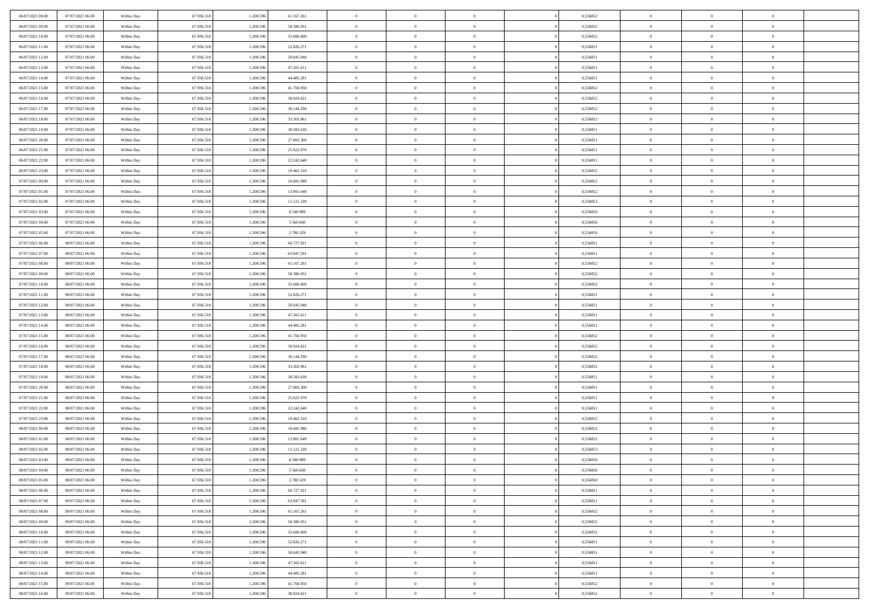| 06/07/2021 08:00 | 07/07/2021 06:00 | Within Day               | 67.936.518 | 1.208.596 | 61.167.261 | $\,$ 0         | $\bf{0}$       | $\theta$       |          | 0,556852 | $\bf{0}$       | $\overline{0}$ | $\,0\,$        |  |
|------------------|------------------|--------------------------|------------|-----------|------------|----------------|----------------|----------------|----------|----------|----------------|----------------|----------------|--|
| 06/07/2021 09:00 | 07/07/2021 06:00 | Within Day               | 67.936.518 | 1.208.596 | 58.386.931 | $\overline{0}$ | $\overline{0}$ | $\overline{0}$ |          | 0.556852 | $\overline{0}$ | $\overline{0}$ | $\theta$       |  |
| 06/07/2021 10:00 | 07/07/2021 06:00 | Within Dav               | 67.936.518 | 1.208.596 | 55.606.600 | $\mathbf{0}$   | $\overline{0}$ | $\overline{0}$ |          | 0,556852 | $\mathbf{0}$   | $\overline{0}$ | $\overline{0}$ |  |
| 06/07/2021 11:00 | 07/07/2021 06:00 | Within Day               | 67.936.518 | 1.208.596 | 52.826.271 | $\bf{0}$       | $\overline{0}$ | $\bf{0}$       |          | 0,556851 | $\bf{0}$       | $\overline{0}$ | $\bf{0}$       |  |
| 06/07/2021 12:00 | 07/07/2021 06:00 | Within Day               | 67.936.518 | 1.208.596 | 50.045.940 | $\bf{0}$       | $\bf{0}$       | $\overline{0}$ |          | 0,556851 | $\bf{0}$       | $\bf{0}$       | $\,0\,$        |  |
| 06/07/2021 13:00 | 07/07/2021 06:00 | Within Dav               | 67.936.518 | 1.208.596 | 47.265.611 | $\mathbf{0}$   | $\overline{0}$ | $\overline{0}$ |          | 0,556851 | $\mathbf{0}$   | $\overline{0}$ | $\overline{0}$ |  |
|                  |                  |                          |            |           |            |                |                |                |          |          |                |                |                |  |
| 06/07/2021 14:00 | 07/07/2021 06:00 | Within Day               | 67.936.518 | 1.208.596 | 44.485.281 | $\bf{0}$       | $\bf{0}$       | $\overline{0}$ |          | 0,556851 | $\bf{0}$       | $\overline{0}$ | $\,0\,$        |  |
| 06/07/2021 15:00 | 07/07/2021 06:00 | Within Day               | 67.936.518 | 1.208.596 | 41.704.950 | $\overline{0}$ | $\overline{0}$ | $\overline{0}$ |          | 0,556852 | $\,$ 0 $\,$    | $\overline{0}$ | $\theta$       |  |
| 06/07/2021 16:00 | 07/07/2021 06:00 | Within Day               | 67.936.518 | 1.208.596 | 38.924.621 | $\mathbf{0}$   | $\overline{0}$ | $\overline{0}$ |          | 0,556852 | $\mathbf{0}$   | $\overline{0}$ | $\overline{0}$ |  |
| 06/07/2021 17:00 | 07/07/2021 06:00 | Within Day               | 67.936.518 | 1.208.596 | 36.144.290 | $\bf{0}$       | $\bf{0}$       | $\overline{0}$ |          | 0,556852 | $\bf{0}$       | $\overline{0}$ | $\,0\,$        |  |
| 06/07/2021 18:00 | 07/07/2021 06:00 | Within Day               | 67.936.518 | 1.208.596 | 33.363.961 | $\overline{0}$ | $\overline{0}$ | $\overline{0}$ |          | 0.556852 | $\bf{0}$       | $\overline{0}$ | $\overline{0}$ |  |
| 06/07/2021 19:00 | 07/07/2021 06:00 | Within Dav               | 67.936.518 | 1.208.596 | 30.583.630 | $\mathbf{0}$   | $\overline{0}$ | $\overline{0}$ |          | 0,556851 | $\mathbf{0}$   | $\overline{0}$ | $\overline{0}$ |  |
| 06/07/2021 20:00 | 07/07/2021 06:00 | Within Day               | 67.936.518 | 1.208.596 | 27.803.300 | $\bf{0}$       | $\overline{0}$ | $\bf{0}$       |          | 0,556851 | $\bf{0}$       | $\overline{0}$ | $\overline{0}$ |  |
| 06/07/2021 21:00 | 07/07/2021 06:00 | Within Day               | 67.936.518 | 1.208.596 | 25.022.970 | $\bf{0}$       | $\overline{0}$ | $\overline{0}$ |          | 0,556851 | $\bf{0}$       | $\mathbf{0}$   | $\,0\,$        |  |
| 06/07/2021 22:00 | 07/07/2021 06:00 | Within Dav               | 67.936.518 | 1.208.596 | 22.242.640 | $\overline{0}$ | $\overline{0}$ | $\overline{0}$ |          | 0,556851 | $\mathbf{0}$   | $\overline{0}$ | $\overline{0}$ |  |
| 06/07/2021 23.00 | 07/07/2021 06:00 | Within Day               | 67.936.518 | 1.208.596 | 19.462.310 | $\bf{0}$       | $\bf{0}$       | $\overline{0}$ |          | 0,556852 | $\bf{0}$       | $\overline{0}$ | $\bf{0}$       |  |
| 07/07/2021 00:00 | 07/07/2021 06:00 | Within Day               | 67.936.518 | 1.208.596 | 16.681.980 | $\overline{0}$ | $\overline{0}$ | $\overline{0}$ |          | 0.556852 | $\bf{0}$       | $\overline{0}$ | $\theta$       |  |
| 07/07/2021 01:00 | 07/07/2021 06:00 | Within Day               | 67.936.518 | 1.208.596 | 13.901.649 | $\mathbf{0}$   | $\overline{0}$ | $\overline{0}$ |          | 0,556852 | $\mathbf{0}$   | $\overline{0}$ | $\overline{0}$ |  |
| 07/07/2021 02.00 | 07/07/2021 06:00 | Within Day               | 67.936.518 | 1.208.596 | 11.121.320 | $\bf{0}$       | $\bf{0}$       | $\overline{0}$ |          | 0,556853 | $\bf{0}$       | $\overline{0}$ | $\,0\,$        |  |
| 07/07/2021 03:00 | 07/07/2021 06:00 | Within Day               | 67.936.518 | 1.208.596 | 8.340.989  | $\overline{0}$ | $\overline{0}$ | $\overline{0}$ |          | 0,556850 | $\bf{0}$       | $\overline{0}$ | $\overline{0}$ |  |
| 07/07/2021 04:00 | 07/07/2021 06:00 | Within Dav               | 67.936.518 | 1.208.596 | 5.560.660  | $\mathbf{0}$   | $\overline{0}$ | $\overline{0}$ |          | 0,556850 | $\mathbf{0}$   | $\overline{0}$ | $\overline{0}$ |  |
| 07/07/2021 05:00 | 07/07/2021 06:00 | Within Day               | 67.936.518 | 1.208.596 | 2.780.329  | $\bf{0}$       | $\overline{0}$ | $\overline{0}$ |          | 0,556850 | $\bf{0}$       | $\overline{0}$ | $\bf{0}$       |  |
| 07/07/2021 06:00 | 08/07/2021 06:00 | Within Day               | 67.936.518 | 1.208.596 | 66.727.921 | $\bf{0}$       | $\bf{0}$       | $\overline{0}$ |          | 0,556851 | $\bf{0}$       | $\bf{0}$       | $\,0\,$        |  |
| 07/07/2021 07:00 | 08/07/2021 06:00 | Within Dav               | 67.936.518 | 1.208.596 | 63.947.591 | $\mathbf{0}$   | $\overline{0}$ | $\overline{0}$ |          | 0,556851 | $\mathbf{0}$   | $\overline{0}$ | $\overline{0}$ |  |
| 07/07/2021 08:00 | 08/07/2021 06:00 | Within Day               | 67.936.518 | 1.208.596 | 61.167.261 | $\bf{0}$       | $\bf{0}$       | $\overline{0}$ |          | 0,556852 | $\bf{0}$       | $\overline{0}$ | $\,0\,$        |  |
| 07/07/2021 09:00 | 08/07/2021 06:00 | Within Day               | 67.936.518 | 1.208.596 | 58.386.931 | $\overline{0}$ | $\overline{0}$ | $\overline{0}$ |          | 0,556852 | $\bf{0}$       | $\mathbf{0}$   | $\overline{0}$ |  |
| 07/07/2021 10:00 | 08/07/2021 06:00 | Within Day               | 67.936.518 | 1.208.596 | 55.606.600 | $\mathbf{0}$   | $\overline{0}$ | $\overline{0}$ |          | 0,556852 | $\mathbf{0}$   | $\overline{0}$ | $\overline{0}$ |  |
| 07/07/2021 11:00 | 08/07/2021 06:00 | Within Day               | 67.936.518 | 1.208.596 | 52.826.271 | $\bf{0}$       | $\bf{0}$       | $\overline{0}$ |          | 0,556851 | $\bf{0}$       | $\overline{0}$ | $\,0\,$        |  |
| 07/07/2021 12:00 | 08/07/2021 06:00 |                          | 67.936.518 | 1.208.596 | 50.045.940 | $\bf{0}$       | $\bf{0}$       | $\overline{0}$ |          | 0,556851 | $\bf{0}$       | $\mathbf{0}$   | $\overline{0}$ |  |
| 07/07/2021 13:00 | 08/07/2021 06:00 | Within Day<br>Within Dav | 67.936.518 | 1.208.596 | 47.265.611 | $\mathbf{0}$   | $\overline{0}$ | $\overline{0}$ |          | 0,556851 | $\mathbf{0}$   | $\overline{0}$ | $\overline{0}$ |  |
|                  |                  |                          |            |           |            | $\bf{0}$       |                | $\theta$       |          |          | $\,$ 0         | $\overline{0}$ | $\theta$       |  |
| 07/07/2021 14:00 | 08/07/2021 06:00 | Within Day               | 67.936.518 | 1.208.596 | 44.485.281 |                | $\overline{0}$ |                |          | 0,556851 |                |                |                |  |
| 07/07/2021 15:00 | 08/07/2021 06:00 | Within Day               | 67.936.518 | 1.208.596 | 41.704.950 | $\bf{0}$       | $\bf{0}$       | $\overline{0}$ |          | 0,556852 | $\bf{0}$       | $\overline{0}$ | $\bf{0}$       |  |
| 07/07/2021 16:00 | 08/07/2021 06:00 | Within Dav               | 67.936.518 | 1.208.596 | 38.924.621 | $\mathbf{0}$   | $\overline{0}$ | $\overline{0}$ |          | 0,556852 | $\mathbf{0}$   | $\overline{0}$ | $\overline{0}$ |  |
| 07/07/2021 17:00 | 08/07/2021 06:00 | Within Day               | 67.936.518 | 1.208.596 | 36.144.290 | $\bf{0}$       | $\overline{0}$ | $\theta$       |          | 0,556852 | $\,$ 0         | $\overline{0}$ | $\theta$       |  |
| 07/07/2021 18:00 | 08/07/2021 06:00 | Within Day               | 67.936.518 | 1.208.596 | 33.363.961 | $\overline{0}$ | $\overline{0}$ | $\overline{0}$ |          | 0.556852 | $\bf{0}$       | $\overline{0}$ | $\overline{0}$ |  |
| 07/07/2021 19:00 | 08/07/2021 06:00 | Within Day               | 67.936.518 | 1.208.596 | 30.583.630 | $\mathbf{0}$   | $\overline{0}$ | $\overline{0}$ |          | 0,556851 | $\mathbf{0}$   | $\overline{0}$ | $\overline{0}$ |  |
| 07/07/2021 20:00 | 08/07/2021 06:00 | Within Day               | 67.936.518 | 1.208.596 | 27.803.300 | $\bf{0}$       | $\overline{0}$ | $\theta$       |          | 0,556851 | $\,$ 0         | $\overline{0}$ | $\theta$       |  |
| 07/07/2021 21:00 | 08/07/2021 06:00 | Within Day               | 67.936.518 | 1.208.596 | 25.022.970 | $\bf{0}$       | $\overline{0}$ | $\overline{0}$ |          | 0,556851 | $\bf{0}$       | $\overline{0}$ | $\bf{0}$       |  |
| 07/07/2021 22:00 | 08/07/2021 06:00 | Within Dav               | 67.936.518 | 1.208.596 | 22.242.640 | $\mathbf{0}$   | $\overline{0}$ | $\overline{0}$ |          | 0,556851 | $\mathbf{0}$   | $\overline{0}$ | $\overline{0}$ |  |
| 07/07/2021 23:00 | 08/07/2021 06:00 | Within Day               | 67.936.518 | 1.208.596 | 19.462.310 | $\,0\,$        | $\overline{0}$ | $\theta$       |          | 0,556852 | $\,$ 0         | $\overline{0}$ | $\theta$       |  |
| 08/07/2021 00:00 | 08/07/2021 06:00 | Within Day               | 67.936.518 | 1.208.596 | 16.681.980 | $\bf{0}$       | $\bf{0}$       | $\overline{0}$ |          | 0,556852 | $\bf{0}$       | $\overline{0}$ | $\bf{0}$       |  |
| 08/07/2021 01:00 | 08/07/2021 06:00 | Within Dav               | 67.936.518 | 1.208.596 | 13.901.649 | $\mathbf{0}$   | $\overline{0}$ | $\overline{0}$ |          | 0,556852 | $\mathbf{0}$   | $\overline{0}$ | $\overline{0}$ |  |
| 08/07/2021 02:00 | 08/07/2021 06:00 | Within Day               | 67.936.518 | 1.208.596 | 11.121.320 | $\bf{0}$       | $\overline{0}$ | $\theta$       |          | 0,556853 | $\,$ 0         | $\overline{0}$ | $\theta$       |  |
| 08/07/2021 03:00 | 08/07/2021 06:00 | Within Day               | 67.936.518 | 1.208.596 | 8.340.989  | $\bf{0}$       | $\overline{0}$ | $\overline{0}$ |          | 0,556850 | $\bf{0}$       | $\overline{0}$ | $\overline{0}$ |  |
| 08/07/2021 04:00 | 08/07/2021 06:00 | Within Day               | 67.936.518 | 1.208.596 | 5.560.660  | $\bf{0}$       | $\overline{0}$ | $\Omega$       |          | 0,556850 | $\overline{0}$ | $\theta$       | $\theta$       |  |
| 08/07/2021 05:00 | 08/07/2021 06:00 | Within Day               | 67.936.518 | 1.208.596 | 2.780.329  | $\,0\,$        | $\overline{0}$ | $\theta$       |          | 0,556850 | $\,$ 0 $\,$    | $\bf{0}$       | $\theta$       |  |
| 08/07/2021 06:00 | 09/07/2021 06:00 | Within Day               | 67.936.518 | 1.208.596 | 66.727.921 | $\overline{0}$ | $\overline{0}$ | $\overline{0}$ |          | 0,556851 | $\overline{0}$ | $\overline{0}$ | $\overline{0}$ |  |
| 08/07/2021 07:00 | 09/07/2021 06:00 | Within Day               | 67.936.518 | 1.208.596 | 63.947.591 | $\bf{0}$       | $\overline{0}$ | $\overline{0}$ |          | 0,556851 | $\overline{0}$ | $\bf{0}$       | $\mathbf{0}$   |  |
| 08/07/2021 08:00 | 09/07/2021 06:00 | Within Day               | 67.936.518 | 1.208.596 | 61.167.261 | $\bf{0}$       | $\overline{0}$ | $\overline{0}$ | $\theta$ | 0,556852 | $\,$ 0 $\,$    | $\bf{0}$       | $\,$ 0 $\,$    |  |
| 08/07/2021 09:00 | 09/07/2021 06:00 | Within Day               | 67.936.518 | 1.208.596 | 58.386.931 | $\bf{0}$       | $\overline{0}$ | $\overline{0}$ |          | 0,556852 | $\,$ 0 $\,$    | $\overline{0}$ | $\overline{0}$ |  |
| 08/07/2021 10:00 | 09/07/2021 06:00 | Within Day               | 67.936.518 | 1.208.596 | 55.606.600 | $\bf{0}$       | $\overline{0}$ | $\overline{0}$ |          | 0,556852 | $\mathbf{0}$   | $\overline{0}$ | $\overline{0}$ |  |
| 08/07/2021 11:00 | 09/07/2021 06:00 | Within Day               | 67.936.518 | 1.208.596 | 52.826.271 | $\,$ 0 $\,$    | $\overline{0}$ | $\overline{0}$ | $\theta$ | 0,556851 | $\,$ 0 $\,$    | $\overline{0}$ | $\overline{0}$ |  |
| 08/07/2021 12:00 | 09/07/2021 06:00 | Within Day               | 67.936.518 | 1.208.596 | 50.045.940 | $\bf{0}$       | $\overline{0}$ | $\overline{0}$ |          | 0,556851 | $\overline{0}$ | $\overline{0}$ | $\overline{0}$ |  |
| 08/07/2021 13:00 | 09/07/2021 06:00 | Within Day               | 67.936.518 | 1.208.596 | 47.265.611 | $\bf{0}$       | $\overline{0}$ | $\overline{0}$ |          | 0,556851 | $\mathbf{0}$   | $\overline{0}$ | $\overline{0}$ |  |
| 08/07/2021 14:00 | 09/07/2021 06:00 | Within Day               | 67.936.518 | 1.208.596 | 44.485.281 | $\,0\,$        | $\overline{0}$ | $\overline{0}$ |          | 0,556851 | $\,$ 0 $\,$    | $\mathbf{0}$   | $\overline{0}$ |  |
| 08/07/2021 15:00 | 09/07/2021 06:00 | Within Day               | 67.936.518 | 1.208.596 | 41.704.950 | $\bf{0}$       | $\overline{0}$ | $\overline{0}$ |          | 0,556852 | $\bf{0}$       | $\mathbf{0}$   | $\overline{0}$ |  |
| 08/07/2021 16:00 | 09/07/2021 06:00 | Within Day               | 67.936.518 | 1.208.596 | 38.924.621 | $\overline{0}$ | $\overline{0}$ | $\overline{0}$ |          | 0,556852 | $\mathbf{0}$   | $\overline{0}$ | $\overline{0}$ |  |
|                  |                  |                          |            |           |            |                |                |                |          |          |                |                |                |  |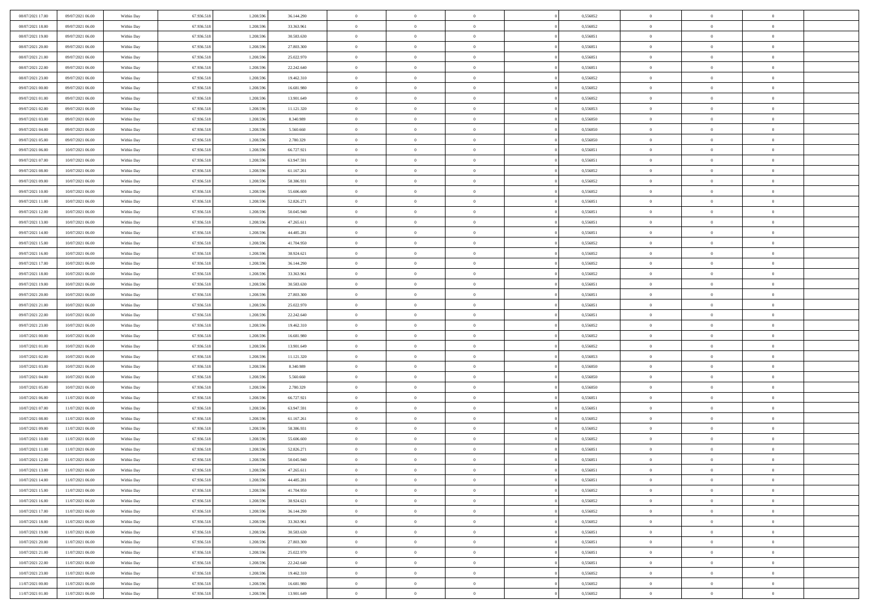| 08/07/2021 17:00 | 09/07/2021 06:00 | Within Day | 67.936.518 | 1.208.59  | 36.144.290 | $\bf{0}$                   | $\overline{0}$ | $\overline{0}$ | 0,556852 | $\bf{0}$       | $\bf{0}$       | $\theta$                   |  |
|------------------|------------------|------------|------------|-----------|------------|----------------------------|----------------|----------------|----------|----------------|----------------|----------------------------|--|
| 08/07/2021 18:00 | 09/07/2021 06:00 | Within Day | 67.936.518 | 1.208.596 | 33.363.961 | $\overline{0}$             | $\overline{0}$ | $\overline{0}$ | 0,556852 | $\theta$       | $\overline{0}$ | $\theta$                   |  |
| 08/07/2021 19:00 | 09/07/2021 06:00 | Within Day | 67.936.518 | 1.208.596 | 30.583.630 | $\,0\,$                    | $\overline{0}$ | $\bf{0}$       | 0,556851 | $\,$ 0 $\,$    | $\overline{0}$ | $\,$ 0 $\,$                |  |
| 08/07/2021 20:00 | 09/07/2021 06:00 | Within Day | 67.936.518 | 1.208.596 | 27.803.300 | $\mathbf{0}$               | $\Omega$       | $\overline{0}$ | 0,556851 | $\theta$       | $\mathbf{0}$   | $\theta$                   |  |
| 08/07/2021 21:00 | 09/07/2021 06:00 | Within Day | 67.936.518 | 1.208.596 | 25.022.970 | $\overline{0}$             | $\overline{0}$ | $\overline{0}$ | 0,556851 | $\mathbf{0}$   | $\overline{0}$ | $\overline{0}$             |  |
| 08/07/2021 22:00 | 09/07/2021 06:00 | Within Day | 67.936.518 | 1.208.596 | 22.242.640 | $\,$ 0 $\,$                | $\overline{0}$ | $\bf{0}$       | 0,556851 | $\,$ 0 $\,$    | $\overline{0}$ | $\,$ 0 $\,$                |  |
| 08/07/2021 23:00 | 09/07/2021 06:00 | Within Day | 67.936.518 | 1.208.596 | 19.462.310 | $\overline{0}$             | $\overline{0}$ | $\overline{0}$ | 0.556852 | $\bf{0}$       | $\overline{0}$ | $\theta$                   |  |
| 09/07/2021 00:00 | 09/07/2021 06:00 | Within Day | 67.936.518 | 1.208.596 | 16.681.980 | $\overline{0}$             | $\overline{0}$ | $\overline{0}$ | 0,556852 | $\mathbf{0}$   | $\overline{0}$ | $\overline{0}$             |  |
|                  |                  |            |            |           |            |                            |                |                |          |                |                |                            |  |
| 09/07/2021 01:00 | 09/07/2021 06:00 | Within Day | 67.936.518 | 1.208.596 | 13.901.649 | $\,$ 0 $\,$                | $\overline{0}$ | $\bf{0}$       | 0,556852 | $\,$ 0 $\,$    | $\overline{0}$ | $\bf{0}$                   |  |
| 09/07/2021 02:00 | 09/07/2021 06:00 | Within Day | 67.936.518 | 1.208.59  | 11.121.320 | $\overline{0}$             | $\mathbf{0}$   | $\overline{0}$ | 0.556853 | $\theta$       | $\mathbf{0}$   | $\theta$                   |  |
| 09/07/2021 03:00 | 09/07/2021 06:00 | Within Day | 67.936.518 | 1.208.596 | 8.340.989  | $\overline{0}$             | $\overline{0}$ | $\overline{0}$ | 0,556850 | $\overline{0}$ | $\overline{0}$ | $\overline{0}$             |  |
| 09/07/2021 04:00 | 09/07/2021 06:00 | Within Day | 67.936.518 | 1.208.596 | 5.560.660  | $\,$ 0 $\,$                | $\overline{0}$ | $\bf{0}$       | 0,556850 | $\,$ 0 $\,$    | $\overline{0}$ | $\,$ 0 $\,$                |  |
| 09/07/2021 05:00 | 09/07/2021 06:00 | Within Day | 67.936.518 | 1.208.596 | 2.780.329  | $\mathbf{0}$               | $\overline{0}$ | $\overline{0}$ | 0.556850 | $\bf{0}$       | $\mathbf{0}$   | $\theta$                   |  |
| 09/07/2021 06:00 | 10/07/2021 06:00 | Within Day | 67.936.518 | 1.208.596 | 66.727.921 | $\overline{0}$             | $\overline{0}$ | $\overline{0}$ | 0,556851 | $\overline{0}$ | $\overline{0}$ | $\overline{0}$             |  |
| 09/07/2021 07:00 | 10/07/2021 06:00 | Within Day | 67.936.518 | 1.208.596 | 63.947.591 | $\,$ 0 $\,$                | $\overline{0}$ | $\bf{0}$       | 0,556851 | $\,$ 0 $\,$    | $\overline{0}$ | $\,$ 0 $\,$                |  |
| 09/07/2021 08:00 | 10/07/2021 06:00 | Within Day | 67.936.518 | 1.208.59  | 61.167.261 | $\mathbf{0}$               | $\mathbf{0}$   | $\overline{0}$ | 0.556852 | $\theta$       | $\mathbf{0}$   | $\theta$                   |  |
| 09/07/2021 09:00 | 10/07/2021 06:00 | Within Day | 67.936.518 | 1.208.596 | 58.386.931 | $\overline{0}$             | $\overline{0}$ | $\overline{0}$ | 0,556852 | $\overline{0}$ | $\overline{0}$ | $\overline{0}$             |  |
| 09/07/2021 10:00 | 10/07/2021 06:00 | Within Day | 67.936.518 | 1.208.596 | 55.606.600 | $\,$ 0 $\,$                | $\overline{0}$ | $\bf{0}$       | 0,556852 | $\,$ 0 $\,$    | $\overline{0}$ | $\,$ 0 $\,$                |  |
| 09/07/2021 11:00 | 10/07/2021 06:00 | Within Day | 67.936.518 | 1.208.596 | 52.826.271 | $\mathbf{0}$               | $\Omega$       | $\overline{0}$ | 0,556851 | $\theta$       | $\theta$       | $\theta$                   |  |
| 09/07/2021 12:00 | 10/07/2021 06:00 | Within Day | 67.936.518 | 1.208.596 | 50.045.940 | $\overline{0}$             | $\overline{0}$ | $\overline{0}$ | 0,556851 | $\overline{0}$ | $\overline{0}$ | $\overline{0}$             |  |
| 09/07/2021 13:00 | 10/07/2021 06:00 | Within Day | 67.936.518 | 1.208.596 | 47.265.611 | $\,$ 0 $\,$                | $\overline{0}$ | $\bf{0}$       | 0,556851 | $\,$ 0 $\,$    | $\overline{0}$ | $\,$ 0 $\,$                |  |
| 09/07/2021 14:00 | 10/07/2021 06:00 | Within Day | 67.936.518 | 1.208.596 | 44.485.281 | $\overline{0}$             | $\overline{0}$ | $\overline{0}$ | 0.556851 | $\bf{0}$       | $\overline{0}$ | $\theta$                   |  |
| 09/07/2021 15:00 | 10/07/2021 06:00 | Within Day | 67.936.518 | 1.208.596 | 41.704.950 | $\overline{0}$             | $\overline{0}$ | $\overline{0}$ | 0,556852 | $\mathbf{0}$   | $\overline{0}$ | $\overline{0}$             |  |
| 09/07/2021 16:00 | 10/07/2021 06:00 | Within Day | 67.936.518 | 1.208.596 | 38.924.621 | $\,$ 0 $\,$                | $\overline{0}$ | $\bf{0}$       | 0,556852 | $\,$ 0 $\,$    | $\overline{0}$ | $\bf{0}$                   |  |
| 09/07/2021 17:00 | 10/07/2021 06:00 | Within Day | 67.936.518 | 1.208.59  | 36.144.290 | $\overline{0}$             | $\mathbf{0}$   | $\overline{0}$ | 0.556852 | $\theta$       | $\mathbf{0}$   | $\theta$                   |  |
| 09/07/2021 18:00 | 10/07/2021 06:00 | Within Day | 67.936.518 | 1.208.596 | 33.363.961 | $\overline{0}$             | $\overline{0}$ | $\overline{0}$ | 0,556852 | $\mathbf{0}$   | $\overline{0}$ | $\overline{0}$             |  |
| 09/07/2021 19:00 | 10/07/2021 06:00 | Within Day | 67.936.518 | 1.208.596 | 30.583.630 | $\,$ 0 $\,$                | $\overline{0}$ | $\bf{0}$       | 0,556851 | $\,$ 0 $\,$    | $\overline{0}$ | $\,$ 0 $\,$                |  |
| 09/07/2021 20:00 | 10/07/2021 06:00 | Within Day | 67.936.518 | 1.208.596 | 27.803.300 | $\bf{0}$                   | $\overline{0}$ | $\overline{0}$ | 0,556851 | $\bf{0}$       | $\overline{0}$ | $\bf{0}$                   |  |
| 09/07/2021 21:00 | 10/07/2021 06:00 | Within Day | 67.936.518 | 1.208.596 | 25.022.970 | $\overline{0}$             | $\overline{0}$ | $\overline{0}$ | 0,556851 | $\mathbf{0}$   | $\overline{0}$ | $\overline{0}$             |  |
| 09/07/2021 22:00 | 10/07/2021 06:00 | Within Day | 67.936.518 | 1.208.596 | 22.242.640 | $\,$ 0 $\,$                | $\overline{0}$ | $\bf{0}$       | 0,556851 | $\,$ 0 $\,$    | $\overline{0}$ | $\,$ 0 $\,$                |  |
| 09/07/2021 23:00 | 10/07/2021 06:00 | Within Day | 67.936.518 | 1.208.596 | 19.462.310 | $\,0\,$                    | $\overline{0}$ | $\bf{0}$       | 0,556852 | $\,$ 0 $\,$    | $\overline{0}$ | $\bf{0}$                   |  |
| 10/07/2021 00:00 | 10/07/2021 06:00 | Within Day | 67.936.518 | 1.208.596 | 16.681.980 | $\overline{0}$             | $\overline{0}$ | $\overline{0}$ | 0,556852 | $\mathbf{0}$   | $\overline{0}$ | $\overline{0}$             |  |
| 10/07/2021 01:00 | 10/07/2021 06:00 | Within Day | 67.936.518 | 1.208.596 | 13.901.649 | $\,$ 0 $\,$                | $\overline{0}$ | $\bf{0}$       | 0,556852 | $\,$ 0 $\,$    | $\overline{0}$ | $\,$ 0 $\,$                |  |
| 10/07/2021 02:00 | 10/07/2021 06:00 | Within Day | 67.936.518 | 1.208.596 | 11.121.320 | $\,0\,$                    | $\overline{0}$ | $\bf{0}$       | 0,556853 | $\bf{0}$       | $\overline{0}$ | $\bf{0}$                   |  |
| 10/07/2021 03:00 | 10/07/2021 06:00 | Within Day | 67.936.518 | 1.208.596 | 8.340.989  | $\overline{0}$             | $\overline{0}$ | $\overline{0}$ | 0,556850 | $\theta$       | $\overline{0}$ | $\theta$                   |  |
|                  |                  |            |            |           |            | $\,$ 0 $\,$                | $\overline{0}$ |                |          | $\,$ 0 $\,$    | $\overline{0}$ | $\,$ 0 $\,$                |  |
| 10/07/2021 04:00 | 10/07/2021 06:00 | Within Day | 67.936.518 | 1.208.596 | 5.560.660  |                            |                | $\bf{0}$       | 0,556850 |                |                |                            |  |
| 10/07/2021 05:00 | 10/07/2021 06:00 | Within Day | 67.936.518 | 1.208.596 | 2.780.329  | $\bf{0}$<br>$\overline{0}$ | $\overline{0}$ | $\bf{0}$       | 0,556850 | $\bf{0}$       | $\overline{0}$ | $\bf{0}$<br>$\overline{0}$ |  |
| 10/07/2021 06:00 | 11/07/2021 06:00 | Within Day | 67.936.518 | 1.208.596 | 66.727.921 |                            | $\overline{0}$ | $\overline{0}$ | 0,556851 | $\mathbf{0}$   | $\overline{0}$ |                            |  |
| 10/07/2021 07:00 | 11/07/2021 06:00 | Within Day | 67.936.518 | 1.208.596 | 63.947.591 | $\,$ 0 $\,$                | $\overline{0}$ | $\bf{0}$       | 0,556851 | $\,$ 0 $\,$    | $\overline{0}$ | $\,$ 0 $\,$                |  |
| 10/07/2021 08:00 | 11/07/2021 06:00 | Within Day | 67.936.518 | 1.208.596 | 61.167.261 | $\mathbf{0}$               | $\overline{0}$ | $\bf{0}$       | 0,556852 | $\bf{0}$       | $\overline{0}$ | $\bf{0}$                   |  |
| 10/07/2021 09:00 | 11/07/2021 06:00 | Within Day | 67.936.518 | 1.208.596 | 58.386.931 | $\overline{0}$             | $\overline{0}$ | $\overline{0}$ | 0,556852 | $\mathbf{0}$   | $\overline{0}$ | $\overline{0}$             |  |
| 10/07/2021 10:00 | 11/07/2021 06:00 | Within Day | 67.936.518 | 1.208.596 | 55.606.600 | $\,$ 0 $\,$                | $\overline{0}$ | $\bf{0}$       | 0,556852 | $\,$ 0 $\,$    | $\overline{0}$ | $\,$ 0 $\,$                |  |
| 10/07/2021 11:00 | 11/07/2021 06:00 | Within Day | 67.936.518 | 1.208.59  | 52.826.271 | $\bf{0}$                   | $\overline{0}$ | $\bf{0}$       | 0,556851 | $\bf{0}$       | $\overline{0}$ | $\bf{0}$                   |  |
| 10/07/2021 12:00 | 11/07/2021 06:00 | Within Day | 67.936.518 | 1.208.596 | 50.045.940 | $\mathbf{0}$               | $\overline{0}$ | $\overline{0}$ | 0,556851 | $\theta$       | $\overline{0}$ | $\overline{0}$             |  |
| 10/07/2021 13:00 | 11/07/2021 06:00 | Within Day | 67.936.518 | 1.208.596 | 47.265.611 | $\mathbf{0}$               | $\overline{0}$ | $\theta$       | 0,556851 | $\overline{0}$ | $\overline{0}$ | $\theta$                   |  |
| 10/07/2021 14:00 | 11/07/2021 06:00 | Within Day | 67.936.518 | 1.208.596 | 44.485.281 | $\bf{0}$                   | $\overline{0}$ | $\overline{0}$ | 0,556851 | $\bf{0}$       | $\overline{0}$ | $\bf{0}$                   |  |
| 10/07/2021 15:00 | 11/07/2021 06:00 | Within Day | 67.936.518 | 1.208.596 | 41.704.950 | $\overline{0}$             | $\overline{0}$ | $\overline{0}$ | 0,556852 | $\overline{0}$ | $\overline{0}$ | $\overline{0}$             |  |
| 10/07/2021 16:00 | 11/07/2021 06:00 | Within Day | 67.936.518 | 1.208.596 | 38.924.621 | $\,$ 0                     | $\overline{0}$ | $\overline{0}$ | 0,556852 | $\,$ 0 $\,$    | $\,$ 0 $\,$    | $\,$ 0 $\,$                |  |
| 10/07/2021 17:00 | 11/07/2021 06:00 | Within Day | 67.936.518 | 1.208.596 | 36.144.290 | $\bf{0}$                   | $\overline{0}$ | $\overline{0}$ | 0,556852 | $\mathbf{0}$   | $\overline{0}$ | $\bf{0}$                   |  |
| 10/07/2021 18:00 | 11/07/2021 06:00 | Within Day | 67.936.518 | 1.208.596 | 33.363.961 | $\overline{0}$             | $\overline{0}$ | $\overline{0}$ | 0,556852 | $\mathbf{0}$   | $\overline{0}$ | $\overline{0}$             |  |
| 10/07/2021 19:00 | 11/07/2021 06:00 | Within Day | 67.936.518 | 1.208.596 | 30.583.630 | $\,$ 0                     | $\overline{0}$ | $\overline{0}$ | 0,556851 | $\,$ 0 $\,$    | $\overline{0}$ | $\,$ 0 $\,$                |  |
| 10/07/2021 20:00 | 11/07/2021 06:00 | Within Day | 67.936.518 | 1.208.596 | 27.803.300 | $\overline{0}$             | $\overline{0}$ | $\overline{0}$ | 0,556851 | $\overline{0}$ | $\overline{0}$ | $\bf{0}$                   |  |
| 10/07/2021 21:00 | 11/07/2021 06:00 | Within Day | 67.936.518 | 1.208.596 | 25.022.970 | $\mathbf{0}$               | $\overline{0}$ | $\overline{0}$ | 0,556851 | $\overline{0}$ | $\overline{0}$ | $\overline{0}$             |  |
| 10/07/2021 22:00 | 11/07/2021 06:00 | Within Day | 67.936.518 | 1.208.596 | 22.242.640 | $\,$ 0                     | $\overline{0}$ | $\overline{0}$ | 0,556851 | $\,$ 0 $\,$    | $\,$ 0 $\,$    | $\,$ 0 $\,$                |  |
| 10/07/2021 23:00 | 11/07/2021 06:00 | Within Day | 67.936.518 | 1.208.596 | 19.462.310 | $\bf{0}$                   | $\overline{0}$ | $\overline{0}$ | 0,556852 | $\mathbf{0}$   | $\overline{0}$ | $\bf{0}$                   |  |
| 11/07/2021 00:00 | 11/07/2021 06:00 | Within Day | 67.936.518 | 1.208.596 | 16.681.980 | $\mathbf{0}$               | $\overline{0}$ | $\overline{0}$ | 0,556852 | $\overline{0}$ | $\overline{0}$ | $\overline{0}$             |  |
| 11/07/2021 01:00 | 11/07/2021 06:00 | Within Day | 67.936.518 | 1.208.596 | 13.901.649 | $\,$ 0 $\,$                | $\overline{0}$ | $\overline{0}$ | 0,556852 | $\,$ 0 $\,$    | $\overline{0}$ | $\,$ 0 $\,$                |  |
|                  |                  |            |            |           |            |                            |                |                |          |                |                |                            |  |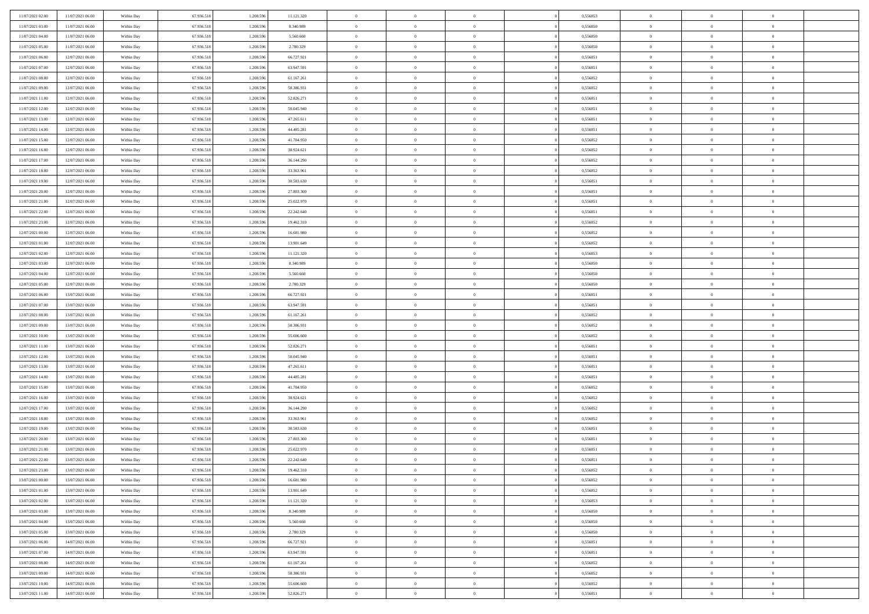| 11/07/2021 02:00                     | 11/07/2021 06:00                     | Within Day               | 67.936.518               | 1.208.596              | 11.121.320               | $\bf{0}$                      | $\overline{0}$                   | $\Omega$                         | 0,556853             | $\bf{0}$                 | $\overline{0}$             | $\bf{0}$                   |  |
|--------------------------------------|--------------------------------------|--------------------------|--------------------------|------------------------|--------------------------|-------------------------------|----------------------------------|----------------------------------|----------------------|--------------------------|----------------------------|----------------------------|--|
| 11/07/2021 03:00                     | 11/07/2021 06:00                     | Within Dav               | 67.936.518               | 1.208.596              | 8.340.989                | $\overline{0}$                | $\overline{0}$                   | $\overline{0}$                   | 0,556850             | $\mathbf{0}$             | $\bf{0}$                   | $\overline{0}$             |  |
| 11/07/2021 04:00                     | 11/07/2021 06:00                     | Within Day               | 67.936.518               | 1.208.596              | 5.560.660                | $\theta$                      | $\overline{0}$                   | $\overline{0}$                   | 0,556850             | $\,$ 0                   | $\overline{0}$             | $\,$ 0 $\,$                |  |
| 11/07/2021 05:00                     | 11/07/2021 06:00                     | Within Day               | 67.936.518               | 1.208.596              | 2.780.329                | $\mathbf{0}$                  | $\overline{0}$                   | $\mathbf{0}$                     | 0.556850             | $\bf{0}$                 | $\mathbf{0}$               | $\theta$                   |  |
| 11/07/2021 06:00                     | 12/07/2021 06:00                     | Within Dav               | 67.936.518               | 1.208.596              | 66.727.921               | $\mathbf{0}$                  | $\overline{0}$                   | $\overline{0}$                   | 0,556851             | $\mathbf{0}$             | $\bf{0}$                   | $\overline{0}$             |  |
| 11/07/2021 07:00                     | 12/07/2021 06:00                     | Within Day               | 67.936.518               | 1.208.596              | 63.947.591               | $\theta$                      | $\overline{0}$                   | $\bf{0}$                         | 0,556851             | $\,$ 0                   | $\overline{0}$             | $\,$ 0 $\,$                |  |
| 11/07/2021 08:00                     | 12/07/2021 06:00                     | Within Day               | 67.936.518               | 1.208.596              | 61.167.261               | $\,$ 0 $\,$                   | $\overline{0}$                   | $\mathbf{0}$                     | 0.556852             | $\bf{0}$                 | $\overline{0}$             | $\theta$                   |  |
| 11/07/2021 09:00                     | 12/07/2021 06:00                     | Within Dav               | 67.936.518               | 1.208.596              | 58.386.931               | $\overline{0}$                | $\overline{0}$                   | $\overline{0}$                   | 0,556852             | $\mathbf{0}$             | $\bf{0}$                   | $\overline{0}$             |  |
| 11/07/2021 11:00                     | 12/07/2021 06:00                     | Within Day               | 67.936.518               | 1.208.596              | 52.826.271               | $\theta$                      | $\overline{0}$                   | $\bf{0}$                         | 0,556851             | $\,$ 0                   | $\overline{0}$             | $\,$ 0 $\,$                |  |
| 11/07/2021 12:00                     | 12/07/2021 06:00                     | Within Day               | 67.936.518               | 1.208.596              | 50.045.940               | $\mathbf{0}$                  | $\overline{0}$                   | $\mathbf{0}$                     | 0.556851             | $\bf{0}$                 | $\mathbf{0}$               | $\theta$                   |  |
| 11/07/2021 13:00                     | 12/07/2021 06:00                     | Within Dav               | 67.936.518               | 1.208.596              | 47.265.611               | $\mathbf{0}$                  | $\overline{0}$                   | $\overline{0}$                   | 0,556851             | $\mathbf{0}$             | $\bf{0}$                   | $\overline{0}$             |  |
| 11/07/2021 14:00                     | 12/07/2021 06:00                     | Within Day               | 67.936.518               | 1.208.596              | 44.485.281               | $\theta$                      | $\overline{0}$                   | $\bf{0}$                         | 0,556851             | $\,$ 0                   | $\overline{0}$             | $\,$ 0 $\,$                |  |
| 11/07/2021 15:00                     | 12/07/2021 06:00                     | Within Day               | 67.936.518               | 1.208.596              | 41,704,950               | $\theta$                      | $\overline{0}$                   | $\mathbf{0}$                     | 0.556852             | $\bf{0}$                 | $\mathbf{0}$               | $\theta$                   |  |
| 11/07/2021 16:00                     | 12/07/2021 06:00                     | Within Dav               | 67.936.518               | 1.208.596              | 38.924.621               | $\mathbf{0}$                  | $\overline{0}$                   | $\overline{0}$                   | 0,556852             | $\mathbf{0}$             | $\bf{0}$                   | $\overline{0}$             |  |
| 11/07/2021 17:00                     | 12/07/2021 06:00                     | Within Day               | 67.936.518               | 1.208.596              | 36.144.290               | $\theta$                      | $\overline{0}$                   | $\bf{0}$                         | 0,556852             | $\,$ 0                   | $\overline{0}$             | $\,$ 0 $\,$                |  |
| 11/07/2021 18:00                     | 12/07/2021 06:00                     | Within Day               | 67.936.518               | 1.208.596              | 33,363,961               | $\bf{0}$                      | $\overline{0}$                   | $\mathbf{0}$                     | 0.556852             | $\bf{0}$                 | $\overline{0}$             | $\bf{0}$                   |  |
| 11/07/2021 19:00                     | 12/07/2021 06:00                     | Within Dav               | 67.936.518               | 1.208.596              | 30.583.630               | $\overline{0}$                | $\overline{0}$                   | $\overline{0}$                   | 0,556851             | $\mathbf{0}$             | $\bf{0}$                   | $\overline{0}$             |  |
| 11/07/2021 20:00                     | 12/07/2021 06:00                     | Within Day               | 67.936.518               | 1.208.596              | 27.803.300               | $\theta$                      | $\overline{0}$                   | $\bf{0}$                         | 0,556851             | $\,$ 0                   | $\overline{0}$             | $\,$ 0 $\,$                |  |
| 11/07/2021 21:00                     | 12/07/2021 06:00                     | Within Day               | 67.936.518               | 1.208.596              | 25.022.970               | $\overline{0}$                | $\overline{0}$                   | $\mathbf{0}$                     | 0.556851             | $\bf{0}$                 | $\mathbf{0}$               | $\theta$                   |  |
| 11/07/2021 22:00                     | 12/07/2021 06:00                     | Within Dav               | 67.936.518               | 1.208.596              | 22.242.640               | $\overline{0}$                | $\overline{0}$                   | $\overline{0}$                   | 0,556851             | $\mathbf{0}$             | $\bf{0}$                   | $\overline{0}$             |  |
| 11/07/2021 23:00                     | 12/07/2021 06:00                     | Within Day               | 67.936.518               | 1.208.596              | 19.462.310               | $\theta$                      | $\overline{0}$                   | $\bf{0}$                         | 0,556852             | $\,$ 0                   | $\overline{0}$             | $\,$ 0 $\,$                |  |
| 12/07/2021 00:00                     | 12/07/2021 06:00                     | Within Day               | 67.936.518               | 1.208.596              | 16,681,980               | $\theta$                      | $\overline{0}$                   | $\mathbf{0}$                     | 0.556852             | $\bf{0}$                 | $\mathbf{0}$               | $\theta$                   |  |
| 12/07/2021 01:00                     | 12/07/2021 06:00                     | Within Dav               | 67.936.518               | 1.208.596              | 13.901.649               | $\mathbf{0}$                  | $\overline{0}$                   | $\overline{0}$                   | 0,556852             | $\mathbf{0}$             | $\bf{0}$                   | $\overline{0}$             |  |
| 12/07/2021 02:00                     | 12/07/2021 06:00                     | Within Day               | 67.936.518               | 1.208.596              | 11.121.320               | $\theta$                      | $\overline{0}$                   | $\bf{0}$                         | 0,556853             | $\,$ 0                   | $\overline{0}$             | $\,$ 0 $\,$                |  |
| 12/07/2021 03:00                     | 12/07/2021 06:00                     | Within Day               | 67.936.518               | 1.208.596              | 8.340.989                | $\bf{0}$                      | $\overline{0}$                   | $\mathbf{0}$                     | 0.556850             | $\bf{0}$                 | $\bf{0}$                   | $\bf{0}$                   |  |
| 12/07/2021 04:00                     | 12/07/2021 06:00                     | Within Dav               | 67.936.518               | 1.208.596              | 5.560.660                | $\overline{0}$                | $\overline{0}$                   | $\overline{0}$                   | 0,556850             | $\mathbf{0}$             | $\bf{0}$                   | $\overline{0}$             |  |
| 12/07/2021 05:00                     | 12/07/2021 06:00                     | Within Day               | 67.936.518               | 1.208.596              | 2.780.329                | $\theta$                      | $\overline{0}$                   | $\bf{0}$                         | 0,556850             | $\,$ 0                   | $\overline{0}$             | $\,$ 0 $\,$                |  |
| 12/07/2021 06:00                     | 13/07/2021 06:00                     | Within Day               | 67.936.518               | 1.208.596              | 66.727.921               | $\mathbf{0}$                  | $\overline{0}$                   | $\mathbf{0}$                     | 0.556851             | $\bf{0}$                 | $\mathbf{0}$               | $\theta$                   |  |
| 12/07/2021 07:00                     | 13/07/2021 06:00                     | Within Dav               | 67.936.518               | 1.208.596              | 63.947.591               | $\mathbf{0}$                  | $\overline{0}$                   | $\overline{0}$                   | 0,556851             | $\mathbf{0}$             | $\bf{0}$                   | $\overline{0}$             |  |
| 12/07/2021 08:00                     | 13/07/2021 06:00                     | Within Day               | 67.936.518               | 1.208.596              | 61.167.261               | $\theta$                      | $\overline{0}$                   | $\overline{0}$                   | 0,556852             | $\,$ 0                   | $\overline{0}$             | $\,$ 0 $\,$                |  |
| 12/07/2021 09:00                     | 13/07/2021 06:00                     | Within Day               | 67.936.518               | 1.208.596              | 58.386.931               | $\,$ 0 $\,$                   | $\overline{0}$                   | $\overline{0}$                   | 0,556852             | $\bf{0}$                 | $\overline{0}$             | $\,0\,$                    |  |
| 12/07/2021 10:00                     | 13/07/2021 06:00                     | Within Dav               | 67.936.518               | 1.208.596              | 55.606.600               | $\overline{0}$                | $\overline{0}$                   | $\overline{0}$                   | 0,556852             | $\mathbf{0}$             | $\bf{0}$                   | $\overline{0}$             |  |
| 12/07/2021 11:00                     | 13/07/2021 06:00                     | Within Day               | 67.936.518               | 1.208.596              | 52.826.271               | $\theta$                      | $\overline{0}$                   | $\overline{0}$                   | 0,556851             | $\,$ 0                   | $\overline{0}$             | $\,$ 0 $\,$                |  |
| 12/07/2021 12:00<br>12/07/2021 13:00 | 13/07/2021 06:00<br>13/07/2021 06:00 | Within Day<br>Within Dav | 67.936.518<br>67.936.518 | 1.208.596<br>1.208.596 | 50.045.940<br>47.265.611 | $\,$ 0 $\,$<br>$\overline{0}$ | $\overline{0}$<br>$\overline{0}$ | $\overline{0}$<br>$\overline{0}$ | 0,556851<br>0,556851 | $\bf{0}$<br>$\mathbf{0}$ | $\overline{0}$<br>$\bf{0}$ | $\bf{0}$<br>$\overline{0}$ |  |
| 12/07/2021 14:00                     | 13/07/2021 06:00                     | Within Day               | 67.936.518               | 1.208.596              | 44.485.281               | $\theta$                      | $\overline{0}$                   | $\bf{0}$                         | 0,556851             | $\,$ 0                   | $\overline{0}$             | $\,$ 0 $\,$                |  |
| 12/07/2021 15:00                     | 13/07/2021 06:00                     | Within Day               | 67.936.518               | 1.208.596              | 41.704.950               | $\,$ 0 $\,$                   | $\overline{0}$                   | $\overline{0}$                   | 0,556852             | $\bf{0}$                 | $\overline{0}$             | $\,0\,$                    |  |
| 12/07/2021 16:00                     | 13/07/2021 06:00                     | Within Dav               | 67.936.518               | 1.208.596              | 38.924.621               | $\mathbf{0}$                  | $\overline{0}$                   | $\overline{0}$                   | 0,556852             | $\mathbf{0}$             | $\bf{0}$                   | $\overline{0}$             |  |
| 12/07/2021 17:00                     | 13/07/2021 06:00                     | Within Day               | 67.936.518               | 1.208.596              | 36.144.290               | $\theta$                      | $\overline{0}$                   | $\bf{0}$                         | 0,556852             | $\,$ 0                   | $\overline{0}$             | $\,$ 0 $\,$                |  |
| 12/07/2021 18:00                     | 13/07/2021 06:00                     | Within Day               | 67.936.518               | 1.208.596              | 33.363.961               | $\,$ 0 $\,$                   | $\overline{0}$                   | $\overline{0}$                   | 0,556852             | $\bf{0}$                 | $\overline{0}$             | $\,0\,$                    |  |
| 12/07/2021 19:00                     | 13/07/2021 06:00                     | Within Dav               | 67.936.518               | 1.208.596              | 30.583.630               | $\overline{0}$                | $\overline{0}$                   | $\overline{0}$                   | 0,556851             | $\mathbf{0}$             | $\bf{0}$                   | $\overline{0}$             |  |
| 12/07/2021 20:00                     | 13/07/2021 06:00                     | Within Day               | 67.936.518               | 1.208.596              | 27.803.300               | $\theta$                      | $\overline{0}$                   | $\bf{0}$                         | 0,556851             | $\,$ 0                   | $\overline{0}$             | $\,$ 0 $\,$                |  |
| 12/07/2021 21:00                     | 13/07/2021 06:00                     | Within Day               | 67.936.518               | 1.208.596              | 25.022.970               | $\,$ 0 $\,$                   | $\overline{0}$                   | $\overline{0}$                   | 0,556851             | $\bf{0}$                 | $\overline{0}$             | $\bf{0}$                   |  |
| 12/07/2021 22:00                     | 13/07/2021 06:00                     | Within Dav               | 67.936.518               | 1.208.596              | 22.242.640               | $\theta$                      | $\overline{0}$                   | $\overline{0}$                   | 0,556851             | $\mathbf{0}$             | $\bf{0}$                   | $\overline{0}$             |  |
| 12/07/2021 23:00                     | 13/07/2021 06:00                     | Within Day               | 67.936.518               | 1.208.596              | 19.462.310               | $\overline{0}$                | $\overline{0}$                   | $\overline{0}$                   | 0,556852             | $\overline{0}$           | $\overline{0}$             | $\theta$                   |  |
| 13/07/2021 00:00                     | 13/07/2021 06:00                     | Within Day               | 67.936.518               | 1.208.596              | 16.681.980               | $\bf{0}$                      | $\overline{0}$                   | $\overline{0}$                   | 0,556852             | $\mathbf{0}$             | $\overline{0}$             | $\bf{0}$                   |  |
| 13/07/2021 01:00                     | 13/07/2021 06:00                     | Within Day               | 67.936.518               | 1.208.596              | 13.901.649               | $\overline{0}$                | $\overline{0}$                   | $\overline{0}$                   | 0,556852             | $\overline{0}$           | $\overline{0}$             | $\overline{0}$             |  |
| 13/07/2021 02:00                     | 13/07/2021 06:00                     | Within Day               | 67.936.518               | 1.208.596              | 11.121.320               | $\,$ 0                        | $\overline{0}$                   | $\overline{0}$                   | 0,556853             | $\,$ 0 $\,$              | $\,$ 0 $\,$                | $\,$ 0 $\,$                |  |
| 13/07/2021 03:00                     | 13/07/2021 06:00                     | Within Day               | 67.936.518               | 1.208.596              | 8.340.989                | $\bf{0}$                      | $\overline{0}$                   | $\overline{0}$                   | 0,556850             | $\mathbf{0}$             | $\overline{0}$             | $\bf{0}$                   |  |
| 13/07/2021 04:00                     | 13/07/2021 06:00                     | Within Day               | 67.936.518               | 1.208.596              | 5.560.660                | $\,$ 0 $\,$                   | $\overline{0}$                   | $\overline{0}$                   | 0,556850             | $\,$ 0 $\,$              | $\bf{0}$                   | $\overline{0}$             |  |
| 13/07/2021 05:00                     | 13/07/2021 06:00                     | Within Day               | 67.936.518               | 1.208.596              | 2.780.329                | $\,$ 0                        | $\overline{0}$                   | $\overline{0}$                   | 0,556850             | $\,$ 0 $\,$              | $\overline{0}$             | $\,$ 0 $\,$                |  |
| 13/07/2021 06:00                     | 14/07/2021 06:00                     | Within Day               | 67.936.518               | 1.208.596              | 66.727.921               | $\bf{0}$                      | $\overline{0}$                   | $\overline{0}$                   | 0,556851             | $\overline{0}$           | $\overline{0}$             | $\overline{0}$             |  |
| 13/07/2021 07:00                     | 14/07/2021 06:00                     | Within Day               | 67.936.518               | 1.208.596              | 63.947.591               | $\,$ 0 $\,$                   | $\overline{0}$                   | $\overline{0}$                   | 0,556851             | $\,$ 0 $\,$              | $\bf{0}$                   | $\overline{0}$             |  |
| 13/07/2021 08:00                     | 14/07/2021 06:00                     | Within Day               | 67.936.518               | 1.208.596              | 61.167.261               | $\,$ 0                        | $\overline{0}$                   | $\overline{0}$                   | 0,556852             | $\,$ 0 $\,$              | $\,$ 0 $\,$                | $\,$ 0 $\,$                |  |
| 13/07/2021 09:00                     | 14/07/2021 06:00                     | Within Day               | 67.936.518               | 1.208.596              | 58.386.931               | $\bf{0}$                      | $\overline{0}$                   | $\overline{0}$                   | 0,556852             | $\mathbf{0}$             | $\overline{0}$             | $\bf{0}$                   |  |
| 13/07/2021 10:00                     | 14/07/2021 06:00                     | Within Day               | 67.936.518               | 1.208.596              | 55.606.600               | $\mathbf{0}$                  | $\overline{0}$                   | $\overline{0}$                   | 0,556852             | $\overline{0}$           | $\bf{0}$                   | $\overline{0}$             |  |
| 13/07/2021 11:00                     | 14/07/2021 06:00                     | Within Day               | 67.936.518               | 1.208.596              | 52.826.271               | $\,$ 0 $\,$                   | $\overline{0}$                   | $\overline{0}$                   | 0,556851             | $\,$ 0 $\,$              | $\overline{0}$             | $\,$ 0 $\,$                |  |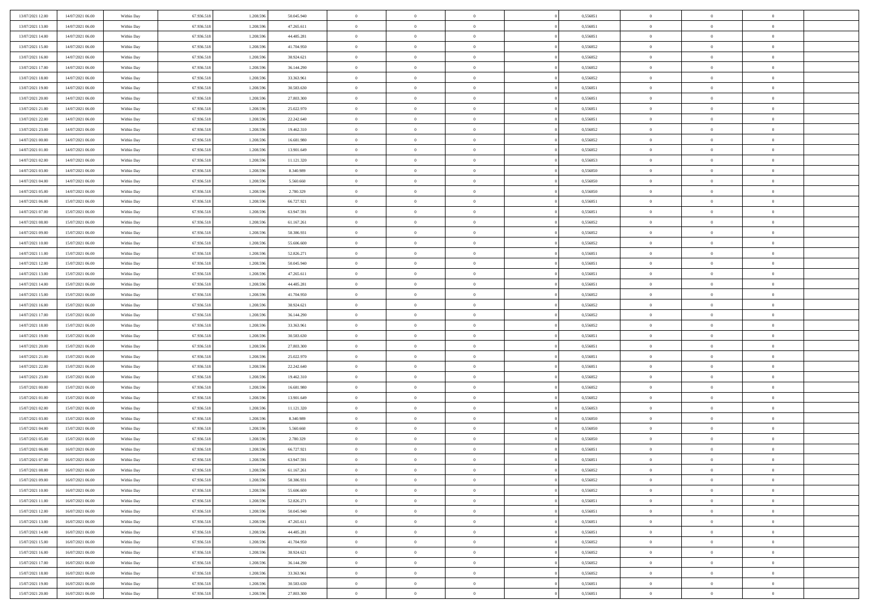| 13/07/2021 12:00 | 14/07/2021 06:00 | Within Day               | 67.936.518 | 1.208.596 | 50.045.940 | $\,$ 0         | $\bf{0}$       | $\theta$       |          | 0,556851 | $\bf{0}$       | $\overline{0}$ | $\,0\,$        |  |
|------------------|------------------|--------------------------|------------|-----------|------------|----------------|----------------|----------------|----------|----------|----------------|----------------|----------------|--|
| 13/07/2021 13:00 | 14/07/2021 06:00 | Within Day               | 67.936.518 | 1.208.596 | 47.265.611 | $\overline{0}$ | $\overline{0}$ | $\overline{0}$ |          | 0.556851 | $\overline{0}$ | $\overline{0}$ | $\theta$       |  |
| 13/07/2021 14:00 | 14/07/2021 06:00 | Within Dav               | 67.936.518 | 1.208.596 | 44.485.281 | $\mathbf{0}$   | $\overline{0}$ | $\overline{0}$ |          | 0,556851 | $\mathbf{0}$   | $\overline{0}$ | $\overline{0}$ |  |
| 13/07/2021 15:00 | 14/07/2021 06:00 | Within Day               | 67.936.518 | 1.208.596 | 41.704.950 | $\bf{0}$       | $\overline{0}$ | $\overline{0}$ |          | 0,556852 | $\bf{0}$       | $\overline{0}$ | $\bf{0}$       |  |
| 13/07/2021 16:00 | 14/07/2021 06:00 | Within Day               | 67.936.518 | 1.208.596 | 38.924.621 | $\bf{0}$       | $\bf{0}$       | $\overline{0}$ |          | 0,556852 | $\bf{0}$       | $\bf{0}$       | $\,0\,$        |  |
| 13/07/2021 17:00 | 14/07/2021 06:00 | Within Dav               | 67.936.518 | 1.208.596 | 36.144.290 | $\mathbf{0}$   | $\overline{0}$ | $\overline{0}$ |          | 0,556852 | $\mathbf{0}$   | $\overline{0}$ | $\overline{0}$ |  |
| 13/07/2021 18:00 | 14/07/2021 06:00 | Within Day               | 67.936.518 | 1.208.596 | 33.363.961 | $\bf{0}$       | $\bf{0}$       | $\overline{0}$ |          | 0,556852 | $\bf{0}$       | $\overline{0}$ | $\,0\,$        |  |
| 13/07/2021 19:00 | 14/07/2021 06:00 | Within Day               | 67.936.518 | 1.208.596 | 30.583.630 | $\overline{0}$ | $\overline{0}$ | $\overline{0}$ |          | 0,556851 | $\,$ 0 $\,$    | $\overline{0}$ | $\overline{0}$ |  |
| 13/07/2021 20:00 | 14/07/2021 06:00 | Within Day               | 67.936.518 | 1.208.596 | 27.803.300 | $\mathbf{0}$   | $\overline{0}$ | $\overline{0}$ |          | 0,556851 | $\mathbf{0}$   | $\overline{0}$ | $\overline{0}$ |  |
| 13/07/2021 21:00 | 14/07/2021 06:00 | Within Day               | 67.936.518 | 1.208.596 | 25.022.970 | $\bf{0}$       | $\bf{0}$       | $\overline{0}$ |          | 0,556851 | $\bf{0}$       | $\overline{0}$ | $\,0\,$        |  |
| 13/07/2021 22.00 | 14/07/2021 06:00 | Within Day               | 67.936.518 | 1.208.596 | 22.242.640 | $\overline{0}$ | $\overline{0}$ | $\overline{0}$ |          | 0.556851 | $\bf{0}$       | $\overline{0}$ | $\overline{0}$ |  |
| 13/07/2021 23:00 | 14/07/2021 06:00 | Within Dav               | 67.936.518 | 1.208.596 | 19.462.310 | $\mathbf{0}$   | $\overline{0}$ | $\overline{0}$ |          | 0,556852 | $\mathbf{0}$   | $\overline{0}$ | $\overline{0}$ |  |
| 14/07/2021 00:00 | 14/07/2021 06:00 | Within Day               | 67.936.518 | 1.208.596 | 16.681.980 | $\bf{0}$       | $\overline{0}$ | $\bf{0}$       |          | 0,556852 | $\bf{0}$       | $\overline{0}$ | $\bf{0}$       |  |
| 14/07/2021 01:00 | 14/07/2021 06:00 | Within Day               | 67.936.518 | 1.208.596 | 13.901.649 | $\bf{0}$       | $\overline{0}$ | $\overline{0}$ |          | 0,556852 | $\bf{0}$       | $\mathbf{0}$   | $\,0\,$        |  |
| 14/07/2021 02:00 | 14/07/2021 06:00 | Within Dav               | 67.936.518 | 1.208.596 | 11.121.320 | $\overline{0}$ | $\overline{0}$ | $\overline{0}$ |          | 0,556853 | $\mathbf{0}$   | $\overline{0}$ | $\overline{0}$ |  |
| 14/07/2021 03:00 | 14/07/2021 06:00 | Within Day               | 67.936.518 | 1.208.596 | 8.340.989  | $\bf{0}$       | $\bf{0}$       | $\overline{0}$ |          | 0,556850 | $\bf{0}$       | $\overline{0}$ | $\bf{0}$       |  |
| 14/07/2021 04:00 | 14/07/2021 06:00 |                          | 67.936.518 | 1.208.596 | 5.560.660  | $\overline{0}$ | $\overline{0}$ | $\overline{0}$ |          | 0.556850 | $\bf{0}$       | $\overline{0}$ | $\overline{0}$ |  |
| 14/07/2021 05:00 | 14/07/2021 06:00 | Within Day<br>Within Day | 67.936.518 | 1.208.596 | 2.780.329  | $\mathbf{0}$   | $\overline{0}$ | $\overline{0}$ |          | 0,556850 | $\mathbf{0}$   | $\overline{0}$ | $\overline{0}$ |  |
| 14/07/2021 06:00 | 15/07/2021 06:00 | Within Day               | 67.936.518 | 1.208.596 | 66.727.921 | $\bf{0}$       | $\bf{0}$       | $\overline{0}$ |          | 0,556851 | $\bf{0}$       | $\overline{0}$ | $\,0\,$        |  |
| 14/07/2021 07:00 | 15/07/2021 06:00 |                          | 67.936.518 | 1.208.596 | 63.947.591 | $\overline{0}$ | $\overline{0}$ | $\overline{0}$ |          | 0,556851 | $\bf{0}$       | $\overline{0}$ | $\overline{0}$ |  |
| 14/07/2021 08:00 | 15/07/2021 06:00 | Within Day<br>Within Dav | 67.936.518 | 1.208.596 | 61.167.261 | $\mathbf{0}$   | $\overline{0}$ | $\overline{0}$ |          | 0,556852 | $\mathbf{0}$   | $\overline{0}$ | $\overline{0}$ |  |
|                  |                  |                          |            |           |            | $\bf{0}$       |                |                |          |          | $\bf{0}$       |                | $\bf{0}$       |  |
| 14/07/2021 09:00 | 15/07/2021 06:00 | Within Day               | 67.936.518 | 1.208.596 | 58.386.931 |                | $\overline{0}$ | $\overline{0}$ |          | 0,556852 |                | $\overline{0}$ |                |  |
| 14/07/2021 10:00 | 15/07/2021 06:00 | Within Day               | 67.936.518 | 1.208.596 | 55.606.600 | $\bf{0}$       | $\bf{0}$       | $\overline{0}$ |          | 0,556852 | $\bf{0}$       | $\overline{0}$ | $\,0\,$        |  |
| 14/07/2021 11:00 | 15/07/2021 06:00 | Within Dav               | 67.936.518 | 1.208.596 | 52.826.271 | $\mathbf{0}$   | $\overline{0}$ | $\overline{0}$ |          | 0,556851 | $\mathbf{0}$   | $\overline{0}$ | $\overline{0}$ |  |
| 14/07/2021 12:00 | 15/07/2021 06:00 | Within Day               | 67.936.518 | 1.208.596 | 50.045.940 | $\bf{0}$       | $\bf{0}$       | $\overline{0}$ |          | 0,556851 | $\bf{0}$       | $\overline{0}$ | $\bf{0}$       |  |
| 14/07/2021 13:00 | 15/07/2021 06:00 | Within Day               | 67.936.518 | 1.208.596 | 47.265.611 | $\overline{0}$ | $\overline{0}$ | $\overline{0}$ |          | 0,556851 | $\bf{0}$       | $\mathbf{0}$   | $\overline{0}$ |  |
| 14/07/2021 14:00 | 15/07/2021 06:00 | Within Day               | 67.936.518 | 1.208.596 | 44.485.281 | $\mathbf{0}$   | $\overline{0}$ | $\overline{0}$ |          | 0,556851 | $\mathbf{0}$   | $\overline{0}$ | $\overline{0}$ |  |
| 14/07/2021 15:00 | 15/07/2021 06:00 | Within Day               | 67.936.518 | 1.208.596 | 41.704.950 | $\bf{0}$       | $\bf{0}$       | $\overline{0}$ |          | 0,556852 | $\bf{0}$       | $\overline{0}$ | $\,0\,$        |  |
| 14/07/2021 16:00 | 15/07/2021 06:00 | Within Day               | 67.936.518 | 1.208.596 | 38.924.621 | $\bf{0}$       | $\overline{0}$ | $\overline{0}$ |          | 0.556852 | $\bf{0}$       | $\overline{0}$ | $\overline{0}$ |  |
| 14/07/2021 17:00 | 15/07/2021 06:00 | Within Dav               | 67.936.518 | 1.208.596 | 36.144.290 | $\mathbf{0}$   | $\overline{0}$ | $\overline{0}$ |          | 0,556852 | $\mathbf{0}$   | $\overline{0}$ | $\overline{0}$ |  |
| 14/07/2021 18:00 | 15/07/2021 06:00 | Within Day               | 67.936.518 | 1.208.596 | 33.363.961 | $\bf{0}$       | $\overline{0}$ | $\theta$       |          | 0,556852 | $\,$ 0         | $\overline{0}$ | $\theta$       |  |
| 14/07/2021 19:00 | 15/07/2021 06:00 | Within Day               | 67.936.518 | 1.208.596 | 30.583.630 | $\bf{0}$       | $\bf{0}$       | $\overline{0}$ |          | 0,556851 | $\bf{0}$       | $\overline{0}$ | $\overline{0}$ |  |
| 14/07/2021 20:00 | 15/07/2021 06:00 | Within Dav               | 67.936.518 | 1.208.596 | 27.803.300 | $\overline{0}$ | $\overline{0}$ | $\overline{0}$ |          | 0,556851 | $\mathbf{0}$   | $\overline{0}$ | $\overline{0}$ |  |
| 14/07/2021 21:00 | 15/07/2021 06:00 | Within Day               | 67.936.518 | 1.208.596 | 25.022.970 | $\bf{0}$       | $\overline{0}$ | $\theta$       |          | 0,556851 | $\,$ 0         | $\overline{0}$ | $\theta$       |  |
| 14/07/2021 22:00 | 15/07/2021 06:00 | Within Day               | 67.936.518 | 1.208.596 | 22.242.640 | $\bf{0}$       | $\overline{0}$ | $\overline{0}$ |          | 0,556851 | $\bf{0}$       | $\overline{0}$ | $\overline{0}$ |  |
| 14/07/2021 23:00 | 15/07/2021 06:00 | Within Day               | 67.936.518 | 1.208.596 | 19.462.310 | $\mathbf{0}$   | $\overline{0}$ | $\overline{0}$ |          | 0,556852 | $\mathbf{0}$   | $\overline{0}$ | $\overline{0}$ |  |
| 15/07/2021 00:00 | 15/07/2021 06:00 | Within Day               | 67.936.518 | 1.208.596 | 16.681.980 | $\bf{0}$       | $\overline{0}$ | $\theta$       |          | 0,556852 | $\,$ 0         | $\overline{0}$ | $\theta$       |  |
| 15/07/2021 01:00 | 15/07/2021 06:00 | Within Day               | 67.936.518 | 1.208.596 | 13.901.649 | $\bf{0}$       | $\overline{0}$ | $\overline{0}$ |          | 0,556852 | $\bf{0}$       | $\overline{0}$ | $\overline{0}$ |  |
| 15/07/2021 02:00 | 15/07/2021 06:00 | Within Dav               | 67.936.518 | 1.208.596 | 11.121.320 | $\mathbf{0}$   | $\overline{0}$ | $\overline{0}$ |          | 0,556853 | $\mathbf{0}$   | $\overline{0}$ | $\overline{0}$ |  |
| 15/07/2021 03:00 | 15/07/2021 06:00 | Within Day               | 67.936.518 | 1.208.596 | 8.340.989  | $\,0\,$        | $\overline{0}$ | $\theta$       |          | 0,556850 | $\,$ 0         | $\overline{0}$ | $\theta$       |  |
| 15/07/2021 04:00 | 15/07/2021 06:00 | Within Day               | 67.936.518 | 1.208.596 | 5.560.660  | $\bf{0}$       | $\overline{0}$ | $\overline{0}$ |          | 0,556850 | $\bf{0}$       | $\overline{0}$ | $\overline{0}$ |  |
| 15/07/2021 05:00 | 15/07/2021 06:00 | Within Dav               | 67.936.518 | 1.208.596 | 2.780.329  | $\mathbf{0}$   | $\overline{0}$ | $\overline{0}$ |          | 0,556850 | $\mathbf{0}$   | $\overline{0}$ | $\overline{0}$ |  |
| 15/07/2021 06:00 | 16/07/2021 06:00 | Within Day               | 67.936.518 | 1.208.596 | 66.727.921 | $\bf{0}$       | $\overline{0}$ | $\theta$       |          | 0,556851 | $\,$ 0         | $\overline{0}$ | $\theta$       |  |
| 15/07/2021 07:00 | 16/07/2021 06:00 | Within Day               | 67.936.518 | 1.208.596 | 63.947.591 | $\bf{0}$       | $\overline{0}$ | $\overline{0}$ |          | 0,556851 | $\,$ 0 $\,$    | $\overline{0}$ | $\overline{0}$ |  |
| 15/07/2021 08:00 | 16/07/2021 06:00 | Within Day               | 67.936.518 | 1.208.596 | 61.167.261 | $\bf{0}$       | $\overline{0}$ | $\Omega$       |          | 0,556852 | $\overline{0}$ | $\theta$       | $\theta$       |  |
| 15/07/2021 09:00 | 16/07/2021 06:00 | Within Day               | 67.936.518 | 1.208.596 | 58.386.931 | $\,0\,$        | $\overline{0}$ | $\theta$       |          | 0,556852 | $\,$ 0 $\,$    | $\bf{0}$       | $\theta$       |  |
| 15/07/2021 10:00 | 16/07/2021 06:00 | Within Day               | 67.936.518 | 1.208.596 | 55.606.600 | $\overline{0}$ | $\overline{0}$ | $\overline{0}$ |          | 0,556852 | $\overline{0}$ | $\overline{0}$ | $\overline{0}$ |  |
| 15/07/2021 11:00 | 16/07/2021 06:00 | Within Day               | 67.936.518 | 1.208.596 | 52.826.271 | $\bf{0}$       | $\overline{0}$ | $\overline{0}$ |          | 0,556851 | $\overline{0}$ | $\bf{0}$       | $\overline{0}$ |  |
| 15/07/2021 12:00 | 16/07/2021 06:00 | Within Day               | 67.936.518 | 1.208.596 | 50.045.940 | $\bf{0}$       | $\overline{0}$ | $\overline{0}$ | $\theta$ | 0,556851 | $\,$ 0 $\,$    | $\bf{0}$       | $\,$ 0 $\,$    |  |
| 15/07/2021 13:00 | 16/07/2021 06:00 | Within Day               | 67.936.518 | 1.208.596 | 47.265.611 | $\bf{0}$       | $\overline{0}$ | $\overline{0}$ |          | 0,556851 | $\,$ 0 $\,$    | $\overline{0}$ | $\overline{0}$ |  |
| 15/07/2021 14:00 | 16/07/2021 06:00 | Within Day               | 67.936.518 | 1.208.596 | 44.485.281 | $\bf{0}$       | $\overline{0}$ | $\overline{0}$ |          | 0,556851 | $\mathbf{0}$   | $\overline{0}$ | $\overline{0}$ |  |
| 15/07/2021 15:00 | 16/07/2021 06:00 | Within Day               | 67.936.518 | 1.208.596 | 41.704.950 | $\,0\,$        | $\overline{0}$ | $\overline{0}$ | $\theta$ | 0,556852 | $\,$ 0 $\,$    | $\overline{0}$ | $\overline{0}$ |  |
| 15/07/2021 16:00 | 16/07/2021 06:00 | Within Day               | 67.936.518 | 1.208.596 | 38.924.621 | $\bf{0}$       | $\overline{0}$ | $\overline{0}$ |          | 0,556852 | $\overline{0}$ | $\overline{0}$ | $\overline{0}$ |  |
| 15/07/2021 17:00 | 16/07/2021 06:00 | Within Day               | 67.936.518 | 1.208.596 | 36.144.290 | $\bf{0}$       | $\overline{0}$ | $\overline{0}$ |          | 0,556852 | $\mathbf{0}$   | $\bf{0}$       | $\overline{0}$ |  |
| 15/07/2021 18:00 | 16/07/2021 06:00 | Within Day               | 67.936.518 | 1.208.596 | 33.363.961 | $\,0\,$        | $\overline{0}$ | $\overline{0}$ |          | 0,556852 | $\,$ 0 $\,$    | $\overline{0}$ | $\,$ 0 $\,$    |  |
| 15/07/2021 19:00 | 16/07/2021 06:00 | Within Day               | 67.936.518 | 1.208.596 | 30.583.630 | $\overline{0}$ | $\overline{0}$ | $\overline{0}$ |          | 0,556851 | $\bf{0}$       | $\mathbf{0}$   | $\overline{0}$ |  |
| 15/07/2021 20:00 | 16/07/2021 06:00 | Within Day               | 67.936.518 | 1.208.596 | 27.803.300 | $\overline{0}$ | $\overline{0}$ | $\overline{0}$ |          | 0,556851 | $\mathbf{0}$   | $\overline{0}$ | $\overline{0}$ |  |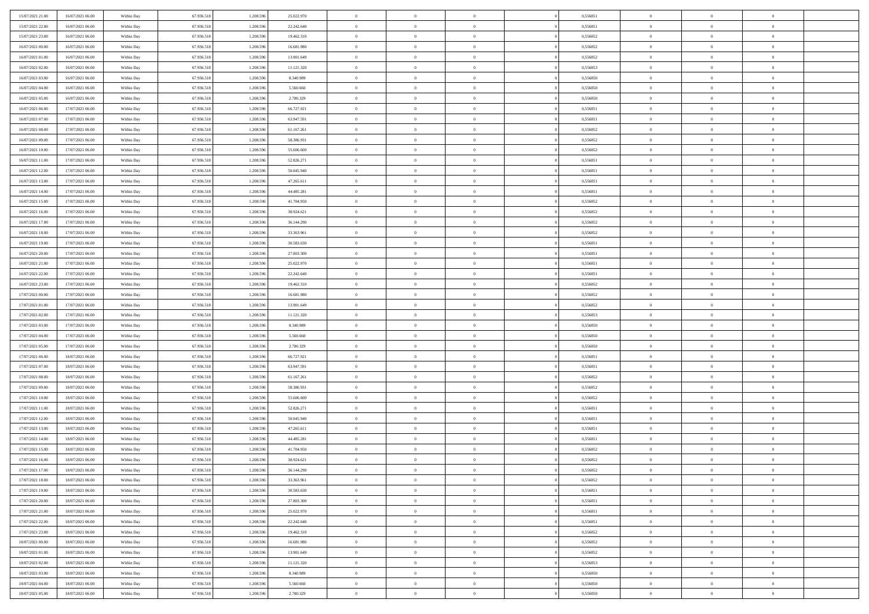| 15/07/2021 21:00 | 16/07/2021 06:00 | Within Day               | 67.936.518 | 1.208.596 | 25.022.970 | $\bf{0}$       | $\bf{0}$       | $\theta$       |          | 0,556851 | $\bf{0}$       | $\overline{0}$ | $\,0\,$        |  |
|------------------|------------------|--------------------------|------------|-----------|------------|----------------|----------------|----------------|----------|----------|----------------|----------------|----------------|--|
| 15/07/2021 22:00 | 16/07/2021 06:00 | Within Day               | 67.936.518 | 1.208.59  | 22.242.640 | $\overline{0}$ | $\overline{0}$ | $\overline{0}$ |          | 0.556851 | $\overline{0}$ | $\overline{0}$ | $\theta$       |  |
| 15/07/2021 23:00 | 16/07/2021 06:00 | Within Dav               | 67.936.518 | 1.208.596 | 19.462.310 | $\mathbf{0}$   | $\overline{0}$ | $\overline{0}$ |          | 0,556852 | $\mathbf{0}$   | $\overline{0}$ | $\overline{0}$ |  |
| 16/07/2021 00:00 | 16/07/2021 06:00 | Within Day               | 67.936.518 | 1.208.596 | 16.681.980 | $\bf{0}$       | $\overline{0}$ | $\overline{0}$ |          | 0,556852 | $\bf{0}$       | $\overline{0}$ | $\bf{0}$       |  |
| 16/07/2021 01:00 | 16/07/2021 06:00 | Within Day               | 67.936.518 | 1.208.596 | 13.901.649 | $\bf{0}$       | $\bf{0}$       | $\overline{0}$ |          | 0,556852 | $\bf{0}$       | $\bf{0}$       | $\,0\,$        |  |
| 16/07/2021 02:00 | 16/07/2021 06:00 | Within Dav               | 67.936.518 | 1.208.596 | 11.121.320 | $\mathbf{0}$   | $\overline{0}$ | $\overline{0}$ |          | 0,556853 | $\mathbf{0}$   | $\overline{0}$ | $\overline{0}$ |  |
|                  |                  |                          |            |           |            |                |                |                |          |          |                |                |                |  |
| 16/07/2021 03:00 | 16/07/2021 06:00 | Within Day               | 67.936.518 | 1.208.596 | 8.340.989  | $\bf{0}$       | $\bf{0}$       | $\overline{0}$ |          | 0,556850 | $\bf{0}$       | $\overline{0}$ | $\,0\,$        |  |
| 16/07/2021 04:00 | 16/07/2021 06:00 | Within Day               | 67.936.518 | 1.208.596 | 5.560.660  | $\overline{0}$ | $\overline{0}$ | $\overline{0}$ |          | 0,556850 | $\,$ 0 $\,$    | $\overline{0}$ | $\theta$       |  |
| 16/07/2021 05:00 | 16/07/2021 06:00 | Within Day               | 67.936.518 | 1.208.596 | 2.780.329  | $\mathbf{0}$   | $\overline{0}$ | $\overline{0}$ |          | 0,556850 | $\mathbf{0}$   | $\overline{0}$ | $\overline{0}$ |  |
| 16/07/2021 06:00 | 17/07/2021 06:00 | Within Day               | 67.936.518 | 1.208.596 | 66.727.921 | $\bf{0}$       | $\bf{0}$       | $\overline{0}$ |          | 0,556851 | $\bf{0}$       | $\overline{0}$ | $\,0\,$        |  |
| 16/07/2021 07:00 | 17/07/2021 06:00 | Within Day               | 67.936.518 | 1.208.596 | 63.947.591 | $\bf{0}$       | $\overline{0}$ | $\overline{0}$ |          | 0.556851 | $\bf{0}$       | $\overline{0}$ | $\overline{0}$ |  |
| 16/07/2021 08:00 | 17/07/2021 06:00 | Within Dav               | 67.936.518 | 1.208.596 | 61.167.261 | $\mathbf{0}$   | $\overline{0}$ | $\overline{0}$ |          | 0,556852 | $\mathbf{0}$   | $\overline{0}$ | $\overline{0}$ |  |
| 16/07/2021 09:00 | 17/07/2021 06:00 | Within Day               | 67.936.518 | 1.208.596 | 58.386.931 | $\bf{0}$       | $\overline{0}$ | $\bf{0}$       |          | 0,556852 | $\bf{0}$       | $\overline{0}$ | $\bf{0}$       |  |
| 16/07/2021 10:00 | 17/07/2021 06:00 | Within Day               | 67.936.518 | 1.208.596 | 55.606.600 | $\bf{0}$       | $\overline{0}$ | $\overline{0}$ |          | 0,556852 | $\bf{0}$       | $\mathbf{0}$   | $\,0\,$        |  |
| 16/07/2021 11:00 | 17/07/2021 06:00 | Within Dav               | 67.936.518 | 1.208.596 | 52.826.271 | $\overline{0}$ | $\overline{0}$ | $\overline{0}$ |          | 0,556851 | $\mathbf{0}$   | $\overline{0}$ | $\overline{0}$ |  |
| 16/07/2021 12:00 | 17/07/2021 06:00 | Within Day               | 67.936.518 | 1.208.596 | 50.045.940 | $\bf{0}$       | $\bf{0}$       | $\overline{0}$ |          | 0,556851 | $\bf{0}$       | $\overline{0}$ | $\bf{0}$       |  |
| 16/07/2021 13:00 | 17/07/2021 06:00 | Within Day               | 67.936.518 | 1.208.596 | 47.265.611 | $\overline{0}$ | $\overline{0}$ | $\overline{0}$ |          | 0,556851 | $\bf{0}$       | $\overline{0}$ | $\overline{0}$ |  |
| 16/07/2021 14:00 | 17/07/2021 06:00 | Within Day               | 67.936.518 | 1.208.596 | 44.485.281 | $\mathbf{0}$   | $\overline{0}$ | $\overline{0}$ |          | 0,556851 | $\mathbf{0}$   | $\overline{0}$ | $\overline{0}$ |  |
| 16/07/2021 15:00 | 17/07/2021 06:00 | Within Day               | 67.936.518 | 1.208.596 | 41.704.950 | $\bf{0}$       | $\bf{0}$       | $\overline{0}$ |          | 0,556852 | $\bf{0}$       | $\overline{0}$ | $\,0\,$        |  |
| 16/07/2021 16:00 | 17/07/2021 06:00 | Within Day               | 67.936.518 | 1.208.596 | 38.924.621 | $\overline{0}$ | $\overline{0}$ | $\overline{0}$ |          | 0,556852 | $\bf{0}$       | $\overline{0}$ | $\overline{0}$ |  |
| 16/07/2021 17:00 | 17/07/2021 06:00 | Within Dav               | 67.936.518 | 1.208.596 | 36.144.290 | $\mathbf{0}$   | $\overline{0}$ | $\overline{0}$ |          | 0,556852 | $\mathbf{0}$   | $\overline{0}$ | $\overline{0}$ |  |
| 16/07/2021 18:00 | 17/07/2021 06:00 | Within Day               | 67.936.518 | 1.208.596 | 33.363.961 | $\bf{0}$       | $\overline{0}$ | $\overline{0}$ |          | 0,556852 | $\bf{0}$       | $\overline{0}$ | $\bf{0}$       |  |
| 16/07/2021 19:00 | 17/07/2021 06:00 | Within Day               | 67.936.518 | 1.208.596 | 30.583.630 | $\bf{0}$       | $\bf{0}$       | $\overline{0}$ |          | 0,556851 | $\bf{0}$       | $\overline{0}$ | $\,0\,$        |  |
| 16/07/2021 20:00 | 17/07/2021 06:00 | Within Dav               | 67.936.518 | 1.208.596 | 27.803.300 | $\mathbf{0}$   | $\overline{0}$ | $\overline{0}$ |          | 0,556851 | $\mathbf{0}$   | $\overline{0}$ | $\overline{0}$ |  |
| 16/07/2021 21:00 | 17/07/2021 06:00 | Within Day               | 67.936.518 | 1.208.596 | 25.022.970 | $\bf{0}$       | $\bf{0}$       | $\overline{0}$ |          | 0,556851 | $\bf{0}$       | $\overline{0}$ | $\bf{0}$       |  |
| 16/07/2021 22:00 | 17/07/2021 06:00 | Within Day               | 67.936.518 | 1.208.596 | 22.242.640 | $\overline{0}$ | $\overline{0}$ | $\overline{0}$ |          | 0,556851 | $\bf{0}$       | $\mathbf{0}$   | $\overline{0}$ |  |
| 16/07/2021 23:00 | 17/07/2021 06:00 | Within Day               | 67.936.518 | 1.208.596 | 19.462.310 | $\mathbf{0}$   | $\overline{0}$ | $\overline{0}$ |          | 0,556852 | $\mathbf{0}$   | $\overline{0}$ | $\overline{0}$ |  |
| 17/07/2021 00:00 | 17/07/2021 06:00 | Within Day               | 67.936.518 | 1.208.596 | 16.681.980 | $\bf{0}$       | $\bf{0}$       | $\overline{0}$ |          | 0,556852 | $\bf{0}$       | $\overline{0}$ | $\,0\,$        |  |
| 17/07/2021 01:00 | 17/07/2021 06:00 |                          | 67.936.518 | 1.208.596 | 13.901.649 | $\bf{0}$       | $\overline{0}$ | $\overline{0}$ |          | 0.556852 | $\bf{0}$       | $\overline{0}$ | $\overline{0}$ |  |
| 17/07/2021 02:00 | 17/07/2021 06:00 | Within Day<br>Within Dav | 67.936.518 | 1.208.596 | 11.121.320 | $\mathbf{0}$   | $\overline{0}$ | $\overline{0}$ |          | 0,556853 | $\mathbf{0}$   | $\overline{0}$ | $\overline{0}$ |  |
|                  |                  |                          |            |           |            | $\bf{0}$       |                | $\overline{0}$ |          |          | $\,$ 0         | $\overline{0}$ | $\theta$       |  |
| 17/07/2021 03:00 | 17/07/2021 06:00 | Within Day               | 67.936.518 | 1.208.596 | 8.340.989  |                | $\overline{0}$ |                |          | 0,556850 |                |                |                |  |
| 17/07/2021 04:00 | 17/07/2021 06:00 | Within Day               | 67.936.518 | 1.208.596 | 5.560.660  | $\bf{0}$       | $\overline{0}$ | $\overline{0}$ |          | 0,556850 | $\bf{0}$       | $\overline{0}$ | $\overline{0}$ |  |
| 17/07/2021 05:00 | 17/07/2021 06:00 | Within Dav               | 67.936.518 | 1.208.596 | 2.780.329  | $\overline{0}$ | $\overline{0}$ | $\overline{0}$ |          | 0,556850 | $\mathbf{0}$   | $\overline{0}$ | $\overline{0}$ |  |
| 17/07/2021 06:00 | 18/07/2021 06:00 | Within Day               | 67.936.518 | 1.208.596 | 66.727.921 | $\bf{0}$       | $\overline{0}$ | $\overline{0}$ |          | 0,556851 | $\,$ 0         | $\overline{0}$ | $\theta$       |  |
| 17/07/2021 07:00 | 18/07/2021 06:00 | Within Day               | 67.936.518 | 1.208.596 | 63.947.591 | $\bf{0}$       | $\overline{0}$ | $\overline{0}$ |          | 0,556851 | $\bf{0}$       | $\overline{0}$ | $\overline{0}$ |  |
| 17/07/2021 08:00 | 18/07/2021 06:00 | Within Day               | 67.936.518 | 1.208.596 | 61.167.261 | $\mathbf{0}$   | $\overline{0}$ | $\overline{0}$ |          | 0,556852 | $\mathbf{0}$   | $\overline{0}$ | $\overline{0}$ |  |
| 17/07/2021 09:00 | 18/07/2021 06:00 | Within Day               | 67.936.518 | 1.208.596 | 58.386.931 | $\bf{0}$       | $\overline{0}$ | $\overline{0}$ |          | 0,556852 | $\,$ 0         | $\overline{0}$ | $\theta$       |  |
| 17/07/2021 10:00 | 18/07/2021 06:00 | Within Day               | 67.936.518 | 1.208.596 | 55.606.600 | $\bf{0}$       | $\overline{0}$ | $\overline{0}$ |          | 0,556852 | $\bf{0}$       | $\overline{0}$ | $\overline{0}$ |  |
| 17/07/2021 11:00 | 18/07/2021 06:00 | Within Dav               | 67.936.518 | 1.208.596 | 52.826.271 | $\mathbf{0}$   | $\overline{0}$ | $\overline{0}$ |          | 0,556851 | $\mathbf{0}$   | $\overline{0}$ | $\overline{0}$ |  |
| 17/07/2021 12:00 | 18/07/2021 06:00 | Within Day               | 67.936.518 | 1.208.596 | 50.045.940 | $\,0\,$        | $\overline{0}$ | $\overline{0}$ |          | 0,556851 | $\,$ 0         | $\overline{0}$ | $\theta$       |  |
| 17/07/2021 13:00 | 18/07/2021 06:00 | Within Day               | 67.936.518 | 1.208.596 | 47.265.611 | $\bf{0}$       | $\overline{0}$ | $\overline{0}$ |          | 0,556851 | $\bf{0}$       | $\overline{0}$ | $\overline{0}$ |  |
| 17/07/2021 14:00 | 18/07/2021 06:00 | Within Dav               | 67.936.518 | 1.208.596 | 44.485.281 | $\mathbf{0}$   | $\overline{0}$ | $\overline{0}$ |          | 0,556851 | $\mathbf{0}$   | $\overline{0}$ | $\overline{0}$ |  |
| 17/07/2021 15:00 | 18/07/2021 06:00 | Within Day               | 67.936.518 | 1.208.596 | 41.704.950 | $\bf{0}$       | $\overline{0}$ | $\overline{0}$ |          | 0,556852 | $\,$ 0         | $\overline{0}$ | $\theta$       |  |
| 17/07/2021 16:00 | 18/07/2021 06:00 | Within Day               | 67.936.518 | 1.208.596 | 38.924.621 | $\bf{0}$       | $\overline{0}$ | $\overline{0}$ |          | 0,556852 | $\bf{0}$       | $\overline{0}$ | $\bf{0}$       |  |
| 17/07/2021 17:00 | 18/07/2021 06:00 | Within Day               | 67.936.518 | 1.208.596 | 36.144.290 | $\bf{0}$       | $\overline{0}$ |                |          | 0,556852 | $\overline{0}$ | $\theta$       | $\theta$       |  |
| 17/07/2021 18:00 | 18/07/2021 06:00 | Within Day               | 67.936.518 | 1.208.596 | 33.363.961 | $\,0\,$        | $\overline{0}$ | $\overline{0}$ |          | 0,556852 | $\,$ 0 $\,$    | $\bf{0}$       | $\theta$       |  |
| 17/07/2021 19:00 | 18/07/2021 06:00 | Within Day               | 67.936.518 | 1.208.596 | 30.583.630 | $\overline{0}$ | $\overline{0}$ | $\overline{0}$ |          | 0,556851 | $\overline{0}$ | $\overline{0}$ | $\overline{0}$ |  |
| 17/07/2021 20:00 | 18/07/2021 06:00 | Within Day               | 67.936.518 | 1.208.596 | 27.803.300 | $\bf{0}$       | $\overline{0}$ | $\overline{0}$ |          | 0,556851 | $\overline{0}$ | $\bf{0}$       | $\overline{0}$ |  |
| 17/07/2021 21:00 | 18/07/2021 06:00 | Within Day               | 67.936.518 | 1.208.596 | 25.022.970 | $\bf{0}$       | $\overline{0}$ | $\overline{0}$ | $\theta$ | 0,556851 | $\mathbf{0}$   | $\bf{0}$       | $\,$ 0 $\,$    |  |
| 17/07/2021 22:00 | 18/07/2021 06:00 | Within Day               | 67.936.518 | 1.208.596 | 22.242.640 | $\bf{0}$       | $\overline{0}$ | $\overline{0}$ |          | 0,556851 | $\,$ 0 $\,$    | $\overline{0}$ | $\overline{0}$ |  |
| 17/07/2021 23:00 | 18/07/2021 06:00 | Within Day               | 67.936.518 | 1.208.596 | 19.462.310 | $\bf{0}$       | $\overline{0}$ | $\overline{0}$ |          | 0,556852 | $\mathbf{0}$   | $\overline{0}$ | $\overline{0}$ |  |
| 18/07/2021 00:00 | 18/07/2021 06:00 | Within Day               | 67.936.518 | 1.208.596 | 16.681.980 | $\,0\,$        | $\overline{0}$ | $\overline{0}$ | $\theta$ | 0,556852 | $\,$ 0 $\,$    | $\mathbf{0}$   | $\,$ 0 $\,$    |  |
| 18/07/2021 01:00 | 18/07/2021 06:00 | Within Day               | 67.936.518 | 1.208.596 | 13.901.649 | $\bf{0}$       | $\overline{0}$ | $\overline{0}$ |          | 0,556852 | $\overline{0}$ | $\overline{0}$ | $\overline{0}$ |  |
| 18/07/2021 02:00 | 18/07/2021 06:00 | Within Day               | 67.936.518 | 1.208.596 | 11.121.320 | $\bf{0}$       | $\overline{0}$ | $\overline{0}$ |          | 0,556853 | $\mathbf{0}$   | $\bf{0}$       | $\overline{0}$ |  |
| 18/07/2021 03:00 | 18/07/2021 06:00 | Within Day               | 67.936.518 | 1.208.596 | 8.340.989  | $\,$ 0 $\,$    | $\overline{0}$ | $\overline{0}$ |          | 0,556850 | $\,$ 0 $\,$    | $\mathbf{0}$   | $\,$ 0 $\,$    |  |
| 18/07/2021 04:00 | 18/07/2021 06:00 | Within Day               | 67.936.518 | 1.208.596 | 5.560.660  | $\overline{0}$ | $\overline{0}$ | $\overline{0}$ |          | 0,556850 | $\bf{0}$       | $\mathbf{0}$   | $\overline{0}$ |  |
| 18/07/2021 05:00 | 18/07/2021 06:00 | Within Day               | 67.936.518 | 1.208.596 | 2.780.329  | $\bf{0}$       | $\overline{0}$ | $\overline{0}$ |          | 0,556850 | $\mathbf{0}$   | $\overline{0}$ | $\overline{0}$ |  |
|                  |                  |                          |            |           |            |                |                |                |          |          |                |                |                |  |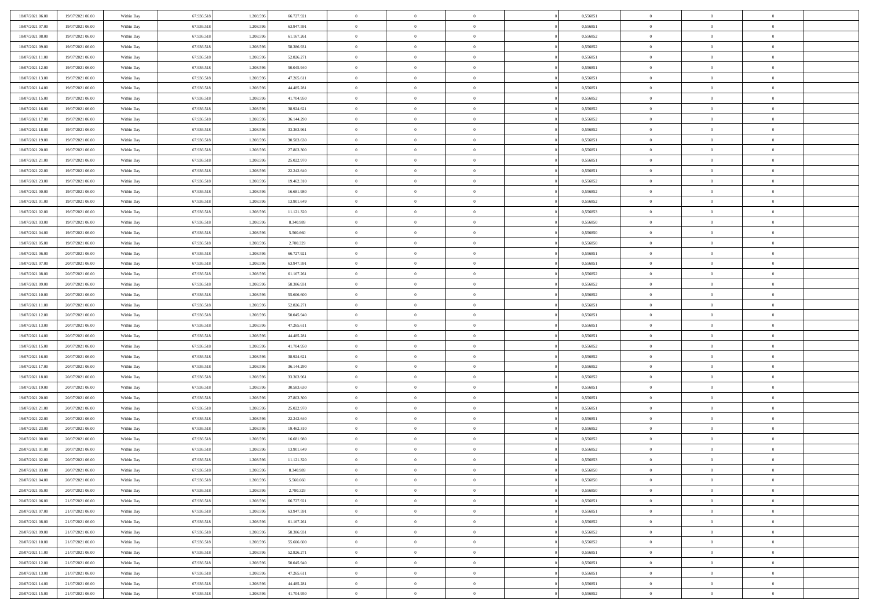| 18/07/2021 06:00 | 19/07/2021 06:00 | Within Day | 67.936.518 | 1.208.596 | 66.727.921 | $\overline{0}$ | $\overline{0}$ | $\Omega$       | 0,556851 | $\bf{0}$       | $\mathbf{0}$   | $\bf{0}$       |  |
|------------------|------------------|------------|------------|-----------|------------|----------------|----------------|----------------|----------|----------------|----------------|----------------|--|
| 18/07/2021 07:00 | 19/07/2021 06:00 | Within Dav | 67.936.518 | 1.208.596 | 63.947.591 | $\mathbf{0}$   | $\overline{0}$ | $\overline{0}$ | 0,556851 | $\overline{0}$ | $\overline{0}$ | $\overline{0}$ |  |
| 18/07/2021 08:00 | 19/07/2021 06:00 | Within Day | 67.936.518 | 1.208.596 | 61.167.261 | $\,$ 0         | $\overline{0}$ | $\bf{0}$       | 0,556852 | $\,$ 0         | $\overline{0}$ | $\,$ 0 $\,$    |  |
| 18/07/2021 09:00 | 19/07/2021 06:00 | Within Day | 67.936.518 | 1.208.596 | 58,386,931 | $\bf{0}$       | $\overline{0}$ | $\Omega$       | 0.556852 | $\bf{0}$       | $\mathbf{0}$   | $\theta$       |  |
| 18/07/2021 11:00 | 19/07/2021 06:00 | Within Dav | 67.936.518 | 1.208.596 | 52.826.271 | $\bf{0}$       | $\overline{0}$ | $\overline{0}$ | 0,556851 | $\overline{0}$ | $\overline{0}$ | $\overline{0}$ |  |
| 18/07/2021 12:00 | 19/07/2021 06:00 | Within Day | 67.936.518 | 1.208.596 | 50.045.940 | $\bf{0}$       | $\overline{0}$ | $\bf{0}$       | 0,556851 | $\,$ 0         | $\overline{0}$ | $\,$ 0 $\,$    |  |
| 18/07/2021 13:00 | 19/07/2021 06:00 | Within Day | 67.936.518 | 1.208.596 | 47.265.611 | $\bf{0}$       | $\overline{0}$ | $\Omega$       | 0.556851 | $\bf{0}$       | $\mathbf{0}$   | $\theta$       |  |
| 18/07/2021 14:00 | 19/07/2021 06:00 | Within Day | 67.936.518 | 1.208.596 | 44.485.281 | $\overline{0}$ | $\overline{0}$ | $\overline{0}$ | 0,556851 | $\mathbf{0}$   | $\overline{0}$ | $\overline{0}$ |  |
| 18/07/2021 15:00 | 19/07/2021 06:00 | Within Day | 67.936.518 | 1.208.596 | 41.704.950 | $\bf{0}$       | $\overline{0}$ | $\bf{0}$       | 0,556852 | $\,$ 0         | $\overline{0}$ | $\,$ 0 $\,$    |  |
| 18/07/2021 16:00 | 19/07/2021 06:00 | Within Day | 67.936.518 | 1.208.596 | 38.924.621 | $\bf{0}$       | $\overline{0}$ | $\Omega$       | 0.556852 | $\bf{0}$       | $\mathbf{0}$   | $\theta$       |  |
| 18/07/2021 17:00 | 19/07/2021 06:00 | Within Day | 67.936.518 | 1.208.596 | 36.144.290 | $\overline{0}$ | $\overline{0}$ | $\overline{0}$ | 0,556852 | $\mathbf{0}$   | $\overline{0}$ | $\overline{0}$ |  |
| 18/07/2021 18:00 | 19/07/2021 06:00 | Within Day | 67.936.518 | 1.208.596 | 33.363.961 | $\,$ 0         | $\overline{0}$ | $\bf{0}$       | 0,556852 | $\,$ 0         | $\overline{0}$ | $\,$ 0 $\,$    |  |
| 18/07/2021 19:00 | 19/07/2021 06:00 | Within Day | 67.936.518 | 1.208.596 | 30.583.630 | $\bf{0}$       | $\overline{0}$ | $\Omega$       | 0.556851 | $\overline{0}$ | $\mathbf{0}$   | $\theta$       |  |
| 18/07/2021 20:00 | 19/07/2021 06:00 | Within Dav | 67.936.518 | 1.208.596 | 27.803.300 | $\overline{0}$ | $\overline{0}$ | $\overline{0}$ | 0,556851 | $\mathbf{0}$   | $\overline{0}$ | $\overline{0}$ |  |
| 18/07/2021 21:00 | 19/07/2021 06:00 | Within Day | 67.936.518 | 1.208.596 | 25.022.970 | $\bf{0}$       | $\overline{0}$ | $\bf{0}$       | 0,556851 | $\,$ 0         | $\overline{0}$ | $\,$ 0 $\,$    |  |
| 18/07/2021 22:00 | 19/07/2021 06:00 | Within Day | 67.936.518 | 1.208.596 | 22.242.640 | $\bf{0}$       | $\overline{0}$ | $\overline{0}$ | 0.556851 | $\bf{0}$       | $\mathbf{0}$   | $\theta$       |  |
| 18/07/2021 23:00 | 19/07/2021 06:00 | Within Day | 67.936.518 | 1.208.596 | 19.462.310 | $\overline{0}$ | $\overline{0}$ | $\overline{0}$ | 0,556852 | $\mathbf{0}$   | $\overline{0}$ | $\overline{0}$ |  |
| 19/07/2021 00:00 | 19/07/2021 06:00 | Within Day | 67.936.518 | 1.208.596 | 16.681.980 | $\bf{0}$       | $\overline{0}$ | $\bf{0}$       | 0,556852 | $\,$ 0         | $\overline{0}$ | $\,0\,$        |  |
| 19/07/2021 01:00 | 19/07/2021 06:00 | Within Day | 67.936.518 | 1.208.596 | 13.901.649 | $\bf{0}$       | $\overline{0}$ | $\Omega$       | 0.556852 | $\theta$       | $\mathbf{0}$   | $\theta$       |  |
| 19/07/2021 02:00 | 19/07/2021 06:00 | Within Day | 67.936.518 | 1.208.596 | 11.121.320 | $\overline{0}$ | $\overline{0}$ | $\overline{0}$ | 0,556853 | $\mathbf{0}$   | $\overline{0}$ | $\overline{0}$ |  |
| 19/07/2021 03:00 | 19/07/2021 06:00 | Within Day | 67.936.518 | 1.208.596 | 8.340.989  | $\bf{0}$       | $\overline{0}$ | $\bf{0}$       | 0,556850 | $\,$ 0         | $\overline{0}$ | $\,$ 0 $\,$    |  |
| 19/07/2021 04:00 | 19/07/2021 06:00 | Within Day | 67.936.518 | 1.208.596 | 5.560,660  | $\bf{0}$       | $\overline{0}$ | $\Omega$       | 0.556850 | $\bf{0}$       | $\theta$       | $\theta$       |  |
| 19/07/2021 05:00 | 19/07/2021 06:00 | Within Day | 67.936.518 | 1.208.596 | 2.780.329  | $\overline{0}$ | $\overline{0}$ | $\overline{0}$ | 0,556850 | $\mathbf{0}$   | $\overline{0}$ | $\overline{0}$ |  |
| 19/07/2021 06:00 | 20/07/2021 06:00 | Within Day | 67.936.518 | 1.208.596 | 66.727.921 | $\bf{0}$       | $\overline{0}$ | $\bf{0}$       | 0,556851 | $\,$ 0         | $\overline{0}$ | $\,$ 0 $\,$    |  |
| 19/07/2021 07:00 | 20/07/2021 06:00 | Within Day | 67.936.518 | 1.208.596 | 63.947.591 | $\bf{0}$       | $\overline{0}$ | $\overline{0}$ | 0.556851 | $\bf{0}$       | $\bf{0}$       | $\theta$       |  |
| 19/07/2021 08:00 | 20/07/2021 06:00 | Within Day | 67.936.518 | 1.208.596 | 61.167.261 | $\overline{0}$ | $\overline{0}$ | $\overline{0}$ | 0,556852 | $\mathbf{0}$   | $\overline{0}$ | $\overline{0}$ |  |
| 19/07/2021 09:00 | 20/07/2021 06:00 | Within Day | 67.936.518 | 1.208.596 | 58.386.931 | $\bf{0}$       | $\overline{0}$ | $\bf{0}$       | 0,556852 | $\,$ 0         | $\overline{0}$ | $\,$ 0 $\,$    |  |
| 19/07/2021 10:00 | 20/07/2021 06:00 | Within Day | 67.936.518 | 1.208.596 | 55,606,600 | $\bf{0}$       | $\overline{0}$ | $\Omega$       | 0.556852 | $\theta$       | $\mathbf{0}$   | $\theta$       |  |
| 19/07/2021 11:00 | 20/07/2021 06:00 | Within Day | 67.936.518 | 1.208.596 | 52.826.271 | $\overline{0}$ | $\overline{0}$ | $\overline{0}$ | 0,556851 | $\mathbf{0}$   | $\overline{0}$ | $\overline{0}$ |  |
| 19/07/2021 12:00 | 20/07/2021 06:00 | Within Day | 67.936.518 | 1.208.596 | 50.045.940 | $\bf{0}$       | $\overline{0}$ | $\bf{0}$       | 0,556851 | $\,$ 0         | $\overline{0}$ | $\,$ 0 $\,$    |  |
| 19/07/2021 13:00 | 20/07/2021 06:00 | Within Day | 67.936.518 | 1.208.596 | 47.265.611 | $\bf{0}$       | $\overline{0}$ | $\overline{0}$ | 0,556851 | $\bf{0}$       | $\overline{0}$ | $\,0\,$        |  |
| 19/07/2021 14:00 | 20/07/2021 06:00 | Within Dav | 67.936.518 | 1.208.596 | 44.485.281 | $\overline{0}$ | $\overline{0}$ | $\overline{0}$ | 0,556851 | $\mathbf{0}$   | $\overline{0}$ | $\overline{0}$ |  |
| 19/07/2021 15:00 | 20/07/2021 06:00 | Within Day | 67.936.518 | 1.208.596 | 41.704.950 | $\bf{0}$       | $\overline{0}$ | $\bf{0}$       | 0,556852 | $\,$ 0         | $\overline{0}$ | $\,$ 0 $\,$    |  |
| 19/07/2021 16:00 | 20/07/2021 06:00 | Within Day | 67.936.518 | 1.208.596 | 38.924.621 | $\bf{0}$       | $\overline{0}$ | $\bf{0}$       | 0,556852 | $\bf{0}$       | $\overline{0}$ | $\,0\,$        |  |
| 19/07/2021 17:00 | 20/07/2021 06:00 | Within Day | 67.936.518 | 1.208.596 | 36.144.290 | $\overline{0}$ | $\overline{0}$ | $\overline{0}$ | 0,556852 | $\overline{0}$ | $\overline{0}$ | $\overline{0}$ |  |
| 19/07/2021 18:00 | 20/07/2021 06:00 | Within Day | 67.936.518 | 1.208.596 | 33.363.961 | $\bf{0}$       | $\overline{0}$ | $\bf{0}$       | 0,556852 | $\,$ 0         | $\overline{0}$ | $\,$ 0 $\,$    |  |
| 19/07/2021 19:00 | 20/07/2021 06:00 | Within Day | 67.936.518 | 1.208.596 | 30.583.630 | $\bf{0}$       | $\overline{0}$ | $\overline{0}$ | 0,556851 | $\bf{0}$       | $\overline{0}$ | $\,0\,$        |  |
| 19/07/2021 20:00 | 20/07/2021 06:00 | Within Day | 67.936.518 | 1.208.596 | 27.803.300 | $\overline{0}$ | $\overline{0}$ | $\overline{0}$ | 0,556851 | $\mathbf{0}$   | $\overline{0}$ | $\overline{0}$ |  |
| 19/07/2021 21:00 | 20/07/2021 06:00 | Within Day | 67.936.518 | 1.208.596 | 25.022.970 | $\bf{0}$       | $\overline{0}$ | $\bf{0}$       | 0,556851 | $\,$ 0         | $\overline{0}$ | $\,$ 0 $\,$    |  |
| 19/07/2021 22.00 | 20/07/2021 06:00 | Within Day | 67.936.518 | 1.208.596 | 22.242.640 | $\bf{0}$       | $\bf{0}$       | $\overline{0}$ | 0,556851 | $\bf{0}$       | $\overline{0}$ | $\,0\,$        |  |
| 19/07/2021 23:00 | 20/07/2021 06:00 | Within Dav | 67.936.518 | 1.208.596 | 19.462.310 | $\overline{0}$ | $\overline{0}$ | $\overline{0}$ | 0,556852 | $\overline{0}$ | $\overline{0}$ | $\overline{0}$ |  |
| 20/07/2021 00:00 | 20/07/2021 06:00 | Within Day | 67.936.518 | 1.208.596 | 16.681.980 | $\bf{0}$       | $\overline{0}$ | $\bf{0}$       | 0,556852 | $\,$ 0         | $\overline{0}$ | $\,$ 0 $\,$    |  |
| 20/07/2021 01:00 | 20/07/2021 06:00 | Within Day | 67.936.518 | 1.208.596 | 13.901.649 | $\bf{0}$       | $\bf{0}$       | $\bf{0}$       | 0,556852 | $\bf{0}$       | $\overline{0}$ | $\,0\,$        |  |
| 20/07/2021 02:00 | 20/07/2021 06:00 | Within Dav | 67.936.518 | 1.208.596 | 11.121.320 | $\mathbf{0}$   | $\overline{0}$ | $\overline{0}$ | 0,556853 | $\overline{0}$ | $\overline{0}$ | $\overline{0}$ |  |
| 20/07/2021 03:00 | 20/07/2021 06:00 | Within Day | 67.936.518 | 1.208.596 | 8.340.989  | $\bf{0}$       | $\overline{0}$ | $\theta$       | 0,556850 | $\overline{0}$ | $\theta$       | $\theta$       |  |
| 20/07/2021 04:00 | 20/07/2021 06:00 | Within Day | 67.936.518 | 1.208.596 | 5.560.660  | $\bf{0}$       | $\bf{0}$       | $\bf{0}$       | 0,556850 | $\bf{0}$       | $\overline{0}$ | $\bf{0}$       |  |
| 20/07/2021 05:00 | 20/07/2021 06:00 | Within Day | 67.936.518 | 1.208.596 | 2.780.329  | $\overline{0}$ | $\overline{0}$ | $\overline{0}$ | 0,556850 | $\overline{0}$ | $\overline{0}$ | $\overline{0}$ |  |
| 20/07/2021 06:00 | 21/07/2021 06:00 | Within Day | 67.936.518 | 1.208.596 | 66.727.921 | $\,$ 0 $\,$    | $\overline{0}$ | $\overline{0}$ | 0,556851 | $\mathbf{0}$   | $\,$ 0 $\,$    | $\,$ 0 $\,$    |  |
| 20/07/2021 07:00 | 21/07/2021 06:00 | Within Day | 67.936.518 | 1.208.596 | 63.947.591 | $\bf{0}$       | $\bf{0}$       | $\overline{0}$ | 0,556851 | $\bf{0}$       | $\overline{0}$ | $\bf{0}$       |  |
| 20/07/2021 08:00 | 21/07/2021 06:00 | Within Day | 67.936.518 | 1.208.596 | 61.167.261 | $\bf{0}$       | $\overline{0}$ | $\overline{0}$ | 0,556852 | $\overline{0}$ | $\bf{0}$       | $\overline{0}$ |  |
| 20/07/2021 09:00 | 21/07/2021 06:00 | Within Day | 67.936.518 | 1.208.596 | 58.386.931 | $\,$ 0 $\,$    | $\overline{0}$ | $\overline{0}$ | 0,556852 | $\mathbf{0}$   | $\overline{0}$ | $\,$ 0 $\,$    |  |
| 20/07/2021 10:00 | 21/07/2021 06:00 | Within Day | 67.936.518 | 1.208.596 | 55.606.600 | $\overline{0}$ | $\overline{0}$ | $\overline{0}$ | 0,556852 | $\bf{0}$       | $\overline{0}$ | $\overline{0}$ |  |
| 20/07/2021 11:00 | 21/07/2021 06:00 | Within Day | 67.936.518 | 1.208.596 | 52.826.271 | $\overline{0}$ | $\overline{0}$ | $\overline{0}$ | 0,556851 | $\overline{0}$ | $\bf{0}$       | $\overline{0}$ |  |
| 20/07/2021 12:00 | 21/07/2021 06:00 | Within Day | 67.936.518 | 1.208.596 | 50.045.940 | $\,$ 0 $\,$    | $\overline{0}$ | $\overline{0}$ | 0,556851 | $\mathbf{0}$   | $\,$ 0 $\,$    | $\,$ 0 $\,$    |  |
| 20/07/2021 13:00 | 21/07/2021 06:00 | Within Day | 67.936.518 | 1.208.596 | 47.265.611 | $\bf{0}$       | $\bf{0}$       | $\overline{0}$ | 0,556851 | $\bf{0}$       | $\overline{0}$ | $\bf{0}$       |  |
| 20/07/2021 14:00 | 21/07/2021 06:00 | Within Day | 67.936.518 | 1.208.596 | 44.485.281 | $\bf{0}$       | $\overline{0}$ | $\overline{0}$ | 0,556851 | $\mathbf{0}$   | $\bf{0}$       | $\overline{0}$ |  |
| 20/07/2021 15:00 | 21/07/2021 06:00 | Within Day | 67.936.518 | 1.208.596 | 41.704.950 | $\,0\,$        | $\overline{0}$ | $\overline{0}$ | 0,556852 | $\,$ 0         | $\overline{0}$ | $\,$ 0 $\,$    |  |
|                  |                  |            |            |           |            |                |                |                |          |                |                |                |  |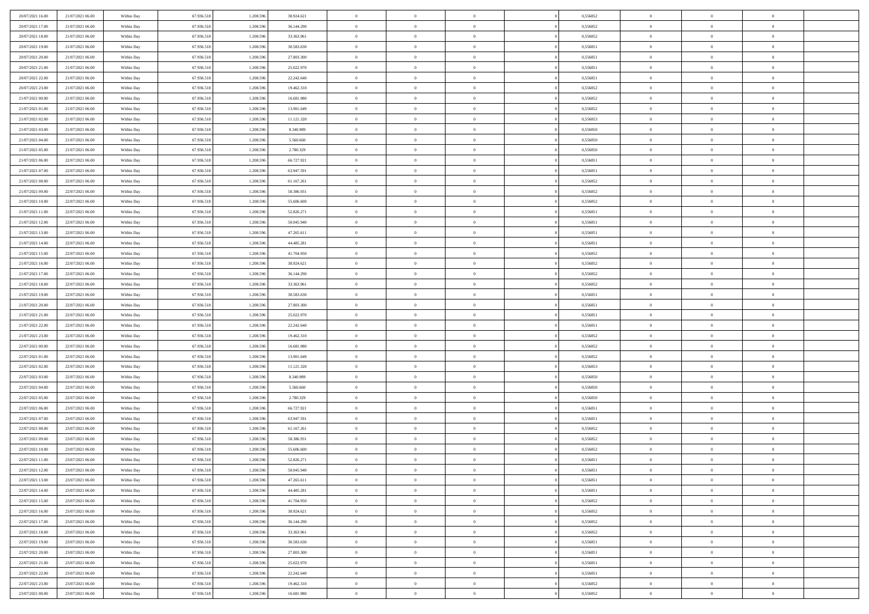| 20/07/2021 16:00 | 21/07/2021 06:00                     | Within Day | 67.936.518               | 1.208.59               | 38.924.621 | $\bf{0}$                   | $\overline{0}$ | $\overline{0}$             | 0,556852             | $\bf{0}$                 | $\bf{0}$       | $\bf{0}$                   |  |
|------------------|--------------------------------------|------------|--------------------------|------------------------|------------|----------------------------|----------------|----------------------------|----------------------|--------------------------|----------------|----------------------------|--|
| 20/07/2021 17:00 | 21/07/2021 06:00                     | Within Day | 67.936.518               | 1.208.596              | 36.144.290 | $\overline{0}$             | $\overline{0}$ | $\overline{0}$             | 0,556852             | $\theta$                 | $\overline{0}$ | $\theta$                   |  |
| 20/07/2021 18:00 | 21/07/2021 06:00                     | Within Day | 67.936.518               | 1.208.596              | 33.363.961 | $\,0\,$                    | $\overline{0}$ | $\bf{0}$                   | 0,556852             | $\,$ 0 $\,$              | $\overline{0}$ | $\,$ 0 $\,$                |  |
| 20/07/2021 19:00 | 21/07/2021 06:00                     | Within Day | 67.936.518               | 1.208.596              | 30.583.630 | $\bf{0}$                   | $\Omega$       | $\overline{0}$             | 0,556851             | $\theta$                 | $\mathbf{0}$   | $\theta$                   |  |
| 20/07/2021 20:00 | 21/07/2021 06:00                     | Within Day | 67.936.518               | 1.208.596              | 27.803.300 | $\bf{0}$                   | $\overline{0}$ | $\overline{0}$             | 0,556851             | $\overline{0}$           | $\overline{0}$ | $\overline{0}$             |  |
| 20/07/2021 21:00 | 21/07/2021 06:00                     | Within Day | 67.936.518               | 1.208.596              | 25.022.970 | $\,$ 0 $\,$                | $\overline{0}$ | $\bf{0}$                   | 0,556851             | $\,$ 0 $\,$              | $\overline{0}$ | $\,$ 0 $\,$                |  |
| 20/07/2021 22:00 | 21/07/2021 06:00                     | Within Day | 67.936.518               | 1.208.596              | 22.242.640 | $\bf{0}$                   | $\overline{0}$ | $\overline{0}$             | 0,556851             | $\bf{0}$                 | $\bf{0}$       | $\theta$                   |  |
| 20/07/2021 23:00 | 21/07/2021 06:00                     | Within Day | 67.936.518               | 1.208.596              | 19.462.310 | $\overline{0}$             | $\overline{0}$ | $\overline{0}$             | 0,556852             | $\mathbf{0}$             | $\overline{0}$ | $\overline{0}$             |  |
|                  |                                      |            |                          |                        |            |                            |                |                            |                      |                          |                |                            |  |
| 21/07/2021 00:00 | 21/07/2021 06:00                     | Within Day | 67.936.518               | 1.208.596              | 16.681.980 | $\,$ 0 $\,$                | $\overline{0}$ | $\bf{0}$                   | 0,556852             | $\,$ 0 $\,$              | $\overline{0}$ | $\bf{0}$                   |  |
| 21/07/2021 01:00 | 21/07/2021 06:00                     | Within Day | 67.936.518               | 1.208.59               | 13.901.649 | $\overline{0}$             | $\mathbf{0}$   | $\overline{0}$             | 0.556852             | $\theta$                 | $\mathbf{0}$   | $\theta$                   |  |
| 21/07/2021 02:00 | 21/07/2021 06:00                     | Within Day | 67.936.518               | 1.208.596              | 11.121.320 | $\mathbf{0}$               | $\overline{0}$ | $\overline{0}$             | 0,556853             | $\mathbf{0}$             | $\overline{0}$ | $\overline{0}$             |  |
| 21/07/2021 03:00 | 21/07/2021 06:00                     | Within Day | 67.936.518               | 1.208.596              | 8.340.989  | $\,$ 0 $\,$                | $\overline{0}$ | $\bf{0}$                   | 0,556850             | $\,$ 0 $\,$              | $\overline{0}$ | $\,$ 0 $\,$                |  |
| 21/07/2021 04:00 | 21/07/2021 06:00                     | Within Day | 67.936.518               | 1.208.596              | 5.560.660  | $\bf{0}$                   | $\overline{0}$ | $\overline{0}$             | 0.556850             | $\bf{0}$                 | $\bf{0}$       | $\theta$                   |  |
| 21/07/2021 05:00 | 21/07/2021 06:00                     | Within Day | 67.936.518               | 1.208.596              | 2.780.329  | $\overline{0}$             | $\overline{0}$ | $\overline{0}$             | 0,556850             | $\mathbf{0}$             | $\overline{0}$ | $\overline{0}$             |  |
| 21/07/2021 06:00 | 22/07/2021 06:00                     | Within Day | 67.936.518               | 1.208.596              | 66.727.921 | $\,$ 0 $\,$                | $\overline{0}$ | $\bf{0}$                   | 0,556851             | $\,$ 0 $\,$              | $\overline{0}$ | $\,$ 0 $\,$                |  |
| 21/07/2021 07:00 | 22/07/2021 06:00                     | Within Day | 67.936.518               | 1.208.59               | 63.947.591 | $\bf{0}$                   | $\mathbf{0}$   | $\overline{0}$             | 0.556851             | $\theta$                 | $\mathbf{0}$   | $\theta$                   |  |
| 21/07/2021 08:00 | 22/07/2021 06:00                     | Within Day | 67.936.518               | 1.208.596              | 61.167.261 | $\overline{0}$             | $\overline{0}$ | $\overline{0}$             | 0,556852             | $\overline{0}$           | $\overline{0}$ | $\overline{0}$             |  |
| 21/07/2021 09:00 | 22/07/2021 06:00                     | Within Day | 67.936.518               | 1.208.596              | 58.386.931 | $\,$ 0 $\,$                | $\overline{0}$ | $\bf{0}$                   | 0,556852             | $\,$ 0 $\,$              | $\overline{0}$ | $\,$ 0 $\,$                |  |
| 21/07/2021 10:00 | 22/07/2021 06:00                     | Within Day | 67.936.518               | 1.208.596              | 55,606,600 | $\bf{0}$                   | $\Omega$       | $\overline{0}$             | 0,556852             | $\theta$                 | $\mathbf{0}$   | $\theta$                   |  |
| 21/07/2021 11:00 | 22/07/2021 06:00                     | Within Day | 67.936.518               | 1.208.596              | 52.826.271 | $\overline{0}$             | $\overline{0}$ | $\overline{0}$             | 0,556851             | $\overline{0}$           | $\overline{0}$ | $\overline{0}$             |  |
| 21/07/2021 12:00 | 22/07/2021 06:00                     | Within Day | 67.936.518               | 1.208.596              | 50.045.940 | $\,$ 0 $\,$                | $\overline{0}$ | $\bf{0}$                   | 0,556851             | $\,$ 0 $\,$              | $\overline{0}$ | $\,$ 0 $\,$                |  |
| 21/07/2021 13:00 | 22/07/2021 06:00                     | Within Day | 67.936.518               | 1.208.596              | 47.265.611 | $\overline{0}$             | $\overline{0}$ | $\overline{0}$             | 0.556851             | $\bf{0}$                 | $\bf{0}$       | $\theta$                   |  |
| 21/07/2021 14:00 | 22/07/2021 06:00                     | Within Day | 67.936.518               | 1.208.596              | 44.485.281 | $\overline{0}$             | $\overline{0}$ | $\overline{0}$             | 0,556851             | $\overline{0}$           | $\overline{0}$ | $\overline{0}$             |  |
| 21/07/2021 15:00 | 22/07/2021 06:00                     | Within Day | 67.936.518               | 1.208.596              | 41.704.950 | $\,$ 0 $\,$                | $\overline{0}$ | $\bf{0}$                   | 0,556852             | $\,$ 0 $\,$              | $\overline{0}$ | $\bf{0}$                   |  |
| 21/07/2021 16:00 | 22/07/2021 06:00                     | Within Day | 67.936.518               | 1.208.59               | 38.924.621 | $\overline{0}$             | $\mathbf{0}$   | $\overline{0}$             | 0.556852             | $\theta$                 | $\mathbf{0}$   | $\theta$                   |  |
| 21/07/2021 17:00 | 22/07/2021 06:00                     | Within Day | 67.936.518               | 1.208.596              | 36.144.290 | $\overline{0}$             | $\overline{0}$ | $\overline{0}$             | 0,556852             | $\overline{0}$           | $\overline{0}$ | $\overline{0}$             |  |
| 21/07/2021 18:00 | 22/07/2021 06:00                     | Within Day | 67.936.518               | 1.208.596              | 33.363.961 | $\,$ 0 $\,$                | $\overline{0}$ | $\bf{0}$                   | 0,556852             | $\,$ 0 $\,$              | $\overline{0}$ | $\,$ 0 $\,$                |  |
| 21/07/2021 19:00 | 22/07/2021 06:00                     | Within Day | 67.936.518               | 1.208.596              | 30.583.630 | $\bf{0}$                   | $\overline{0}$ | $\overline{0}$             | 0,556851             | $\bf{0}$                 | $\bf{0}$       | $\bf{0}$                   |  |
| 21/07/2021 20:00 | 22/07/2021 06:00                     | Within Day | 67.936.518               | 1.208.596              | 27.803.300 | $\overline{0}$             | $\overline{0}$ | $\overline{0}$             | 0,556851             | $\overline{0}$           | $\overline{0}$ | $\overline{0}$             |  |
| 21/07/2021 21:00 | 22/07/2021 06:00                     | Within Day | 67.936.518               | 1.208.596              | 25.022.970 | $\,$ 0 $\,$                | $\overline{0}$ | $\bf{0}$                   | 0,556851             | $\,$ 0 $\,$              | $\overline{0}$ | $\,$ 0 $\,$                |  |
| 21/07/2021 22:00 | 22/07/2021 06:00                     | Within Day | 67.936.518               | 1.208.596              | 22.242.640 | $\,0\,$                    | $\overline{0}$ | $\bf{0}$                   | 0,556851             | $\,$ 0 $\,$              | $\overline{0}$ | $\bf{0}$                   |  |
| 21/07/2021 23:00 | 22/07/2021 06:00                     | Within Day | 67.936.518               | 1.208.596              | 19.462.310 | $\overline{0}$             | $\overline{0}$ | $\overline{0}$             | 0,556852             | $\overline{0}$           | $\overline{0}$ | $\overline{0}$             |  |
| 22/07/2021 00:00 | 22/07/2021 06:00                     | Within Day | 67.936.518               | 1.208.596              | 16.681.980 | $\,$ 0 $\,$                | $\overline{0}$ | $\bf{0}$                   | 0,556852             | $\,$ 0 $\,$              | $\overline{0}$ | $\,$ 0 $\,$                |  |
| 22/07/2021 01:00 | 22/07/2021 06:00                     | Within Day | 67.936.518               | 1.208.596              | 13.901.649 | $\,0\,$                    | $\overline{0}$ | $\bf{0}$                   | 0,556852             | $\bf{0}$                 | $\overline{0}$ | $\bf{0}$                   |  |
| 22/07/2021 02:00 | 22/07/2021 06:00                     | Within Day | 67.936.518               | 1.208.596              | 11.121.320 | $\overline{0}$             | $\overline{0}$ | $\overline{0}$             | 0,556853             | $\overline{0}$           | $\overline{0}$ | $\overline{0}$             |  |
| 22/07/2021 03:00 | 22/07/2021 06:00                     | Within Day | 67.936.518               | 1.208.596              | 8.340.989  | $\,$ 0 $\,$                | $\overline{0}$ | $\bf{0}$                   | 0,556850             | $\,$ 0 $\,$              | $\overline{0}$ | $\,$ 0 $\,$                |  |
|                  |                                      |            |                          |                        |            |                            | $\overline{0}$ |                            |                      |                          | $\overline{0}$ |                            |  |
| 22/07/2021 04:00 | 22/07/2021 06:00<br>22/07/2021 06:00 | Within Day | 67.936.518<br>67.936.518 | 1.208.596<br>1.208.596 | 5.560.660  | $\bf{0}$<br>$\overline{0}$ | $\overline{0}$ | $\bf{0}$<br>$\overline{0}$ | 0,556850<br>0,556850 | $\bf{0}$<br>$\mathbf{0}$ | $\overline{0}$ | $\bf{0}$<br>$\overline{0}$ |  |
| 22/07/2021 05:00 |                                      | Within Day |                          |                        | 2.780.329  |                            |                |                            |                      |                          |                |                            |  |
| 22/07/2021 06:00 | 23/07/2021 06:00                     | Within Day | 67.936.518               | 1.208.596              | 66.727.921 | $\,$ 0 $\,$                | $\overline{0}$ | $\bf{0}$                   | 0,556851             | $\,$ 0 $\,$              | $\overline{0}$ | $\,$ 0 $\,$                |  |
| 22/07/2021 07:00 | 23/07/2021 06:00                     | Within Day | 67.936.518               | 1.208.596              | 63.947.591 | $\,0\,$                    | $\overline{0}$ | $\bf{0}$                   | 0,556851             | $\bf{0}$                 | $\overline{0}$ | $\bf{0}$                   |  |
| 22/07/2021 08:00 | 23/07/2021 06:00                     | Within Day | 67.936.518               | 1.208.596              | 61.167.261 | $\overline{0}$             | $\overline{0}$ | $\overline{0}$             | 0,556852             | $\mathbf{0}$             | $\overline{0}$ | $\overline{0}$             |  |
| 22/07/2021 09:00 | 23/07/2021 06:00                     | Within Day | 67.936.518               | 1.208.596              | 58.386.931 | $\,$ 0 $\,$                | $\overline{0}$ | $\bf{0}$                   | 0,556852             | $\,$ 0 $\,$              | $\overline{0}$ | $\,$ 0 $\,$                |  |
| 22/07/2021 10:00 | 23/07/2021 06:00                     | Within Day | 67.936.518               | 1.208.596              | 55.606.600 | $\bf{0}$                   | $\overline{0}$ | $\bf{0}$                   | 0,556852             | $\bf{0}$                 | $\overline{0}$ | $\bf{0}$                   |  |
| 22/07/2021 11:00 | 23/07/2021 06:00                     | Within Day | 67.936.518               | 1.208.596              | 52.826.271 | $\mathbf{0}$               | $\overline{0}$ | $\overline{0}$             | 0,556851             | $\theta$                 | $\overline{0}$ | $\overline{0}$             |  |
| 22/07/2021 12:00 | 23/07/2021 06:00                     | Within Day | 67.936.518               | 1.208.596              | 50.045.940 | $\mathbf{0}$               | $\overline{0}$ | $\theta$                   | 0,556851             | $\overline{0}$           | $\overline{0}$ | $\theta$                   |  |
| 22/07/2021 13:00 | 23/07/2021 06:00                     | Within Day | 67.936.518               | 1.208.596              | 47.265.611 | $\bf{0}$                   | $\overline{0}$ | $\overline{0}$             | 0,556851             | $\bf{0}$                 | $\overline{0}$ | $\bf{0}$                   |  |
| 22/07/2021 14:00 | 23/07/2021 06:00                     | Within Day | 67.936.518               | 1.208.596              | 44.485.281 | $\overline{0}$             | $\overline{0}$ | $\overline{0}$             | 0,556851             | $\overline{0}$           | $\overline{0}$ | $\overline{0}$             |  |
| 22/07/2021 15:00 | 23/07/2021 06:00                     | Within Day | 67.936.518               | 1.208.596              | 41.704.950 | $\,$ 0                     | $\overline{0}$ | $\overline{0}$             | 0,556852             | $\,$ 0 $\,$              | $\,$ 0 $\,$    | $\,$ 0 $\,$                |  |
| 22/07/2021 16:00 | 23/07/2021 06:00                     | Within Day | 67.936.518               | 1.208.596              | 38.924.621 | $\bf{0}$                   | $\overline{0}$ | $\overline{0}$             | 0,556852             | $\mathbf{0}$             | $\overline{0}$ | $\bf{0}$                   |  |
| 22/07/2021 17:00 | 23/07/2021 06:00                     | Within Day | 67.936.518               | 1.208.596              | 36.144.290 | $\overline{0}$             | $\overline{0}$ | $\overline{0}$             | 0,556852             | $\mathbf{0}$             | $\overline{0}$ | $\overline{0}$             |  |
| 22/07/2021 18:00 | 23/07/2021 06:00                     | Within Day | 67.936.518               | 1.208.596              | 33.363.961 | $\,$ 0                     | $\overline{0}$ | $\overline{0}$             | 0,556852             | $\,$ 0 $\,$              | $\overline{0}$ | $\,$ 0 $\,$                |  |
| 22/07/2021 19:00 | 23/07/2021 06:00                     | Within Day | 67.936.518               | 1.208.596              | 30.583.630 | $\overline{0}$             | $\overline{0}$ | $\overline{0}$             | 0,556851             | $\overline{0}$           | $\overline{0}$ | $\bf{0}$                   |  |
| 22/07/2021 20:00 | 23/07/2021 06:00                     | Within Day | 67.936.518               | 1.208.596              | 27.803.300 | $\mathbf{0}$               | $\overline{0}$ | $\overline{0}$             | 0,556851             | $\overline{0}$           | $\overline{0}$ | $\overline{0}$             |  |
| 22/07/2021 21:00 | 23/07/2021 06:00                     | Within Day | 67.936.518               | 1.208.596              | 25.022.970 | $\,$ 0                     | $\overline{0}$ | $\overline{0}$             | 0,556851             | $\,$ 0 $\,$              | $\bf{0}$       | $\,$ 0 $\,$                |  |
| 22/07/2021 22:00 | 23/07/2021 06:00                     | Within Day | 67.936.518               | 1.208.596              | 22.242.640 | $\bf{0}$                   | $\overline{0}$ | $\overline{0}$             | 0,556851             | $\mathbf{0}$             | $\overline{0}$ | $\bf{0}$                   |  |
| 22/07/2021 23:00 | 23/07/2021 06:00                     | Within Day | 67.936.518               | 1.208.596              | 19.462.310 | $\mathbf{0}$               | $\overline{0}$ | $\overline{0}$             | 0,556852             | $\overline{0}$           | $\overline{0}$ | $\overline{0}$             |  |
| 23/07/2021 00:00 | 23/07/2021 06:00                     | Within Day | 67.936.518               | 1.208.596              | 16.681.980 | $\,$ 0                     | $\overline{0}$ | $\overline{0}$             | 0,556852             | $\,$ 0 $\,$              | $\overline{0}$ | $\,$ 0 $\,$                |  |
|                  |                                      |            |                          |                        |            |                            |                |                            |                      |                          |                |                            |  |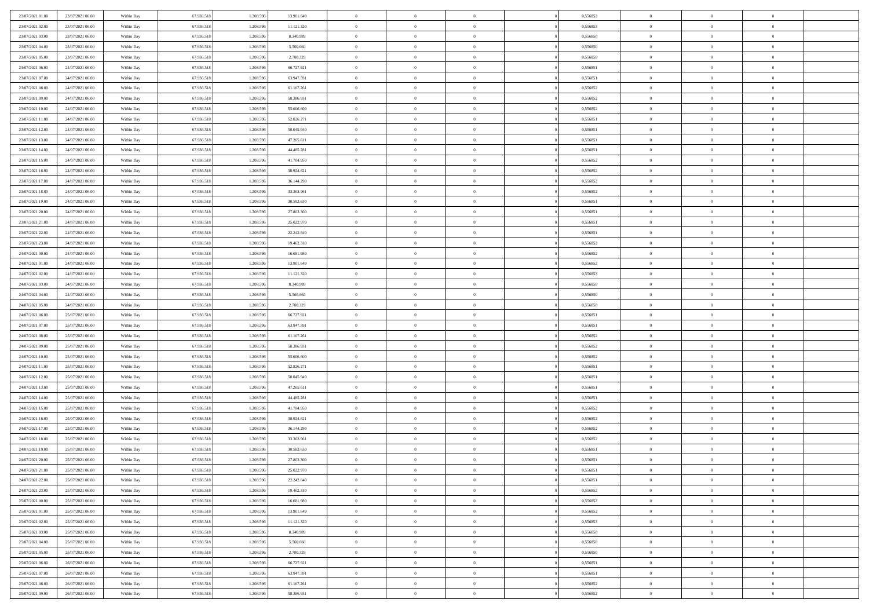| 23/07/2021 01:00                     | 23/07/2021 06:00                     | Within Day               | 67.936.518               | 1.208.59               | 13.901.649               | $\bf{0}$                   | $\overline{0}$ | $\overline{0}$             | 0,556852             | $\bf{0}$                 | $\bf{0}$       | $\bf{0}$                   |  |
|--------------------------------------|--------------------------------------|--------------------------|--------------------------|------------------------|--------------------------|----------------------------|----------------|----------------------------|----------------------|--------------------------|----------------|----------------------------|--|
| 23/07/2021 02:00                     | 23/07/2021 06:00                     | Within Day               | 67.936.518               | 1.208.596              | 11.121.320               | $\overline{0}$             | $\overline{0}$ | $\overline{0}$             | 0,556853             | $\theta$                 | $\overline{0}$ | $\theta$                   |  |
| 23/07/2021 03:00                     | 23/07/2021 06:00                     | Within Day               | 67.936.518               | 1.208.596              | 8.340.989                | $\,0\,$                    | $\overline{0}$ | $\bf{0}$                   | 0,556850             | $\,$ 0 $\,$              | $\overline{0}$ | $\,$ 0 $\,$                |  |
| 23/07/2021 04:00                     | 23/07/2021 06:00                     | Within Day               | 67.936.518               | 1.208.596              | 5.560,660                | $\mathbf{0}$               | $\Omega$       | $\overline{0}$             | 0.556850             | $\theta$                 | $\mathbf{0}$   | $\theta$                   |  |
| 23/07/2021 05:00                     | 23/07/2021 06:00                     | Within Day               | 67.936.518               | 1.208.596              | 2.780.329                | $\bf{0}$                   | $\overline{0}$ | $\overline{0}$             | 0,556850             | $\overline{0}$           | $\overline{0}$ | $\overline{0}$             |  |
| 23/07/2021 06:00                     | 24/07/2021 06:00                     | Within Day               | 67.936.518               | 1.208.596              | 66.727.921               | $\,$ 0 $\,$                | $\overline{0}$ | $\bf{0}$                   | 0,556851             | $\,$ 0 $\,$              | $\overline{0}$ | $\,$ 0 $\,$                |  |
|                                      | 24/07/2021 06:00                     |                          |                          |                        |                          | $\bf{0}$                   | $\overline{0}$ | $\overline{0}$             | 0.556851             |                          | $\overline{0}$ | $\theta$                   |  |
| 23/07/2021 07:00                     |                                      | Within Day               | 67.936.518               | 1.208.596              | 63.947.591               |                            |                |                            |                      | $\bf{0}$                 |                |                            |  |
| 23/07/2021 08:00                     | 24/07/2021 06:00                     | Within Day               | 67.936.518               | 1.208.596              | 61.167.261               | $\overline{0}$             | $\overline{0}$ | $\overline{0}$             | 0,556852             | $\mathbf{0}$             | $\overline{0}$ | $\overline{0}$             |  |
| 23/07/2021 09:00                     | 24/07/2021 06:00                     | Within Day               | 67.936.518               | 1.208.596              | 58.386.931               | $\,$ 0 $\,$                | $\overline{0}$ | $\bf{0}$                   | 0,556852             | $\,$ 0 $\,$              | $\overline{0}$ | $\bf{0}$                   |  |
| 23/07/2021 10:00                     | 24/07/2021 06:00                     | Within Day               | 67.936.518               | 1.208.59               | 55,606,600               | $\overline{0}$             | $\mathbf{0}$   | $\overline{0}$             | 0.556852             | $\theta$                 | $\mathbf{0}$   | $\theta$                   |  |
| 23/07/2021 11:00                     | 24/07/2021 06:00                     | Within Day               | 67.936.518               | 1.208.596              | 52.826.271               | $\overline{0}$             | $\overline{0}$ | $\overline{0}$             | 0,556851             | $\mathbf{0}$             | $\overline{0}$ | $\overline{0}$             |  |
| 23/07/2021 12:00                     | 24/07/2021 06:00                     | Within Day               | 67.936.518               | 1.208.596              | 50.045.940               | $\,$ 0 $\,$                | $\overline{0}$ | $\bf{0}$                   | 0,556851             | $\,$ 0 $\,$              | $\overline{0}$ | $\,$ 0 $\,$                |  |
| 23/07/2021 13:00                     | 24/07/2021 06:00                     | Within Day               | 67.936.518               | 1.208.596              | 47.265.611               | $\bf{0}$                   | $\overline{0}$ | $\overline{0}$             | 0,556851             | $\bf{0}$                 | $\overline{0}$ | $\theta$                   |  |
| 23/07/2021 14:00                     | 24/07/2021 06:00                     | Within Day               | 67.936.518               | 1.208.596              | 44.485.281               | $\overline{0}$             | $\overline{0}$ | $\overline{0}$             | 0,556851             | $\mathbf{0}$             | $\overline{0}$ | $\overline{0}$             |  |
| 23/07/2021 15:00                     | 24/07/2021 06:00                     | Within Day               | 67.936.518               | 1.208.596              | 41.704.950               | $\,$ 0 $\,$                | $\overline{0}$ | $\bf{0}$                   | 0,556852             | $\,$ 0 $\,$              | $\overline{0}$ | $\,$ 0 $\,$                |  |
| 23/07/2021 16:00                     | 24/07/2021 06:00                     | Within Day               | 67.936.518               | 1.208.59               | 38.924.621               | $\bf{0}$                   | $\mathbf{0}$   | $\overline{0}$             | 0.556852             | $\theta$                 | $\mathbf{0}$   | $\theta$                   |  |
| 23/07/2021 17:00                     | 24/07/2021 06:00                     | Within Day               | 67.936.518               | 1.208.596              | 36.144.290               | $\overline{0}$             | $\overline{0}$ | $\overline{0}$             | 0,556852             | $\overline{0}$           | $\overline{0}$ | $\overline{0}$             |  |
| 23/07/2021 18:00                     | 24/07/2021 06:00                     | Within Day               | 67.936.518               | 1.208.596              | 33.363.961               | $\,$ 0 $\,$                | $\overline{0}$ | $\bf{0}$                   | 0,556852             | $\,$ 0 $\,$              | $\overline{0}$ | $\,$ 0 $\,$                |  |
| 23/07/2021 19:00                     | 24/07/2021 06:00                     | Within Day               | 67.936.518               | 1.208.596              | 30.583.630               | $\bf{0}$                   | $\Omega$       | $\overline{0}$             | 0,556851             | $\theta$                 | $\theta$       | $\theta$                   |  |
| 23/07/2021 20:00                     | 24/07/2021 06:00                     | Within Day               | 67.936.518               | 1.208.596              | 27.803.300               | $\overline{0}$             | $\overline{0}$ | $\overline{0}$             | 0,556851             | $\overline{0}$           | $\overline{0}$ | $\overline{0}$             |  |
| 23/07/2021 21:00                     | 24/07/2021 06:00                     | Within Day               | 67.936.518               | 1.208.596              | 25.022.970               | $\,$ 0 $\,$                | $\overline{0}$ | $\bf{0}$                   | 0,556851             | $\,$ 0 $\,$              | $\overline{0}$ | $\,$ 0 $\,$                |  |
| 23/07/2021 22.00                     | 24/07/2021 06:00                     | Within Day               | 67.936.518               | 1.208.596              | 22.242.640               | $\overline{0}$             | $\overline{0}$ | $\overline{0}$             | 0.556851             | $\bf{0}$                 | $\overline{0}$ | $\theta$                   |  |
| 23/07/2021 23:00                     | 24/07/2021 06:00                     | Within Day               | 67.936.518               | 1.208.596              | 19.462.310               | $\overline{0}$             | $\overline{0}$ | $\overline{0}$             | 0,556852             | $\overline{0}$           | $\overline{0}$ | $\overline{0}$             |  |
| 24/07/2021 00:00                     | 24/07/2021 06:00                     | Within Day               | 67.936.518               | 1.208.596              | 16.681.980               | $\,$ 0 $\,$                | $\overline{0}$ | $\bf{0}$                   | 0,556852             | $\,$ 0 $\,$              | $\overline{0}$ | $\bf{0}$                   |  |
| 24/07/2021 01:00                     | 24/07/2021 06:00                     | Within Day               | 67.936.518               | 1.208.59               | 13.901.649               | $\overline{0}$             | $\mathbf{0}$   | $\overline{0}$             | 0.556852             | $\theta$                 | $\mathbf{0}$   | $\theta$                   |  |
| 24/07/2021 02:00                     | 24/07/2021 06:00                     | Within Day               | 67.936.518               | 1.208.596              | 11.121.320               | $\overline{0}$             | $\overline{0}$ | $\overline{0}$             | 0,556853             | $\overline{0}$           | $\overline{0}$ | $\overline{0}$             |  |
| 24/07/2021 03:00                     | 24/07/2021 06:00                     | Within Day               | 67.936.518               | 1.208.596              | 8.340.989                | $\,$ 0 $\,$                | $\overline{0}$ | $\bf{0}$                   | 0,556850             | $\,$ 0 $\,$              | $\overline{0}$ | $\,$ 0 $\,$                |  |
| 24/07/2021 04:00                     | 24/07/2021 06:00                     | Within Day               | 67.936.518               | 1.208.596              | 5.560,660                | $\bf{0}$                   | $\overline{0}$ | $\overline{0}$             | 0.556850             | $\bf{0}$                 | $\overline{0}$ | $\bf{0}$                   |  |
| 24/07/2021 05:00                     | 24/07/2021 06:00                     | Within Day               | 67.936.518               | 1.208.596              | 2.780.329                | $\overline{0}$             | $\overline{0}$ | $\overline{0}$             | 0,556850             | $\overline{0}$           | $\overline{0}$ | $\overline{0}$             |  |
| 24/07/2021 06:00                     | 25/07/2021 06:00                     | Within Day               | 67.936.518               | 1.208.596              | 66.727.921               | $\,$ 0 $\,$                | $\overline{0}$ | $\bf{0}$                   | 0,556851             | $\,$ 0 $\,$              | $\overline{0}$ | $\,$ 0 $\,$                |  |
| 24/07/2021 07:00                     | 25/07/2021 06:00                     | Within Day               | 67.936.518               | 1.208.596              | 63.947.591               | $\,0\,$                    | $\overline{0}$ | $\bf{0}$                   | 0,556851             | $\,$ 0 $\,$              | $\overline{0}$ | $\bf{0}$                   |  |
| 24/07/2021 08:00                     | 25/07/2021 06:00                     | Within Day               | 67.936.518               | 1.208.596              | 61.167.261               | $\overline{0}$             | $\overline{0}$ | $\overline{0}$             | 0,556852             | $\overline{0}$           | $\overline{0}$ | $\overline{0}$             |  |
| 24/07/2021 09:00                     | 25/07/2021 06:00                     | Within Day               | 67.936.518               | 1.208.596              | 58.386.931               | $\,$ 0 $\,$                | $\overline{0}$ | $\bf{0}$                   | 0,556852             | $\,$ 0 $\,$              | $\overline{0}$ | $\,$ 0 $\,$                |  |
| 24/07/2021 10:00                     | 25/07/2021 06:00                     |                          | 67.936.518               | 1.208.596              | 55.606.600               | $\,0\,$                    | $\overline{0}$ | $\bf{0}$                   | 0,556852             | $\bf{0}$                 | $\overline{0}$ | $\bf{0}$                   |  |
| 24/07/2021 11:00                     | 25/07/2021 06:00                     | Within Day<br>Within Day | 67.936.518               | 1.208.596              | 52.826.271               | $\overline{0}$             | $\overline{0}$ | $\overline{0}$             | 0,556851             | $\theta$                 | $\overline{0}$ | $\theta$                   |  |
| 24/07/2021 12:00                     |                                      |                          | 67.936.518               | 1.208.596              | 50.045.940               | $\,$ 0 $\,$                | $\overline{0}$ |                            | 0,556851             | $\,$ 0 $\,$              | $\overline{0}$ | $\,$ 0 $\,$                |  |
|                                      | 25/07/2021 06:00                     | Within Day               |                          |                        |                          |                            | $\overline{0}$ | $\bf{0}$                   |                      |                          | $\overline{0}$ |                            |  |
| 24/07/2021 13:00<br>24/07/2021 14:00 | 25/07/2021 06:00<br>25/07/2021 06:00 | Within Day               | 67.936.518<br>67.936.518 | 1.208.596<br>1.208.596 | 47.265.611<br>44.485.281 | $\bf{0}$<br>$\overline{0}$ | $\overline{0}$ | $\bf{0}$<br>$\overline{0}$ | 0,556851<br>0,556851 | $\bf{0}$<br>$\mathbf{0}$ | $\overline{0}$ | $\bf{0}$<br>$\overline{0}$ |  |
|                                      |                                      | Within Day               |                          |                        |                          |                            |                |                            |                      |                          |                |                            |  |
| 24/07/2021 15:00                     | 25/07/2021 06:00                     | Within Day               | 67.936.518               | 1.208.596              | 41.704.950               | $\,$ 0 $\,$                | $\overline{0}$ | $\bf{0}$                   | 0,556852             | $\,$ 0 $\,$              | $\overline{0}$ | $\,$ 0 $\,$                |  |
| 24/07/2021 16:00                     | 25/07/2021 06:00                     | Within Day               | 67.936.518               | 1.208.596              | 38.924.621               | $\mathbf{0}$               | $\overline{0}$ | $\bf{0}$                   | 0,556852             | $\bf{0}$                 | $\overline{0}$ | $\bf{0}$                   |  |
| 24/07/2021 17:00                     | 25/07/2021 06:00                     | Within Day               | 67.936.518               | 1.208.596              | 36.144.290               | $\overline{0}$             | $\overline{0}$ | $\overline{0}$             | 0,556852             | $\mathbf{0}$             | $\overline{0}$ | $\overline{0}$             |  |
| 24/07/2021 18:00                     | 25/07/2021 06:00                     | Within Day               | 67.936.518               | 1.208.596              | 33.363.961               | $\,$ 0 $\,$                | $\overline{0}$ | $\bf{0}$                   | 0,556852             | $\,$ 0 $\,$              | $\overline{0}$ | $\,$ 0 $\,$                |  |
| 24/07/2021 19:00                     | 25/07/2021 06:00                     | Within Day               | 67.936.518               | 1.208.59               | 30.583.630               | $\,0\,$                    | $\overline{0}$ | $\bf{0}$                   | 0,556851             | $\bf{0}$                 | $\overline{0}$ | $\bf{0}$                   |  |
| 24/07/2021 20:00                     | 25/07/2021 06:00                     | Within Day               | 67.936.518               | 1.208.596              | 27.803.300               | $\mathbf{0}$               | $\overline{0}$ | $\overline{0}$             | 0,556851             | $\theta$                 | $\overline{0}$ | $\overline{0}$             |  |
| 24/07/2021 21:00                     | 25/07/2021 06:00                     | Within Day               | 67.936.518               | 1.208.596              | 25.022.970               | $\mathbf{0}$               | $\overline{0}$ | $\theta$                   | 0,556851             | $\overline{0}$           | $\overline{0}$ | $\theta$                   |  |
| 24/07/2021 22.00                     | 25/07/2021 06:00                     | Within Day               | 67.936.518               | 1.208.596              | 22.242.640               | $\bf{0}$                   | $\overline{0}$ | $\overline{0}$             | 0,556851             | $\bf{0}$                 | $\overline{0}$ | $\bf{0}$                   |  |
| 24/07/2021 23:00                     | 25/07/2021 06:00                     | Within Day               | 67.936.518               | 1.208.596              | 19.462.310               | $\overline{0}$             | $\overline{0}$ | $\overline{0}$             | 0,556852             | $\overline{0}$           | $\overline{0}$ | $\overline{0}$             |  |
| 25/07/2021 00:00                     | 25/07/2021 06:00                     | Within Day               | 67.936.518               | 1.208.596              | 16.681.980               | $\,$ 0 $\,$                | $\overline{0}$ | $\overline{0}$             | 0,556852             | $\,$ 0 $\,$              | $\,$ 0 $\,$    | $\,$ 0 $\,$                |  |
| 25/07/2021 01:00                     | 25/07/2021 06:00                     | Within Day               | 67.936.518               | 1.208.596              | 13.901.649               | $\bf{0}$                   | $\overline{0}$ | $\overline{0}$             | 0,556852             | $\mathbf{0}$             | $\overline{0}$ | $\bf{0}$                   |  |
| 25/07/2021 02:00                     | 25/07/2021 06:00                     | Within Day               | 67.936.518               | 1.208.596              | 11.121.320               | $\overline{0}$             | $\overline{0}$ | $\overline{0}$             | 0,556853             | $\mathbf{0}$             | $\overline{0}$ | $\overline{0}$             |  |
| 25/07/2021 03:00                     | 25/07/2021 06:00                     | Within Day               | 67.936.518               | 1.208.596              | 8.340.989                | $\,$ 0                     | $\overline{0}$ | $\overline{0}$             | 0,556850             | $\,$ 0 $\,$              | $\overline{0}$ | $\,$ 0 $\,$                |  |
| 25/07/2021 04:00                     | 25/07/2021 06:00                     | Within Day               | 67.936.518               | 1.208.596              | 5.560.660                | $\overline{0}$             | $\overline{0}$ | $\overline{0}$             | 0,556850             | $\overline{0}$           | $\overline{0}$ | $\bf{0}$                   |  |
| 25/07/2021 05:00                     | 25/07/2021 06:00                     | Within Day               | 67.936.518               | 1.208.596              | 2.780.329                | $\mathbf{0}$               | $\overline{0}$ | $\overline{0}$             | 0,556850             | $\overline{0}$           | $\overline{0}$ | $\overline{0}$             |  |
| 25/07/2021 06:00                     | 26/07/2021 06:00                     | Within Day               | 67.936.518               | 1.208.596              | 66.727.921               | $\,$ 0                     | $\overline{0}$ | $\overline{0}$             | 0,556851             | $\,$ 0 $\,$              | $\,$ 0 $\,$    | $\,$ 0 $\,$                |  |
| 25/07/2021 07:00                     | 26/07/2021 06:00                     | Within Day               | 67.936.518               | 1.208.596              | 63.947.591               | $\bf{0}$                   | $\overline{0}$ | $\overline{0}$             | 0,556851             | $\mathbf{0}$             | $\overline{0}$ | $\bf{0}$                   |  |
| 25/07/2021 08:00                     | 26/07/2021 06:00                     | Within Day               | 67.936.518               | 1.208.596              | 61.167.261               | $\mathbf{0}$               | $\overline{0}$ | $\overline{0}$             | 0,556852             | $\overline{0}$           | $\overline{0}$ | $\overline{0}$             |  |
| 25/07/2021 09:00                     | 26/07/2021 06:00                     | Within Day               | 67.936.518               | 1.208.596              | 58.386.931               | $\,$ 0                     | $\overline{0}$ | $\overline{0}$             | 0,556852             | $\,$ 0 $\,$              | $\overline{0}$ | $\,$ 0 $\,$                |  |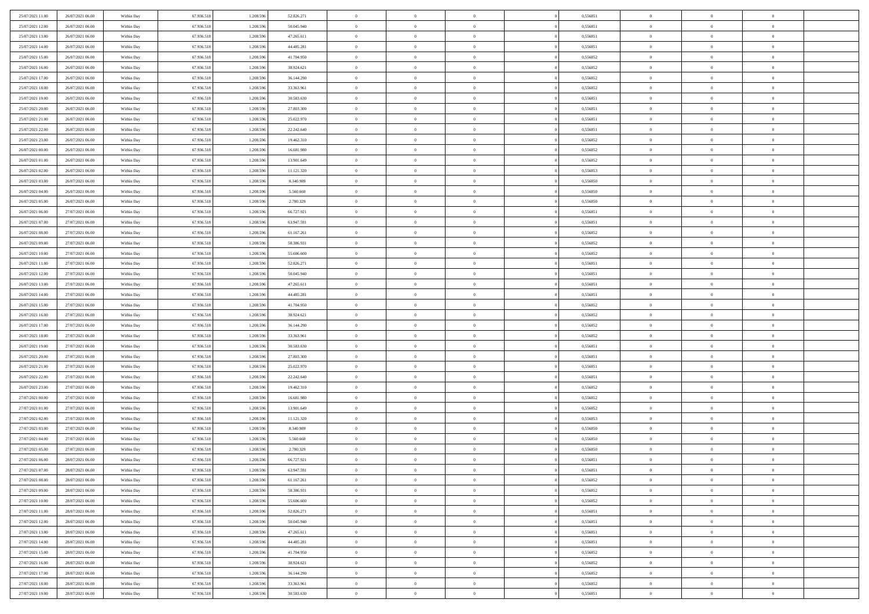| 25/07/2021 11:00 | 26/07/2021 06:00 | Within Day | 67.936.518 | 1.208.596 | 52.826.271 | $\overline{0}$ | $\overline{0}$ | $\Omega$       | 0,556851 | $\bf{0}$       | $\mathbf{0}$   | $\bf{0}$       |  |
|------------------|------------------|------------|------------|-----------|------------|----------------|----------------|----------------|----------|----------------|----------------|----------------|--|
| 25/07/2021 12:00 | 26/07/2021 06:00 | Within Day | 67.936.518 | 1.208.596 | 50.045.940 | $\mathbf{0}$   | $\overline{0}$ | $\overline{0}$ | 0,556851 | $\mathbf{0}$   | $\overline{0}$ | $\overline{0}$ |  |
| 25/07/2021 13:00 | 26/07/2021 06:00 | Within Day | 67.936.518 | 1.208.596 | 47.265.611 | $\,$ 0         | $\overline{0}$ | $\bf{0}$       | 0,556851 | $\,$ 0         | $\overline{0}$ | $\,$ 0 $\,$    |  |
| 25/07/2021 14:00 | 26/07/2021 06:00 | Within Day | 67.936.518 | 1.208.596 | 44.485.281 | $\bf{0}$       | $\overline{0}$ | $\Omega$       | 0.556851 | $\bf{0}$       | $\mathbf{0}$   | $\theta$       |  |
| 25/07/2021 15:00 | 26/07/2021 06:00 | Within Day | 67.936.518 | 1.208.596 | 41.704.950 | $\bf{0}$       | $\overline{0}$ | $\overline{0}$ | 0,556852 | $\mathbf{0}$   | $\bf{0}$       | $\overline{0}$ |  |
| 25/07/2021 16:00 | 26/07/2021 06:00 | Within Day | 67.936.518 | 1.208.596 | 38.924.621 | $\bf{0}$       | $\overline{0}$ | $\bf{0}$       | 0,556852 | $\,$ 0         | $\overline{0}$ | $\,$ 0 $\,$    |  |
| 25/07/2021 17:00 | 26/07/2021 06:00 | Within Day | 67.936.518 | 1.208.596 | 36.144.290 | $\bf{0}$       | $\overline{0}$ | $\Omega$       | 0.556852 | $\bf{0}$       | $\overline{0}$ | $\theta$       |  |
| 25/07/2021 18:00 | 26/07/2021 06:00 | Within Day | 67.936.518 | 1.208.596 | 33.363.961 | $\overline{0}$ | $\overline{0}$ | $\overline{0}$ | 0,556852 | $\mathbf{0}$   | $\overline{0}$ | $\overline{0}$ |  |
| 25/07/2021 19:00 | 26/07/2021 06:00 | Within Day | 67.936.518 | 1.208.596 | 30.583.630 | $\bf{0}$       | $\overline{0}$ | $\bf{0}$       | 0,556851 | $\,$ 0         | $\overline{0}$ | $\,$ 0 $\,$    |  |
| 25/07/2021 20:00 | 26/07/2021 06:00 | Within Day | 67.936.518 | 1.208.596 | 27.803.300 | $\overline{0}$ | $\overline{0}$ | $\Omega$       | 0.556851 | $\theta$       | $\mathbf{0}$   | $\theta$       |  |
| 25/07/2021 21:00 | 26/07/2021 06:00 | Within Day | 67.936.518 | 1.208.596 | 25.022.970 | $\overline{0}$ | $\overline{0}$ | $\overline{0}$ | 0,556851 | $\mathbf{0}$   | $\overline{0}$ | $\overline{0}$ |  |
| 25/07/2021 22.00 | 26/07/2021 06:00 | Within Day | 67.936.518 | 1.208.596 | 22.242.640 | $\bf{0}$       | $\overline{0}$ | $\bf{0}$       | 0,556851 | $\,$ 0         | $\overline{0}$ | $\,$ 0 $\,$    |  |
| 25/07/2021 23.00 | 26/07/2021 06:00 | Within Day | 67.936.518 | 1.208.596 | 19.462.310 | $\bf{0}$       | $\overline{0}$ | $\Omega$       | 0.556852 | $\bf{0}$       | $\mathbf{0}$   | $\theta$       |  |
| 26/07/2021 00:00 | 26/07/2021 06:00 | Within Day | 67.936.518 | 1.208.596 | 16.681.980 | $\overline{0}$ | $\overline{0}$ | $\overline{0}$ | 0,556852 | $\overline{0}$ | $\overline{0}$ | $\overline{0}$ |  |
| 26/07/2021 01:00 | 26/07/2021 06:00 | Within Day | 67.936.518 | 1.208.596 | 13.901.649 | $\bf{0}$       | $\overline{0}$ | $\bf{0}$       | 0,556852 | $\,$ 0         | $\overline{0}$ | $\,$ 0 $\,$    |  |
| 26/07/2021 02:00 | 26/07/2021 06:00 | Within Day | 67.936.518 | 1.208.596 | 11.121.320 | $\bf{0}$       | $\overline{0}$ | $\overline{0}$ | 0.556853 | $\bf{0}$       | $\overline{0}$ | $\theta$       |  |
| 26/07/2021 03:00 | 26/07/2021 06:00 | Within Day | 67.936.518 | 1.208.596 | 8.340.989  | $\overline{0}$ | $\overline{0}$ | $\overline{0}$ | 0,556850 | $\mathbf{0}$   | $\overline{0}$ | $\overline{0}$ |  |
| 26/07/2021 04:00 | 26/07/2021 06:00 | Within Day | 67.936.518 | 1.208.596 | 5.560.660  | $\bf{0}$       | $\overline{0}$ | $\bf{0}$       | 0,556850 | $\,$ 0         | $\overline{0}$ | $\,$ 0 $\,$    |  |
| 26/07/2021 05:00 | 26/07/2021 06:00 | Within Day | 67.936.518 | 1.208.596 | 2.780.329  | $\bf{0}$       | $\overline{0}$ | $\Omega$       | 0.556850 | $\theta$       | $\mathbf{0}$   | $\theta$       |  |
| 26/07/2021 06:00 | 27/07/2021 06:00 | Within Day | 67.936.518 | 1.208.596 | 66.727.921 | $\overline{0}$ | $\overline{0}$ | $\overline{0}$ | 0,556851 | $\mathbf{0}$   | $\overline{0}$ | $\overline{0}$ |  |
| 26/07/2021 07:00 | 27/07/2021 06:00 | Within Day | 67.936.518 | 1.208.596 | 63.947.591 | $\bf{0}$       | $\overline{0}$ | $\bf{0}$       | 0,556851 | $\,$ 0         | $\overline{0}$ | $\,$ 0 $\,$    |  |
| 26/07/2021 08:00 | 27/07/2021 06:00 | Within Day | 67.936.518 | 1.208.596 | 61.167.261 | $\bf{0}$       | $\overline{0}$ | $\Omega$       | 0.556852 | $\bf{0}$       | $\mathbf{0}$   | $\theta$       |  |
| 26/07/2021 09:00 | 27/07/2021 06:00 | Within Day | 67.936.518 | 1.208.596 | 58.386.931 | $\overline{0}$ | $\overline{0}$ | $\overline{0}$ | 0,556852 | $\mathbf{0}$   | $\overline{0}$ | $\overline{0}$ |  |
| 26/07/2021 10:00 | 27/07/2021 06:00 | Within Day | 67.936.518 | 1.208.596 | 55.606.600 | $\bf{0}$       | $\overline{0}$ | $\bf{0}$       | 0,556852 | $\,$ 0         | $\overline{0}$ | $\,$ 0 $\,$    |  |
| 26/07/2021 11:00 | 27/07/2021 06:00 | Within Day | 67.936.518 | 1.208.596 | 52.826.271 | $\bf{0}$       | $\overline{0}$ | $\overline{0}$ | 0,556851 | $\bf{0}$       | $\overline{0}$ | $\bf{0}$       |  |
| 26/07/2021 12:00 | 27/07/2021 06:00 | Within Day | 67.936.518 | 1.208.596 | 50.045.940 | $\overline{0}$ | $\overline{0}$ | $\overline{0}$ | 0,556851 | $\mathbf{0}$   | $\overline{0}$ | $\overline{0}$ |  |
| 26/07/2021 13:00 | 27/07/2021 06:00 | Within Day | 67.936.518 | 1.208.596 | 47.265.611 | $\bf{0}$       | $\overline{0}$ | $\bf{0}$       | 0,556851 | $\,$ 0         | $\overline{0}$ | $\,$ 0 $\,$    |  |
| 26/07/2021 14:00 | 27/07/2021 06:00 | Within Day | 67.936.518 | 1.208.596 | 44.485.281 | $\bf{0}$       | $\overline{0}$ | $\Omega$       | 0.556851 | $\theta$       | $\mathbf{0}$   | $\theta$       |  |
| 26/07/2021 15:00 | 27/07/2021 06:00 | Within Day | 67.936.518 | 1.208.596 | 41.704.950 | $\overline{0}$ | $\overline{0}$ | $\overline{0}$ | 0,556852 | $\mathbf{0}$   | $\overline{0}$ | $\overline{0}$ |  |
| 26/07/2021 16:00 | 27/07/2021 06:00 | Within Day | 67.936.518 | 1.208.596 | 38.924.621 | $\bf{0}$       | $\overline{0}$ | $\bf{0}$       | 0,556852 | $\,$ 0         | $\overline{0}$ | $\,$ 0 $\,$    |  |
| 26/07/2021 17:00 | 27/07/2021 06:00 | Within Day | 67.936.518 | 1.208.596 | 36.144.290 | $\bf{0}$       | $\overline{0}$ | $\overline{0}$ | 0,556852 | $\bf{0}$       | $\overline{0}$ | $\,0\,$        |  |
| 26/07/2021 18:00 | 27/07/2021 06:00 | Within Day | 67.936.518 | 1.208.596 | 33.363.961 | $\overline{0}$ | $\overline{0}$ | $\overline{0}$ | 0,556852 | $\mathbf{0}$   | $\overline{0}$ | $\overline{0}$ |  |
| 26/07/2021 19:00 | 27/07/2021 06:00 | Within Day | 67.936.518 | 1.208.596 | 30.583.630 | $\bf{0}$       | $\overline{0}$ | $\bf{0}$       | 0,556851 | $\,$ 0         | $\overline{0}$ | $\,$ 0 $\,$    |  |
| 26/07/2021 20:00 | 27/07/2021 06:00 | Within Day | 67.936.518 | 1.208.596 | 27.803.300 | $\bf{0}$       | $\overline{0}$ | $\bf{0}$       | 0,556851 | $\bf{0}$       | $\overline{0}$ | $\bf{0}$       |  |
| 26/07/2021 21:00 | 27/07/2021 06:00 | Within Day | 67.936.518 | 1.208.596 | 25.022.970 | $\overline{0}$ | $\overline{0}$ | $\overline{0}$ | 0,556851 | $\mathbf{0}$   | $\overline{0}$ | $\overline{0}$ |  |
| 26/07/2021 22:00 | 27/07/2021 06:00 | Within Day | 67.936.518 | 1.208.596 | 22.242.640 | $\bf{0}$       | $\overline{0}$ | $\bf{0}$       | 0,556851 | $\,$ 0         | $\overline{0}$ | $\,$ 0 $\,$    |  |
| 26/07/2021 23:00 | 27/07/2021 06:00 | Within Day | 67.936.518 | 1.208.596 | 19.462.310 | $\bf{0}$       | $\bf{0}$       | $\overline{0}$ | 0,556852 | $\bf{0}$       | $\overline{0}$ | $\,0\,$        |  |
| 27/07/2021 00:00 | 27/07/2021 06:00 | Within Day | 67.936.518 | 1.208.596 | 16.681.980 | $\overline{0}$ | $\overline{0}$ | $\overline{0}$ | 0,556852 | $\mathbf{0}$   | $\overline{0}$ | $\overline{0}$ |  |
| 27/07/2021 01:00 | 27/07/2021 06:00 | Within Day | 67.936.518 | 1.208.596 | 13.901.649 | $\bf{0}$       | $\overline{0}$ | $\bf{0}$       | 0,556852 | $\,$ 0         | $\overline{0}$ | $\,$ 0 $\,$    |  |
| 27/07/2021 02.00 | 27/07/2021 06:00 | Within Day | 67.936.518 | 1.208.596 | 11.121.320 | $\bf{0}$       | $\bf{0}$       | $\overline{0}$ | 0,556853 | $\bf{0}$       | $\overline{0}$ | $\,0\,$        |  |
| 27/07/2021 03:00 | 27/07/2021 06:00 | Within Day | 67.936.518 | 1.208.596 | 8.340.989  | $\overline{0}$ | $\overline{0}$ | $\overline{0}$ | 0,556850 | $\mathbf{0}$   | $\overline{0}$ | $\overline{0}$ |  |
| 27/07/2021 04:00 | 27/07/2021 06:00 | Within Day | 67.936.518 | 1.208.596 | 5.560.660  | $\bf{0}$       | $\overline{0}$ | $\bf{0}$       | 0,556850 | $\,$ 0         | $\overline{0}$ | $\,$ 0 $\,$    |  |
| 27/07/2021 05:00 | 27/07/2021 06:00 | Within Day | 67.936.518 | 1.208.596 | 2.780.329  | $\bf{0}$       | $\bf{0}$       | $\bf{0}$       | 0,556850 | $\bf{0}$       | $\overline{0}$ | $\,0\,$        |  |
| 27/07/2021 06:00 | 28/07/2021 06:00 | Within Dav | 67.936.518 | 1.208.596 | 66.727.921 | $\mathbf{0}$   | $\overline{0}$ | $\overline{0}$ | 0,556851 | $\mathbf{0}$   | $\overline{0}$ | $\overline{0}$ |  |
| 27/07/2021 07:00 | 28/07/2021 06:00 | Within Day | 67.936.518 | 1.208.596 | 63.947.591 | $\bf{0}$       | $\overline{0}$ | $\theta$       | 0,556851 | $\overline{0}$ | $\theta$       | $\theta$       |  |
| 27/07/2021 08:00 | 28/07/2021 06:00 | Within Day | 67.936.518 | 1.208.596 | 61.167.261 | $\bf{0}$       | $\bf{0}$       | $\bf{0}$       | 0,556852 | $\bf{0}$       | $\overline{0}$ | $\bf{0}$       |  |
| 27/07/2021 09:00 | 28/07/2021 06:00 | Within Day | 67.936.518 | 1.208.596 | 58.386.931 | $\overline{0}$ | $\overline{0}$ | $\overline{0}$ | 0,556852 | $\mathbf{0}$   | $\bf{0}$       | $\overline{0}$ |  |
| 27/07/2021 10:00 | 28/07/2021 06:00 | Within Day | 67.936.518 | 1.208.596 | 55.606.600 | $\,$ 0 $\,$    | $\overline{0}$ | $\overline{0}$ | 0,556852 | $\mathbf{0}$   | $\,$ 0 $\,$    | $\,$ 0 $\,$    |  |
| 27/07/2021 11:00 | 28/07/2021 06:00 | Within Day | 67.936.518 | 1.208.596 | 52.826.271 | $\bf{0}$       | $\bf{0}$       | $\overline{0}$ | 0,556851 | $\bf{0}$       | $\overline{0}$ | $\bf{0}$       |  |
| 27/07/2021 12:00 | 28/07/2021 06:00 | Within Day | 67.936.518 | 1.208.596 | 50.045.940 | $\bf{0}$       | $\overline{0}$ | $\overline{0}$ | 0,556851 | $\mathbf{0}$   | $\bf{0}$       | $\overline{0}$ |  |
| 27/07/2021 13:00 | 28/07/2021 06:00 | Within Day | 67.936.518 | 1.208.596 | 47.265.611 | $\,$ 0 $\,$    | $\overline{0}$ | $\overline{0}$ | 0,556851 | $\,$ 0 $\,$    | $\overline{0}$ | $\,$ 0 $\,$    |  |
| 27/07/2021 14:00 | 28/07/2021 06:00 | Within Day | 67.936.518 | 1.208.596 | 44.485.281 | $\overline{0}$ | $\overline{0}$ | $\overline{0}$ | 0,556851 | $\bf{0}$       | $\overline{0}$ | $\overline{0}$ |  |
| 27/07/2021 15:00 | 28/07/2021 06:00 | Within Day | 67.936.518 | 1.208.596 | 41.704.950 | $\overline{0}$ | $\overline{0}$ | $\overline{0}$ | 0,556852 | $\overline{0}$ | $\bf{0}$       | $\overline{0}$ |  |
| 27/07/2021 16:00 | 28/07/2021 06:00 | Within Day | 67.936.518 | 1.208.596 | 38.924.621 | $\,$ 0 $\,$    | $\overline{0}$ | $\overline{0}$ | 0,556852 | $\mathbf{0}$   | $\,$ 0 $\,$    | $\,$ 0 $\,$    |  |
| 27/07/2021 17:00 | 28/07/2021 06:00 | Within Day | 67.936.518 | 1.208.596 | 36.144.290 | $\bf{0}$       | $\bf{0}$       | $\overline{0}$ | 0,556852 | $\mathbf{0}$   | $\overline{0}$ | $\bf{0}$       |  |
| 27/07/2021 18:00 | 28/07/2021 06:00 | Within Day | 67.936.518 | 1.208.596 | 33.363.961 | $\bf{0}$       | $\overline{0}$ | $\overline{0}$ | 0,556852 | $\mathbf{0}$   | $\bf{0}$       | $\overline{0}$ |  |
| 27/07/2021 19:00 | 28/07/2021 06:00 | Within Day | 67.936.518 | 1.208.596 | 30.583.630 | $\,0\,$        | $\overline{0}$ | $\overline{0}$ | 0,556851 | $\,$ 0         | $\overline{0}$ | $\,$ 0 $\,$    |  |
|                  |                  |            |            |           |            |                |                |                |          |                |                |                |  |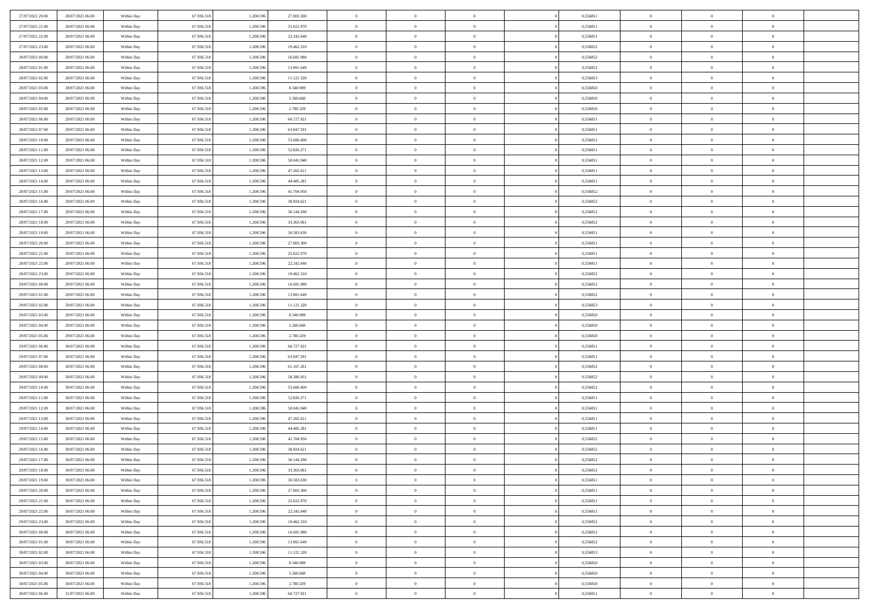| 27/07/2021 20:00                     | 28/07/2021 06:00 | Within Day               | 67.936.518 | 1.208.59  | 27.803.300 | $\bf{0}$                  | $\overline{0}$ | $\overline{0}$ | 0,556851 | $\bf{0}$       | $\bf{0}$       | $\theta$                   |  |
|--------------------------------------|------------------|--------------------------|------------|-----------|------------|---------------------------|----------------|----------------|----------|----------------|----------------|----------------------------|--|
| 27/07/2021 21:00                     | 28/07/2021 06:00 | Within Day               | 67.936.518 | 1.208.596 | 25.022.970 | $\overline{0}$            | $\overline{0}$ | $\overline{0}$ | 0,556851 | $\theta$       | $\overline{0}$ | $\theta$                   |  |
| 27/07/2021 22:00                     | 28/07/2021 06:00 | Within Day               | 67.936.518 | 1.208.596 | 22.242.640 | $\,0\,$                   | $\overline{0}$ | $\bf{0}$       | 0,556851 | $\,$ 0 $\,$    | $\overline{0}$ | $\,$ 0 $\,$                |  |
| 27/07/2021 23:00                     | 28/07/2021 06:00 | Within Day               | 67.936.518 | 1.208.596 | 19.462.310 | $\mathbf{0}$              | $\Omega$       | $\overline{0}$ | 0,556852 | $\theta$       | $\mathbf{0}$   | $\theta$                   |  |
| 28/07/2021 00:00                     | 28/07/2021 06:00 | Within Day               | 67.936.518 | 1.208.596 | 16.681.980 | $\overline{0}$            | $\overline{0}$ | $\overline{0}$ | 0,556852 | $\overline{0}$ | $\overline{0}$ | $\overline{0}$             |  |
| 28/07/2021 01:00                     | 28/07/2021 06:00 | Within Day               | 67.936.518 | 1.208.596 | 13.901.649 | $\,$ 0 $\,$               | $\overline{0}$ | $\bf{0}$       | 0,556852 | $\,$ 0 $\,$    | $\overline{0}$ | $\,$ 0 $\,$                |  |
| 28/07/2021 02:00                     | 28/07/2021 06:00 | Within Day               | 67.936.518 | 1.208.596 | 11.121.320 | $\bf{0}$                  | $\overline{0}$ | $\overline{0}$ | 0.556853 | $\bf{0}$       | $\overline{0}$ | $\theta$                   |  |
| 28/07/2021 03:00                     | 28/07/2021 06:00 |                          | 67.936.518 | 1.208.596 | 8.340.989  | $\overline{0}$            | $\overline{0}$ | $\overline{0}$ | 0,556850 | $\mathbf{0}$   | $\overline{0}$ | $\overline{0}$             |  |
|                                      |                  | Within Day               |            |           |            |                           |                |                |          |                |                |                            |  |
| 28/07/2021 04:00                     | 28/07/2021 06:00 | Within Day               | 67.936.518 | 1.208.596 | 5.560.660  | $\,$ 0 $\,$               | $\overline{0}$ | $\bf{0}$       | 0,556850 | $\,$ 0 $\,$    | $\overline{0}$ | $\bf{0}$                   |  |
| 28/07/2021 05:00                     | 28/07/2021 06:00 | Within Day               | 67.936.518 | 1.208.59  | 2.780.329  | $\overline{0}$            | $\mathbf{0}$   | $\overline{0}$ | 0.556850 | $\theta$       | $\mathbf{0}$   | $\theta$                   |  |
| 28/07/2021 06:00                     | 29/07/2021 06:00 | Within Day               | 67.936.518 | 1.208.596 | 66.727.921 | $\mathbf{0}$              | $\overline{0}$ | $\overline{0}$ | 0,556851 | $\mathbf{0}$   | $\overline{0}$ | $\overline{0}$             |  |
| 28/07/2021 07:00                     | 29/07/2021 06:00 | Within Day               | 67.936.518 | 1.208.596 | 63.947.591 | $\,$ 0 $\,$               | $\overline{0}$ | $\bf{0}$       | 0,556851 | $\,$ 0 $\,$    | $\overline{0}$ | $\,$ 0 $\,$                |  |
| 28/07/2021 10:00                     | 29/07/2021 06:00 | Within Day               | 67.936.518 | 1.208.596 | 55,606,600 | $\bf{0}$                  | $\overline{0}$ | $\overline{0}$ | 0,556852 | $\bf{0}$       | $\bf{0}$       | $\theta$                   |  |
| 28/07/2021 11:00                     | 29/07/2021 06:00 | Within Day               | 67.936.518 | 1.208.596 | 52.826.271 | $\overline{0}$            | $\overline{0}$ | $\overline{0}$ | 0,556851 | $\overline{0}$ | $\overline{0}$ | $\overline{0}$             |  |
| 28/07/2021 12:00                     | 29/07/2021 06:00 | Within Day               | 67.936.518 | 1.208.596 | 50.045.940 | $\,$ 0 $\,$               | $\overline{0}$ | $\bf{0}$       | 0,556851 | $\,$ 0 $\,$    | $\overline{0}$ | $\,$ 0 $\,$                |  |
| 28/07/2021 13:00                     | 29/07/2021 06:00 | Within Day               | 67.936.518 | 1.208.59  | 47.265.611 | $\mathbf{0}$              | $\mathbf{0}$   | $\overline{0}$ | 0.556851 | $\theta$       | $\mathbf{0}$   | $\theta$                   |  |
| 28/07/2021 14:00                     | 29/07/2021 06:00 | Within Day               | 67.936.518 | 1.208.596 | 44.485.281 | $\overline{0}$            | $\overline{0}$ | $\overline{0}$ | 0,556851 | $\overline{0}$ | $\overline{0}$ | $\overline{0}$             |  |
| 28/07/2021 15:00                     | 29/07/2021 06:00 | Within Day               | 67.936.518 | 1.208.596 | 41.704.950 | $\,$ 0 $\,$               | $\overline{0}$ | $\bf{0}$       | 0,556852 | $\,$ 0 $\,$    | $\overline{0}$ | $\,$ 0 $\,$                |  |
| 28/07/2021 16:00                     | 29/07/2021 06:00 | Within Day               | 67.936.518 | 1.208.596 | 38.924.621 | $\mathbf{0}$              | $\Omega$       | $\overline{0}$ | 0,556852 | $\theta$       | $\theta$       | $\theta$                   |  |
| 28/07/2021 17:00                     | 29/07/2021 06:00 | Within Day               | 67.936.518 | 1.208.596 | 36.144.290 | $\overline{0}$            | $\overline{0}$ | $\overline{0}$ | 0,556852 | $\overline{0}$ | $\overline{0}$ | $\overline{0}$             |  |
| 28/07/2021 18:00                     | 29/07/2021 06:00 | Within Day               | 67.936.518 | 1.208.596 | 33.363.961 | $\,$ 0 $\,$               | $\overline{0}$ | $\bf{0}$       | 0,556852 | $\,$ 0 $\,$    | $\overline{0}$ | $\,$ 0 $\,$                |  |
| 28/07/2021 19:00                     | 29/07/2021 06:00 | Within Day               | 67.936.518 | 1.208.596 | 30.583.630 | $\overline{0}$            | $\overline{0}$ | $\overline{0}$ | 0.556851 | $\bf{0}$       | $\bf{0}$       | $\theta$                   |  |
| 28/07/2021 20:00                     | 29/07/2021 06:00 | Within Day               | 67.936.518 | 1.208.596 | 27.803.300 | $\overline{0}$            | $\overline{0}$ | $\overline{0}$ | 0,556851 | $\overline{0}$ | $\overline{0}$ | $\overline{0}$             |  |
| 28/07/2021 21:00                     | 29/07/2021 06:00 | Within Day               | 67.936.518 | 1.208.596 | 25.022.970 | $\,$ 0 $\,$               | $\overline{0}$ | $\bf{0}$       | 0,556851 | $\,$ 0 $\,$    | $\overline{0}$ | $\bf{0}$                   |  |
| 28/07/2021 22:00                     | 29/07/2021 06:00 | Within Day               | 67.936.518 | 1.208.59  | 22.242.640 | $\mathbf{0}$              | $\mathbf{0}$   | $\overline{0}$ | 0.556851 | $\theta$       | $\mathbf{0}$   | $\theta$                   |  |
| 28/07/2021 23:00                     | 29/07/2021 06:00 | Within Day               | 67.936.518 | 1.208.596 | 19.462.310 | $\overline{0}$            | $\overline{0}$ | $\overline{0}$ | 0,556852 | $\overline{0}$ | $\overline{0}$ | $\overline{0}$             |  |
| 29/07/2021 00:00                     | 29/07/2021 06:00 | Within Day               | 67.936.518 | 1.208.596 | 16.681.980 | $\,$ 0 $\,$               | $\overline{0}$ | $\bf{0}$       | 0,556852 | $\,$ 0 $\,$    | $\overline{0}$ | $\,$ 0 $\,$                |  |
| 29/07/2021 01:00                     | 29/07/2021 06:00 | Within Day               | 67.936.518 | 1.208.596 | 13.901.649 | $\bf{0}$                  | $\overline{0}$ | $\overline{0}$ | 0,556852 | $\bf{0}$       | $\bf{0}$       | $\bf{0}$                   |  |
| 29/07/2021 02:00                     | 29/07/2021 06:00 | Within Day               | 67.936.518 | 1.208.596 | 11.121.320 | $\overline{0}$            | $\overline{0}$ | $\overline{0}$ | 0,556853 | $\overline{0}$ | $\overline{0}$ | $\overline{0}$             |  |
| 29/07/2021 03:00                     | 29/07/2021 06:00 | Within Day               | 67.936.518 | 1.208.596 | 8.340.989  | $\,$ 0 $\,$               | $\overline{0}$ | $\bf{0}$       | 0,556850 | $\,$ 0 $\,$    | $\overline{0}$ | $\,$ 0 $\,$                |  |
|                                      | 29/07/2021 06:00 |                          | 67.936.518 | 1.208.596 | 5.560.660  | $\,0\,$                   | $\overline{0}$ | $\bf{0}$       | 0,556850 | $\,$ 0 $\,$    | $\overline{0}$ | $\bf{0}$                   |  |
| 29/07/2021 04:00<br>29/07/2021 05:00 | 29/07/2021 06:00 | Within Day<br>Within Day | 67.936.518 | 1.208.596 | 2.780.329  | $\overline{0}$            | $\overline{0}$ | $\overline{0}$ | 0,556850 | $\mathbf{0}$   | $\overline{0}$ | $\overline{0}$             |  |
|                                      |                  |                          |            |           |            | $\,$ 0 $\,$               | $\overline{0}$ |                |          | $\,$ 0 $\,$    | $\overline{0}$ | $\,$ 0 $\,$                |  |
| 29/07/2021 06:00                     | 30/07/2021 06:00 | Within Day               | 67.936.518 | 1.208.596 | 66.727.921 |                           |                | $\bf{0}$       | 0,556851 |                |                |                            |  |
| 29/07/2021 07:00                     | 30/07/2021 06:00 | Within Day               | 67.936.518 | 1.208.596 | 63.947.591 | $\,0\,$<br>$\overline{0}$ | $\overline{0}$ | $\bf{0}$       | 0,556851 | $\bf{0}$       | $\overline{0}$ | $\bf{0}$<br>$\overline{0}$ |  |
| 29/07/2021 08:00                     | 30/07/2021 06:00 | Within Day               | 67.936.518 | 1.208.596 | 61.167.261 |                           | $\overline{0}$ | $\overline{0}$ | 0,556852 | $\mathbf{0}$   | $\overline{0}$ |                            |  |
| 29/07/2021 09:00                     | 30/07/2021 06:00 | Within Day               | 67.936.518 | 1.208.596 | 58.386.931 | $\,$ 0 $\,$               | $\overline{0}$ | $\bf{0}$       | 0,556852 | $\,$ 0 $\,$    | $\overline{0}$ | $\,$ 0 $\,$                |  |
| 29/07/2021 10:00                     | 30/07/2021 06:00 | Within Day               | 67.936.518 | 1.208.596 | 55.606.600 | $\bf{0}$                  | $\overline{0}$ | $\bf{0}$       | 0,556852 | $\bf{0}$       | $\overline{0}$ | $\bf{0}$                   |  |
| 29/07/2021 11:00                     | 30/07/2021 06:00 | Within Day               | 67.936.518 | 1.208.596 | 52.826.271 | $\overline{0}$            | $\overline{0}$ | $\overline{0}$ | 0,556851 | $\mathbf{0}$   | $\overline{0}$ | $\overline{0}$             |  |
| 29/07/2021 12:00                     | 30/07/2021 06:00 | Within Day               | 67.936.518 | 1.208.596 | 50.045.940 | $\,$ 0 $\,$               | $\overline{0}$ | $\bf{0}$       | 0,556851 | $\,$ 0 $\,$    | $\overline{0}$ | $\,$ 0 $\,$                |  |
| 29/07/2021 13:00                     | 30/07/2021 06:00 | Within Day               | 67.936.518 | 1.208.596 | 47.265.611 | $\,0\,$                   | $\overline{0}$ | $\bf{0}$       | 0,556851 | $\bf{0}$       | $\overline{0}$ | $\bf{0}$                   |  |
| 29/07/2021 14:00                     | 30/07/2021 06:00 | Within Day               | 67.936.518 | 1.208.596 | 44.485.281 | $\overline{0}$            | $\overline{0}$ | $\overline{0}$ | 0,556851 | $\mathbf{0}$   | $\overline{0}$ | $\overline{0}$             |  |
| 29/07/2021 15:00                     | 30/07/2021 06:00 | Within Day               | 67.936.518 | 1.208.596 | 41.704.950 | $\,$ 0 $\,$               | $\overline{0}$ | $\bf{0}$       | 0,556852 | $\,$ 0 $\,$    | $\overline{0}$ | $\,$ 0 $\,$                |  |
| 29/07/2021 16:00                     | 30/07/2021 06:00 | Within Day               | 67.936.518 | 1.208.59  | 38.924.621 | $\bf{0}$                  | $\overline{0}$ | $\bf{0}$       | 0,556852 | $\bf{0}$       | $\overline{0}$ | $\bf{0}$                   |  |
| 29/07/2021 17:00                     | 30/07/2021 06:00 | Within Day               | 67.936.518 | 1.208.596 | 36.144.290 | $\mathbf{0}$              | $\overline{0}$ | $\overline{0}$ | 0,556852 | $\theta$       | $\overline{0}$ | $\overline{0}$             |  |
| 29/07/2021 18:00                     | 30/07/2021 06:00 | Within Day               | 67.936.518 | 1.208.596 | 33.363.961 | $\mathbf{0}$              | $\overline{0}$ | $\theta$       | 0,556852 | $\overline{0}$ | $\overline{0}$ | $\theta$                   |  |
| 29/07/2021 19:00                     | 30/07/2021 06:00 | Within Day               | 67.936.518 | 1.208.596 | 30.583.630 | $\bf{0}$                  | $\overline{0}$ | $\overline{0}$ | 0,556851 | $\bf{0}$       | $\overline{0}$ | $\bf{0}$                   |  |
| 29/07/2021 20:00                     | 30/07/2021 06:00 | Within Day               | 67.936.518 | 1.208.596 | 27.803.300 | $\overline{0}$            | $\overline{0}$ | $\overline{0}$ | 0,556851 | $\overline{0}$ | $\overline{0}$ | $\overline{0}$             |  |
| 29/07/2021 21:00                     | 30/07/2021 06:00 | Within Day               | 67.936.518 | 1.208.596 | 25.022.970 | $\,$ 0                    | $\overline{0}$ | $\overline{0}$ | 0,556851 | $\,$ 0 $\,$    | $\overline{0}$ | $\,$ 0 $\,$                |  |
| 29/07/2021 22:00                     | 30/07/2021 06:00 | Within Day               | 67.936.518 | 1.208.596 | 22.242.640 | $\bf{0}$                  | $\overline{0}$ | $\overline{0}$ | 0,556851 | $\mathbf{0}$   | $\overline{0}$ | $\bf{0}$                   |  |
| 29/07/2021 23:00                     | 30/07/2021 06:00 | Within Day               | 67.936.518 | 1.208.596 | 19.462.310 | $\overline{0}$            | $\overline{0}$ | $\overline{0}$ | 0,556852 | $\mathbf{0}$   | $\overline{0}$ | $\overline{0}$             |  |
| 30/07/2021 00:00                     | 30/07/2021 06:00 | Within Day               | 67.936.518 | 1.208.596 | 16.681.980 | $\,$ 0                    | $\overline{0}$ | $\overline{0}$ | 0,556852 | $\,$ 0 $\,$    | $\overline{0}$ | $\,$ 0 $\,$                |  |
| 30/07/2021 01:00                     | 30/07/2021 06:00 | Within Day               | 67.936.518 | 1.208.596 | 13.901.649 | $\overline{0}$            | $\overline{0}$ | $\overline{0}$ | 0,556852 | $\overline{0}$ | $\overline{0}$ | $\bf{0}$                   |  |
| 30/07/2021 02:00                     | 30/07/2021 06:00 | Within Day               | 67.936.518 | 1.208.596 | 11.121.320 | $\mathbf{0}$              | $\overline{0}$ | $\overline{0}$ | 0,556853 | $\mathbf{0}$   | $\overline{0}$ | $\overline{0}$             |  |
| 30/07/2021 03:00                     | 30/07/2021 06:00 | Within Day               | 67.936.518 | 1.208.596 | 8.340.989  | $\,$ 0                    | $\overline{0}$ | $\overline{0}$ | 0,556850 | $\,$ 0 $\,$    | $\bf{0}$       | $\,$ 0 $\,$                |  |
| 30/07/2021 04:00                     | 30/07/2021 06:00 | Within Day               | 67.936.518 | 1.208.596 | 5.560.660  | $\bf{0}$                  | $\overline{0}$ | $\overline{0}$ | 0,556850 | $\mathbf{0}$   | $\overline{0}$ | $\bf{0}$                   |  |
| 30/07/2021 05:00                     | 30/07/2021 06:00 | Within Day               | 67.936.518 | 1.208.596 | 2.780.329  | $\mathbf{0}$              | $\overline{0}$ | $\overline{0}$ | 0,556850 | $\mathbf{0}$   | $\overline{0}$ | $\overline{0}$             |  |
| 30/07/2021 06:00                     | 31/07/2021 06:00 | Within Day               | 67.936.518 | 1.208.596 | 66.727.921 | $\,$ 0 $\,$               | $\overline{0}$ | $\bf{0}$       | 0,556851 | $\,$ 0 $\,$    | $\overline{0}$ | $\,$ 0 $\,$                |  |
|                                      |                  |                          |            |           |            |                           |                |                |          |                |                |                            |  |